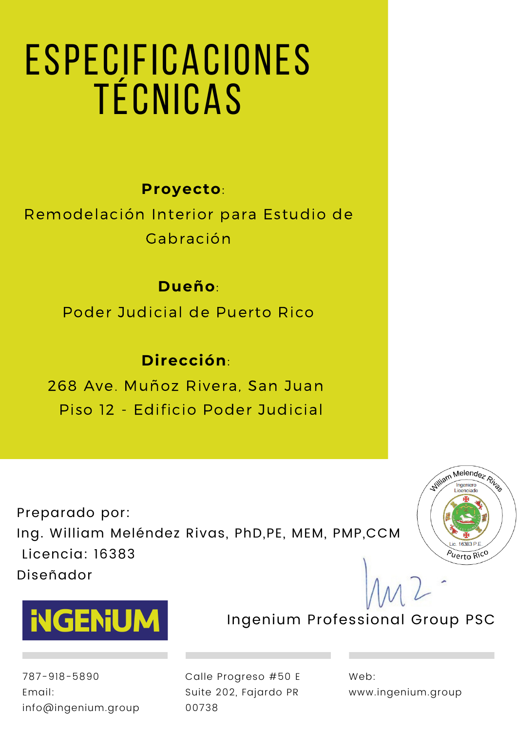# Especificaciones técnicas

# **Proyecto**:

Remodelación Interior para Estudio de Gabración

# **Dueño**:

Poder Judicial de Puerto Rico

# **Dirección**:

268 Ave. Muñoz Rivera, San Juan Piso 12 - Edificio Poder Judicial

Preparado por: Ing. William Meléndez Rivas, PhD,PE, MEM, PMP,CCM Licencia: 16383 Diseñador





787-918-5890 Email: info@ingenium.group Calle Progreso #50 E Suite 202, Fajardo PR 00738

Web: www.ingenium.group

Ingenium Professional Group PSC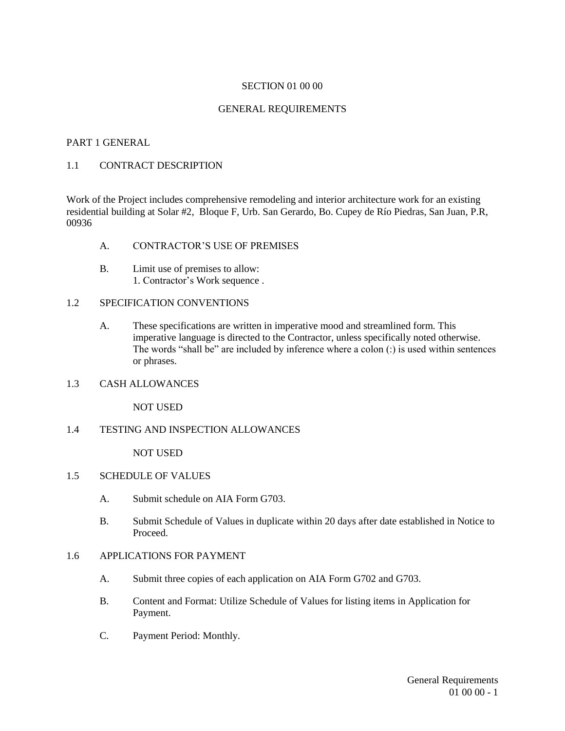#### SECTION 01 00 00

#### GENERAL REQUIREMENTS

#### PART 1 GENERAL

#### 1.1 CONTRACT DESCRIPTION

Work of the Project includes comprehensive remodeling and interior architecture work for an existing residential building at Solar #2, Bloque F, Urb. San Gerardo, Bo. Cupey de Río Piedras, San Juan, P.R, 00936

- A. CONTRACTOR'S USE OF PREMISES
- B. Limit use of premises to allow: 1. Contractor's Work sequence .

#### 1.2 SPECIFICATION CONVENTIONS

- A. These specifications are written in imperative mood and streamlined form. This imperative language is directed to the Contractor, unless specifically noted otherwise. The words "shall be" are included by inference where a colon (:) is used within sentences or phrases.
- 1.3 CASH ALLOWANCES

NOT USED

1.4 TESTING AND INSPECTION ALLOWANCES

NOT USED

- 1.5 SCHEDULE OF VALUES
	- A. Submit schedule on AIA Form G703.
	- B. Submit Schedule of Values in duplicate within 20 days after date established in Notice to Proceed.

#### 1.6 APPLICATIONS FOR PAYMENT

- A. Submit three copies of each application on AIA Form G702 and G703.
- B. Content and Format: Utilize Schedule of Values for listing items in Application for Payment.
- C. Payment Period: Monthly.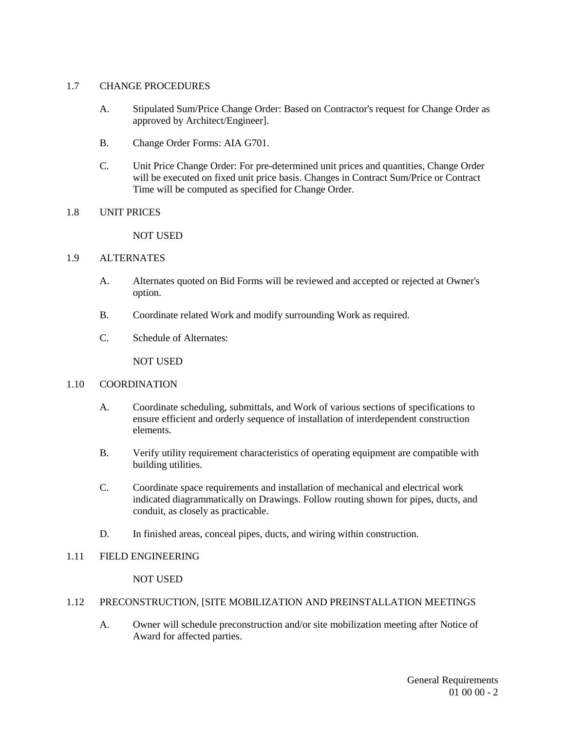#### 1.7 CHANGE PROCEDURES

- A. Stipulated Sum/Price Change Order: Based on Contractor's request for Change Order as approved by Architect/Engineer].
- B. Change Order Forms: AIA G701.
- C. Unit Price Change Order: For pre-determined unit prices and quantities, Change Order will be executed on fixed unit price basis. Changes in Contract Sum/Price or Contract Time will be computed as specified for Change Order.

#### 1.8 UNIT PRICES

#### NOT USED

#### 1.9 ALTERNATES

- A. Alternates quoted on Bid Forms will be reviewed and accepted or rejected at Owner's option.
- B. Coordinate related Work and modify surrounding Work as required.
- C. Schedule of Alternates:

NOT USED

#### 1.10 COORDINATION

- A. Coordinate scheduling, submittals, and Work of various sections of specifications to ensure efficient and orderly sequence of installation of interdependent construction elements.
- B. Verify utility requirement characteristics of operating equipment are compatible with building utilities.
- C. Coordinate space requirements and installation of mechanical and electrical work indicated diagrammatically on Drawings. Follow routing shown for pipes, ducts, and conduit, as closely as practicable.
- D. In finished areas, conceal pipes, ducts, and wiring within construction.

#### 1.11 FIELD ENGINEERING

NOT USED

#### 1.12 PRECONSTRUCTION, [SITE MOBILIZATION AND PREINSTALLATION MEETINGS

A. Owner will schedule preconstruction and/or site mobilization meeting after Notice of Award for affected parties.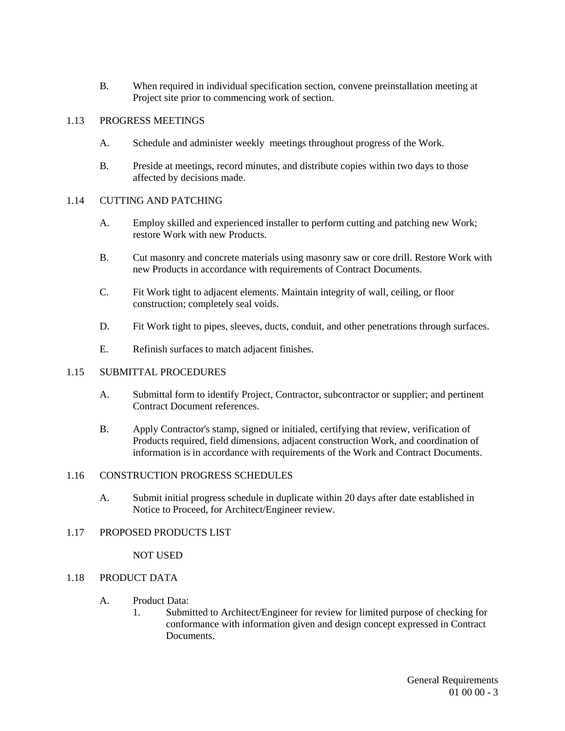B. When required in individual specification section, convene preinstallation meeting at Project site prior to commencing work of section.

#### 1.13 PROGRESS MEETINGS

- A. Schedule and administer weekly meetings throughout progress of the Work.
- B. Preside at meetings, record minutes, and distribute copies within two days to those affected by decisions made.

#### 1.14 CUTTING AND PATCHING

- A. Employ skilled and experienced installer to perform cutting and patching new Work; restore Work with new Products.
- B. Cut masonry and concrete materials using masonry saw or core drill. Restore Work with new Products in accordance with requirements of Contract Documents.
- C. Fit Work tight to adjacent elements. Maintain integrity of wall, ceiling, or floor construction; completely seal voids.
- D. Fit Work tight to pipes, sleeves, ducts, conduit, and other penetrations through surfaces.
- E. Refinish surfaces to match adjacent finishes.

#### 1.15 SUBMITTAL PROCEDURES

- A. Submittal form to identify Project, Contractor, subcontractor or supplier; and pertinent Contract Document references.
- B. Apply Contractor's stamp, signed or initialed, certifying that review, verification of Products required, field dimensions, adjacent construction Work, and coordination of information is in accordance with requirements of the Work and Contract Documents.

#### 1.16 CONSTRUCTION PROGRESS SCHEDULES

A. Submit initial progress schedule in duplicate within 20 days after date established in Notice to Proceed, for Architect/Engineer review.

#### 1.17 PROPOSED PRODUCTS LIST

#### NOT USED

#### 1.18 PRODUCT DATA

#### A. Product Data:

1. Submitted to Architect/Engineer for review for limited purpose of checking for conformance with information given and design concept expressed in Contract Documents.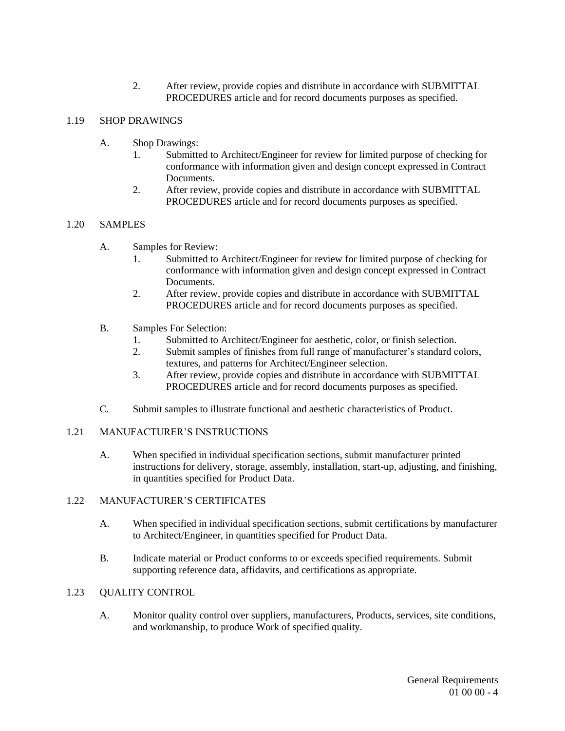2. After review, provide copies and distribute in accordance with SUBMITTAL PROCEDURES article and for record documents purposes as specified.

#### 1.19 SHOP DRAWINGS

- A. Shop Drawings:
	- 1. Submitted to Architect/Engineer for review for limited purpose of checking for conformance with information given and design concept expressed in Contract **Documents**
	- 2. After review, provide copies and distribute in accordance with SUBMITTAL PROCEDURES article and for record documents purposes as specified.

#### 1.20 SAMPLES

- A. Samples for Review:
	- 1. Submitted to Architect/Engineer for review for limited purpose of checking for conformance with information given and design concept expressed in Contract Documents.
	- 2. After review, provide copies and distribute in accordance with SUBMITTAL PROCEDURES article and for record documents purposes as specified.
- B. Samples For Selection:
	- 1. Submitted to Architect/Engineer for aesthetic, color, or finish selection.
	- 2. Submit samples of finishes from full range of manufacturer's standard colors, textures, and patterns for Architect/Engineer selection.
	- 3. After review, provide copies and distribute in accordance with SUBMITTAL PROCEDURES article and for record documents purposes as specified.
- C. Submit samples to illustrate functional and aesthetic characteristics of Product.

#### 1.21 MANUFACTURER'S INSTRUCTIONS

A. When specified in individual specification sections, submit manufacturer printed instructions for delivery, storage, assembly, installation, start-up, adjusting, and finishing, in quantities specified for Product Data.

#### 1.22 MANUFACTURER'S CERTIFICATES

- A. When specified in individual specification sections, submit certifications by manufacturer to Architect/Engineer, in quantities specified for Product Data.
- B. Indicate material or Product conforms to or exceeds specified requirements. Submit supporting reference data, affidavits, and certifications as appropriate.

#### 1.23 QUALITY CONTROL

A. Monitor quality control over suppliers, manufacturers, Products, services, site conditions, and workmanship, to produce Work of specified quality.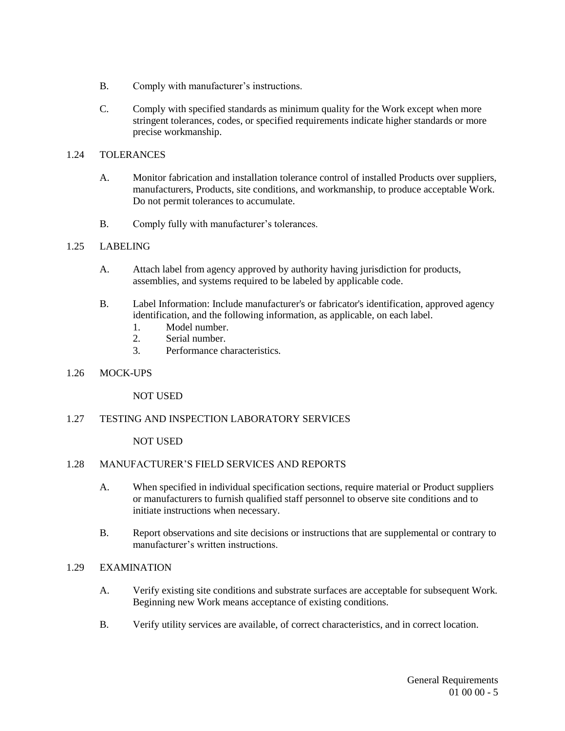- B. Comply with manufacturer's instructions.
- C. Comply with specified standards as minimum quality for the Work except when more stringent tolerances, codes, or specified requirements indicate higher standards or more precise workmanship.

#### 1.24 TOLERANCES

- A. Monitor fabrication and installation tolerance control of installed Products over suppliers, manufacturers, Products, site conditions, and workmanship, to produce acceptable Work. Do not permit tolerances to accumulate.
- B. Comply fully with manufacturer's tolerances.

#### 1.25 LABELING

- A. Attach label from agency approved by authority having jurisdiction for products, assemblies, and systems required to be labeled by applicable code.
- B. Label Information: Include manufacturer's or fabricator's identification, approved agency identification, and the following information, as applicable, on each label.
	- 1. Model number.
	- 2. Serial number.<br>3. Performance ch
	- Performance characteristics.

#### 1.26 MOCK-UPS

NOT USED

#### 1.27 TESTING AND INSPECTION LABORATORY SERVICES

NOT USED

#### 1.28 MANUFACTURER'S FIELD SERVICES AND REPORTS

- A. When specified in individual specification sections, require material or Product suppliers or manufacturers to furnish qualified staff personnel to observe site conditions and to initiate instructions when necessary.
- B. Report observations and site decisions or instructions that are supplemental or contrary to manufacturer's written instructions.

#### 1.29 EXAMINATION

- A. Verify existing site conditions and substrate surfaces are acceptable for subsequent Work. Beginning new Work means acceptance of existing conditions.
- B. Verify utility services are available, of correct characteristics, and in correct location.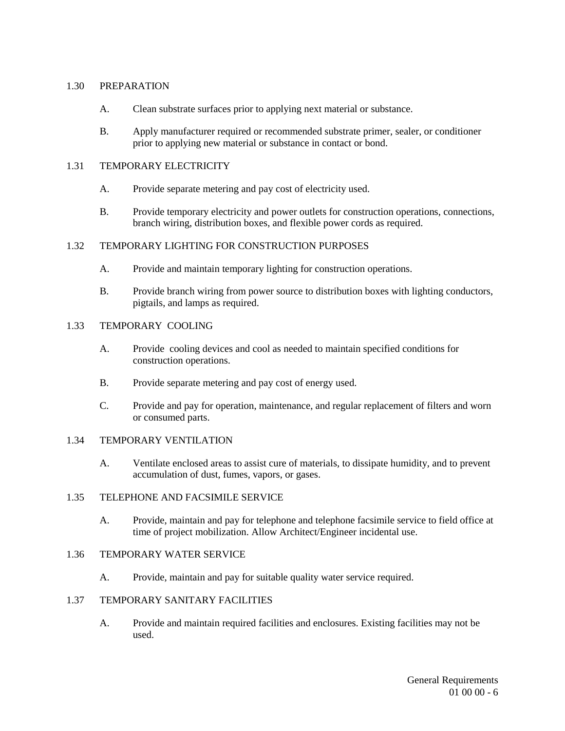#### 1.30 PREPARATION

- A. Clean substrate surfaces prior to applying next material or substance.
- B. Apply manufacturer required or recommended substrate primer, sealer, or conditioner prior to applying new material or substance in contact or bond.

#### 1.31 TEMPORARY ELECTRICITY

- A. Provide separate metering and pay cost of electricity used.
- B. Provide temporary electricity and power outlets for construction operations, connections, branch wiring, distribution boxes, and flexible power cords as required.

## 1.32 TEMPORARY LIGHTING FOR CONSTRUCTION PURPOSES

- A. Provide and maintain temporary lighting for construction operations.
- B. Provide branch wiring from power source to distribution boxes with lighting conductors, pigtails, and lamps as required.

#### 1.33 TEMPORARY COOLING

- A. Provide cooling devices and cool as needed to maintain specified conditions for construction operations.
- B. Provide separate metering and pay cost of energy used.
- C. Provide and pay for operation, maintenance, and regular replacement of filters and worn or consumed parts.

#### 1.34 TEMPORARY VENTILATION

A. Ventilate enclosed areas to assist cure of materials, to dissipate humidity, and to prevent accumulation of dust, fumes, vapors, or gases.

#### 1.35 TELEPHONE AND FACSIMILE SERVICE

A. Provide, maintain and pay for telephone and telephone facsimile service to field office at time of project mobilization. Allow Architect/Engineer incidental use.

#### 1.36 TEMPORARY WATER SERVICE

A. Provide, maintain and pay for suitable quality water service required.

#### 1.37 TEMPORARY SANITARY FACILITIES

A. Provide and maintain required facilities and enclosures. Existing facilities may not be used.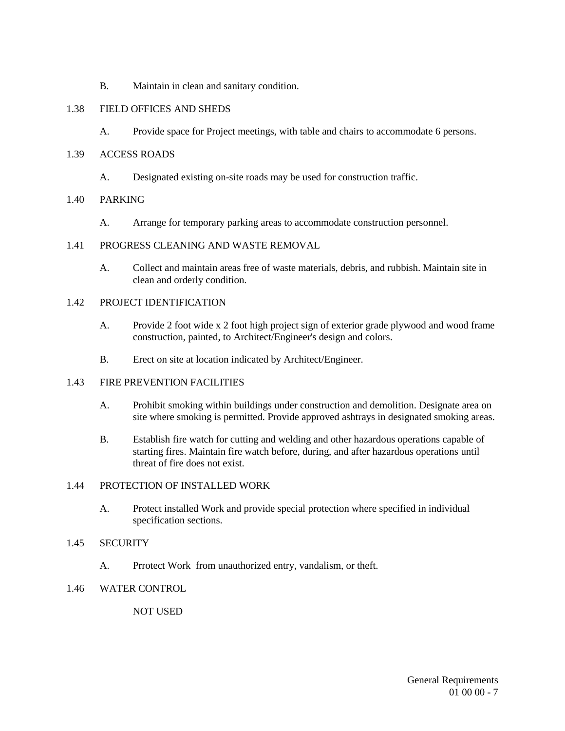B. Maintain in clean and sanitary condition.

#### 1.38 FIELD OFFICES AND SHEDS

A. Provide space for Project meetings, with table and chairs to accommodate 6 persons.

#### 1.39 ACCESS ROADS

A. Designated existing on-site roads may be used for construction traffic.

#### 1.40 PARKING

A. Arrange for temporary parking areas to accommodate construction personnel.

#### 1.41 PROGRESS CLEANING AND WASTE REMOVAL

A. Collect and maintain areas free of waste materials, debris, and rubbish. Maintain site in clean and orderly condition.

#### 1.42 PROJECT IDENTIFICATION

- A. Provide 2 foot wide x 2 foot high project sign of exterior grade plywood and wood frame construction, painted, to Architect/Engineer's design and colors.
- B. Erect on site at location indicated by Architect/Engineer.

#### 1.43 FIRE PREVENTION FACILITIES

- A. Prohibit smoking within buildings under construction and demolition. Designate area on site where smoking is permitted. Provide approved ashtrays in designated smoking areas.
- B. Establish fire watch for cutting and welding and other hazardous operations capable of starting fires. Maintain fire watch before, during, and after hazardous operations until threat of fire does not exist.

#### 1.44 PROTECTION OF INSTALLED WORK

A. Protect installed Work and provide special protection where specified in individual specification sections.

#### 1.45 SECURITY

A. Prrotect Work from unauthorized entry, vandalism, or theft.

#### 1.46 WATER CONTROL

NOT USED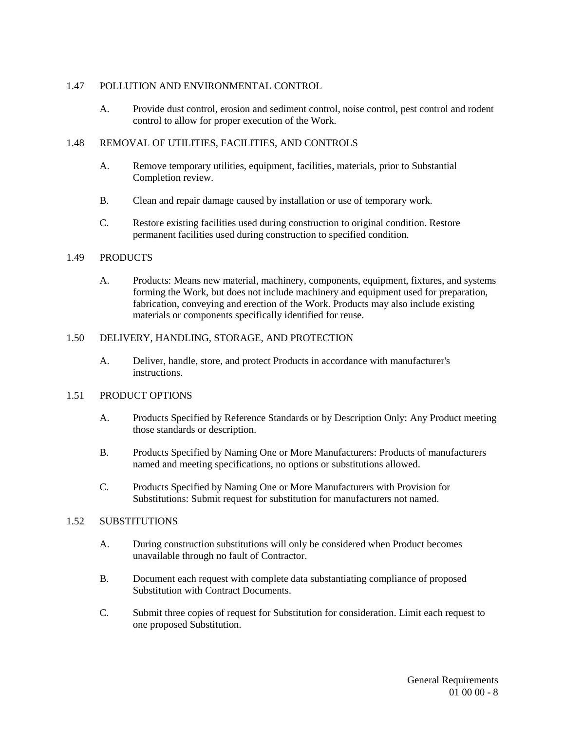#### 1.47 POLLUTION AND ENVIRONMENTAL CONTROL

A. Provide dust control, erosion and sediment control, noise control, pest control and rodent control to allow for proper execution of the Work.

#### 1.48 REMOVAL OF UTILITIES, FACILITIES, AND CONTROLS

- A. Remove temporary utilities, equipment, facilities, materials, prior to Substantial Completion review.
- B. Clean and repair damage caused by installation or use of temporary work.
- C. Restore existing facilities used during construction to original condition. Restore permanent facilities used during construction to specified condition.

#### 1.49 PRODUCTS

A. Products: Means new material, machinery, components, equipment, fixtures, and systems forming the Work, but does not include machinery and equipment used for preparation, fabrication, conveying and erection of the Work. Products may also include existing materials or components specifically identified for reuse.

#### 1.50 DELIVERY, HANDLING, STORAGE, AND PROTECTION

A. Deliver, handle, store, and protect Products in accordance with manufacturer's instructions.

#### 1.51 PRODUCT OPTIONS

- A. Products Specified by Reference Standards or by Description Only: Any Product meeting those standards or description.
- B. Products Specified by Naming One or More Manufacturers: Products of manufacturers named and meeting specifications, no options or substitutions allowed.
- C. Products Specified by Naming One or More Manufacturers with Provision for Substitutions: Submit request for substitution for manufacturers not named.

#### 1.52 SUBSTITUTIONS

- A. During construction substitutions will only be considered when Product becomes unavailable through no fault of Contractor.
- B. Document each request with complete data substantiating compliance of proposed Substitution with Contract Documents.
- C. Submit three copies of request for Substitution for consideration. Limit each request to one proposed Substitution.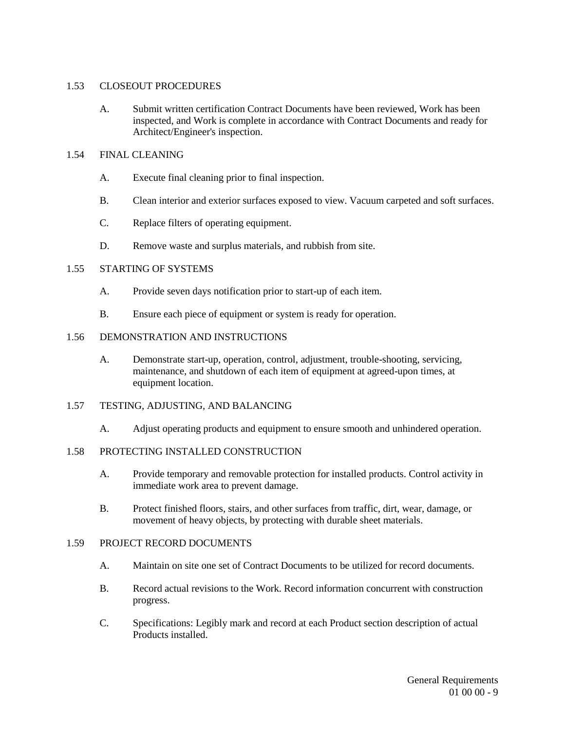#### 1.53 CLOSEOUT PROCEDURES

A. Submit written certification Contract Documents have been reviewed, Work has been inspected, and Work is complete in accordance with Contract Documents and ready for Architect/Engineer's inspection.

#### 1.54 FINAL CLEANING

- A. Execute final cleaning prior to final inspection.
- B. Clean interior and exterior surfaces exposed to view. Vacuum carpeted and soft surfaces.
- C. Replace filters of operating equipment.
- D. Remove waste and surplus materials, and rubbish from site.

#### 1.55 STARTING OF SYSTEMS

- A. Provide seven days notification prior to start-up of each item.
- B. Ensure each piece of equipment or system is ready for operation.

#### 1.56 DEMONSTRATION AND INSTRUCTIONS

A. Demonstrate start-up, operation, control, adjustment, trouble-shooting, servicing, maintenance, and shutdown of each item of equipment at agreed-upon times, at equipment location.

#### 1.57 TESTING, ADJUSTING, AND BALANCING

A. Adjust operating products and equipment to ensure smooth and unhindered operation.

#### 1.58 PROTECTING INSTALLED CONSTRUCTION

- A. Provide temporary and removable protection for installed products. Control activity in immediate work area to prevent damage.
- B. Protect finished floors, stairs, and other surfaces from traffic, dirt, wear, damage, or movement of heavy objects, by protecting with durable sheet materials.

#### 1.59 PROJECT RECORD DOCUMENTS

- A. Maintain on site one set of Contract Documents to be utilized for record documents.
- B. Record actual revisions to the Work. Record information concurrent with construction progress.
- C. Specifications: Legibly mark and record at each Product section description of actual Products installed.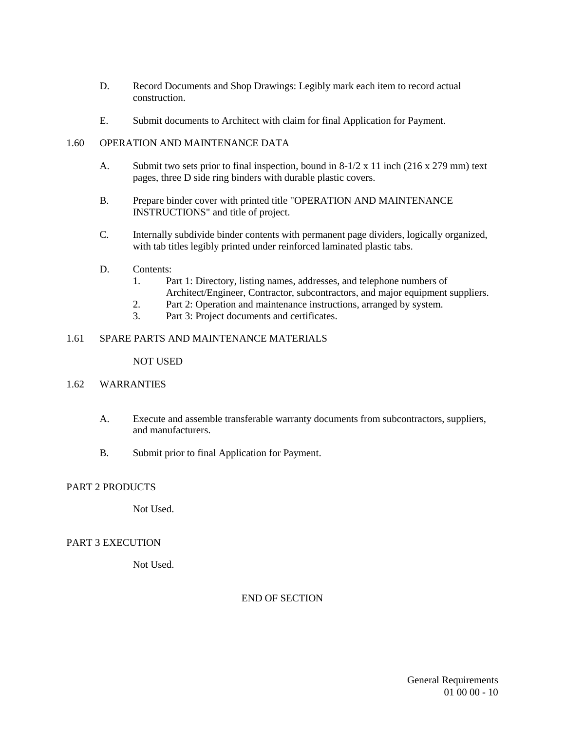- D. Record Documents and Shop Drawings: Legibly mark each item to record actual construction.
- E. Submit documents to Architect with claim for final Application for Payment.

#### 1.60 OPERATION AND MAINTENANCE DATA

- A. Submit two sets prior to final inspection, bound in 8-1/2 x 11 inch (216 x 279 mm) text pages, three D side ring binders with durable plastic covers.
- B. Prepare binder cover with printed title "OPERATION AND MAINTENANCE INSTRUCTIONS" and title of project.
- C. Internally subdivide binder contents with permanent page dividers, logically organized, with tab titles legibly printed under reinforced laminated plastic tabs.
- D. Contents:
	- 1. Part 1: Directory, listing names, addresses, and telephone numbers of Architect/Engineer, Contractor, subcontractors, and major equipment suppliers.
	- 2. Part 2: Operation and maintenance instructions, arranged by system.
	- 3. Part 3: Project documents and certificates.

#### 1.61 SPARE PARTS AND MAINTENANCE MATERIALS

#### NOT USED

#### 1.62 WARRANTIES

- A. Execute and assemble transferable warranty documents from subcontractors, suppliers, and manufacturers.
- B. Submit prior to final Application for Payment.

#### PART 2 PRODUCTS

Not Used.

#### PART 3 EXECUTION

Not Used.

END OF SECTION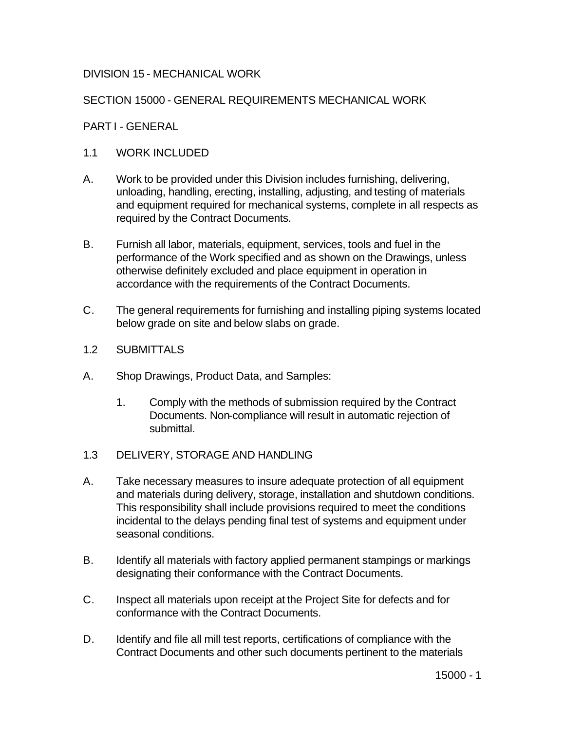# DIVISION 15 - MECHANICAL WORK

# SECTION 15000 - GENERAL REQUIREMENTS MECHANICAL WORK

## PART I - GENERAL

# 1.1 WORK INCLUDED

- A. Work to be provided under this Division includes furnishing, delivering, unloading, handling, erecting, installing, adjusting, and testing of materials and equipment required for mechanical systems, complete in all respects as required by the Contract Documents.
- B. Furnish all labor, materials, equipment, services, tools and fuel in the performance of the Work specified and as shown on the Drawings, unless otherwise definitely excluded and place equipment in operation in accordance with the requirements of the Contract Documents.
- C. The general requirements for furnishing and installing piping systems located below grade on site and below slabs on grade.
- 1.2 SUBMITTALS
- A. Shop Drawings, Product Data, and Samples:
	- 1. Comply with the methods of submission required by the Contract Documents. Non-compliance will result in automatic rejection of submittal.
- 1.3 DELIVERY, STORAGE AND HANDLING
- A. Take necessary measures to insure adequate protection of all equipment and materials during delivery, storage, installation and shutdown conditions. This responsibility shall include provisions required to meet the conditions incidental to the delays pending final test of systems and equipment under seasonal conditions.
- B. Identify all materials with factory applied permanent stampings or markings designating their conformance with the Contract Documents.
- C. Inspect all materials upon receipt at the Project Site for defects and for conformance with the Contract Documents.
- D. Identify and file all mill test reports, certifications of compliance with the Contract Documents and other such documents pertinent to the materials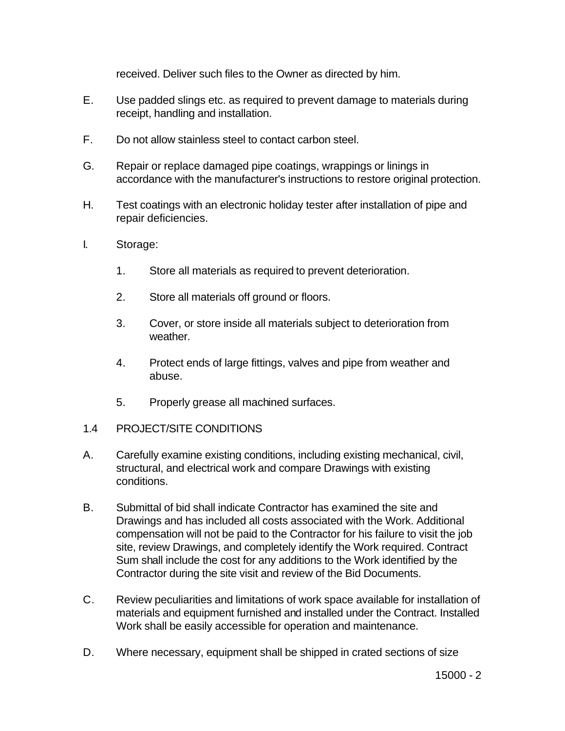received. Deliver such files to the Owner as directed by him.

- E. Use padded slings etc. as required to prevent damage to materials during receipt, handling and installation.
- F. Do not allow stainless steel to contact carbon steel.
- G. Repair or replace damaged pipe coatings, wrappings or linings in accordance with the manufacturer's instructions to restore original protection.
- H. Test coatings with an electronic holiday tester after installation of pipe and repair deficiencies.
- I. Storage:
	- 1. Store all materials as required to prevent deterioration.
	- 2. Store all materials off ground or floors.
	- 3. Cover, or store inside all materials subject to deterioration from weather.
	- 4. Protect ends of large fittings, valves and pipe from weather and abuse.
	- 5. Properly grease all machined surfaces.
- 1.4 PROJECT/SITE CONDITIONS
- A. Carefully examine existing conditions, including existing mechanical, civil, structural, and electrical work and compare Drawings with existing conditions.
- B. Submittal of bid shall indicate Contractor has examined the site and Drawings and has included all costs associated with the Work. Additional compensation will not be paid to the Contractor for his failure to visit the job site, review Drawings, and completely identify the Work required. Contract Sum shall include the cost for any additions to the Work identified by the Contractor during the site visit and review of the Bid Documents.
- C. Review peculiarities and limitations of work space available for installation of materials and equipment furnished and installed under the Contract. Installed Work shall be easily accessible for operation and maintenance.
- D. Where necessary, equipment shall be shipped in crated sections of size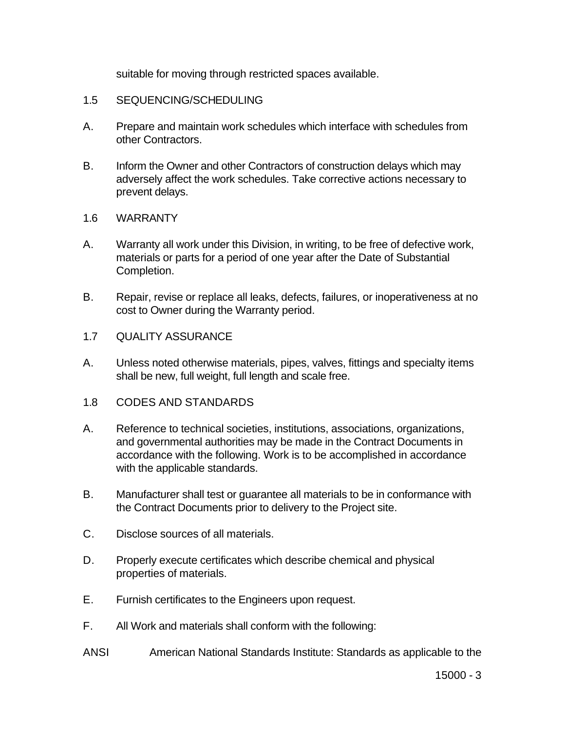suitable for moving through restricted spaces available.

## 1.5 SEQUENCING/SCHEDULING

- A. Prepare and maintain work schedules which interface with schedules from other Contractors.
- B. Inform the Owner and other Contractors of construction delays which may adversely affect the work schedules. Take corrective actions necessary to prevent delays.
- 1.6 WARRANTY
- A. Warranty all work under this Division, in writing, to be free of defective work, materials or parts for a period of one year after the Date of Substantial Completion.
- B. Repair, revise or replace all leaks, defects, failures, or inoperativeness at no cost to Owner during the Warranty period.
- 1.7 QUALITY ASSURANCE
- A. Unless noted otherwise materials, pipes, valves, fittings and specialty items shall be new, full weight, full length and scale free.
- 1.8 CODES AND STANDARDS
- A. Reference to technical societies, institutions, associations, organizations, and governmental authorities may be made in the Contract Documents in accordance with the following. Work is to be accomplished in accordance with the applicable standards.
- B. Manufacturer shall test or guarantee all materials to be in conformance with the Contract Documents prior to delivery to the Project site.
- C. Disclose sources of all materials.
- D. Properly execute certificates which describe chemical and physical properties of materials.
- E. Furnish certificates to the Engineers upon request.
- F. All Work and materials shall conform with the following:
- ANSI American National Standards Institute: Standards as applicable to the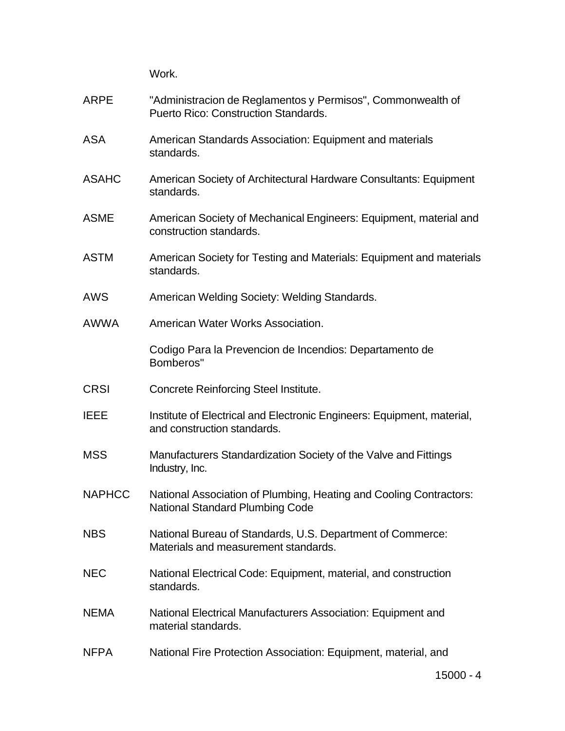Work.

| <b>ARPE</b>   | "Administracion de Reglamentos y Permisos", Commonwealth of<br><b>Puerto Rico: Construction Standards.</b> |
|---------------|------------------------------------------------------------------------------------------------------------|
| <b>ASA</b>    | American Standards Association: Equipment and materials<br>standards.                                      |
| <b>ASAHC</b>  | American Society of Architectural Hardware Consultants: Equipment<br>standards.                            |
| <b>ASME</b>   | American Society of Mechanical Engineers: Equipment, material and<br>construction standards.               |
| <b>ASTM</b>   | American Society for Testing and Materials: Equipment and materials<br>standards.                          |
| <b>AWS</b>    | American Welding Society: Welding Standards.                                                               |
| <b>AWWA</b>   | American Water Works Association.                                                                          |
|               | Codigo Para la Prevencion de Incendios: Departamento de<br>Bomberos"                                       |
| <b>CRSI</b>   | <b>Concrete Reinforcing Steel Institute.</b>                                                               |
| <b>IEEE</b>   | Institute of Electrical and Electronic Engineers: Equipment, material,<br>and construction standards.      |
| <b>MSS</b>    | Manufacturers Standardization Society of the Valve and Fittings<br>Industry, Inc.                          |
| <b>NAPHCC</b> | National Association of Plumbing, Heating and Cooling Contractors:<br>National Standard Plumbing Code      |
| <b>NBS</b>    | National Bureau of Standards, U.S. Department of Commerce:<br>Materials and measurement standards.         |
| <b>NEC</b>    | National Electrical Code: Equipment, material, and construction<br>standards.                              |
| <b>NEMA</b>   | National Electrical Manufacturers Association: Equipment and<br>material standards.                        |
| <b>NFPA</b>   | National Fire Protection Association: Equipment, material, and                                             |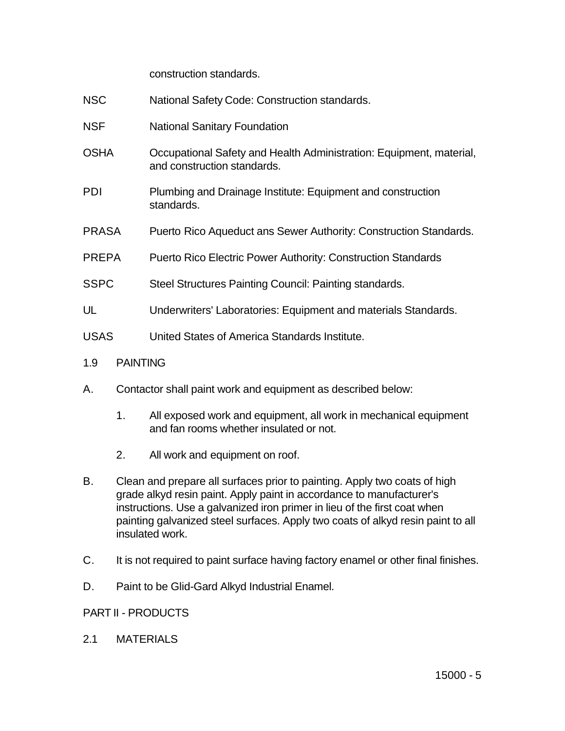construction standards.

- NSC National Safety Code: Construction standards.
- NSF National Sanitary Foundation
- OSHA Occupational Safety and Health Administration: Equipment, material, and construction standards.
- PDI Plumbing and Drainage Institute: Equipment and construction standards.
- PRASA Puerto Rico Aqueduct ans Sewer Authority: Construction Standards.
- PREPA Puerto Rico Electric Power Authority: Construction Standards
- SSPC Steel Structures Painting Council: Painting standards.
- UL Underwriters' Laboratories: Equipment and materials Standards.
- USAS United States of America Standards Institute.
- 1.9 PAINTING
- A. Contactor shall paint work and equipment as described below:
	- 1. All exposed work and equipment, all work in mechanical equipment and fan rooms whether insulated or not.
	- 2. All work and equipment on roof.
- B. Clean and prepare all surfaces prior to painting. Apply two coats of high grade alkyd resin paint. Apply paint in accordance to manufacturer's instructions. Use a galvanized iron primer in lieu of the first coat when painting galvanized steel surfaces. Apply two coats of alkyd resin paint to all insulated work.
- C. It is not required to paint surface having factory enamel or other final finishes.
- D. Paint to be Glid-Gard Alkyd Industrial Enamel.

# PART II - PRODUCTS

2.1 MATERIALS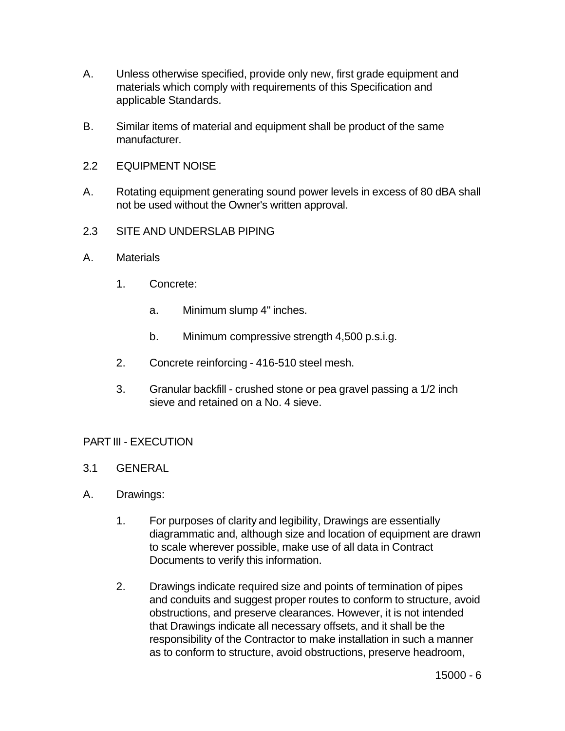- A. Unless otherwise specified, provide only new, first grade equipment and materials which comply with requirements of this Specification and applicable Standards.
- B. Similar items of material and equipment shall be product of the same manufacturer.
- 2.2 EQUIPMENT NOISE
- A. Rotating equipment generating sound power levels in excess of 80 dBA shall not be used without the Owner's written approval.
- 2.3 SITE AND UNDERSLAB PIPING
- A. Materials
	- 1. Concrete:
		- a. Minimum slump 4" inches.
		- b. Minimum compressive strength 4,500 p.s.i.g.
	- 2. Concrete reinforcing 416-510 steel mesh.
	- 3. Granular backfill crushed stone or pea gravel passing a 1/2 inch sieve and retained on a No. 4 sieve.

# PART III - EXECUTION

- 3.1 GENERAL
- A. Drawings:
	- 1. For purposes of clarity and legibility, Drawings are essentially diagrammatic and, although size and location of equipment are drawn to scale wherever possible, make use of all data in Contract Documents to verify this information.
	- 2. Drawings indicate required size and points of termination of pipes and conduits and suggest proper routes to conform to structure, avoid obstructions, and preserve clearances. However, it is not intended that Drawings indicate all necessary offsets, and it shall be the responsibility of the Contractor to make installation in such a manner as to conform to structure, avoid obstructions, preserve headroom,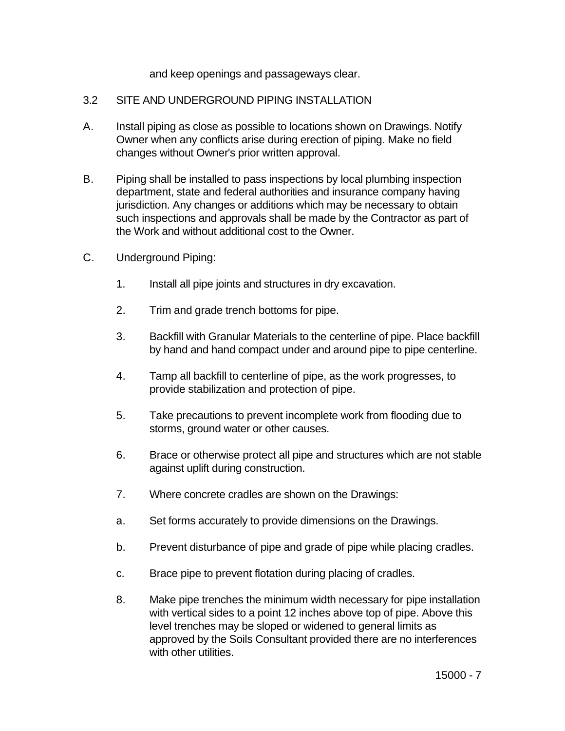and keep openings and passageways clear.

# 3.2 SITE AND UNDERGROUND PIPING INSTALLATION

- A. Install piping as close as possible to locations shown on Drawings. Notify Owner when any conflicts arise during erection of piping. Make no field changes without Owner's prior written approval.
- B. Piping shall be installed to pass inspections by local plumbing inspection department, state and federal authorities and insurance company having jurisdiction. Any changes or additions which may be necessary to obtain such inspections and approvals shall be made by the Contractor as part of the Work and without additional cost to the Owner.
- C. Underground Piping:
	- 1. Install all pipe joints and structures in dry excavation.
	- 2. Trim and grade trench bottoms for pipe.
	- 3. Backfill with Granular Materials to the centerline of pipe. Place backfill by hand and hand compact under and around pipe to pipe centerline.
	- 4. Tamp all backfill to centerline of pipe, as the work progresses, to provide stabilization and protection of pipe.
	- 5. Take precautions to prevent incomplete work from flooding due to storms, ground water or other causes.
	- 6. Brace or otherwise protect all pipe and structures which are not stable against uplift during construction.
	- 7. Where concrete cradles are shown on the Drawings:
	- a. Set forms accurately to provide dimensions on the Drawings.
	- b. Prevent disturbance of pipe and grade of pipe while placing cradles.
	- c. Brace pipe to prevent flotation during placing of cradles.
	- 8. Make pipe trenches the minimum width necessary for pipe installation with vertical sides to a point 12 inches above top of pipe. Above this level trenches may be sloped or widened to general limits as approved by the Soils Consultant provided there are no interferences with other utilities.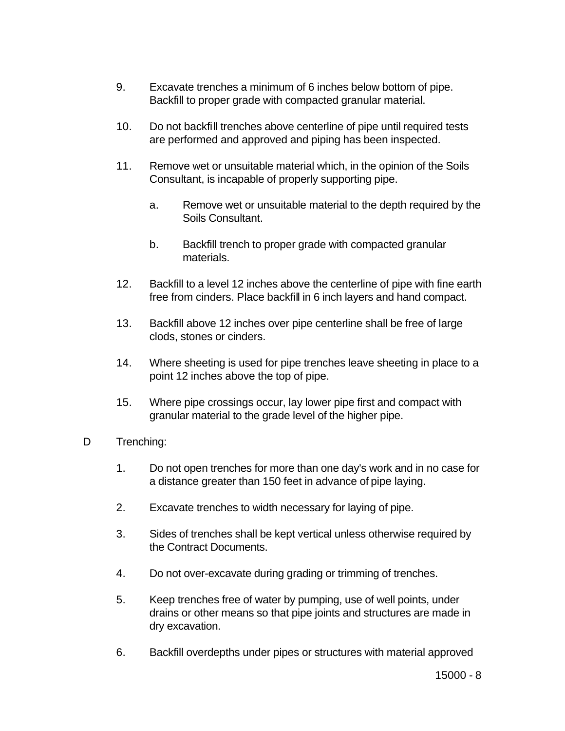- 9. Excavate trenches a minimum of 6 inches below bottom of pipe. Backfill to proper grade with compacted granular material.
- 10. Do not backfill trenches above centerline of pipe until required tests are performed and approved and piping has been inspected.
- 11. Remove wet or unsuitable material which, in the opinion of the Soils Consultant, is incapable of properly supporting pipe.
	- a. Remove wet or unsuitable material to the depth required by the Soils Consultant.
	- b. Backfill trench to proper grade with compacted granular materials.
- 12. Backfill to a level 12 inches above the centerline of pipe with fine earth free from cinders. Place backfill in 6 inch layers and hand compact.
- 13. Backfill above 12 inches over pipe centerline shall be free of large clods, stones or cinders.
- 14. Where sheeting is used for pipe trenches leave sheeting in place to a point 12 inches above the top of pipe.
- 15. Where pipe crossings occur, lay lower pipe first and compact with granular material to the grade level of the higher pipe.
- D Trenching:
	- 1. Do not open trenches for more than one day's work and in no case for a distance greater than 150 feet in advance of pipe laying.
	- 2. Excavate trenches to width necessary for laying of pipe.
	- 3. Sides of trenches shall be kept vertical unless otherwise required by the Contract Documents.
	- 4. Do not over-excavate during grading or trimming of trenches.
	- 5. Keep trenches free of water by pumping, use of well points, under drains or other means so that pipe joints and structures are made in dry excavation.
	- 6. Backfill overdepths under pipes or structures with material approved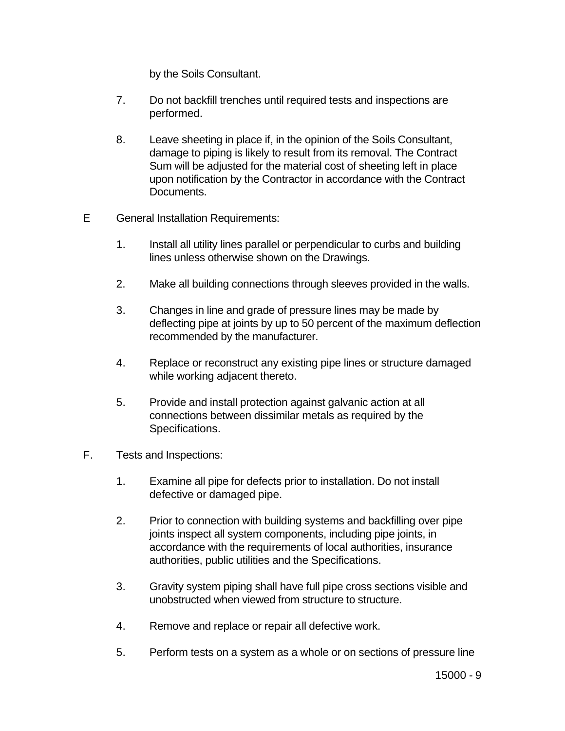by the Soils Consultant.

- 7. Do not backfill trenches until required tests and inspections are performed.
- 8. Leave sheeting in place if, in the opinion of the Soils Consultant, damage to piping is likely to result from its removal. The Contract Sum will be adjusted for the material cost of sheeting left in place upon notification by the Contractor in accordance with the Contract Documents.
- E General Installation Requirements:
	- 1. Install all utility lines parallel or perpendicular to curbs and building lines unless otherwise shown on the Drawings.
	- 2. Make all building connections through sleeves provided in the walls.
	- 3. Changes in line and grade of pressure lines may be made by deflecting pipe at joints by up to 50 percent of the maximum deflection recommended by the manufacturer.
	- 4. Replace or reconstruct any existing pipe lines or structure damaged while working adjacent thereto.
	- 5. Provide and install protection against galvanic action at all connections between dissimilar metals as required by the Specifications.
- F. Tests and Inspections:
	- 1. Examine all pipe for defects prior to installation. Do not install defective or damaged pipe.
	- 2. Prior to connection with building systems and backfilling over pipe joints inspect all system components, including pipe joints, in accordance with the requirements of local authorities, insurance authorities, public utilities and the Specifications.
	- 3. Gravity system piping shall have full pipe cross sections visible and unobstructed when viewed from structure to structure.
	- 4. Remove and replace or repair all defective work.
	- 5. Perform tests on a system as a whole or on sections of pressure line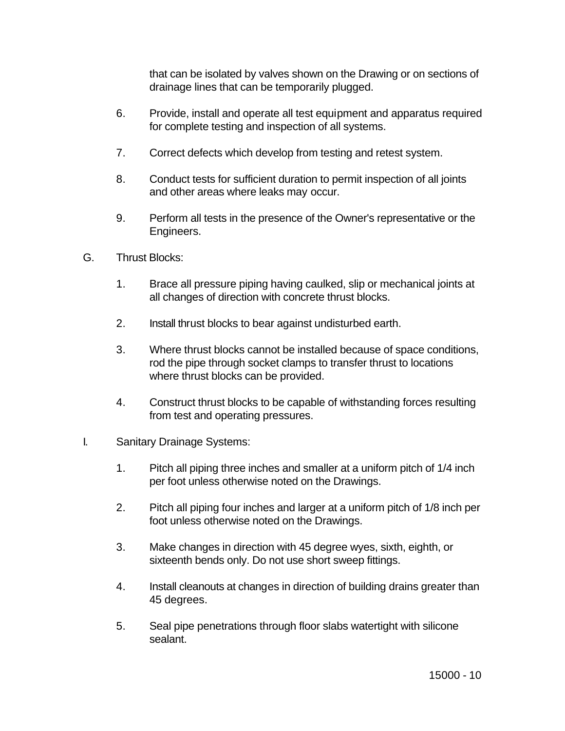that can be isolated by valves shown on the Drawing or on sections of drainage lines that can be temporarily plugged.

- 6. Provide, install and operate all test equipment and apparatus required for complete testing and inspection of all systems.
- 7. Correct defects which develop from testing and retest system.
- 8. Conduct tests for sufficient duration to permit inspection of all joints and other areas where leaks may occur.
- 9. Perform all tests in the presence of the Owner's representative or the Engineers.
- G. Thrust Blocks:
	- 1. Brace all pressure piping having caulked, slip or mechanical joints at all changes of direction with concrete thrust blocks.
	- 2. Install thrust blocks to bear against undisturbed earth.
	- 3. Where thrust blocks cannot be installed because of space conditions, rod the pipe through socket clamps to transfer thrust to locations where thrust blocks can be provided.
	- 4. Construct thrust blocks to be capable of withstanding forces resulting from test and operating pressures.
- I. Sanitary Drainage Systems:
	- 1. Pitch all piping three inches and smaller at a uniform pitch of 1/4 inch per foot unless otherwise noted on the Drawings.
	- 2. Pitch all piping four inches and larger at a uniform pitch of 1/8 inch per foot unless otherwise noted on the Drawings.
	- 3. Make changes in direction with 45 degree wyes, sixth, eighth, or sixteenth bends only. Do not use short sweep fittings.
	- 4. Install cleanouts at changes in direction of building drains greater than 45 degrees.
	- 5. Seal pipe penetrations through floor slabs watertight with silicone sealant.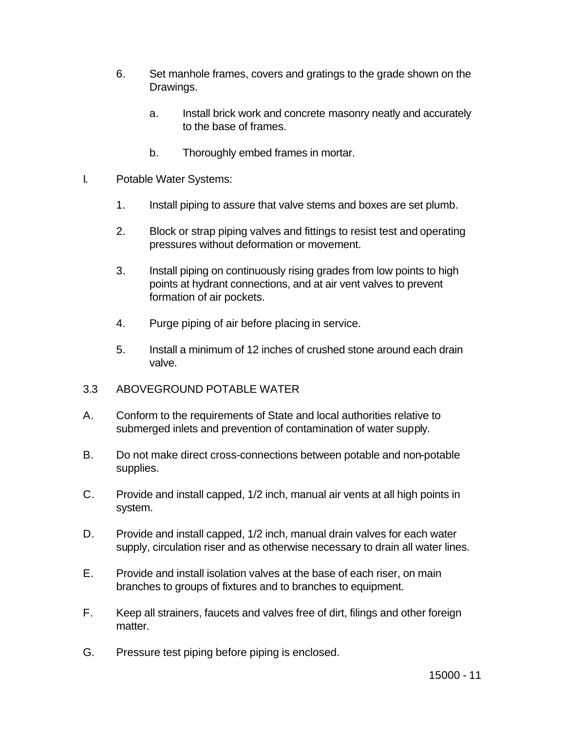- 6. Set manhole frames, covers and gratings to the grade shown on the Drawings.
	- a. Install brick work and concrete masonry neatly and accurately to the base of frames.
	- b. Thoroughly embed frames in mortar.
- I. Potable Water Systems:
	- 1. Install piping to assure that valve stems and boxes are set plumb.
	- 2. Block or strap piping valves and fittings to resist test and operating pressures without deformation or movement.
	- 3. Install piping on continuously rising grades from low points to high points at hydrant connections, and at air vent valves to prevent formation of air pockets.
	- 4. Purge piping of air before placing in service.
	- 5. Install a minimum of 12 inches of crushed stone around each drain valve.
- 3.3 ABOVEGROUND POTABLE WATER
- A. Conform to the requirements of State and local authorities relative to submerged inlets and prevention of contamination of water supply.
- B. Do not make direct cross-connections between potable and non-potable supplies.
- C. Provide and install capped, 1/2 inch, manual air vents at all high points in system.
- D. Provide and install capped, 1/2 inch, manual drain valves for each water supply, circulation riser and as otherwise necessary to drain all water lines.
- E. Provide and install isolation valves at the base of each riser, on main branches to groups of fixtures and to branches to equipment.
- F. Keep all strainers, faucets and valves free of dirt, filings and other foreign matter.
- G. Pressure test piping before piping is enclosed.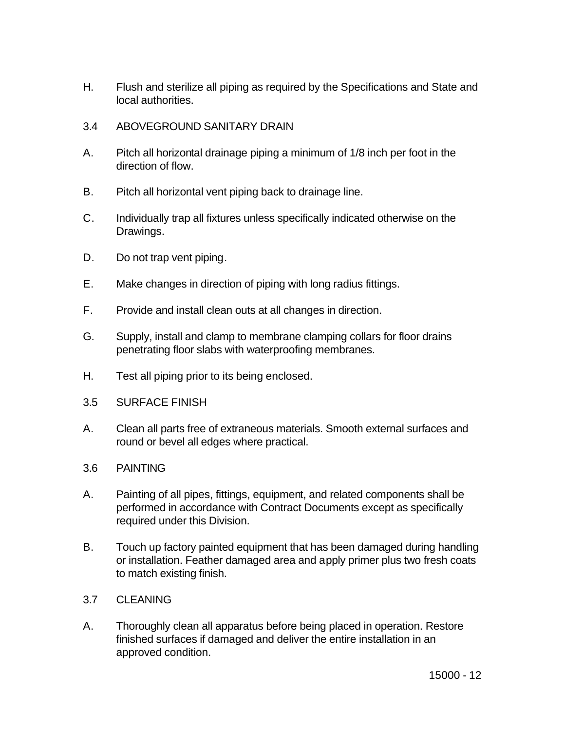- H. Flush and sterilize all piping as required by the Specifications and State and local authorities.
- 3.4 ABOVEGROUND SANITARY DRAIN
- A. Pitch all horizontal drainage piping a minimum of 1/8 inch per foot in the direction of flow.
- B. Pitch all horizontal vent piping back to drainage line.
- C. Individually trap all fixtures unless specifically indicated otherwise on the Drawings.
- D. Do not trap vent piping.
- E. Make changes in direction of piping with long radius fittings.
- F. Provide and install clean outs at all changes in direction.
- G. Supply, install and clamp to membrane clamping collars for floor drains penetrating floor slabs with waterproofing membranes.
- H. Test all piping prior to its being enclosed.
- 3.5 SURFACE FINISH
- A. Clean all parts free of extraneous materials. Smooth external surfaces and round or bevel all edges where practical.
- 3.6 PAINTING
- A. Painting of all pipes, fittings, equipment, and related components shall be performed in accordance with Contract Documents except as specifically required under this Division.
- B. Touch up factory painted equipment that has been damaged during handling or installation. Feather damaged area and apply primer plus two fresh coats to match existing finish.
- 3.7 CLEANING
- A. Thoroughly clean all apparatus before being placed in operation. Restore finished surfaces if damaged and deliver the entire installation in an approved condition.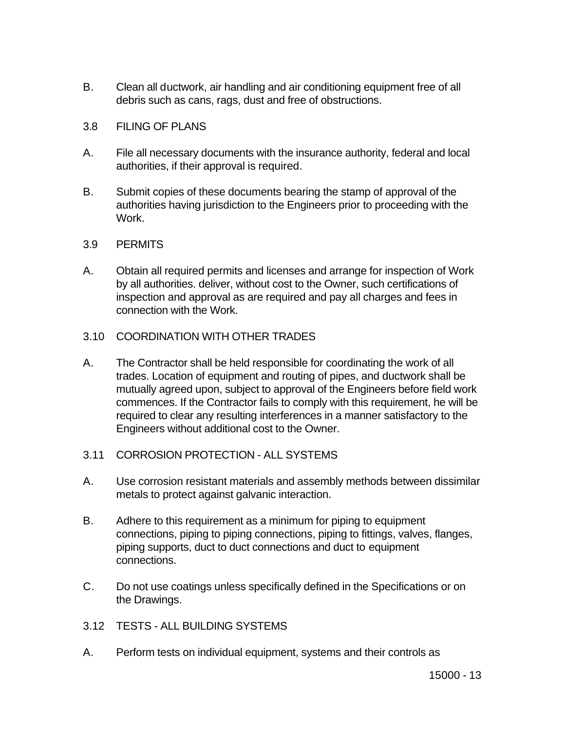B. Clean all ductwork, air handling and air conditioning equipment free of all debris such as cans, rags, dust and free of obstructions.

# 3.8 FILING OF PLANS

- A. File all necessary documents with the insurance authority, federal and local authorities, if their approval is required.
- B. Submit copies of these documents bearing the stamp of approval of the authorities having jurisdiction to the Engineers prior to proceeding with the Work.

# 3.9 PERMITS

A. Obtain all required permits and licenses and arrange for inspection of Work by all authorities. deliver, without cost to the Owner, such certifications of inspection and approval as are required and pay all charges and fees in connection with the Work.

# 3.10 COORDINATION WITH OTHER TRADES

- A. The Contractor shall be held responsible for coordinating the work of all trades. Location of equipment and routing of pipes, and ductwork shall be mutually agreed upon, subject to approval of the Engineers before field work commences. If the Contractor fails to comply with this requirement, he will be required to clear any resulting interferences in a manner satisfactory to the Engineers without additional cost to the Owner.
- 3.11 CORROSION PROTECTION ALL SYSTEMS
- A. Use corrosion resistant materials and assembly methods between dissimilar metals to protect against galvanic interaction.
- B. Adhere to this requirement as a minimum for piping to equipment connections, piping to piping connections, piping to fittings, valves, flanges, piping supports, duct to duct connections and duct to equipment connections.
- C. Do not use coatings unless specifically defined in the Specifications or on the Drawings.
- 3.12 TESTS ALL BUILDING SYSTEMS
- A. Perform tests on individual equipment, systems and their controls as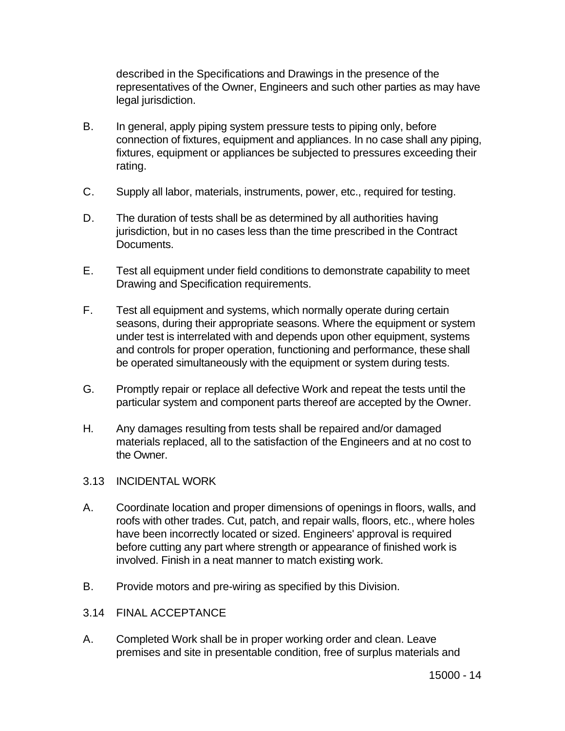described in the Specifications and Drawings in the presence of the representatives of the Owner, Engineers and such other parties as may have legal jurisdiction.

- B. In general, apply piping system pressure tests to piping only, before connection of fixtures, equipment and appliances. In no case shall any piping, fixtures, equipment or appliances be subjected to pressures exceeding their rating.
- C. Supply all labor, materials, instruments, power, etc., required for testing.
- D. The duration of tests shall be as determined by all authorities having jurisdiction, but in no cases less than the time prescribed in the Contract Documents.
- E. Test all equipment under field conditions to demonstrate capability to meet Drawing and Specification requirements.
- F. Test all equipment and systems, which normally operate during certain seasons, during their appropriate seasons. Where the equipment or system under test is interrelated with and depends upon other equipment, systems and controls for proper operation, functioning and performance, these shall be operated simultaneously with the equipment or system during tests.
- G. Promptly repair or replace all defective Work and repeat the tests until the particular system and component parts thereof are accepted by the Owner.
- H. Any damages resulting from tests shall be repaired and/or damaged materials replaced, all to the satisfaction of the Engineers and at no cost to the Owner.
- 3.13 INCIDENTAL WORK
- A. Coordinate location and proper dimensions of openings in floors, walls, and roofs with other trades. Cut, patch, and repair walls, floors, etc., where holes have been incorrectly located or sized. Engineers' approval is required before cutting any part where strength or appearance of finished work is involved. Finish in a neat manner to match existing work.
- B. Provide motors and pre-wiring as specified by this Division.
- 3.14 FINAL ACCEPTANCE
- A. Completed Work shall be in proper working order and clean. Leave premises and site in presentable condition, free of surplus materials and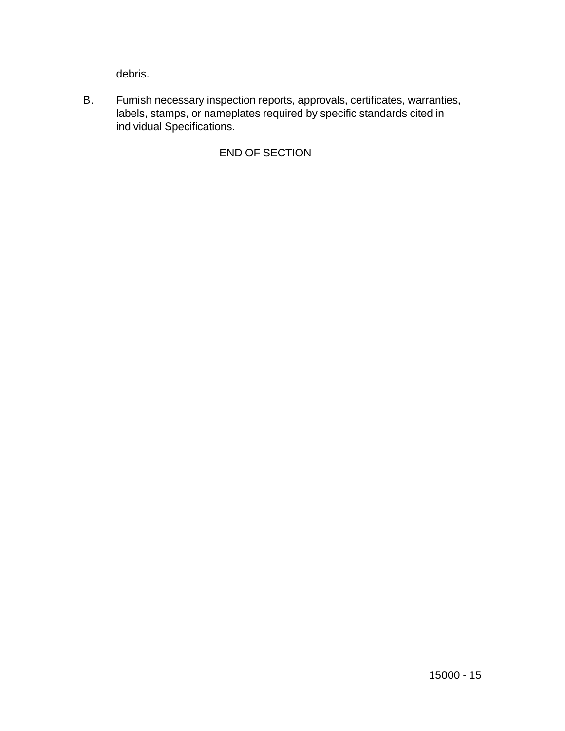debris.

B. Furnish necessary inspection reports, approvals, certificates, warranties, labels, stamps, or nameplates required by specific standards cited in individual Specifications.

# END OF SECTION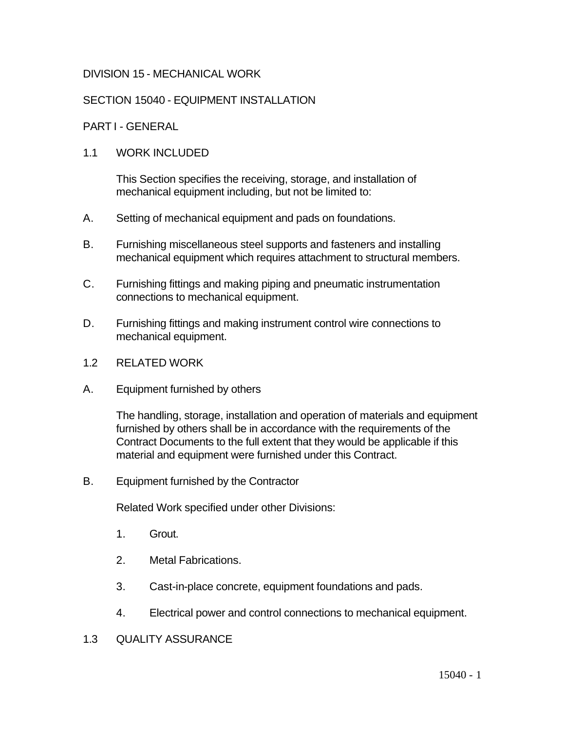# DIVISION 15 - MECHANICAL WORK

# SECTION 15040 - EQUIPMENT INSTALLATION

# PART I - GENERAL

# 1.1 WORK INCLUDED

This Section specifies the receiving, storage, and installation of mechanical equipment including, but not be limited to:

- A. Setting of mechanical equipment and pads on foundations.
- B. Furnishing miscellaneous steel supports and fasteners and installing mechanical equipment which requires attachment to structural members.
- C. Furnishing fittings and making piping and pneumatic instrumentation connections to mechanical equipment.
- D. Furnishing fittings and making instrument control wire connections to mechanical equipment.
- 1.2 RELATED WORK
- A. Equipment furnished by others

The handling, storage, installation and operation of materials and equipment furnished by others shall be in accordance with the requirements of the Contract Documents to the full extent that they would be applicable if this material and equipment were furnished under this Contract.

B. Equipment furnished by the Contractor

Related Work specified under other Divisions:

- 1. Grout.
- 2. Metal Fabrications.
- 3. Cast-in-place concrete, equipment foundations and pads.
- 4. Electrical power and control connections to mechanical equipment.
- 1.3 QUALITY ASSURANCE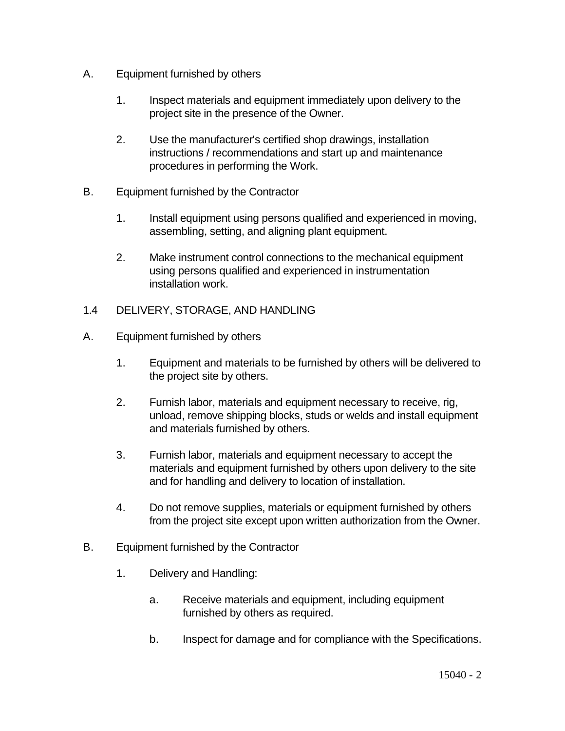- A. Equipment furnished by others
	- 1. Inspect materials and equipment immediately upon delivery to the project site in the presence of the Owner.
	- 2. Use the manufacturer's certified shop drawings, installation instructions / recommendations and start up and maintenance procedures in performing the Work.
- B. Equipment furnished by the Contractor
	- 1. Install equipment using persons qualified and experienced in moving, assembling, setting, and aligning plant equipment.
	- 2. Make instrument control connections to the mechanical equipment using persons qualified and experienced in instrumentation installation work.
- 1.4 DELIVERY, STORAGE, AND HANDLING
- A. Equipment furnished by others
	- 1. Equipment and materials to be furnished by others will be delivered to the project site by others.
	- 2. Furnish labor, materials and equipment necessary to receive, rig, unload, remove shipping blocks, studs or welds and install equipment and materials furnished by others.
	- 3. Furnish labor, materials and equipment necessary to accept the materials and equipment furnished by others upon delivery to the site and for handling and delivery to location of installation.
	- 4. Do not remove supplies, materials or equipment furnished by others from the project site except upon written authorization from the Owner.
- B. Equipment furnished by the Contractor
	- 1. Delivery and Handling:
		- a. Receive materials and equipment, including equipment furnished by others as required.
		- b. Inspect for damage and for compliance with the Specifications.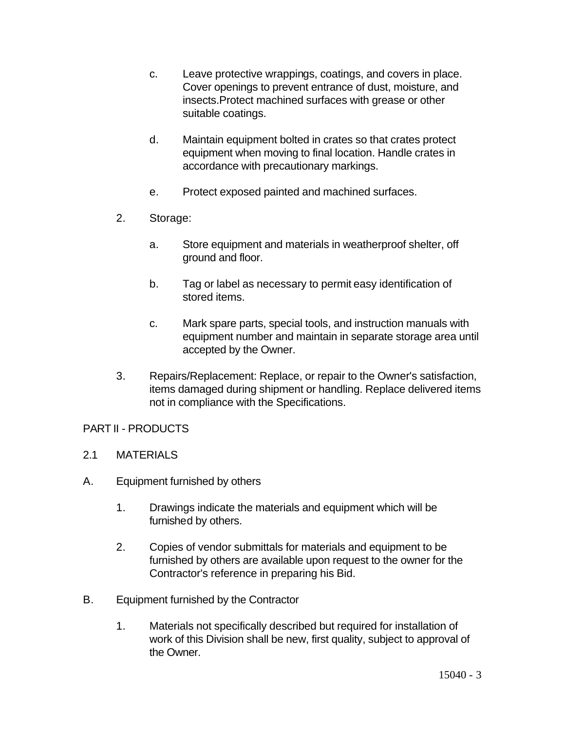- c. Leave protective wrappings, coatings, and covers in place. Cover openings to prevent entrance of dust, moisture, and insects.Protect machined surfaces with grease or other suitable coatings.
- d. Maintain equipment bolted in crates so that crates protect equipment when moving to final location. Handle crates in accordance with precautionary markings.
- e. Protect exposed painted and machined surfaces.
- 2. Storage:
	- a. Store equipment and materials in weatherproof shelter, off ground and floor.
	- b. Tag or label as necessary to permit easy identification of stored items.
	- c. Mark spare parts, special tools, and instruction manuals with equipment number and maintain in separate storage area until accepted by the Owner.
- 3. Repairs/Replacement: Replace, or repair to the Owner's satisfaction, items damaged during shipment or handling. Replace delivered items not in compliance with the Specifications.

# PART II - PRODUCTS

- 2.1 MATERIALS
- A. Equipment furnished by others
	- 1. Drawings indicate the materials and equipment which will be furnished by others.
	- 2. Copies of vendor submittals for materials and equipment to be furnished by others are available upon request to the owner for the Contractor's reference in preparing his Bid.
- B. Equipment furnished by the Contractor
	- 1. Materials not specifically described but required for installation of work of this Division shall be new, first quality, subject to approval of the Owner.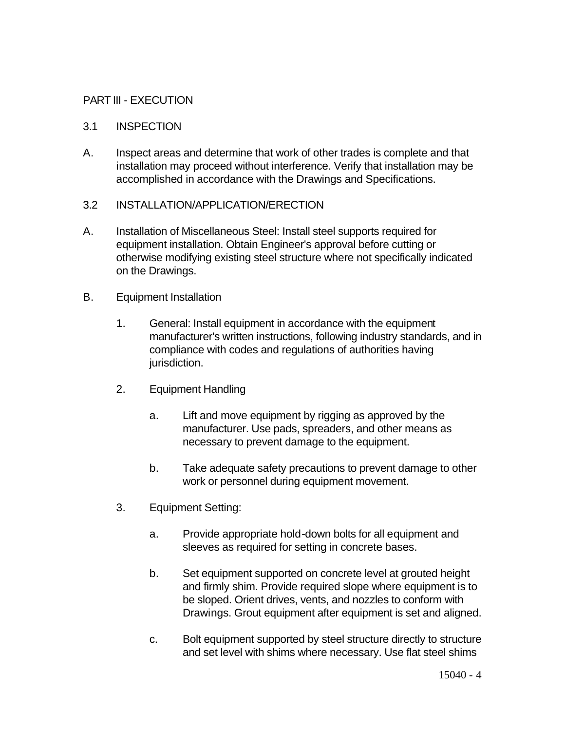# PART III - EXECUTION

# 3.1 INSPECTION

A. Inspect areas and determine that work of other trades is complete and that installation may proceed without interference. Verify that installation may be accomplished in accordance with the Drawings and Specifications.

## 3.2 INSTALLATION/APPLICATION/ERECTION

- A. Installation of Miscellaneous Steel: Install steel supports required for equipment installation. Obtain Engineer's approval before cutting or otherwise modifying existing steel structure where not specifically indicated on the Drawings.
- B. Equipment Installation
	- 1. General: Install equipment in accordance with the equipment manufacturer's written instructions, following industry standards, and in compliance with codes and regulations of authorities having jurisdiction.
	- 2. Equipment Handling
		- a. Lift and move equipment by rigging as approved by the manufacturer. Use pads, spreaders, and other means as necessary to prevent damage to the equipment.
		- b. Take adequate safety precautions to prevent damage to other work or personnel during equipment movement.
	- 3. Equipment Setting:
		- a. Provide appropriate hold-down bolts for all equipment and sleeves as required for setting in concrete bases.
		- b. Set equipment supported on concrete level at grouted height and firmly shim. Provide required slope where equipment is to be sloped. Orient drives, vents, and nozzles to conform with Drawings. Grout equipment after equipment is set and aligned.
		- c. Bolt equipment supported by steel structure directly to structure and set level with shims where necessary. Use flat steel shims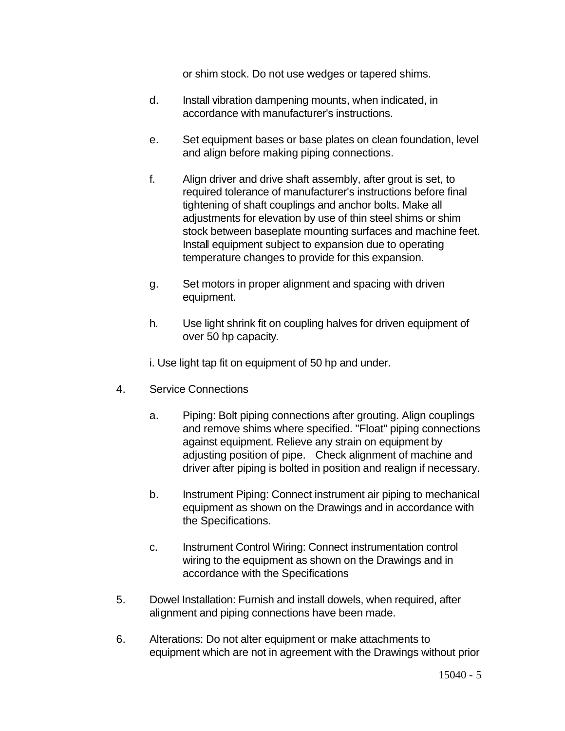or shim stock. Do not use wedges or tapered shims.

- d. Install vibration dampening mounts, when indicated, in accordance with manufacturer's instructions.
- e. Set equipment bases or base plates on clean foundation, level and align before making piping connections.
- f. Align driver and drive shaft assembly, after grout is set, to required tolerance of manufacturer's instructions before final tightening of shaft couplings and anchor bolts. Make all adjustments for elevation by use of thin steel shims or shim stock between baseplate mounting surfaces and machine feet. Install equipment subject to expansion due to operating temperature changes to provide for this expansion.
- g. Set motors in proper alignment and spacing with driven equipment.
- h. Use light shrink fit on coupling halves for driven equipment of over 50 hp capacity.

i. Use light tap fit on equipment of 50 hp and under.

- 4. Service Connections
	- a. Piping: Bolt piping connections after grouting. Align couplings and remove shims where specified. "Float" piping connections against equipment. Relieve any strain on equipment by adjusting position of pipe. Check alignment of machine and driver after piping is bolted in position and realign if necessary.
	- b. Instrument Piping: Connect instrument air piping to mechanical equipment as shown on the Drawings and in accordance with the Specifications.
	- c. Instrument Control Wiring: Connect instrumentation control wiring to the equipment as shown on the Drawings and in accordance with the Specifications
- 5. Dowel Installation: Furnish and install dowels, when required, after alignment and piping connections have been made.
- 6. Alterations: Do not alter equipment or make attachments to equipment which are not in agreement with the Drawings without prior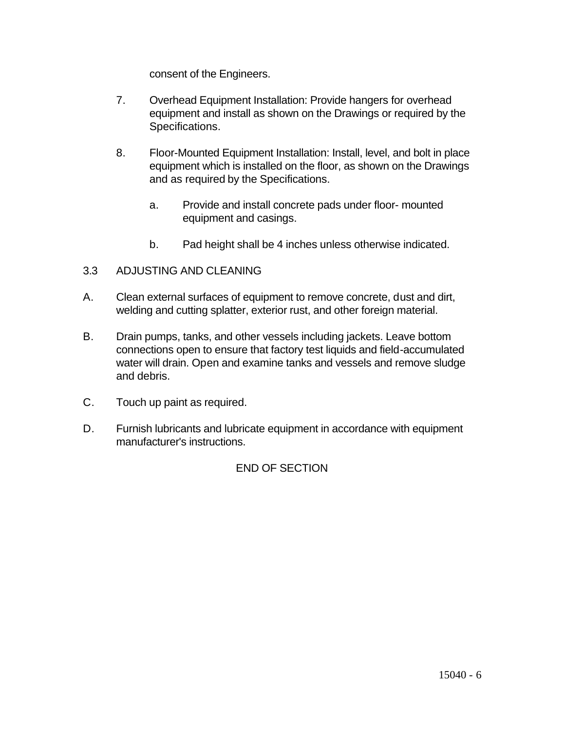consent of the Engineers.

- 7. Overhead Equipment Installation: Provide hangers for overhead equipment and install as shown on the Drawings or required by the Specifications.
- 8. Floor-Mounted Equipment Installation: Install, level, and bolt in place equipment which is installed on the floor, as shown on the Drawings and as required by the Specifications.
	- a. Provide and install concrete pads under floor- mounted equipment and casings.
	- b. Pad height shall be 4 inches unless otherwise indicated.

# 3.3 ADJUSTING AND CLEANING

- A. Clean external surfaces of equipment to remove concrete, dust and dirt, welding and cutting splatter, exterior rust, and other foreign material.
- B. Drain pumps, tanks, and other vessels including jackets. Leave bottom connections open to ensure that factory test liquids and field-accumulated water will drain. Open and examine tanks and vessels and remove sludge and debris.
- C. Touch up paint as required.
- D. Furnish lubricants and lubricate equipment in accordance with equipment manufacturer's instructions.

# END OF SECTION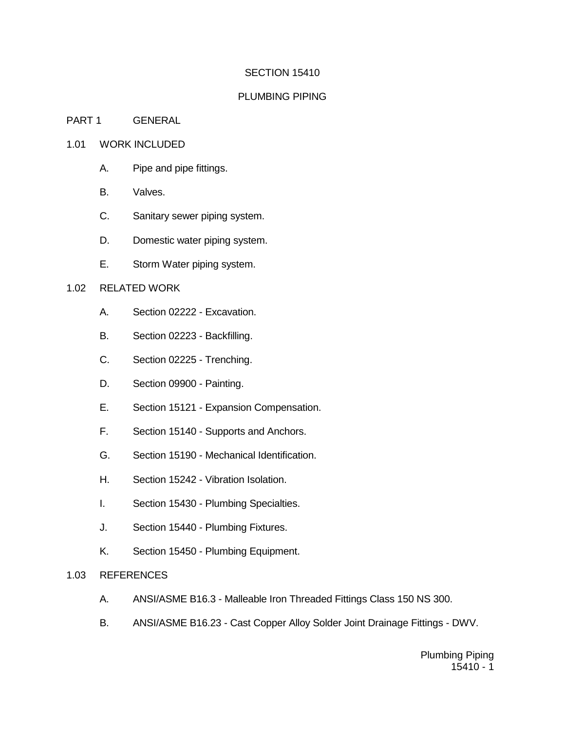#### SECTION 15410

#### PLUMBING PIPING

#### PART 1 GENERAL

#### 1.01 WORK INCLUDED

- A. Pipe and pipe fittings.
- B. Valves.
- C. Sanitary sewer piping system.
- D. Domestic water piping system.
- E. Storm Water piping system.

#### 1.02 RELATED WORK

- A. Section 02222 Excavation.
- B. Section 02223 Backfilling.
- C. Section 02225 Trenching.
- D. Section 09900 Painting.
- E. Section 15121 Expansion Compensation.
- F. Section 15140 Supports and Anchors.
- G. Section 15190 Mechanical Identification.
- H. Section 15242 Vibration Isolation.
- I. Section 15430 Plumbing Specialties.
- J. Section 15440 Plumbing Fixtures.
- K. Section 15450 Plumbing Equipment.

#### 1.03 REFERENCES

- A. ANSI/ASME B16.3 Malleable Iron Threaded Fittings Class 150 NS 300.
- B. ANSI/ASME B16.23 Cast Copper Alloy Solder Joint Drainage Fittings DWV.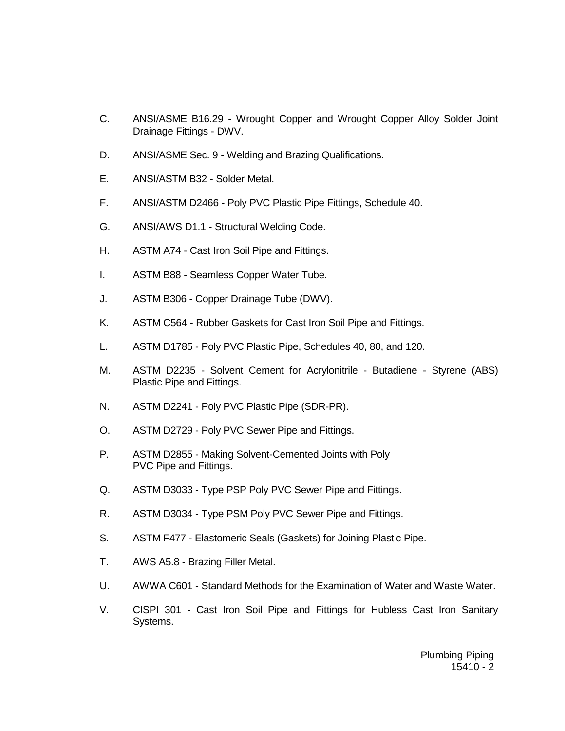- C. ANSI/ASME B16.29 Wrought Copper and Wrought Copper Alloy Solder Joint Drainage Fittings - DWV.
- D. ANSI/ASME Sec. 9 Welding and Brazing Qualifications.
- E. ANSI/ASTM B32 Solder Metal.
- F. ANSI/ASTM D2466 Poly PVC Plastic Pipe Fittings, Schedule 40.
- G. ANSI/AWS D1.1 Structural Welding Code.
- H. ASTM A74 Cast Iron Soil Pipe and Fittings.
- I. ASTM B88 Seamless Copper Water Tube.
- J. ASTM B306 Copper Drainage Tube (DWV).
- K. ASTM C564 Rubber Gaskets for Cast Iron Soil Pipe and Fittings.
- L. ASTM D1785 Poly PVC Plastic Pipe, Schedules 40, 80, and 120.
- M. ASTM D2235 Solvent Cement for Acrylonitrile Butadiene Styrene (ABS) Plastic Pipe and Fittings.
- N. ASTM D2241 Poly PVC Plastic Pipe (SDR-PR).
- O. ASTM D2729 Poly PVC Sewer Pipe and Fittings.
- P. ASTM D2855 Making Solvent-Cemented Joints with Poly PVC Pipe and Fittings.
- Q. ASTM D3033 Type PSP Poly PVC Sewer Pipe and Fittings.
- R. ASTM D3034 Type PSM Poly PVC Sewer Pipe and Fittings.
- S. ASTM F477 Elastomeric Seals (Gaskets) for Joining Plastic Pipe.
- T. AWS A5.8 Brazing Filler Metal.
- U. AWWA C601 Standard Methods for the Examination of Water and Waste Water.
- V. CISPI 301 Cast Iron Soil Pipe and Fittings for Hubless Cast Iron Sanitary Systems.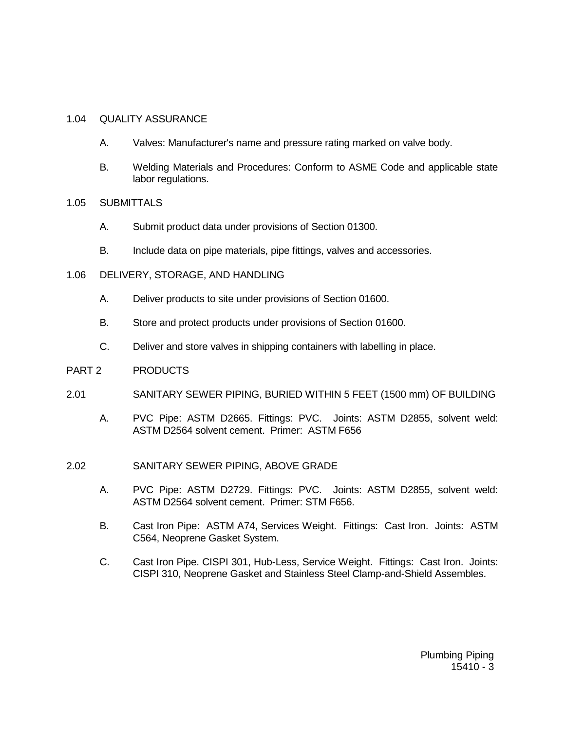#### 1.04 QUALITY ASSURANCE

- A. Valves: Manufacturer's name and pressure rating marked on valve body.
- B. Welding Materials and Procedures: Conform to ASME Code and applicable state labor regulations.
- 1.05 SUBMITTALS
	- A. Submit product data under provisions of Section 01300.
	- B. Include data on pipe materials, pipe fittings, valves and accessories.
- 1.06 DELIVERY, STORAGE, AND HANDLING
	- A. Deliver products to site under provisions of Section 01600.
	- B. Store and protect products under provisions of Section 01600.
	- C. Deliver and store valves in shipping containers with labelling in place.
- PART 2 PRODUCTS
- 2.01 SANITARY SEWER PIPING, BURIED WITHIN 5 FEET (1500 mm) OF BUILDING
	- A. PVC Pipe: ASTM D2665. Fittings: PVC. Joints: ASTM D2855, solvent weld: ASTM D2564 solvent cement. Primer: ASTM F656
- 2.02 SANITARY SEWER PIPING, ABOVE GRADE
	- A. PVC Pipe: ASTM D2729. Fittings: PVC. Joints: ASTM D2855, solvent weld: ASTM D2564 solvent cement. Primer: STM F656.
	- B. Cast Iron Pipe: ASTM A74, Services Weight. Fittings: Cast Iron. Joints: ASTM C564, Neoprene Gasket System.
	- C. Cast Iron Pipe. CISPI 301, Hub-Less, Service Weight. Fittings: Cast Iron. Joints: CISPI 310, Neoprene Gasket and Stainless Steel Clamp-and-Shield Assembles.

Plumbing Piping  $15410 - 3$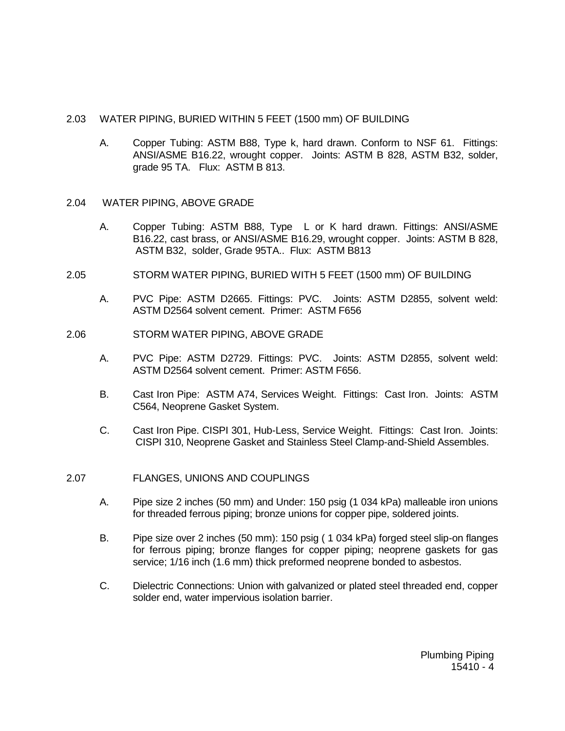#### 2.03 WATER PIPING, BURIED WITHIN 5 FEET (1500 mm) OF BUILDING

 A. Copper Tubing: ASTM B88, Type k, hard drawn. Conform to NSF 61. Fittings: ANSI/ASME B16.22, wrought copper. Joints: ASTM B 828, ASTM B32, solder, grade 95 TA. Flux: ASTM B 813.

#### 2.04 WATER PIPING, ABOVE GRADE

- A. Copper Tubing: ASTM B88, Type L or K hard drawn. Fittings: ANSI/ASME B16.22, cast brass, or ANSI/ASME B16.29, wrought copper. Joints: ASTM B 828, ASTM B32, solder, Grade 95TA.. Flux: ASTM B813
- 2.05 STORM WATER PIPING, BURIED WITH 5 FEET (1500 mm) OF BUILDING
	- A. PVC Pipe: ASTM D2665. Fittings: PVC. Joints: ASTM D2855, solvent weld: ASTM D2564 solvent cement. Primer: ASTM F656
- 2.06 STORM WATER PIPING, ABOVE GRADE
	- A. PVC Pipe: ASTM D2729. Fittings: PVC. Joints: ASTM D2855, solvent weld: ASTM D2564 solvent cement. Primer: ASTM F656.
	- B. Cast Iron Pipe: ASTM A74, Services Weight. Fittings: Cast Iron. Joints: ASTM C564, Neoprene Gasket System.
	- C. Cast Iron Pipe. CISPI 301, Hub-Less, Service Weight. Fittings: Cast Iron. Joints: CISPI 310, Neoprene Gasket and Stainless Steel Clamp-and-Shield Assembles.

#### 2.07 FLANGES, UNIONS AND COUPLINGS

- A. Pipe size 2 inches (50 mm) and Under: 150 psig (1 034 kPa) malleable iron unions for threaded ferrous piping; bronze unions for copper pipe, soldered joints.
- B. Pipe size over 2 inches (50 mm): 150 psig ( 1 034 kPa) forged steel slip-on flanges for ferrous piping; bronze flanges for copper piping; neoprene gaskets for gas service; 1/16 inch (1.6 mm) thick preformed neoprene bonded to asbestos.
- C. Dielectric Connections: Union with galvanized or plated steel threaded end, copper solder end, water impervious isolation barrier.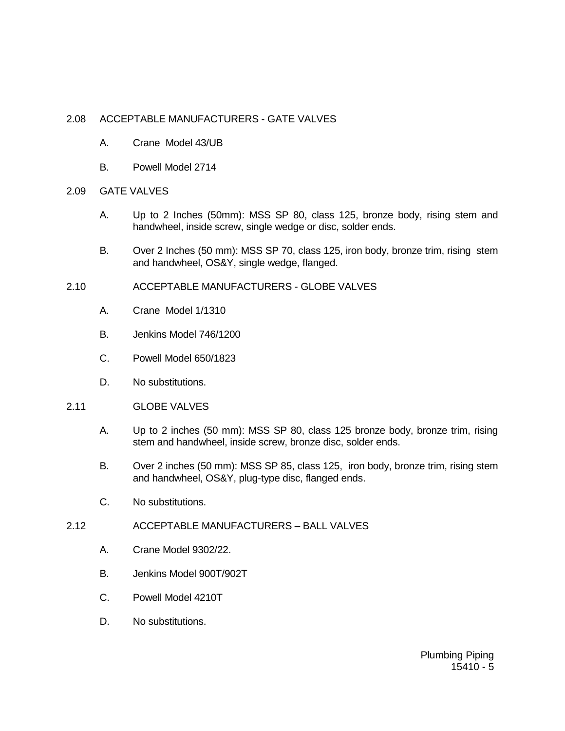### 2.08 ACCEPTABLE MANUFACTURERS - GATE VALVES

- A. Crane Model 43/UB
- B. Powell Model 2714
- 2.09 GATE VALVES
	- A. Up to 2 Inches (50mm): MSS SP 80, class 125, bronze body, rising stem and handwheel, inside screw, single wedge or disc, solder ends.
	- B. Over 2 Inches (50 mm): MSS SP 70, class 125, iron body, bronze trim, rising stem and handwheel, OS&Y, single wedge, flanged.
- 2.10 ACCEPTABLE MANUFACTURERS GLOBE VALVES
	- A. Crane Model 1/1310
	- B. Jenkins Model 746/1200
	- C. Powell Model 650/1823
	- D. No substitutions.
- 2.11 GLOBE VALVES
	- A. Up to 2 inches (50 mm): MSS SP 80, class 125 bronze body, bronze trim, rising stem and handwheel, inside screw, bronze disc, solder ends.
	- B. Over 2 inches (50 mm): MSS SP 85, class 125, iron body, bronze trim, rising stem and handwheel, OS&Y, plug-type disc, flanged ends.
	- C. No substitutions.
- 2.12 ACCEPTABLE MANUFACTURERS BALL VALVES
	- A. Crane Model 9302/22.
	- B. Jenkins Model 900T/902T
	- C. Powell Model 4210T
	- D. No substitutions.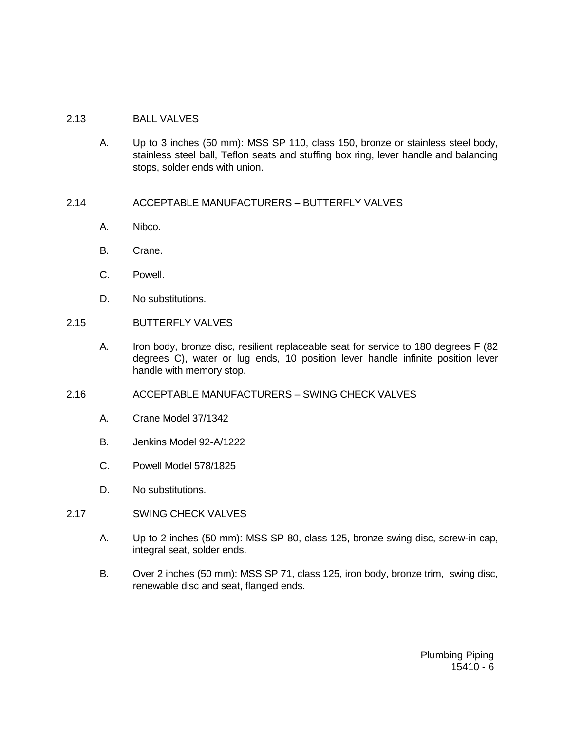### 2.13 BALL VALVES

- A. Up to 3 inches (50 mm): MSS SP 110, class 150, bronze or stainless steel body, stainless steel ball, Teflon seats and stuffing box ring, lever handle and balancing stops, solder ends with union.
- 2.14 ACCEPTABLE MANUFACTURERS BUTTERFLY VALVES
	- A. Nibco.
	- B. Crane.
	- C. Powell.
	- D. No substitutions.
- 2.15 BUTTERFLY VALVES
	- A. Iron body, bronze disc, resilient replaceable seat for service to 180 degrees F (82 degrees C), water or lug ends, 10 position lever handle infinite position lever handle with memory stop.
- 2.16 ACCEPTABLE MANUFACTURERS SWING CHECK VALVES
	- A. Crane Model 37/1342
	- B. Jenkins Model 92-A/1222
	- C. Powell Model 578/1825
	- D. No substitutions.
- 2.17 SWING CHECK VALVES
	- A. Up to 2 inches (50 mm): MSS SP 80, class 125, bronze swing disc, screw-in cap, integral seat, solder ends.
	- B. Over 2 inches (50 mm): MSS SP 71, class 125, iron body, bronze trim, swing disc, renewable disc and seat, flanged ends.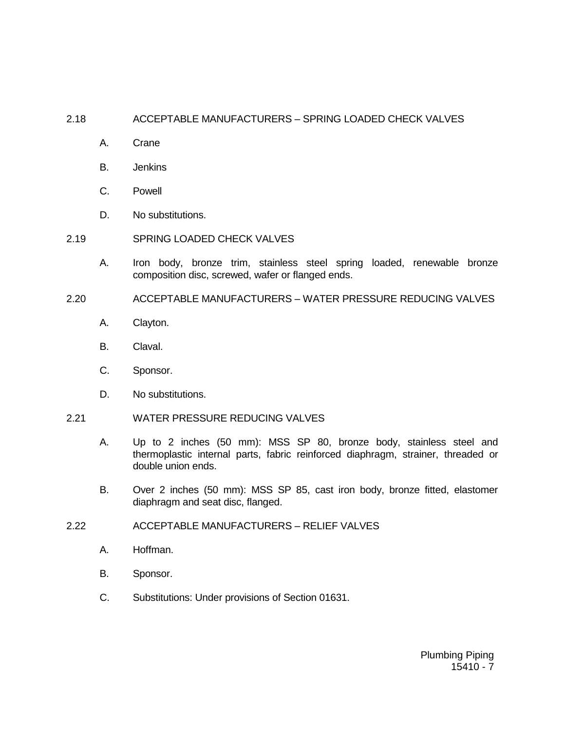## 2.18 ACCEPTABLE MANUFACTURERS – SPRING LOADED CHECK VALVES

- A. Crane
- B. Jenkins
- C. Powell
- D. No substitutions.
- 2.19 SPRING LOADED CHECK VALVES
	- A. Iron body, bronze trim, stainless steel spring loaded, renewable bronze composition disc, screwed, wafer or flanged ends.
- 2.20 ACCEPTABLE MANUFACTURERS WATER PRESSURE REDUCING VALVES
	- A. Clayton.
	- B. Claval.
	- C. Sponsor.
	- D. No substitutions.
- 2.21 WATER PRESSURE REDUCING VALVES
	- A. Up to 2 inches (50 mm): MSS SP 80, bronze body, stainless steel and thermoplastic internal parts, fabric reinforced diaphragm, strainer, threaded or double union ends.
	- B. Over 2 inches (50 mm): MSS SP 85, cast iron body, bronze fitted, elastomer diaphragm and seat disc, flanged.
- 2.22 ACCEPTABLE MANUFACTURERS RELIEF VALVES
	- A. Hoffman.
	- B. Sponsor.
	- C. Substitutions: Under provisions of Section 01631.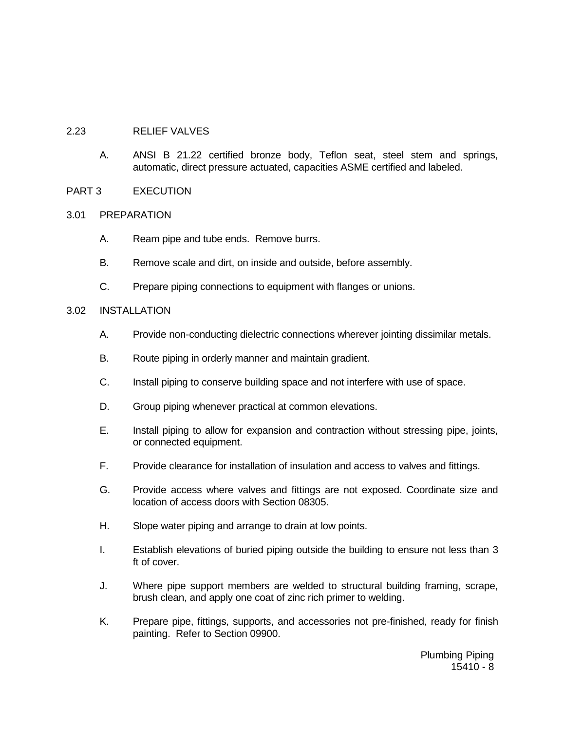#### 2.23 RELIEF VALVES

A. ANSI B 21.22 certified bronze body, Teflon seat, steel stem and springs, automatic, direct pressure actuated, capacities ASME certified and labeled.

### PART 3 EXECUTION

#### 3.01 PREPARATION

- A. Ream pipe and tube ends. Remove burrs.
- B. Remove scale and dirt, on inside and outside, before assembly.
- C. Prepare piping connections to equipment with flanges or unions.

### 3.02 INSTALLATION

- A. Provide non-conducting dielectric connections wherever jointing dissimilar metals.
- B. Route piping in orderly manner and maintain gradient.
- C. Install piping to conserve building space and not interfere with use of space.
- D. Group piping whenever practical at common elevations.
- E. Install piping to allow for expansion and contraction without stressing pipe, joints, or connected equipment.
- F. Provide clearance for installation of insulation and access to valves and fittings.
- G. Provide access where valves and fittings are not exposed. Coordinate size and location of access doors with Section 08305.
- H. Slope water piping and arrange to drain at low points.
- I. Establish elevations of buried piping outside the building to ensure not less than 3 ft of cover.
- J. Where pipe support members are welded to structural building framing, scrape, brush clean, and apply one coat of zinc rich primer to welding.
- K. Prepare pipe, fittings, supports, and accessories not pre-finished, ready for finish painting. Refer to Section 09900.

Plumbing Piping  $15410 - 8$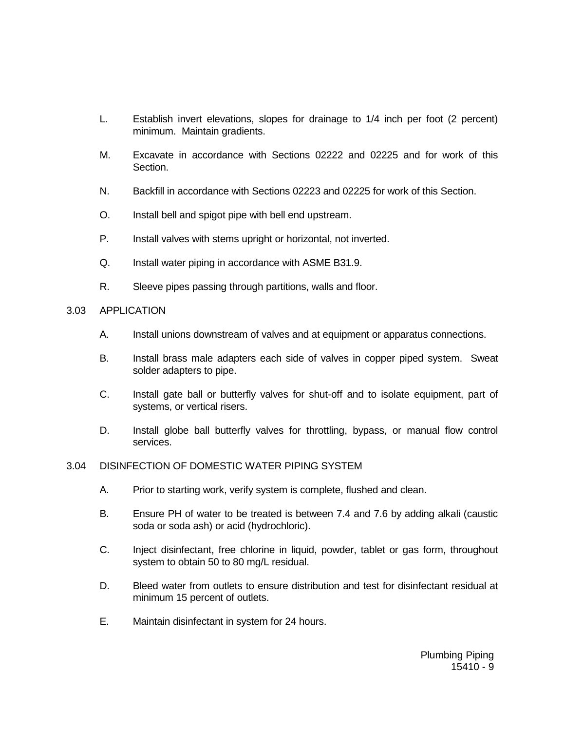- L. Establish invert elevations, slopes for drainage to 1/4 inch per foot (2 percent) minimum. Maintain gradients.
- M. Excavate in accordance with Sections 02222 and 02225 and for work of this Section.
- N. Backfill in accordance with Sections 02223 and 02225 for work of this Section.
- O. Install bell and spigot pipe with bell end upstream.
- P. Install valves with stems upright or horizontal, not inverted.
- Q. Install water piping in accordance with ASME B31.9.
- R. Sleeve pipes passing through partitions, walls and floor.

### 3.03 APPLICATION

- A. Install unions downstream of valves and at equipment or apparatus connections.
- B. Install brass male adapters each side of valves in copper piped system. Sweat solder adapters to pipe.
- C. Install gate ball or butterfly valves for shut-off and to isolate equipment, part of systems, or vertical risers.
- D. Install globe ball butterfly valves for throttling, bypass, or manual flow control services.

### 3.04 DISINFECTION OF DOMESTIC WATER PIPING SYSTEM

- A. Prior to starting work, verify system is complete, flushed and clean.
- B. Ensure PH of water to be treated is between 7.4 and 7.6 by adding alkali (caustic soda or soda ash) or acid (hydrochloric).
- C. Inject disinfectant, free chlorine in liquid, powder, tablet or gas form, throughout system to obtain 50 to 80 mg/L residual.
- D. Bleed water from outlets to ensure distribution and test for disinfectant residual at minimum 15 percent of outlets.
- E. Maintain disinfectant in system for 24 hours.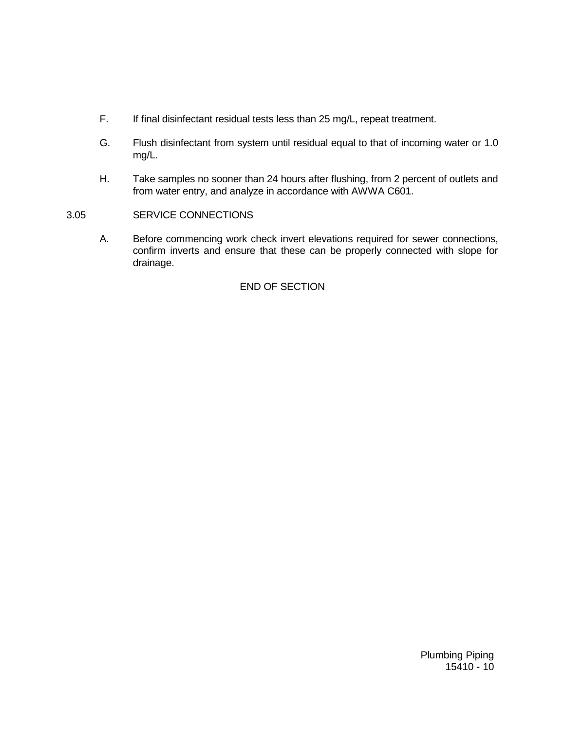- F. If final disinfectant residual tests less than 25 mg/L, repeat treatment.
- G. Flush disinfectant from system until residual equal to that of incoming water or 1.0 mg/L.
- H. Take samples no sooner than 24 hours after flushing, from 2 percent of outlets and from water entry, and analyze in accordance with AWWA C601.
- 3.05 SERVICE CONNECTIONS
	- A. Before commencing work check invert elevations required for sewer connections, confirm inverts and ensure that these can be properly connected with slope for drainage.

# END OF SECTION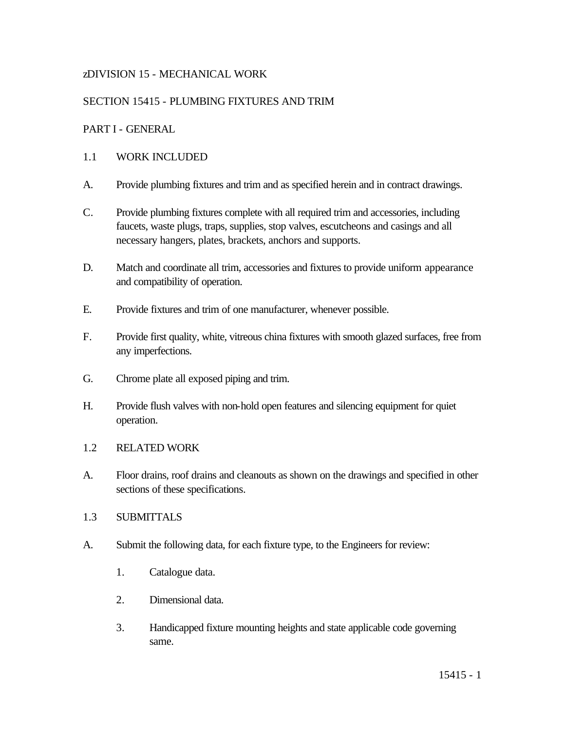# zDIVISION 15 - MECHANICAL WORK

# SECTION 15415 - PLUMBING FIXTURES AND TRIM

## PART I - GENERAL

## 1.1 WORK INCLUDED

- A. Provide plumbing fixtures and trim and as specified herein and in contract drawings.
- C. Provide plumbing fixtures complete with all required trim and accessories, including faucets, waste plugs, traps, supplies, stop valves, escutcheons and casings and all necessary hangers, plates, brackets, anchors and supports.
- D. Match and coordinate all trim, accessories and fixtures to provide uniform appearance and compatibility of operation.
- E. Provide fixtures and trim of one manufacturer, whenever possible.
- F. Provide first quality, white, vitreous china fixtures with smooth glazed surfaces, free from any imperfections.
- G. Chrome plate all exposed piping and trim.
- H. Provide flush valves with non-hold open features and silencing equipment for quiet operation.
- 1.2 RELATED WORK
- A. Floor drains, roof drains and cleanouts as shown on the drawings and specified in other sections of these specifications.
- 1.3 SUBMITTALS
- A. Submit the following data, for each fixture type, to the Engineers for review:
	- 1. Catalogue data.
	- 2. Dimensional data.
	- 3. Handicapped fixture mounting heights and state applicable code governing same.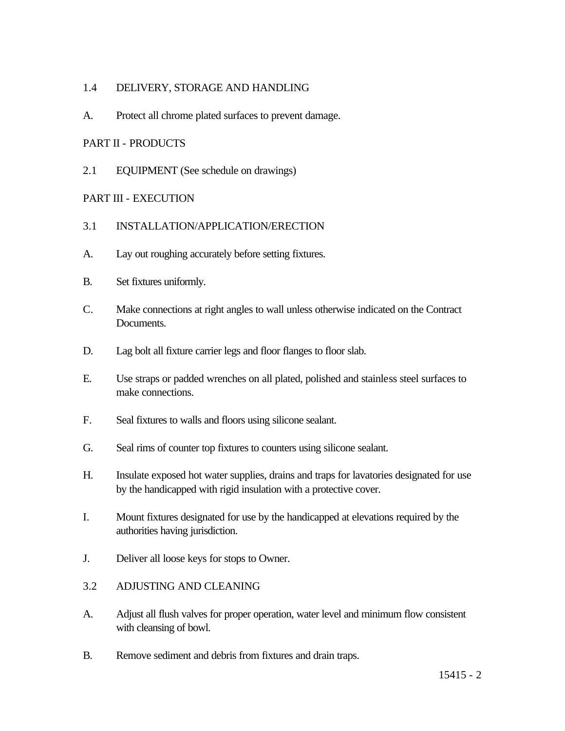## 1.4 DELIVERY, STORAGE AND HANDLING

A. Protect all chrome plated surfaces to prevent damage.

## PART II - PRODUCTS

2.1 EQUIPMENT (See schedule on drawings)

## PART III - EXECUTION

- 3.1 INSTALLATION/APPLICATION/ERECTION
- A. Lay out roughing accurately before setting fixtures.
- B. Set fixtures uniformly.
- C. Make connections at right angles to wall unless otherwise indicated on the Contract Documents.
- D. Lag bolt all fixture carrier legs and floor flanges to floor slab.
- E. Use straps or padded wrenches on all plated, polished and stainless steel surfaces to make connections.
- F. Seal fixtures to walls and floors using silicone sealant.
- G. Seal rims of counter top fixtures to counters using silicone sealant.
- H. Insulate exposed hot water supplies, drains and traps for lavatories designated for use by the handicapped with rigid insulation with a protective cover.
- I. Mount fixtures designated for use by the handicapped at elevations required by the authorities having jurisdiction.
- J. Deliver all loose keys for stops to Owner.
- 3.2 ADJUSTING AND CLEANING
- A. Adjust all flush valves for proper operation, water level and minimum flow consistent with cleansing of bowl.
- B. Remove sediment and debris from fixtures and drain traps.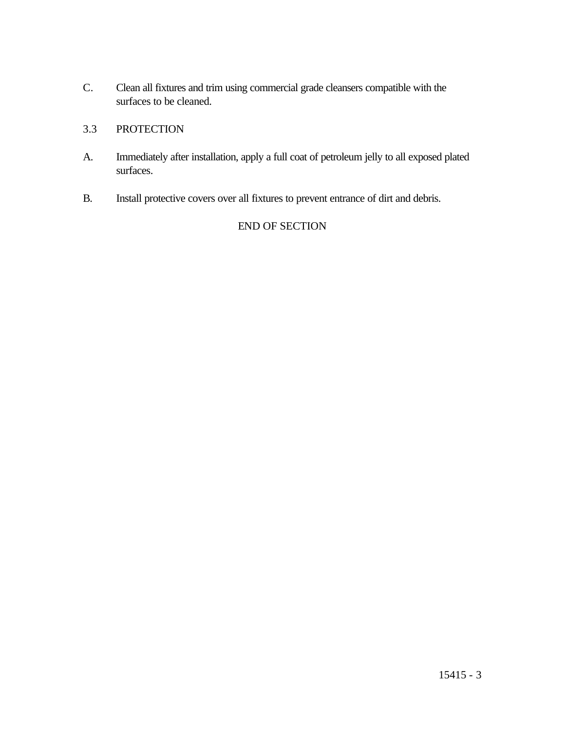C. Clean all fixtures and trim using commercial grade cleansers compatible with the surfaces to be cleaned.

# 3.3 PROTECTION

- A. Immediately after installation, apply a full coat of petroleum jelly to all exposed plated surfaces.
- B. Install protective covers over all fixtures to prevent entrance of dirt and debris.

# END OF SECTION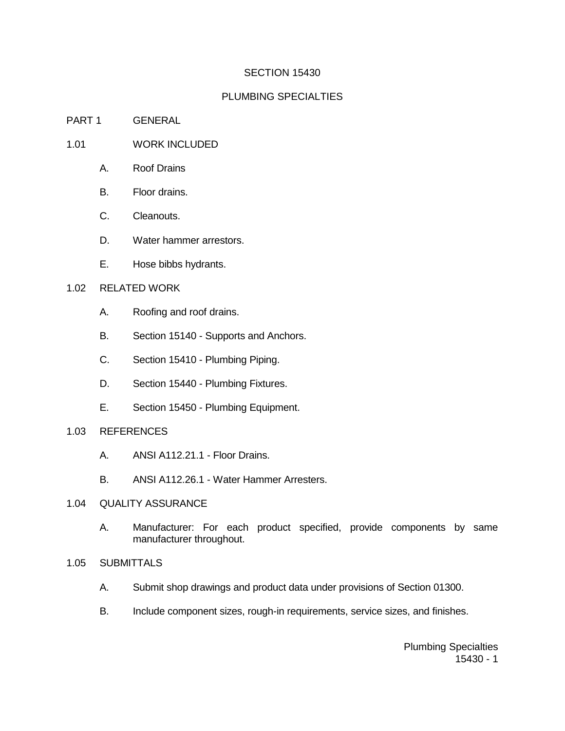## SECTION 15430

## PLUMBING SPECIALTIES

#### PART 1 GENERAL

## 1.01 WORK INCLUDED

- A. Roof Drains
- B. Floor drains.
- C. Cleanouts.
- D. Water hammer arrestors.
- E. Hose bibbs hydrants.

#### 1.02 RELATED WORK

- A. Roofing and roof drains.
- B. Section 15140 Supports and Anchors.
- C. Section 15410 Plumbing Piping.
- D. Section 15440 Plumbing Fixtures.
- E. Section 15450 Plumbing Equipment.
- 1.03 REFERENCES
	- A. ANSI A112.21.1 Floor Drains.
	- B. ANSI A112.26.1 Water Hammer Arresters.
- 1.04 QUALITY ASSURANCE
	- A. Manufacturer: For each product specified, provide components by same manufacturer throughout.
- 1.05 SUBMITTALS
	- A. Submit shop drawings and product data under provisions of Section 01300.
	- B. Include component sizes, rough-in requirements, service sizes, and finishes.

Plumbing Specialties 15430 - 1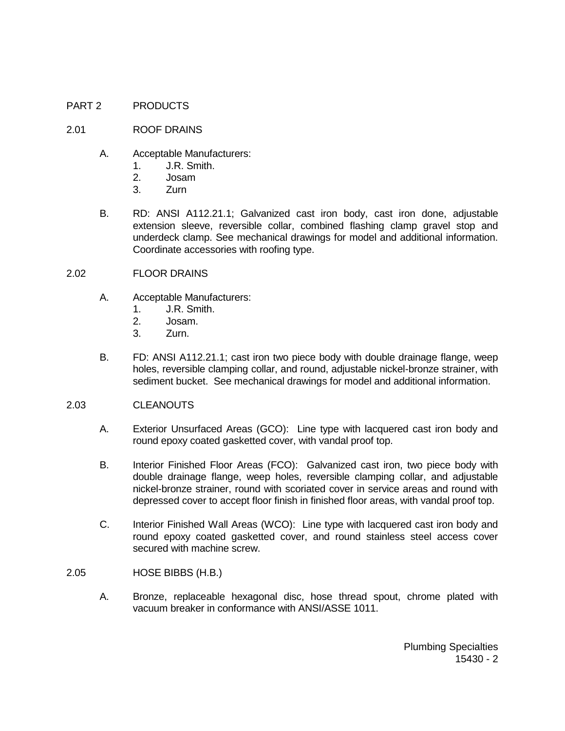#### PART 2 PRODUCTS

#### 2.01 ROOF DRAINS

- A. Acceptable Manufacturers:
	- 1. J.R. Smith.
	- 2. Josam
	- 3. Zurn
- B. RD: ANSI A112.21.1; Galvanized cast iron body, cast iron done, adjustable extension sleeve, reversible collar, combined flashing clamp gravel stop and underdeck clamp. See mechanical drawings for model and additional information. Coordinate accessories with roofing type.
- 2.02 FLOOR DRAINS
	- A. Acceptable Manufacturers:
		- 1. J.R. Smith.
		- 2. Josam.
		- 3. Zurn.
	- B. FD: ANSI A112.21.1; cast iron two piece body with double drainage flange, weep holes, reversible clamping collar, and round, adjustable nickel-bronze strainer, with sediment bucket. See mechanical drawings for model and additional information.

#### 2.03 CLEANOUTS

- A. Exterior Unsurfaced Areas (GCO): Line type with lacquered cast iron body and round epoxy coated gasketted cover, with vandal proof top.
- B. Interior Finished Floor Areas (FCO): Galvanized cast iron, two piece body with double drainage flange, weep holes, reversible clamping collar, and adjustable nickel-bronze strainer, round with scoriated cover in service areas and round with depressed cover to accept floor finish in finished floor areas, with vandal proof top.
- C. Interior Finished Wall Areas (WCO): Line type with lacquered cast iron body and round epoxy coated gasketted cover, and round stainless steel access cover secured with machine screw.
- 2.05 HOSE BIBBS (H.B.)
	- A. Bronze, replaceable hexagonal disc, hose thread spout, chrome plated with vacuum breaker in conformance with ANSI/ASSE 1011.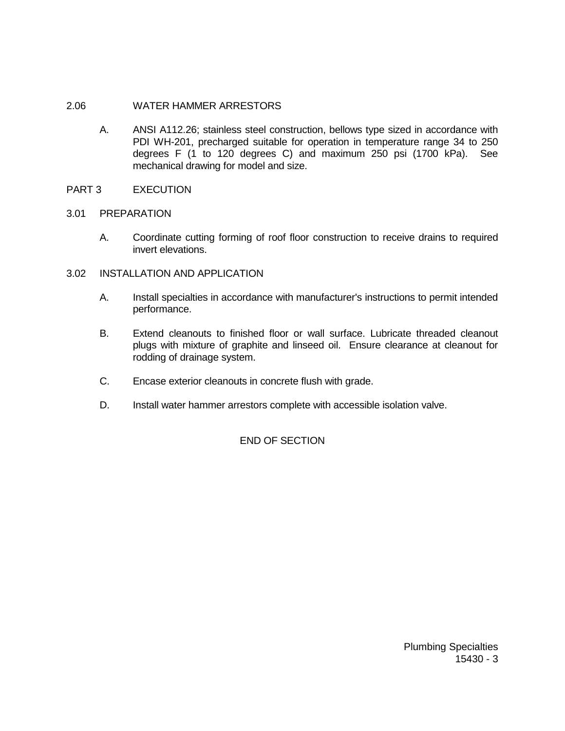### 2.06 WATER HAMMER ARRESTORS

A. ANSI A112.26; stainless steel construction, bellows type sized in accordance with PDI WH-201, precharged suitable for operation in temperature range 34 to 250 degrees F (1 to 120 degrees C) and maximum 250 psi (1700 kPa). See mechanical drawing for model and size.

## PART 3 EXECUTION

## 3.01 PREPARATION

 A. Coordinate cutting forming of roof floor construction to receive drains to required invert elevations.

### 3.02 INSTALLATION AND APPLICATION

- A. Install specialties in accordance with manufacturer's instructions to permit intended performance.
- B. Extend cleanouts to finished floor or wall surface. Lubricate threaded cleanout plugs with mixture of graphite and linseed oil. Ensure clearance at cleanout for rodding of drainage system.
- C. Encase exterior cleanouts in concrete flush with grade.
- D. Install water hammer arrestors complete with accessible isolation valve.

# END OF SECTION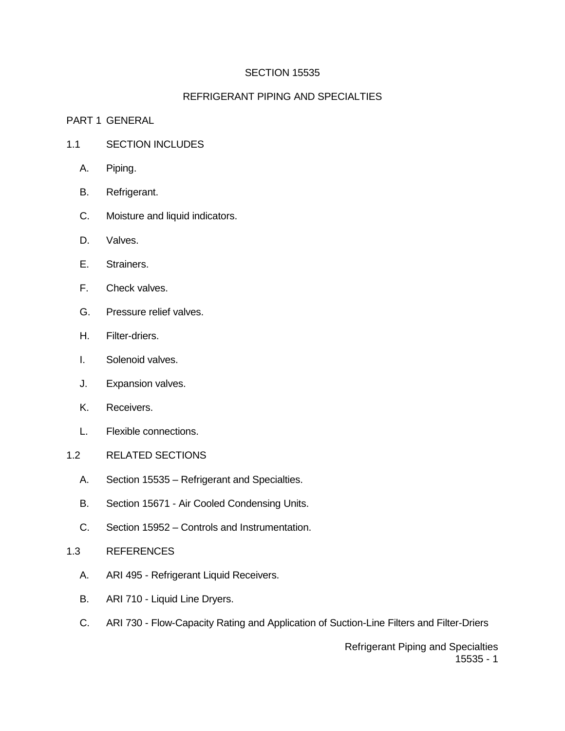## SECTION 15535

## REFRIGERANT PIPING AND SPECIALTIES

#### PART 1 GENERAL

- 1.1 SECTION INCLUDES
	- A. Piping.
	- B. Refrigerant.
	- C. Moisture and liquid indicators.
	- D. Valves.
	- E. Strainers.
	- F. Check valves.
	- G. Pressure relief valves.
	- H. Filter-driers.
	- I. Solenoid valves.
	- J. Expansion valves.
	- K. Receivers.
	- L. Flexible connections.
- 1.2 RELATED SECTIONS
	- A. Section 15535 Refrigerant and Specialties.
	- B. Section 15671 Air Cooled Condensing Units.
	- C. Section 15952 Controls and Instrumentation.
- 1.3 REFERENCES
	- A. ARI 495 Refrigerant Liquid Receivers.
	- B. ARI 710 Liquid Line Dryers.
	- C. ARI 730 Flow-Capacity Rating and Application of Suction-Line Filters and Filter-Driers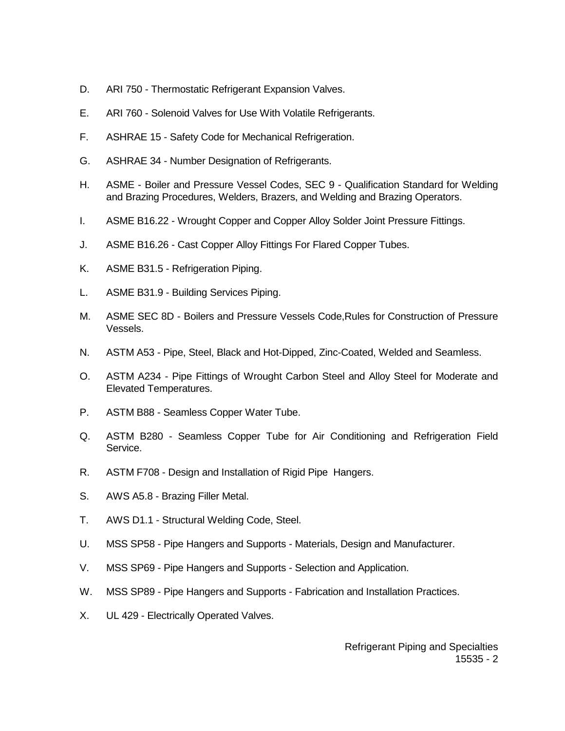- D. ARI 750 Thermostatic Refrigerant Expansion Valves.
- E. ARI 760 Solenoid Valves for Use With Volatile Refrigerants.
- F. ASHRAE 15 Safety Code for Mechanical Refrigeration.
- G. ASHRAE 34 Number Designation of Refrigerants.
- H. ASME Boiler and Pressure Vessel Codes, SEC 9 Qualification Standard for Welding and Brazing Procedures, Welders, Brazers, and Welding and Brazing Operators.
- I. ASME B16.22 Wrought Copper and Copper Alloy Solder Joint Pressure Fittings.
- J. ASME B16.26 Cast Copper Alloy Fittings For Flared Copper Tubes.
- K. ASME B31.5 Refrigeration Piping.
- L. ASME B31.9 Building Services Piping.
- M. ASME SEC 8D Boilers and Pressure Vessels Code,Rules for Construction of Pressure Vessels.
- N. ASTM A53 Pipe, Steel, Black and Hot-Dipped, Zinc-Coated, Welded and Seamless.
- O. ASTM A234 Pipe Fittings of Wrought Carbon Steel and Alloy Steel for Moderate and Elevated Temperatures.
- P. ASTM B88 Seamless Copper Water Tube.
- Q. ASTM B280 Seamless Copper Tube for Air Conditioning and Refrigeration Field Service.
- R. ASTM F708 Design and Installation of Rigid Pipe Hangers.
- S. AWS A5.8 Brazing Filler Metal.
- T. AWS D1.1 Structural Welding Code, Steel.
- U. MSS SP58 Pipe Hangers and Supports Materials, Design and Manufacturer.
- V. MSS SP69 Pipe Hangers and Supports Selection and Application.
- W. MSS SP89 Pipe Hangers and Supports Fabrication and Installation Practices.
- X. UL 429 Electrically Operated Valves.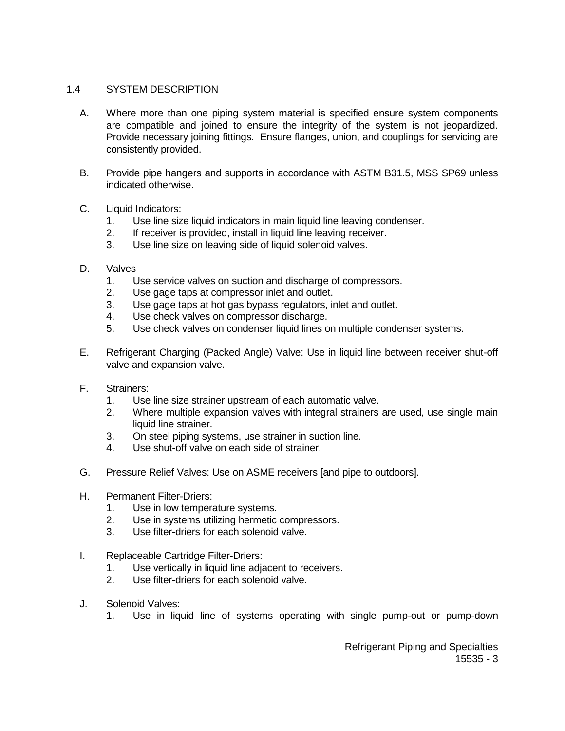### 1.4 SYSTEM DESCRIPTION

- A. Where more than one piping system material is specified ensure system components are compatible and joined to ensure the integrity of the system is not jeopardized. Provide necessary joining fittings. Ensure flanges, union, and couplings for servicing are consistently provided.
- B. Provide pipe hangers and supports in accordance with ASTM B31.5, MSS SP69 unless indicated otherwise.
- C. Liquid Indicators:
	- 1. Use line size liquid indicators in main liquid line leaving condenser.
	- 2. If receiver is provided, install in liquid line leaving receiver.
	- 3. Use line size on leaving side of liquid solenoid valves.
- D. Valves
	- 1. Use service valves on suction and discharge of compressors.
	- 2. Use gage taps at compressor inlet and outlet.
	- 3. Use gage taps at hot gas bypass regulators, inlet and outlet.
	- 4. Use check valves on compressor discharge.
	- 5. Use check valves on condenser liquid lines on multiple condenser systems.
- E. Refrigerant Charging (Packed Angle) Valve: Use in liquid line between receiver shut-off valve and expansion valve.
- F. Strainers:
	- 1. Use line size strainer upstream of each automatic valve.
	- 2. Where multiple expansion valves with integral strainers are used, use single main liquid line strainer.
	- 3. On steel piping systems, use strainer in suction line.
	- 4. Use shut-off valve on each side of strainer.
- G. Pressure Relief Valves: Use on ASME receivers [and pipe to outdoors].
- H. Permanent Filter-Driers:
	- 1. Use in low temperature systems.
	- 2. Use in systems utilizing hermetic compressors.
	- 3. Use filter-driers for each solenoid valve.
- I. Replaceable Cartridge Filter-Driers:
	- 1. Use vertically in liquid line adjacent to receivers.
	- 2. Use filter-driers for each solenoid valve.
- J. Solenoid Valves:
	- 1. Use in liquid line of systems operating with single pump-out or pump-down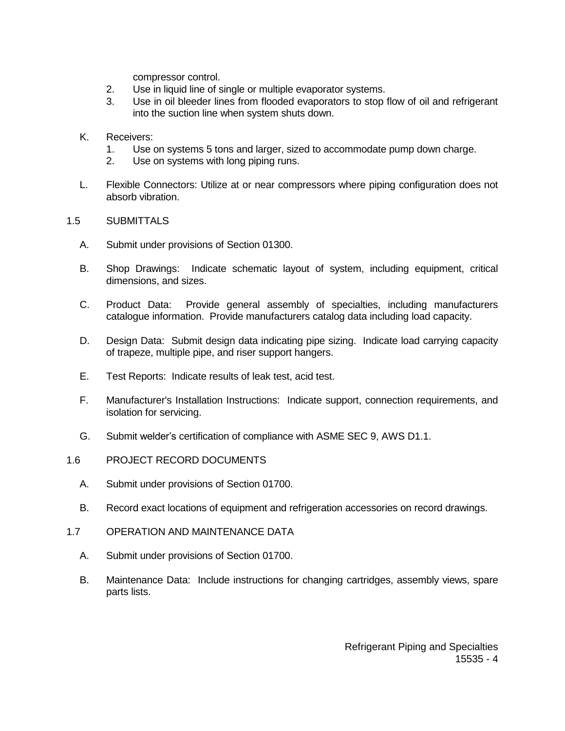compressor control.

- 2. Use in liquid line of single or multiple evaporator systems.
- 3. Use in oil bleeder lines from flooded evaporators to stop flow of oil and refrigerant into the suction line when system shuts down.
- K. Receivers:
	- 1. Use on systems 5 tons and larger, sized to accommodate pump down charge.
	- 2. Use on systems with long piping runs.
- L. Flexible Connectors: Utilize at or near compressors where piping configuration does not absorb vibration.

### 1.5 SUBMITTALS

- A. Submit under provisions of Section 01300.
- B. Shop Drawings: Indicate schematic layout of system, including equipment, critical dimensions, and sizes.
- C. Product Data: Provide general assembly of specialties, including manufacturers catalogue information. Provide manufacturers catalog data including load capacity.
- D. Design Data: Submit design data indicating pipe sizing. Indicate load carrying capacity of trapeze, multiple pipe, and riser support hangers.
- E. Test Reports: Indicate results of leak test, acid test.
- F. Manufacturer's Installation Instructions: Indicate support, connection requirements, and isolation for servicing.
- G. Submit welder's certification of compliance with ASME SEC 9, AWS D1.1.
- 1.6 PROJECT RECORD DOCUMENTS
	- A. Submit under provisions of Section 01700.
	- B. Record exact locations of equipment and refrigeration accessories on record drawings.
- 1.7 OPERATION AND MAINTENANCE DATA
	- A. Submit under provisions of Section 01700.
	- B. Maintenance Data: Include instructions for changing cartridges, assembly views, spare parts lists.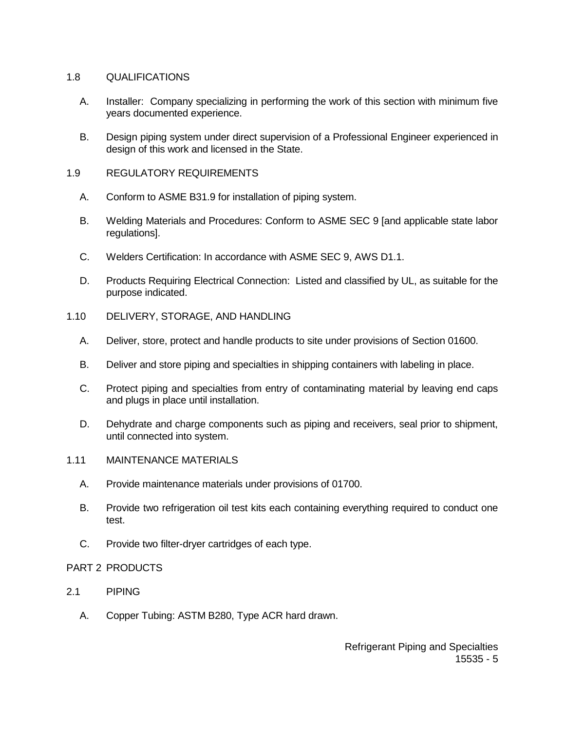### 1.8 QUALIFICATIONS

- A. Installer: Company specializing in performing the work of this section with minimum five years documented experience.
- B. Design piping system under direct supervision of a Professional Engineer experienced in design of this work and licensed in the State.

#### 1.9 REGULATORY REQUIREMENTS

- A. Conform to ASME B31.9 for installation of piping system.
- B. Welding Materials and Procedures: Conform to ASME SEC 9 [and applicable state labor regulations].
- C. Welders Certification: In accordance with ASME SEC 9, AWS D1.1.
- D. Products Requiring Electrical Connection: Listed and classified by UL, as suitable for the purpose indicated.
- 1.10 DELIVERY, STORAGE, AND HANDLING
	- A. Deliver, store, protect and handle products to site under provisions of Section 01600.
	- B. Deliver and store piping and specialties in shipping containers with labeling in place.
	- C. Protect piping and specialties from entry of contaminating material by leaving end caps and plugs in place until installation.
	- D. Dehydrate and charge components such as piping and receivers, seal prior to shipment, until connected into system.
- 1.11 MAINTENANCE MATERIALS
	- A. Provide maintenance materials under provisions of 01700.
	- B. Provide two refrigeration oil test kits each containing everything required to conduct one test.
	- C. Provide two filter-dryer cartridges of each type.

#### PART 2 PRODUCTS

- 2.1 PIPING
	- A. Copper Tubing: ASTM B280, Type ACR hard drawn.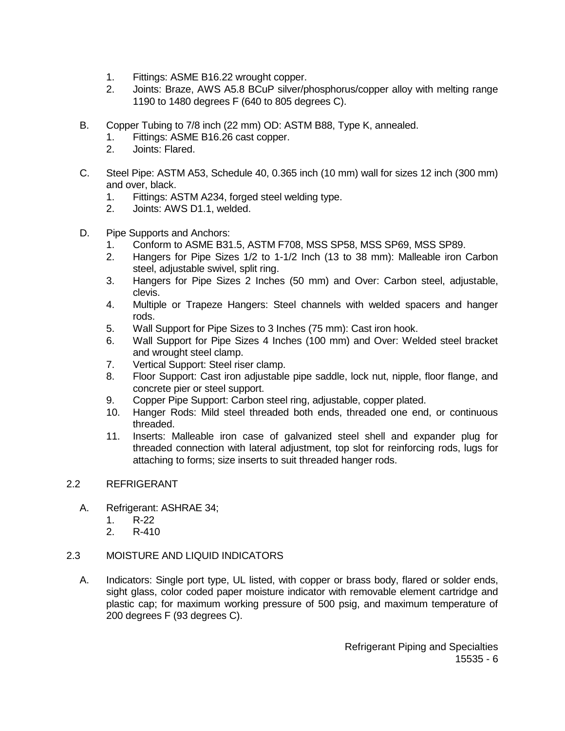- 1. Fittings: ASME B16.22 wrought copper.
- 2. Joints: Braze, AWS A5.8 BCuP silver/phosphorus/copper alloy with melting range 1190 to 1480 degrees F (640 to 805 degrees C).
- B. Copper Tubing to 7/8 inch (22 mm) OD: ASTM B88, Type K, annealed.
	- 1. Fittings: ASME B16.26 cast copper.
	- 2. Joints: Flared.
- C. Steel Pipe: ASTM A53, Schedule 40, 0.365 inch (10 mm) wall for sizes 12 inch (300 mm) and over, black.
	- 1. Fittings: ASTM A234, forged steel welding type.
	- 2. Joints: AWS D1.1, welded.
- D. Pipe Supports and Anchors:
	- 1. Conform to ASME B31.5, ASTM F708, MSS SP58, MSS SP69, MSS SP89.
	- 2. Hangers for Pipe Sizes 1/2 to 1-1/2 Inch (13 to 38 mm): Malleable iron Carbon steel, adjustable swivel, split ring.
	- 3. Hangers for Pipe Sizes 2 Inches (50 mm) and Over: Carbon steel, adjustable, clevis.
	- 4. Multiple or Trapeze Hangers: Steel channels with welded spacers and hanger rods.
	- 5. Wall Support for Pipe Sizes to 3 Inches (75 mm): Cast iron hook.
	- 6. Wall Support for Pipe Sizes 4 Inches (100 mm) and Over: Welded steel bracket and wrought steel clamp.
	- 7. Vertical Support: Steel riser clamp.
	- 8. Floor Support: Cast iron adjustable pipe saddle, lock nut, nipple, floor flange, and concrete pier or steel support.
	- 9. Copper Pipe Support: Carbon steel ring, adjustable, copper plated.
	- 10. Hanger Rods: Mild steel threaded both ends, threaded one end, or continuous threaded.
	- 11. Inserts: Malleable iron case of galvanized steel shell and expander plug for threaded connection with lateral adjustment, top slot for reinforcing rods, lugs for attaching to forms; size inserts to suit threaded hanger rods.

### 2.2 REFRIGERANT

- A. Refrigerant: ASHRAE 34;
	- 1. R-22
	- 2. R-410

### 2.3 MOISTURE AND LIQUID INDICATORS

A. Indicators: Single port type, UL listed, with copper or brass body, flared or solder ends, sight glass, color coded paper moisture indicator with removable element cartridge and plastic cap; for maximum working pressure of 500 psig, and maximum temperature of 200 degrees F (93 degrees C).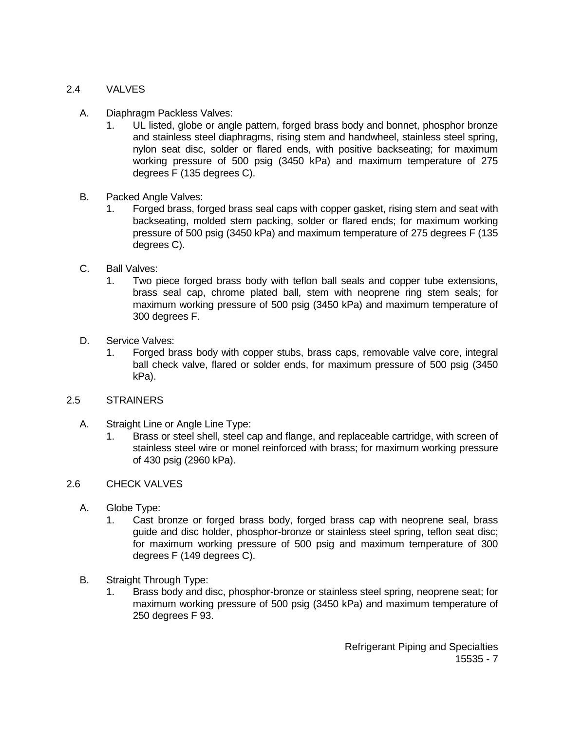### 2.4 VALVES

- A. Diaphragm Packless Valves:
	- 1. UL listed, globe or angle pattern, forged brass body and bonnet, phosphor bronze and stainless steel diaphragms, rising stem and handwheel, stainless steel spring, nylon seat disc, solder or flared ends, with positive backseating; for maximum working pressure of 500 psig (3450 kPa) and maximum temperature of 275 degrees F (135 degrees C).
- B. Packed Angle Valves:
	- 1. Forged brass, forged brass seal caps with copper gasket, rising stem and seat with backseating, molded stem packing, solder or flared ends; for maximum working pressure of 500 psig (3450 kPa) and maximum temperature of 275 degrees F (135 degrees C).
- C. Ball Valves:
	- 1. Two piece forged brass body with teflon ball seals and copper tube extensions, brass seal cap, chrome plated ball, stem with neoprene ring stem seals; for maximum working pressure of 500 psig (3450 kPa) and maximum temperature of 300 degrees F.
- D. Service Valves:
	- 1. Forged brass body with copper stubs, brass caps, removable valve core, integral ball check valve, flared or solder ends, for maximum pressure of 500 psig (3450 kPa).

#### 2.5 STRAINERS

- A. Straight Line or Angle Line Type:
	- 1. Brass or steel shell, steel cap and flange, and replaceable cartridge, with screen of stainless steel wire or monel reinforced with brass; for maximum working pressure of 430 psig (2960 kPa).

### 2.6 CHECK VALVES

- A. Globe Type:
	- 1. Cast bronze or forged brass body, forged brass cap with neoprene seal, brass guide and disc holder, phosphor-bronze or stainless steel spring, teflon seat disc; for maximum working pressure of 500 psig and maximum temperature of 300 degrees F (149 degrees C).
- B. Straight Through Type:
	- 1. Brass body and disc, phosphor-bronze or stainless steel spring, neoprene seat; for maximum working pressure of 500 psig (3450 kPa) and maximum temperature of 250 degrees F 93.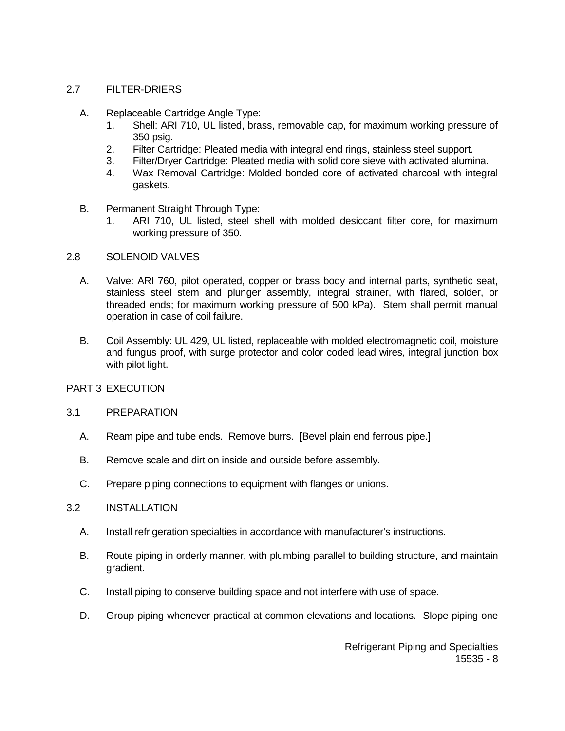#### 2.7 FILTER-DRIERS

- A. Replaceable Cartridge Angle Type:
	- 1. Shell: ARI 710, UL listed, brass, removable cap, for maximum working pressure of 350 psig.
	- 2. Filter Cartridge: Pleated media with integral end rings, stainless steel support.
	- 3. Filter/Dryer Cartridge: Pleated media with solid core sieve with activated alumina.
	- 4. Wax Removal Cartridge: Molded bonded core of activated charcoal with integral gaskets.
- B. Permanent Straight Through Type:
	- 1. ARI 710, UL listed, steel shell with molded desiccant filter core, for maximum working pressure of 350.
- 2.8 SOLENOID VALVES
	- A. Valve: ARI 760, pilot operated, copper or brass body and internal parts, synthetic seat, stainless steel stem and plunger assembly, integral strainer, with flared, solder, or threaded ends; for maximum working pressure of 500 kPa). Stem shall permit manual operation in case of coil failure.
	- B. Coil Assembly: UL 429, UL listed, replaceable with molded electromagnetic coil, moisture and fungus proof, with surge protector and color coded lead wires, integral junction box with pilot light.

#### PART 3 EXECUTION

#### 3.1 PREPARATION

- A. Ream pipe and tube ends. Remove burrs. [Bevel plain end ferrous pipe.]
- B. Remove scale and dirt on inside and outside before assembly.
- C. Prepare piping connections to equipment with flanges or unions.

### 3.2 INSTALLATION

- A. Install refrigeration specialties in accordance with manufacturer's instructions.
- B. Route piping in orderly manner, with plumbing parallel to building structure, and maintain gradient.
- C. Install piping to conserve building space and not interfere with use of space.
- D. Group piping whenever practical at common elevations and locations. Slope piping one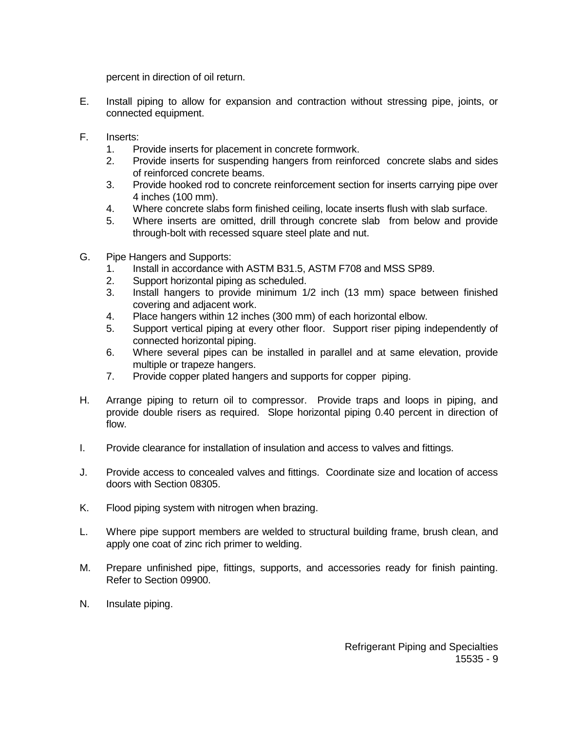percent in direction of oil return.

- E. Install piping to allow for expansion and contraction without stressing pipe, joints, or connected equipment.
- F. Inserts:
	- 1. Provide inserts for placement in concrete formwork.
	- 2. Provide inserts for suspending hangers from reinforced concrete slabs and sides of reinforced concrete beams.
	- 3. Provide hooked rod to concrete reinforcement section for inserts carrying pipe over 4 inches (100 mm).
	- 4. Where concrete slabs form finished ceiling, locate inserts flush with slab surface.
	- 5. Where inserts are omitted, drill through concrete slab from below and provide through-bolt with recessed square steel plate and nut.
- G. Pipe Hangers and Supports:
	- 1. Install in accordance with ASTM B31.5, ASTM F708 and MSS SP89.
	- 2. Support horizontal piping as scheduled.
	- 3. Install hangers to provide minimum 1/2 inch (13 mm) space between finished covering and adjacent work.
	- 4. Place hangers within 12 inches (300 mm) of each horizontal elbow.
	- 5. Support vertical piping at every other floor. Support riser piping independently of connected horizontal piping.
	- 6. Where several pipes can be installed in parallel and at same elevation, provide multiple or trapeze hangers.
	- 7. Provide copper plated hangers and supports for copper piping.
- H. Arrange piping to return oil to compressor. Provide traps and loops in piping, and provide double risers as required. Slope horizontal piping 0.40 percent in direction of flow.
- I. Provide clearance for installation of insulation and access to valves and fittings.
- J. Provide access to concealed valves and fittings. Coordinate size and location of access doors with Section 08305.
- K. Flood piping system with nitrogen when brazing.
- L. Where pipe support members are welded to structural building frame, brush clean, and apply one coat of zinc rich primer to welding.
- M. Prepare unfinished pipe, fittings, supports, and accessories ready for finish painting. Refer to Section 09900.
- N. Insulate piping.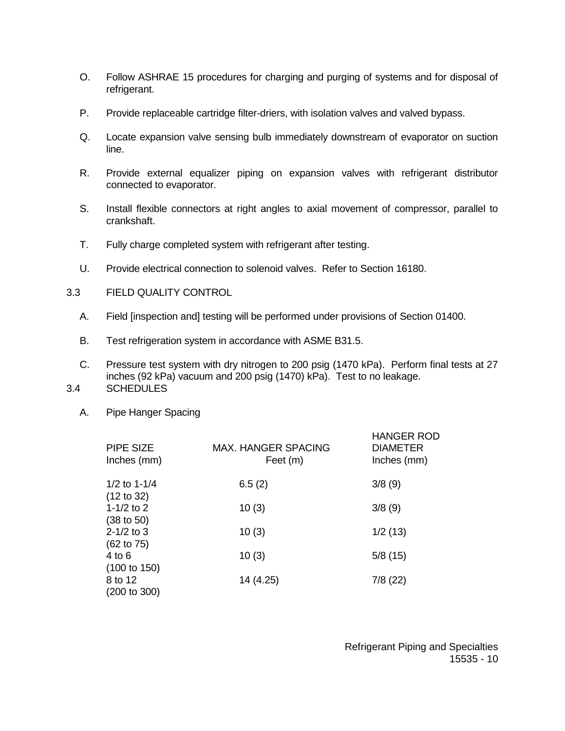- O. Follow ASHRAE 15 procedures for charging and purging of systems and for disposal of refrigerant.
- P. Provide replaceable cartridge filter-driers, with isolation valves and valved bypass.
- Q. Locate expansion valve sensing bulb immediately downstream of evaporator on suction line.
- R. Provide external equalizer piping on expansion valves with refrigerant distributor connected to evaporator.
- S. Install flexible connectors at right angles to axial movement of compressor, parallel to crankshaft.
- T. Fully charge completed system with refrigerant after testing.
- U. Provide electrical connection to solenoid valves. Refer to Section 16180.
- 3.3 FIELD QUALITY CONTROL
	- A. Field [inspection and] testing will be performed under provisions of Section 01400.
	- B. Test refrigeration system in accordance with ASME B31.5.
- C. Pressure test system with dry nitrogen to 200 psig (1470 kPa). Perform final tests at 27 inches (92 kPa) vacuum and 200 psig (1470) kPa). Test to no leakage. 3.4 SCHEDULES
	- A. Pipe Hanger Spacing

| PIPE SIZE<br>Inches (mm)                          | <b>MAX. HANGER SPACING</b><br>Feet (m) | <b>HANGER ROD</b><br><b>DIAMETER</b><br>Inches (mm) |
|---------------------------------------------------|----------------------------------------|-----------------------------------------------------|
| 1/2 to $1-1/4$                                    | 6.5(2)                                 | 3/8(9)                                              |
| (12 to 32)<br>1-1/2 to 2<br>$(38 \text{ to } 50)$ | 10(3)                                  | 3/8(9)                                              |
| $2 - 1/2$ to 3<br>$(62 \text{ to } 75)$           | 10(3)                                  | 1/2(13)                                             |
| $4$ to $6$<br>(100 to 150)                        | 10(3)                                  | 5/8(15)                                             |
| 8 to 12<br>(200 to 300)                           | 14 (4.25)                              | 7/8(22)                                             |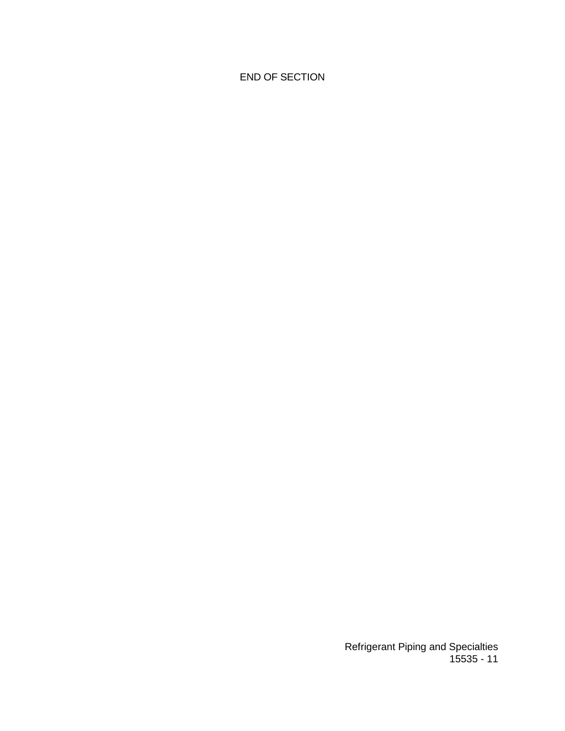END OF SECTION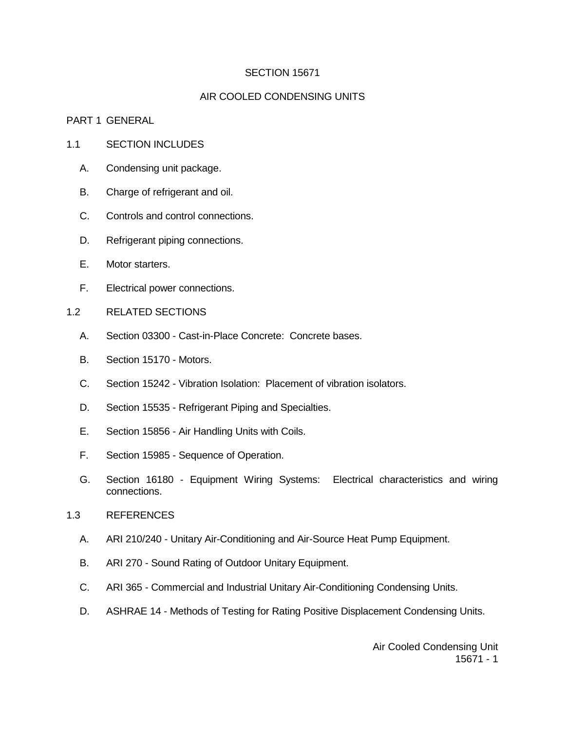#### SECTION 15671

### AIR COOLED CONDENSING UNITS

#### PART 1 GENERAL

#### 1.1 SECTION INCLUDES

- A. Condensing unit package.
- B. Charge of refrigerant and oil.
- C. Controls and control connections.
- D. Refrigerant piping connections.
- E. Motor starters.
- F. Electrical power connections.
- 1.2 RELATED SECTIONS
	- A. Section 03300 Cast-in-Place Concrete: Concrete bases.
	- B. Section 15170 Motors.
	- C. Section 15242 Vibration Isolation: Placement of vibration isolators.
	- D. Section 15535 Refrigerant Piping and Specialties.
	- E. Section 15856 Air Handling Units with Coils.
	- F. Section 15985 Sequence of Operation.
	- G. Section 16180 Equipment Wiring Systems: Electrical characteristics and wiring connections.

#### 1.3 REFERENCES

- A. ARI 210/240 Unitary Air-Conditioning and Air-Source Heat Pump Equipment.
- B. ARI 270 Sound Rating of Outdoor Unitary Equipment.
- C. ARI 365 Commercial and Industrial Unitary Air-Conditioning Condensing Units.
- D. ASHRAE 14 Methods of Testing for Rating Positive Displacement Condensing Units.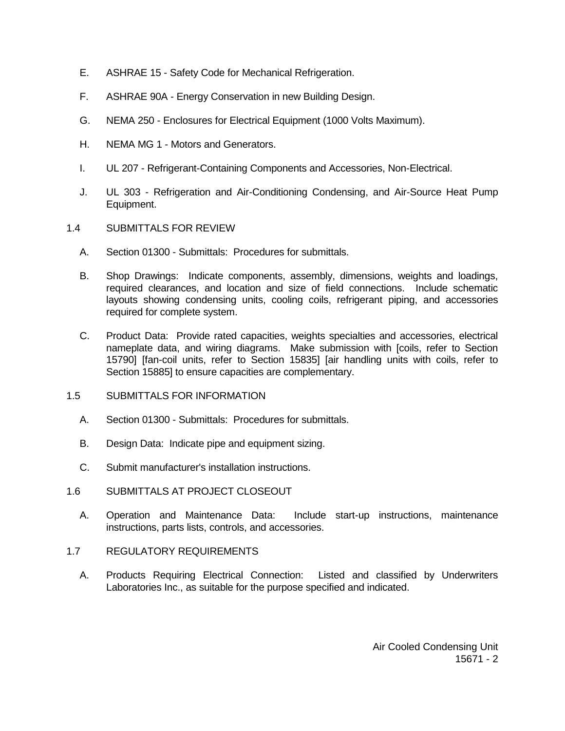- E. ASHRAE 15 Safety Code for Mechanical Refrigeration.
- F. ASHRAE 90A Energy Conservation in new Building Design.
- G. NEMA 250 Enclosures for Electrical Equipment (1000 Volts Maximum).
- H. NEMA MG 1 Motors and Generators.
- I. UL 207 Refrigerant-Containing Components and Accessories, Non-Electrical.
- J. UL 303 Refrigeration and Air-Conditioning Condensing, and Air-Source Heat Pump Equipment.
- 1.4 SUBMITTALS FOR REVIEW
	- A. Section 01300 Submittals: Procedures for submittals.
	- B. Shop Drawings: Indicate components, assembly, dimensions, weights and loadings, required clearances, and location and size of field connections. Include schematic layouts showing condensing units, cooling coils, refrigerant piping, and accessories required for complete system.
	- C. Product Data: Provide rated capacities, weights specialties and accessories, electrical nameplate data, and wiring diagrams. Make submission with [coils, refer to Section 15790] [fan-coil units, refer to Section 15835] [air handling units with coils, refer to Section 15885] to ensure capacities are complementary.
- 1.5 SUBMITTALS FOR INFORMATION
	- A. Section 01300 Submittals: Procedures for submittals.
	- B. Design Data: Indicate pipe and equipment sizing.
	- C. Submit manufacturer's installation instructions.
- 1.6 SUBMITTALS AT PROJECT CLOSEOUT
	- A. Operation and Maintenance Data: Include start-up instructions, maintenance instructions, parts lists, controls, and accessories.
- 1.7 REGULATORY REQUIREMENTS
	- A. Products Requiring Electrical Connection: Listed and classified by Underwriters Laboratories Inc., as suitable for the purpose specified and indicated.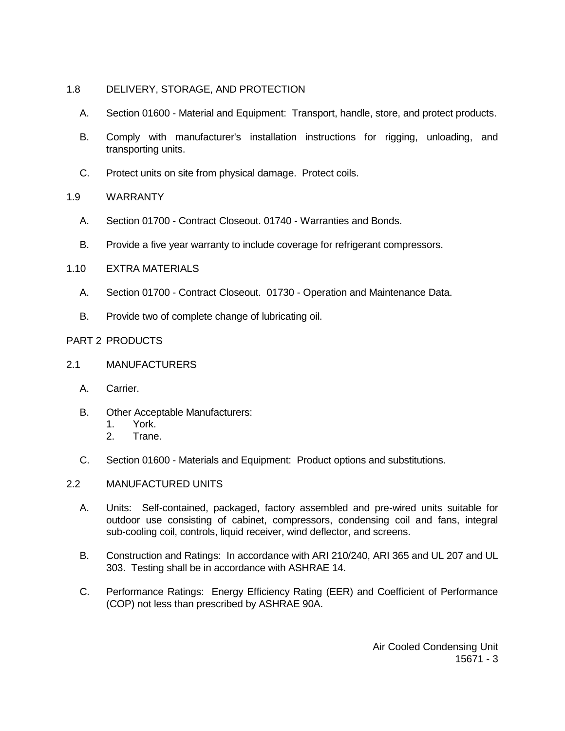## 1.8 DELIVERY, STORAGE, AND PROTECTION

- A. Section 01600 Material and Equipment: Transport, handle, store, and protect products.
- B. Comply with manufacturer's installation instructions for rigging, unloading, and transporting units.
- C. Protect units on site from physical damage. Protect coils.

## 1.9 WARRANTY

- A. Section 01700 Contract Closeout. 01740 Warranties and Bonds.
- B. Provide a five year warranty to include coverage for refrigerant compressors.

## 1.10 EXTRA MATERIALS

- A. Section 01700 Contract Closeout. 01730 Operation and Maintenance Data.
- B. Provide two of complete change of lubricating oil.

## PART 2 PRODUCTS

- 2.1 MANUFACTURERS
	- A. Carrier.
	- B. Other Acceptable Manufacturers:
		- 1. York.
		- 2. Trane.
	- C. Section 01600 Materials and Equipment: Product options and substitutions.

### 2.2 MANUFACTURED UNITS

- A. Units: Self-contained, packaged, factory assembled and pre-wired units suitable for outdoor use consisting of cabinet, compressors, condensing coil and fans, integral sub-cooling coil, controls, liquid receiver, wind deflector, and screens.
- B. Construction and Ratings: In accordance with ARI 210/240, ARI 365 and UL 207 and UL 303. Testing shall be in accordance with ASHRAE 14.
- C. Performance Ratings: Energy Efficiency Rating (EER) and Coefficient of Performance (COP) not less than prescribed by ASHRAE 90A.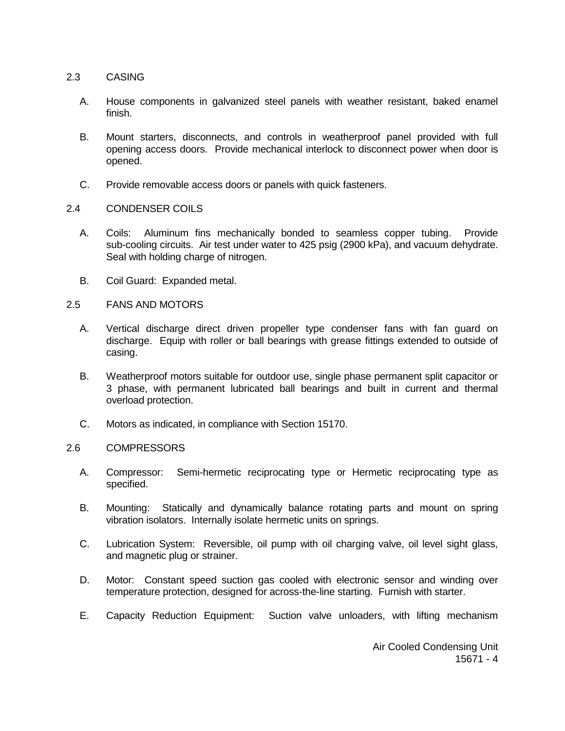#### 2.3 CASING

- A. House components in galvanized steel panels with weather resistant, baked enamel finish.
- B. Mount starters, disconnects, and controls in weatherproof panel provided with full opening access doors. Provide mechanical interlock to disconnect power when door is opened.
- C. Provide removable access doors or panels with quick fasteners.

#### 2.4 CONDENSER COILS

- A. Coils: Aluminum fins mechanically bonded to seamless copper tubing. Provide sub-cooling circuits. Air test under water to 425 psig (2900 kPa), and vacuum dehydrate. Seal with holding charge of nitrogen.
- B. Coil Guard: Expanded metal.

#### 2.5 FANS AND MOTORS

- A. Vertical discharge direct driven propeller type condenser fans with fan guard on discharge. Equip with roller or ball bearings with grease fittings extended to outside of casing.
- B. Weatherproof motors suitable for outdoor use, single phase permanent split capacitor or 3 phase, with permanent lubricated ball bearings and built in current and thermal overload protection.
- C. Motors as indicated, in compliance with Section 15170.

#### 2.6 COMPRESSORS

- A. Compressor: Semi-hermetic reciprocating type or Hermetic reciprocating type as specified.
- B. Mounting: Statically and dynamically balance rotating parts and mount on spring vibration isolators. Internally isolate hermetic units on springs.
- C. Lubrication System: Reversible, oil pump with oil charging valve, oil level sight glass, and magnetic plug or strainer.
- D. Motor: Constant speed suction gas cooled with electronic sensor and winding over temperature protection, designed for across-the-line starting. Furnish with starter.
- E. Capacity Reduction Equipment: Suction valve unloaders, with lifting mechanism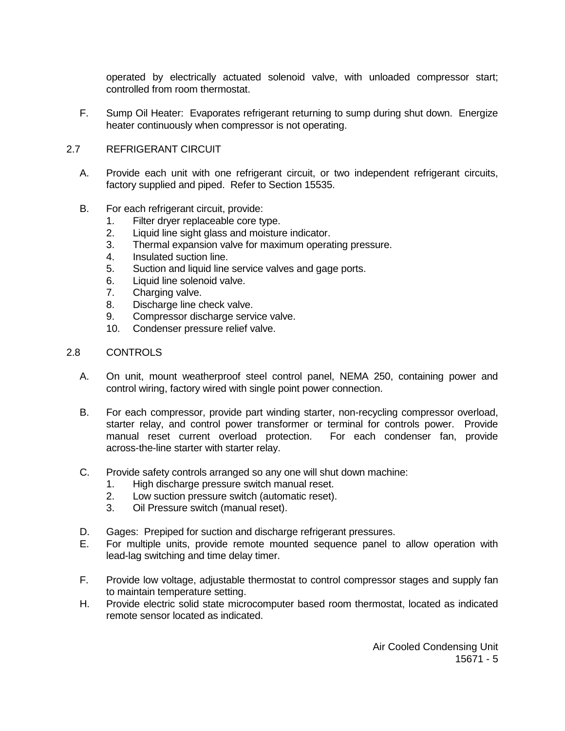operated by electrically actuated solenoid valve, with unloaded compressor start; controlled from room thermostat.

F. Sump Oil Heater: Evaporates refrigerant returning to sump during shut down. Energize heater continuously when compressor is not operating.

#### 2.7 REFRIGERANT CIRCUIT

- A. Provide each unit with one refrigerant circuit, or two independent refrigerant circuits, factory supplied and piped. Refer to Section 15535.
- B. For each refrigerant circuit, provide:
	- 1. Filter dryer replaceable core type.
	- 2. Liquid line sight glass and moisture indicator.
	- 3. Thermal expansion valve for maximum operating pressure.
	- 4. Insulated suction line.
	- 5. Suction and liquid line service valves and gage ports.
	- 6. Liquid line solenoid valve.
	- 7. Charging valve.
	- 8. Discharge line check valve.
	- 9. Compressor discharge service valve.
	- 10. Condenser pressure relief valve.

### 2.8 CONTROLS

- A. On unit, mount weatherproof steel control panel, NEMA 250, containing power and control wiring, factory wired with single point power connection.
- B. For each compressor, provide part winding starter, non-recycling compressor overload, starter relay, and control power transformer or terminal for controls power. Provide manual reset current overload protection. For each condenser fan, provide across-the-line starter with starter relay.
- C. Provide safety controls arranged so any one will shut down machine:
	- 1. High discharge pressure switch manual reset.
	- 2. Low suction pressure switch (automatic reset).
	- 3. Oil Pressure switch (manual reset).
- D. Gages: Prepiped for suction and discharge refrigerant pressures.
- E. For multiple units, provide remote mounted sequence panel to allow operation with lead-lag switching and time delay timer.
- F. Provide low voltage, adjustable thermostat to control compressor stages and supply fan to maintain temperature setting.
- H. Provide electric solid state microcomputer based room thermostat, located as indicated remote sensor located as indicated.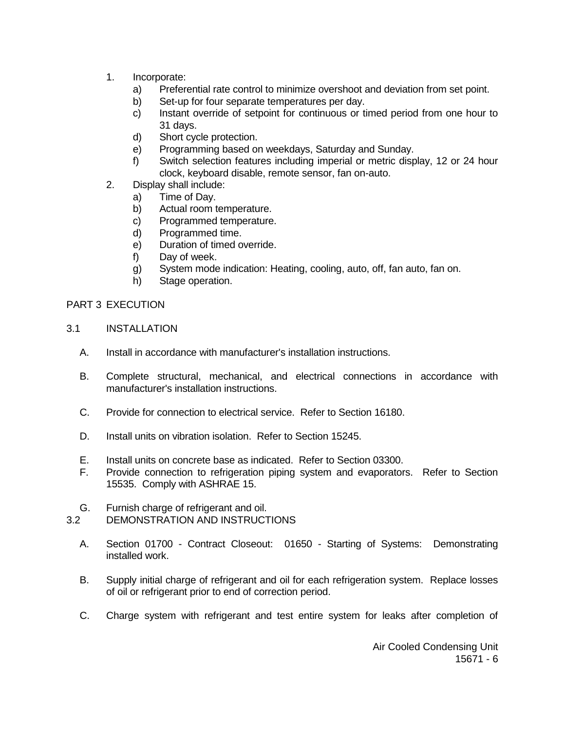- 1. Incorporate:
	- a) Preferential rate control to minimize overshoot and deviation from set point.
	- b) Set-up for four separate temperatures per day.
	- c) Instant override of setpoint for continuous or timed period from one hour to 31 days.
	- d) Short cycle protection.
	- e) Programming based on weekdays, Saturday and Sunday.
	- f) Switch selection features including imperial or metric display, 12 or 24 hour clock, keyboard disable, remote sensor, fan on-auto.
- 2. Display shall include:
	- a) Time of Day.
	- b) Actual room temperature.
	- c) Programmed temperature.
	- d) Programmed time.
	- e) Duration of timed override.
	- f) Day of week.
	- g) System mode indication: Heating, cooling, auto, off, fan auto, fan on.
	- h) Stage operation.

### PART 3 EXECUTION

- 3.1 INSTALLATION
	- A. Install in accordance with manufacturer's installation instructions.
	- B. Complete structural, mechanical, and electrical connections in accordance with manufacturer's installation instructions.
	- C. Provide for connection to electrical service. Refer to Section 16180.
	- D. Install units on vibration isolation. Refer to Section 15245.
	- E. Install units on concrete base as indicated. Refer to Section 03300.
	- F. Provide connection to refrigeration piping system and evaporators. Refer to Section 15535. Comply with ASHRAE 15.

#### G. Furnish charge of refrigerant and oil. 3.2 DEMONSTRATION AND INSTRUCTIONS

- A. Section 01700 Contract Closeout: 01650 Starting of Systems: Demonstrating installed work.
- B. Supply initial charge of refrigerant and oil for each refrigeration system. Replace losses of oil or refrigerant prior to end of correction period.
- C. Charge system with refrigerant and test entire system for leaks after completion of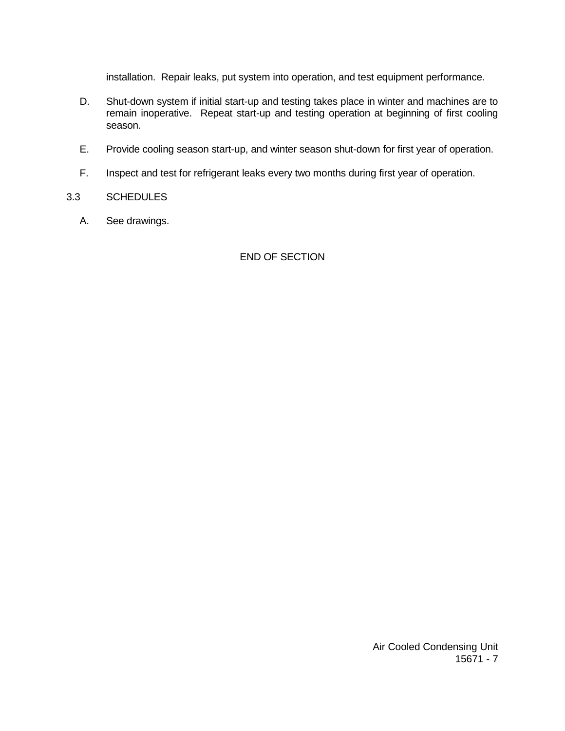installation. Repair leaks, put system into operation, and test equipment performance.

- D. Shut-down system if initial start-up and testing takes place in winter and machines are to remain inoperative. Repeat start-up and testing operation at beginning of first cooling season.
- E. Provide cooling season start-up, and winter season shut-down for first year of operation.
- F. Inspect and test for refrigerant leaks every two months during first year of operation.

#### 3.3 SCHEDULES

A. See drawings.

## END OF SECTION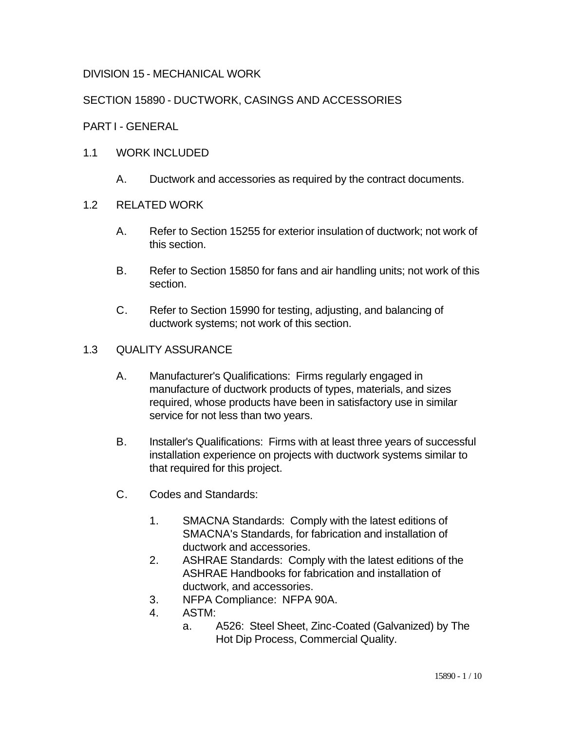# DIVISION 15 - MECHANICAL WORK

# SECTION 15890 - DUCTWORK, CASINGS AND ACCESSORIES

## PART I - GENERAL

## 1.1 WORK INCLUDED

A. Ductwork and accessories as required by the contract documents.

### 1.2 RELATED WORK

- A. Refer to Section 15255 for exterior insulation of ductwork; not work of this section.
- B. Refer to Section 15850 for fans and air handling units; not work of this section.
- C. Refer to Section 15990 for testing, adjusting, and balancing of ductwork systems; not work of this section.

## 1.3 QUALITY ASSURANCE

- A. Manufacturer's Qualifications: Firms regularly engaged in manufacture of ductwork products of types, materials, and sizes required, whose products have been in satisfactory use in similar service for not less than two years.
- B. Installer's Qualifications: Firms with at least three years of successful installation experience on projects with ductwork systems similar to that required for this project.
- C. Codes and Standards:
	- 1. SMACNA Standards: Comply with the latest editions of SMACNA's Standards, for fabrication and installation of ductwork and accessories.
	- 2. ASHRAE Standards: Comply with the latest editions of the ASHRAE Handbooks for fabrication and installation of ductwork, and accessories.
	- 3. NFPA Compliance: NFPA 90A.
	- 4. ASTM:
		- a. A526: Steel Sheet, Zinc-Coated (Galvanized) by The Hot Dip Process, Commercial Quality.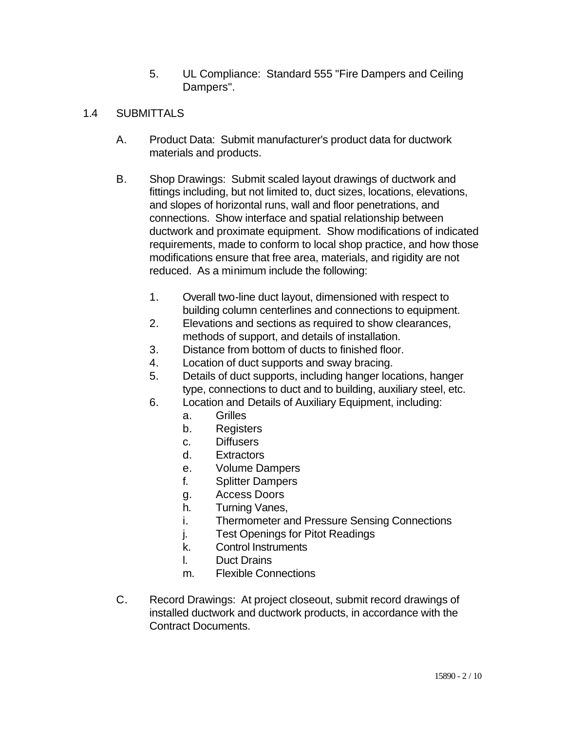5. UL Compliance: Standard 555 "Fire Dampers and Ceiling Dampers".

# 1.4 SUBMITTALS

- A. Product Data: Submit manufacturer's product data for ductwork materials and products.
- B. Shop Drawings: Submit scaled layout drawings of ductwork and fittings including, but not limited to, duct sizes, locations, elevations, and slopes of horizontal runs, wall and floor penetrations, and connections. Show interface and spatial relationship between ductwork and proximate equipment. Show modifications of indicated requirements, made to conform to local shop practice, and how those modifications ensure that free area, materials, and rigidity are not reduced. As a minimum include the following:
	- 1. Overall two-line duct layout, dimensioned with respect to building column centerlines and connections to equipment.
	- 2. Elevations and sections as required to show clearances, methods of support, and details of installation.
	- 3. Distance from bottom of ducts to finished floor.
	- 4. Location of duct supports and sway bracing.
	- 5. Details of duct supports, including hanger locations, hanger type, connections to duct and to building, auxiliary steel, etc.
	- 6. Location and Details of Auxiliary Equipment, including:
		- a. Grilles
		- b. Registers
		- c. Diffusers
		- d. Extractors
		- e. Volume Dampers
		- f. Splitter Dampers
		- g. Access Doors
		- h. Turning Vanes,
		- i. Thermometer and Pressure Sensing Connections
		- j. Test Openings for Pitot Readings
		- k. Control Instruments
		- l. Duct Drains
		- m. Flexible Connections
- C. Record Drawings: At project closeout, submit record drawings of installed ductwork and ductwork products, in accordance with the Contract Documents.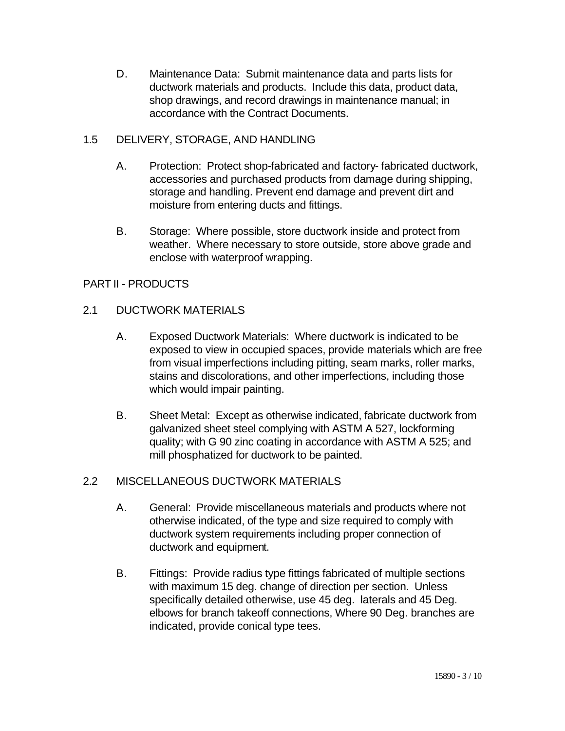D. Maintenance Data: Submit maintenance data and parts lists for ductwork materials and products. Include this data, product data, shop drawings, and record drawings in maintenance manual; in accordance with the Contract Documents.

# 1.5 DELIVERY, STORAGE, AND HANDLING

- A. Protection: Protect shop-fabricated and factory- fabricated ductwork, accessories and purchased products from damage during shipping, storage and handling. Prevent end damage and prevent dirt and moisture from entering ducts and fittings.
- B. Storage: Where possible, store ductwork inside and protect from weather. Where necessary to store outside, store above grade and enclose with waterproof wrapping.

# PART II - PRODUCTS

# 2.1 DUCTWORK MATERIALS

- A. Exposed Ductwork Materials: Where ductwork is indicated to be exposed to view in occupied spaces, provide materials which are free from visual imperfections including pitting, seam marks, roller marks, stains and discolorations, and other imperfections, including those which would impair painting.
- B. Sheet Metal: Except as otherwise indicated, fabricate ductwork from galvanized sheet steel complying with ASTM A 527, lockforming quality; with G 90 zinc coating in accordance with ASTM A 525; and mill phosphatized for ductwork to be painted.

## 2.2 MISCELLANEOUS DUCTWORK MATERIALS

- A. General: Provide miscellaneous materials and products where not otherwise indicated, of the type and size required to comply with ductwork system requirements including proper connection of ductwork and equipment.
- B. Fittings: Provide radius type fittings fabricated of multiple sections with maximum 15 deg. change of direction per section. Unless specifically detailed otherwise, use 45 deg. laterals and 45 Deg. elbows for branch takeoff connections, Where 90 Deg. branches are indicated, provide conical type tees.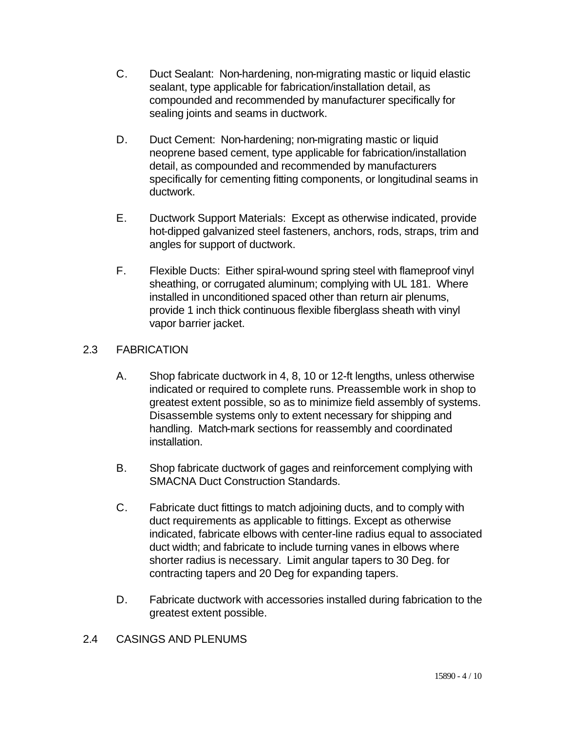- C. Duct Sealant: Non-hardening, non-migrating mastic or liquid elastic sealant, type applicable for fabrication/installation detail, as compounded and recommended by manufacturer specifically for sealing joints and seams in ductwork.
- D. Duct Cement: Non-hardening; non-migrating mastic or liquid neoprene based cement, type applicable for fabrication/installation detail, as compounded and recommended by manufacturers specifically for cementing fitting components, or longitudinal seams in ductwork.
- E. Ductwork Support Materials: Except as otherwise indicated, provide hot-dipped galvanized steel fasteners, anchors, rods, straps, trim and angles for support of ductwork.
- F. Flexible Ducts: Either spiral-wound spring steel with flameproof vinyl sheathing, or corrugated aluminum; complying with UL 181. Where installed in unconditioned spaced other than return air plenums, provide 1 inch thick continuous flexible fiberglass sheath with vinyl vapor barrier jacket.

# 2.3 FABRICATION

- A. Shop fabricate ductwork in 4, 8, 10 or 12-ft lengths, unless otherwise indicated or required to complete runs. Preassemble work in shop to greatest extent possible, so as to minimize field assembly of systems. Disassemble systems only to extent necessary for shipping and handling. Match-mark sections for reassembly and coordinated installation.
- B. Shop fabricate ductwork of gages and reinforcement complying with SMACNA Duct Construction Standards.
- C. Fabricate duct fittings to match adjoining ducts, and to comply with duct requirements as applicable to fittings. Except as otherwise indicated, fabricate elbows with center-line radius equal to associated duct width; and fabricate to include turning vanes in elbows where shorter radius is necessary. Limit angular tapers to 30 Deg. for contracting tapers and 20 Deg for expanding tapers.
- D. Fabricate ductwork with accessories installed during fabrication to the greatest extent possible.
- 2.4 CASINGS AND PLENUMS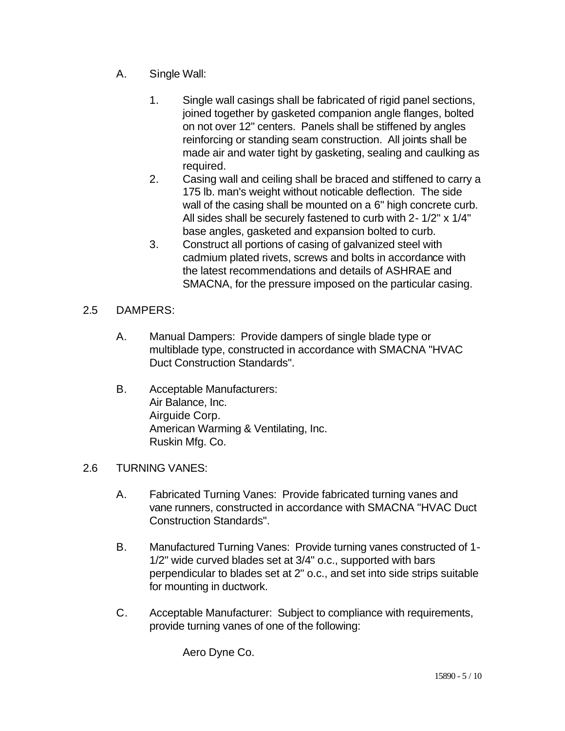- A. Single Wall:
	- 1. Single wall casings shall be fabricated of rigid panel sections, joined together by gasketed companion angle flanges, bolted on not over 12" centers. Panels shall be stiffened by angles reinforcing or standing seam construction. All joints shall be made air and water tight by gasketing, sealing and caulking as required.
	- 2. Casing wall and ceiling shall be braced and stiffened to carry a 175 lb. man's weight without noticable deflection. The side wall of the casing shall be mounted on a 6" high concrete curb. All sides shall be securely fastened to curb with 2- 1/2" x 1/4" base angles, gasketed and expansion bolted to curb.
	- 3. Construct all portions of casing of galvanized steel with cadmium plated rivets, screws and bolts in accordance with the latest recommendations and details of ASHRAE and SMACNA, for the pressure imposed on the particular casing.
- 2.5 DAMPERS:
	- A. Manual Dampers: Provide dampers of single blade type or multiblade type, constructed in accordance with SMACNA "HVAC Duct Construction Standards".
	- B. Acceptable Manufacturers: Air Balance, Inc. Airguide Corp. American Warming & Ventilating, Inc. Ruskin Mfg. Co.

## 2.6 TURNING VANES:

- A. Fabricated Turning Vanes: Provide fabricated turning vanes and vane runners, constructed in accordance with SMACNA "HVAC Duct Construction Standards".
- B. Manufactured Turning Vanes: Provide turning vanes constructed of 1- 1/2" wide curved blades set at 3/4" o.c., supported with bars perpendicular to blades set at 2" o.c., and set into side strips suitable for mounting in ductwork.
- C. Acceptable Manufacturer: Subject to compliance with requirements, provide turning vanes of one of the following:

Aero Dyne Co.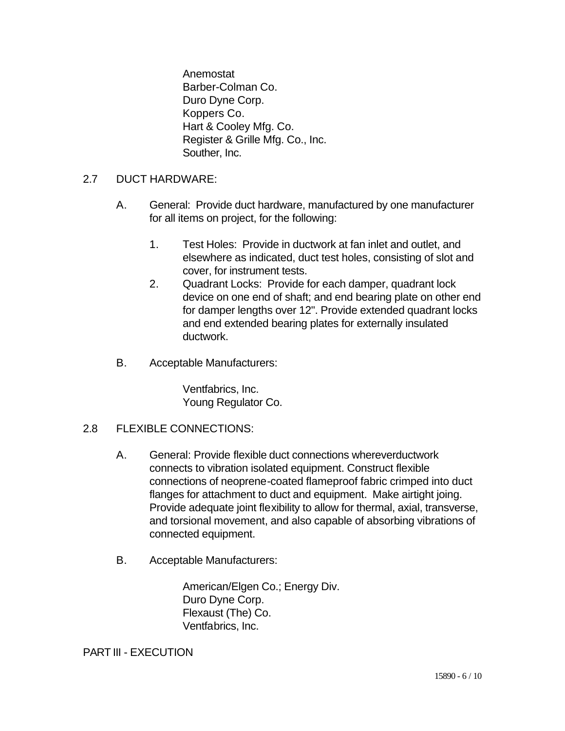Anemostat Barber-Colman Co. Duro Dyne Corp. Koppers Co. Hart & Cooley Mfg. Co. Register & Grille Mfg. Co., Inc. Souther, Inc.

- 2.7 DUCT HARDWARE:
	- A. General: Provide duct hardware, manufactured by one manufacturer for all items on project, for the following:
		- 1. Test Holes: Provide in ductwork at fan inlet and outlet, and elsewhere as indicated, duct test holes, consisting of slot and cover, for instrument tests.
		- 2. Quadrant Locks: Provide for each damper, quadrant lock device on one end of shaft; and end bearing plate on other end for damper lengths over 12". Provide extended quadrant locks and end extended bearing plates for externally insulated ductwork.
	- B. Acceptable Manufacturers:

Ventfabrics, Inc. Young Regulator Co.

## 2.8 FLEXIBLE CONNECTIONS:

- A. General: Provide flexible duct connections whereverductwork connects to vibration isolated equipment. Construct flexible connections of neoprene-coated flameproof fabric crimped into duct flanges for attachment to duct and equipment. Make airtight joing. Provide adequate joint flexibility to allow for thermal, axial, transverse, and torsional movement, and also capable of absorbing vibrations of connected equipment.
- B. Acceptable Manufacturers:

American/Elgen Co.; Energy Div. Duro Dyne Corp. Flexaust (The) Co. Ventfabrics, Inc.

PART III - EXECUTION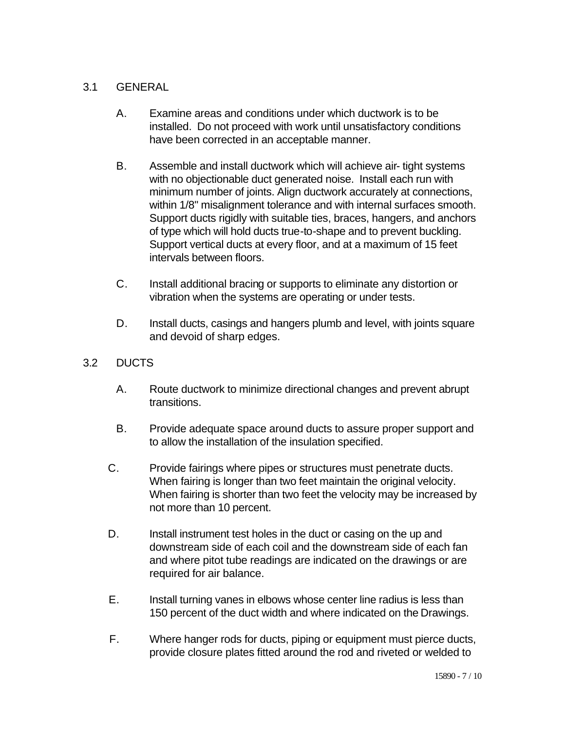# 3.1 GENERAL

- A. Examine areas and conditions under which ductwork is to be installed. Do not proceed with work until unsatisfactory conditions have been corrected in an acceptable manner.
- B. Assemble and install ductwork which will achieve air- tight systems with no objectionable duct generated noise. Install each run with minimum number of joints. Align ductwork accurately at connections, within 1/8" misalignment tolerance and with internal surfaces smooth. Support ducts rigidly with suitable ties, braces, hangers, and anchors of type which will hold ducts true-to-shape and to prevent buckling. Support vertical ducts at every floor, and at a maximum of 15 feet intervals between floors.
- C. Install additional bracing or supports to eliminate any distortion or vibration when the systems are operating or under tests.
- D. Install ducts, casings and hangers plumb and level, with joints square and devoid of sharp edges.
- 3.2 DUCTS
	- A. Route ductwork to minimize directional changes and prevent abrupt transitions.
	- B. Provide adequate space around ducts to assure proper support and to allow the installation of the insulation specified.
	- C. Provide fairings where pipes or structures must penetrate ducts. When fairing is longer than two feet maintain the original velocity. When fairing is shorter than two feet the velocity may be increased by not more than 10 percent.
	- D. Install instrument test holes in the duct or casing on the up and downstream side of each coil and the downstream side of each fan and where pitot tube readings are indicated on the drawings or are required for air balance.
	- E. Install turning vanes in elbows whose center line radius is less than 150 percent of the duct width and where indicated on the Drawings.
	- F. Where hanger rods for ducts, piping or equipment must pierce ducts, provide closure plates fitted around the rod and riveted or welded to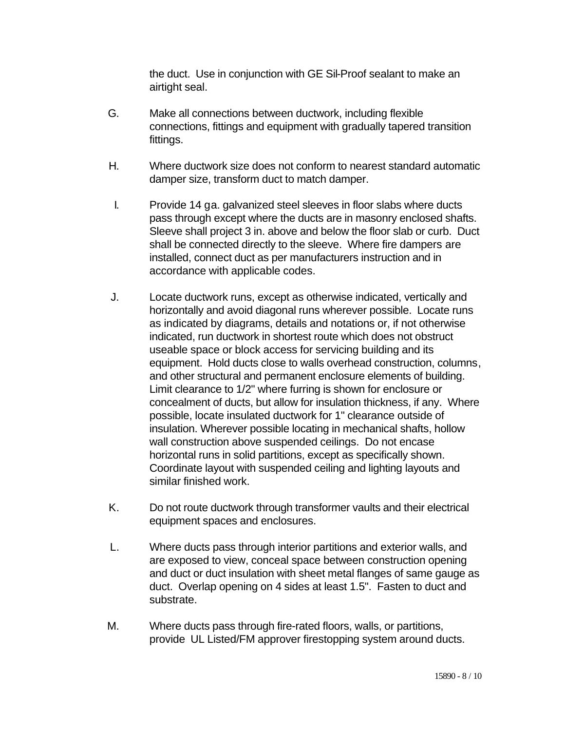the duct. Use in conjunction with GE Sil-Proof sealant to make an airtight seal.

- G. Make all connections between ductwork, including flexible connections, fittings and equipment with gradually tapered transition fittings.
- H. Where ductwork size does not conform to nearest standard automatic damper size, transform duct to match damper.
- I. Provide 14 ga. galvanized steel sleeves in floor slabs where ducts pass through except where the ducts are in masonry enclosed shafts. Sleeve shall project 3 in. above and below the floor slab or curb. Duct shall be connected directly to the sleeve. Where fire dampers are installed, connect duct as per manufacturers instruction and in accordance with applicable codes.
- J. Locate ductwork runs, except as otherwise indicated, vertically and horizontally and avoid diagonal runs wherever possible. Locate runs as indicated by diagrams, details and notations or, if not otherwise indicated, run ductwork in shortest route which does not obstruct useable space or block access for servicing building and its equipment. Hold ducts close to walls overhead construction, columns, and other structural and permanent enclosure elements of building. Limit clearance to 1/2" where furring is shown for enclosure or concealment of ducts, but allow for insulation thickness, if any. Where possible, locate insulated ductwork for 1" clearance outside of insulation. Wherever possible locating in mechanical shafts, hollow wall construction above suspended ceilings. Do not encase horizontal runs in solid partitions, except as specifically shown. Coordinate layout with suspended ceiling and lighting layouts and similar finished work.
- K. Do not route ductwork through transformer vaults and their electrical equipment spaces and enclosures.
- L. Where ducts pass through interior partitions and exterior walls, and are exposed to view, conceal space between construction opening and duct or duct insulation with sheet metal flanges of same gauge as duct. Overlap opening on 4 sides at least 1.5". Fasten to duct and substrate.
- M. Where ducts pass through fire-rated floors, walls, or partitions, provide UL Listed/FM approver firestopping system around ducts.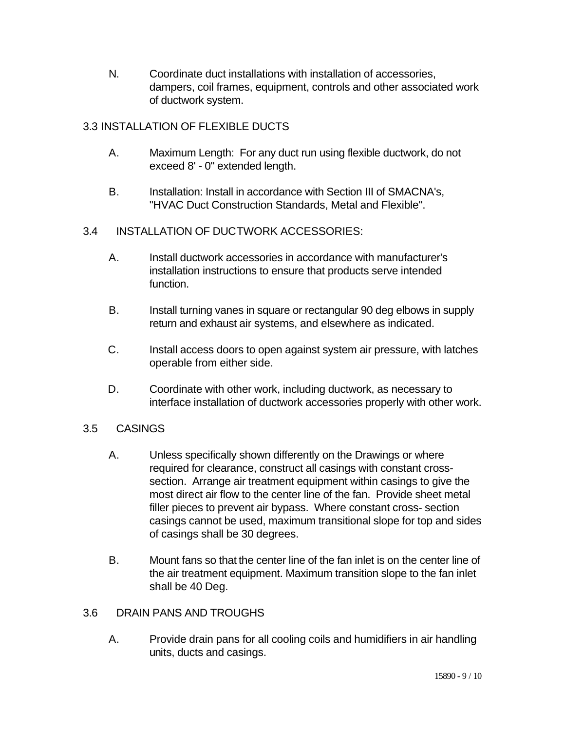N. Coordinate duct installations with installation of accessories, dampers, coil frames, equipment, controls and other associated work of ductwork system.

# 3.3 INSTALLATION OF FLEXIBLE DUCTS

- A. Maximum Length: For any duct run using flexible ductwork, do not exceed 8' - 0" extended length.
- B. Installation: Install in accordance with Section III of SMACNA's, "HVAC Duct Construction Standards, Metal and Flexible".
- 3.4 INSTALLATION OF DUCTWORK ACCESSORIES:
	- A. Install ductwork accessories in accordance with manufacturer's installation instructions to ensure that products serve intended function.
	- B. Install turning vanes in square or rectangular 90 deg elbows in supply return and exhaust air systems, and elsewhere as indicated.
	- C. Install access doors to open against system air pressure, with latches operable from either side.
	- D. Coordinate with other work, including ductwork, as necessary to interface installation of ductwork accessories properly with other work.

# 3.5 CASINGS

- A. Unless specifically shown differently on the Drawings or where required for clearance, construct all casings with constant crosssection. Arrange air treatment equipment within casings to give the most direct air flow to the center line of the fan. Provide sheet metal filler pieces to prevent air bypass. Where constant cross- section casings cannot be used, maximum transitional slope for top and sides of casings shall be 30 degrees.
- B. Mount fans so that the center line of the fan inlet is on the center line of the air treatment equipment. Maximum transition slope to the fan inlet shall be 40 Deg.

# 3.6 DRAIN PANS AND TROUGHS

A. Provide drain pans for all cooling coils and humidifiers in air handling units, ducts and casings.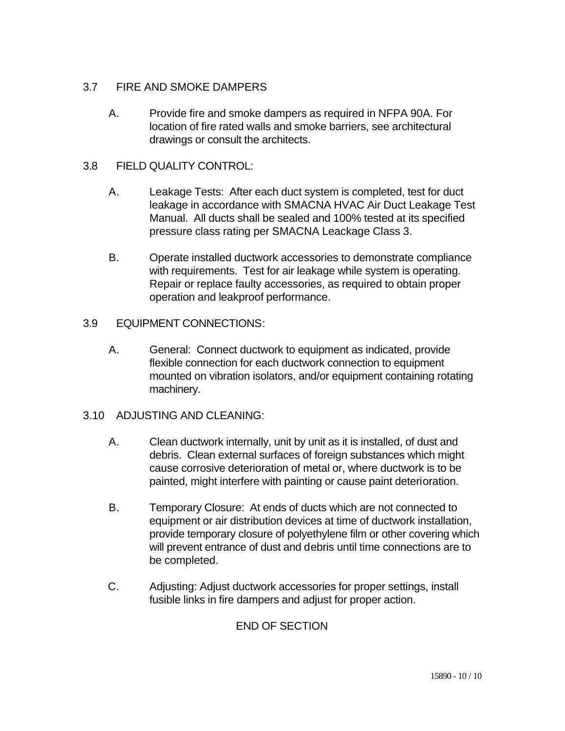# 3.7 FIRE AND SMOKE DAMPERS

A. Provide fire and smoke dampers as required in NFPA 90A. For location of fire rated walls and smoke barriers, see architectural drawings or consult the architects.

# 3.8 FIELD QUALITY CONTROL:

- A. Leakage Tests: After each duct system is completed, test for duct leakage in accordance with SMACNA HVAC Air Duct Leakage Test Manual. All ducts shall be sealed and 100% tested at its specified pressure class rating per SMACNA Leackage Class 3.
- B. Operate installed ductwork accessories to demonstrate compliance with requirements. Test for air leakage while system is operating. Repair or replace faulty accessories, as required to obtain proper operation and leakproof performance.

# 3.9 EQUIPMENT CONNECTIONS:

A. General: Connect ductwork to equipment as indicated, provide flexible connection for each ductwork connection to equipment mounted on vibration isolators, and/or equipment containing rotating machinery.

# 3.10 ADJUSTING AND CLEANING:

- A. Clean ductwork internally, unit by unit as it is installed, of dust and debris. Clean external surfaces of foreign substances which might cause corrosive deterioration of metal or, where ductwork is to be painted, might interfere with painting or cause paint deterioration.
- B. Temporary Closure: At ends of ducts which are not connected to equipment or air distribution devices at time of ductwork installation, provide temporary closure of polyethylene film or other covering which will prevent entrance of dust and debris until time connections are to be completed.
- C. Adjusting: Adjust ductwork accessories for proper settings, install fusible links in fire dampers and adjust for proper action.

# END OF SECTION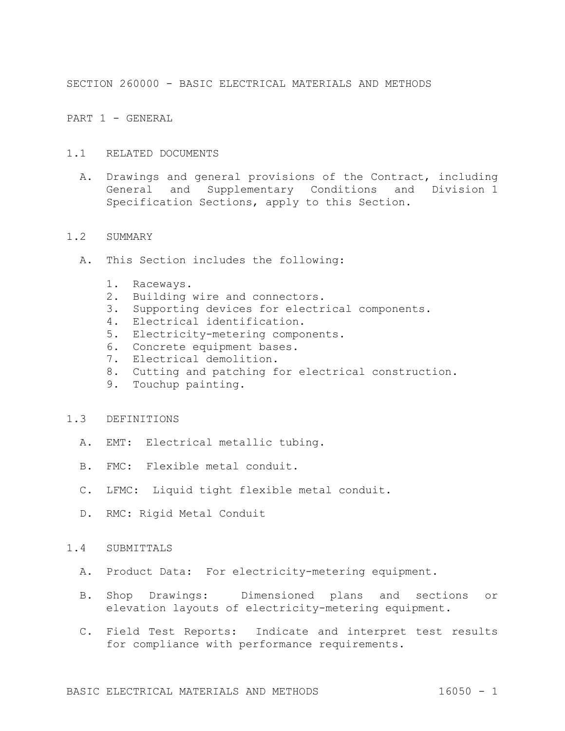SECTION 260000 - BASIC ELECTRICAL MATERIALS AND METHODS

PART 1 - GENERAL

- 1.1 RELATED DOCUMENTS
	- A. Drawings and general provisions of the Contract, including General and Supplementary Conditions and Division 1 Specification Sections, apply to this Section.

#### 1.2 SUMMARY

- A. This Section includes the following:
	- 1. Raceways.
	- 2. Building wire and connectors.
	- 3. Supporting devices for electrical components.
	- 4. Electrical identification.
	- 5. Electricity-metering components.
	- 6. Concrete equipment bases.
	- 7. Electrical demolition.
	- 8. Cutting and patching for electrical construction.
	- 9. Touchup painting.

# 1.3 DEFINITIONS

- A. EMT: Electrical metallic tubing.
- B. FMC: Flexible metal conduit.
- C. LFMC: Liquid tight flexible metal conduit.
- D. RMC: Rigid Metal Conduit

## 1.4 SUBMITTALS

- A. Product Data: For electricity-metering equipment.
- B. Shop Drawings: Dimensioned plans and sections or elevation layouts of electricity-metering equipment.
- C. Field Test Reports: Indicate and interpret test results for compliance with performance requirements.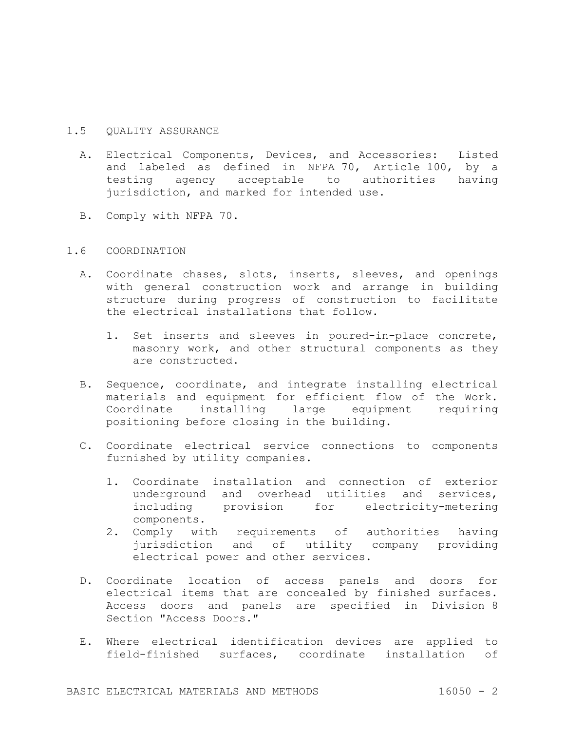# 1.5 QUALITY ASSURANCE

- A. Electrical Components, Devices, and Accessories: Listed and labeled as defined in NFPA 70, Article 100, by a testing agency acceptable to authorities having jurisdiction, and marked for intended use.
- B. Comply with NFPA 70.

# 1.6 COORDINATION

- A. Coordinate chases, slots, inserts, sleeves, and openings with general construction work and arrange in building structure during progress of construction to facilitate the electrical installations that follow.
	- 1. Set inserts and sleeves in poured-in-place concrete, masonry work, and other structural components as they are constructed.
- B. Sequence, coordinate, and integrate installing electrical materials and equipment for efficient flow of the Work. Coordinate installing large equipment requiring positioning before closing in the building.
- C. Coordinate electrical service connections to components furnished by utility companies.
	- 1. Coordinate installation and connection of exterior underground and overhead utilities and services, including provision for electricity-metering components.
	- 2. Comply with requirements of authorities having jurisdiction and of utility company providing electrical power and other services.
- D. Coordinate location of access panels and doors for electrical items that are concealed by finished surfaces. Access doors and panels are specified in Division 8 Section "Access Doors."
- E. Where electrical identification devices are applied to field-finished surfaces, coordinate installation of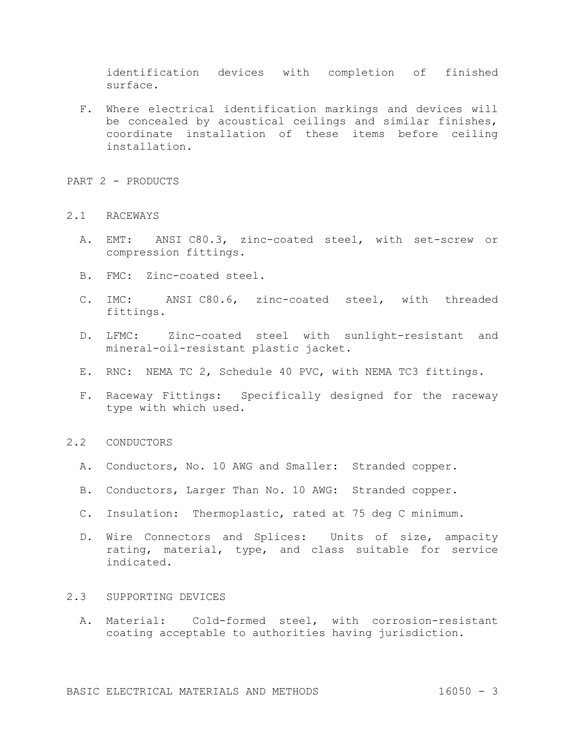identification devices with completion of finished surface.

- F. Where electrical identification markings and devices will be concealed by acoustical ceilings and similar finishes, coordinate installation of these items before ceiling installation.
- PART 2 PRODUCTS

### 2.1 RACEWAYS

- A. EMT: ANSI C80.3, zinc-coated steel, with set-screw or compression fittings.
- B. FMC: Zinc-coated steel.
- C. IMC: ANSI C80.6, zinc-coated steel, with threaded fittings.
- D. LFMC: Zinc-coated steel with sunlight-resistant and mineral-oil-resistant plastic jacket.
- E. RNC: NEMA TC 2, Schedule 40 PVC, with NEMA TC3 fittings.
- F. Raceway Fittings: Specifically designed for the raceway type with which used.

### 2.2 CONDUCTORS

- A. Conductors, No. 10 AWG and Smaller: Stranded copper.
- B. Conductors, Larger Than No. 10 AWG: Stranded copper.
- C. Insulation: Thermoplastic, rated at 75 deg C minimum.
- D. Wire Connectors and Splices: Units of size, ampacity rating, material, type, and class suitable for service indicated.

#### 2.3 SUPPORTING DEVICES

A. Material: Cold-formed steel, with corrosion-resistant coating acceptable to authorities having jurisdiction.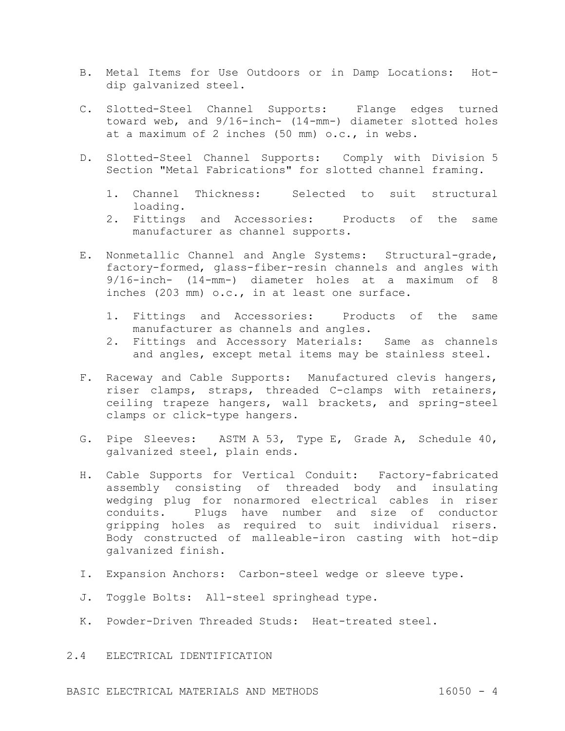- B. Metal Items for Use Outdoors or in Damp Locations: Hotdip galvanized steel.
- C. Slotted-Steel Channel Supports: Flange edges turned toward web, and 9/16-inch- (14-mm-) diameter slotted holes at a maximum of 2 inches (50 mm) o.c., in webs.
- D. Slotted-Steel Channel Supports: Comply with Division 5 Section "Metal Fabrications" for slotted channel framing.
	- 1. Channel Thickness: Selected to suit structural loading.
	- 2. Fittings and Accessories: Products of the same manufacturer as channel supports.
- E. Nonmetallic Channel and Angle Systems: Structural-grade, factory-formed, glass-fiber-resin channels and angles with 9/16-inch- (14-mm-) diameter holes at a maximum of 8 inches (203 mm) o.c., in at least one surface.
	- 1. Fittings and Accessories: Products of the same manufacturer as channels and angles.
	- 2. Fittings and Accessory Materials: Same as channels and angles, except metal items may be stainless steel.
- F. Raceway and Cable Supports: Manufactured clevis hangers, riser clamps, straps, threaded C-clamps with retainers, ceiling trapeze hangers, wall brackets, and spring-steel clamps or click-type hangers.
- G. Pipe Sleeves: ASTM A 53, Type E, Grade A, Schedule 40, galvanized steel, plain ends.
- H. Cable Supports for Vertical Conduit: Factory-fabricated assembly consisting of threaded body and insulating wedging plug for nonarmored electrical cables in riser conduits. Plugs have number and size of conductor gripping holes as required to suit individual risers. Body constructed of malleable-iron casting with hot-dip galvanized finish.
- I. Expansion Anchors: Carbon-steel wedge or sleeve type.
- J. Toggle Bolts: All-steel springhead type.
- K. Powder-Driven Threaded Studs: Heat-treated steel.
- 2.4 ELECTRICAL IDENTIFICATION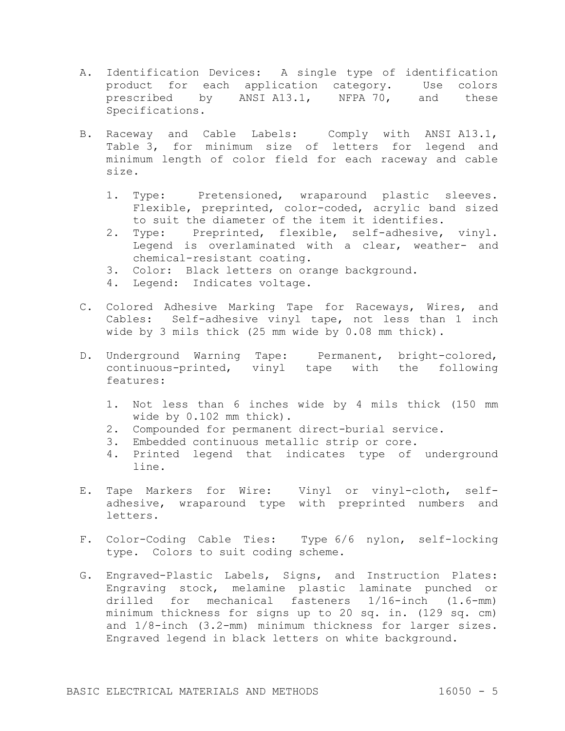- A. Identification Devices: A single type of identification product for each application category. Use colors prescribed by ANSIA13.1, NFPA 70, and these Specifications.
- B. Raceway and Cable Labels: Comply with ANSI A13.1, Table 3, for minimum size of letters for legend and minimum length of color field for each raceway and cable size.
	- 1. Type: Pretensioned, wraparound plastic sleeves. Flexible, preprinted, color-coded, acrylic band sized to suit the diameter of the item it identifies.
	- 2. Type: Preprinted, flexible, self-adhesive, vinyl. Legend is overlaminated with a clear, weather- and chemical-resistant coating.
	- 3. Color: Black letters on orange background.
	- 4. Legend: Indicates voltage.
- C. Colored Adhesive Marking Tape for Raceways, Wires, and Cables: Self-adhesive vinyl tape, not less than 1 inch wide by 3 mils thick (25 mm wide by 0.08 mm thick).
- D. Underground Warning Tape: Permanent, bright-colored, continuous-printed, vinyl tape with the following features:
	- 1. Not less than 6 inches wide by 4 mils thick (150 mm wide by 0.102 mm thick).
	- 2. Compounded for permanent direct-burial service.
	- 3. Embedded continuous metallic strip or core.
	- 4. Printed legend that indicates type of underground line.
- E. Tape Markers for Wire: Vinyl or vinyl-cloth, selfadhesive, wraparound type with preprinted numbers and letters.
- F. Color-Coding Cable Ties: Type 6/6 nylon, self-locking type. Colors to suit coding scheme.
- G. Engraved-Plastic Labels, Signs, and Instruction Plates: Engraving stock, melamine plastic laminate punched or drilled for mechanical fasteners 1/16-inch (1.6-mm) minimum thickness for signs up to 20 sq. in. (129 sq. cm) and 1/8-inch (3.2-mm) minimum thickness for larger sizes. Engraved legend in black letters on white background.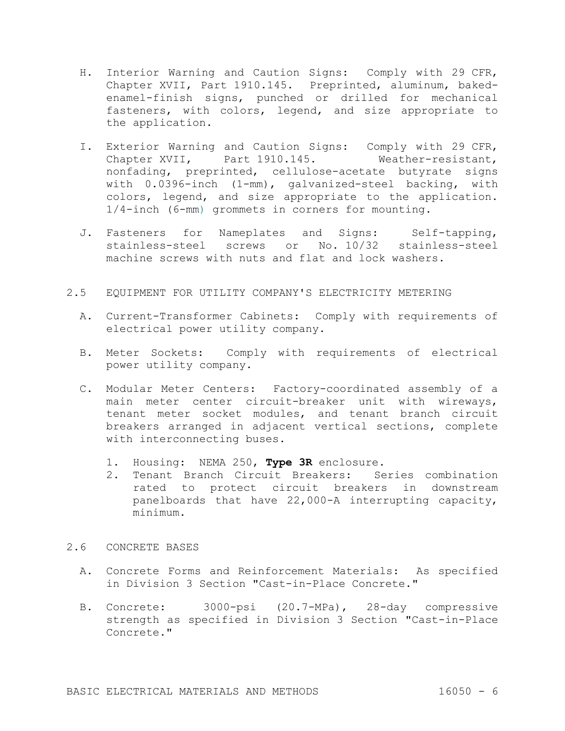- H. Interior Warning and Caution Signs: Comply with 29 CFR, Chapter XVII, Part 1910.145. Preprinted, aluminum, bakedenamel-finish signs, punched or drilled for mechanical fasteners, with colors, legend, and size appropriate to the application.
- I. Exterior Warning and Caution Signs: Comply with 29 CFR, Chapter XVII, Part 1910.145. Weather-resistant, nonfading, preprinted, cellulose-acetate butyrate signs with 0.0396-inch (1-mm), galvanized-steel backing, with colors, legend, and size appropriate to the application. 1/4-inch (6-mm) grommets in corners for mounting.
- J. Fasteners for Nameplates and Signs: Self-tapping, stainless-steel screws or No. 10/32 stainless-steel machine screws with nuts and flat and lock washers.
- 2.5 EQUIPMENT FOR UTILITY COMPANY'S ELECTRICITY METERING
	- A. Current-Transformer Cabinets: Comply with requirements of electrical power utility company.
	- B. Meter Sockets: Comply with requirements of electrical power utility company.
	- C. Modular Meter Centers: Factory-coordinated assembly of a main meter center circuit-breaker unit with wireways, tenant meter socket modules, and tenant branch circuit breakers arranged in adjacent vertical sections, complete with interconnecting buses.
		- 1. Housing: NEMA 250, **Type 3R** enclosure.
		- 2. Tenant Branch Circuit Breakers: Series combination rated to protect circuit breakers in downstream panelboards that have 22,000-A interrupting capacity, minimum.

## 2.6 CONCRETE BASES

- A. Concrete Forms and Reinforcement Materials: As specified in Division 3 Section "Cast-in-Place Concrete."
- B. Concrete: 3000-psi (20.7-MPa), 28-day compressive strength as specified in Division 3 Section "Cast-in-Place Concrete."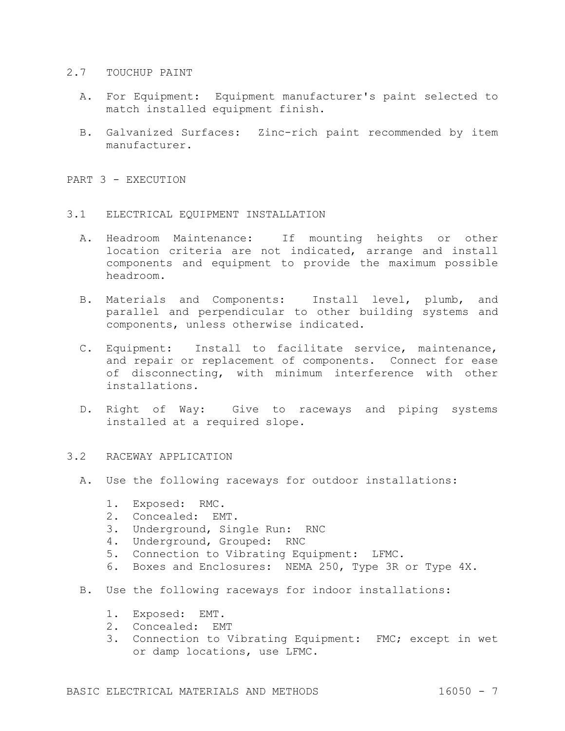#### 2.7 TOUCHUP PAINT

- A. For Equipment: Equipment manufacturer's paint selected to match installed equipment finish.
- B. Galvanized Surfaces: Zinc-rich paint recommended by item manufacturer.

PART 3 - EXECUTION

### 3.1 ELECTRICAL EQUIPMENT INSTALLATION

- A. Headroom Maintenance: If mounting heights or other location criteria are not indicated, arrange and install components and equipment to provide the maximum possible headroom.
- B. Materials and Components: Install level, plumb, and parallel and perpendicular to other building systems and components, unless otherwise indicated.
- C. Equipment: Install to facilitate service, maintenance, and repair or replacement of components. Connect for ease of disconnecting, with minimum interference with other installations.
- D. Right of Way: Give to raceways and piping systems installed at a required slope.

# 3.2 RACEWAY APPLICATION

- A. Use the following raceways for outdoor installations:
	- 1. Exposed: RMC.
	- 2. Concealed: EMT.
	- 3. Underground, Single Run: RNC
	- 4. Underground, Grouped: RNC
	- 5. Connection to Vibrating Equipment: LFMC.
	- 6. Boxes and Enclosures: NEMA 250, Type 3R or Type 4X.
- B. Use the following raceways for indoor installations:
	- 1. Exposed: EMT.
	- 2. Concealed: EMT
	- 3. Connection to Vibrating Equipment: FMC; except in wet or damp locations, use LFMC.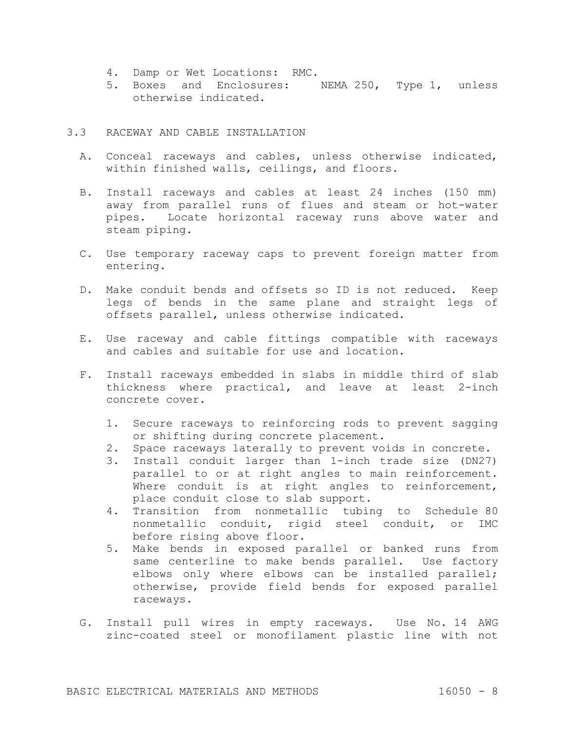- 4. Damp or Wet Locations: RMC.
- 5. Boxes and Enclosures: NEMA 250, Type 1, unless otherwise indicated.

## 3.3 RACEWAY AND CABLE INSTALLATION

- A. Conceal raceways and cables, unless otherwise indicated, within finished walls, ceilings, and floors.
- B. Install raceways and cables at least 24 inches (150 mm) away from parallel runs of flues and steam or hot-water pipes. Locate horizontal raceway runs above water and steam piping.
- C. Use temporary raceway caps to prevent foreign matter from entering.
- D. Make conduit bends and offsets so ID is not reduced. Keep legs of bends in the same plane and straight legs of offsets parallel, unless otherwise indicated.
- E. Use raceway and cable fittings compatible with raceways and cables and suitable for use and location.
- F. Install raceways embedded in slabs in middle third of slab thickness where practical, and leave at least 2-inch concrete cover.
	- 1. Secure raceways to reinforcing rods to prevent sagging or shifting during concrete placement.
	- 2. Space raceways laterally to prevent voids in concrete.
	- 3. Install conduit larger than 1-inch trade size (DN27) parallel to or at right angles to main reinforcement. Where conduit is at right angles to reinforcement, place conduit close to slab support.
	- 4. Transition from nonmetallic tubing to Schedule 80 nonmetallic conduit, rigid steel conduit, or IMC before rising above floor.
	- 5. Make bends in exposed parallel or banked runs from same centerline to make bends parallel. Use factory elbows only where elbows can be installed parallel; otherwise, provide field bends for exposed parallel raceways.
- G. Install pull wires in empty raceways. Use No. 14 AWG zinc-coated steel or monofilament plastic line with not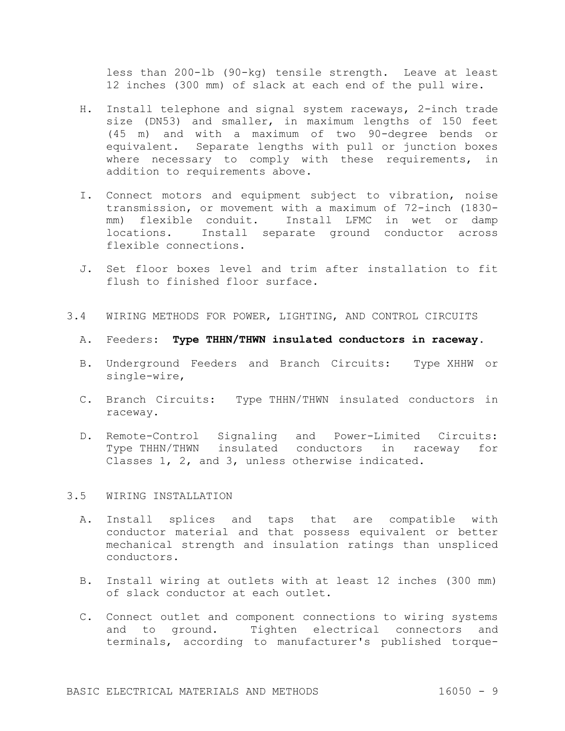less than 200-lb (90-kg) tensile strength. Leave at least 12 inches (300 mm) of slack at each end of the pull wire.

- H. Install telephone and signal system raceways, 2-inch trade size (DN53) and smaller, in maximum lengths of 150 feet (45 m) and with a maximum of two 90-degree bends or equivalent. Separate lengths with pull or junction boxes where necessary to comply with these requirements, in addition to requirements above.
- I. Connect motors and equipment subject to vibration, noise transmission, or movement with a maximum of 72-inch (1830 mm) flexible conduit. Install LFMC in wet or damp locations. Install separate ground conductor across flexible connections.
- J. Set floor boxes level and trim after installation to fit flush to finished floor surface.
- 3.4 WIRING METHODS FOR POWER, LIGHTING, AND CONTROL CIRCUITS
	- A. Feeders: **Type THHN/THWN insulated conductors in raceway**.
	- B. Underground Feeders and Branch Circuits: Type XHHW or single-wire,
	- C. Branch Circuits: Type THHN/THWN insulated conductors in raceway.
	- D. Remote-Control Signaling and Power-Limited Circuits: Type THHN/THWN insulated conductors in raceway for Classes 1, 2, and 3, unless otherwise indicated.

#### 3.5 WIRING INSTALLATION

- A. Install splices and taps that are compatible with conductor material and that possess equivalent or better mechanical strength and insulation ratings than unspliced conductors.
- B. Install wiring at outlets with at least 12 inches (300 mm) of slack conductor at each outlet.
- C. Connect outlet and component connections to wiring systems and to ground. Tighten electrical connectors and terminals, according to manufacturer's published torque-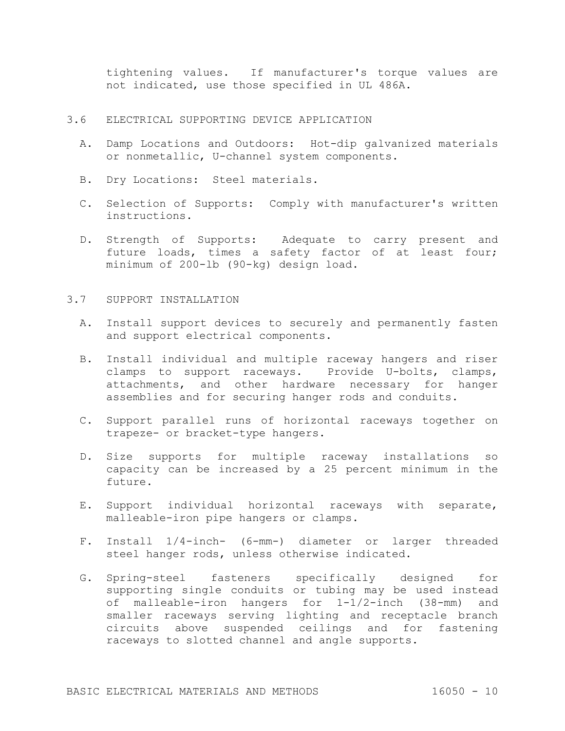tightening values. If manufacturer's torque values are not indicated, use those specified in UL 486A.

#### 3.6 ELECTRICAL SUPPORTING DEVICE APPLICATION

- A. Damp Locations and Outdoors: Hot-dip galvanized materials or nonmetallic, U-channel system components.
- B. Dry Locations: Steel materials.
- C. Selection of Supports: Comply with manufacturer's written instructions.
- D. Strength of Supports: Adequate to carry present and future loads, times a safety factor of at least four; minimum of 200-lb (90-kg) design load.

# 3.7 SUPPORT INSTALLATION

- A. Install support devices to securely and permanently fasten and support electrical components.
- B. Install individual and multiple raceway hangers and riser clamps to support raceways. Provide U-bolts, clamps, attachments, and other hardware necessary for hanger assemblies and for securing hanger rods and conduits.
- C. Support parallel runs of horizontal raceways together on trapeze- or bracket-type hangers.
- D. Size supports for multiple raceway installations so capacity can be increased by a 25 percent minimum in the future.
- E. Support individual horizontal raceways with separate, malleable-iron pipe hangers or clamps.
- F. Install 1/4-inch- (6-mm-) diameter or larger threaded steel hanger rods, unless otherwise indicated.
- G. Spring-steel fasteners specifically designed for supporting single conduits or tubing may be used instead of malleable-iron hangers for 1-1/2-inch (38-mm) and smaller raceways serving lighting and receptacle branch circuits above suspended ceilings and for fastening raceways to slotted channel and angle supports.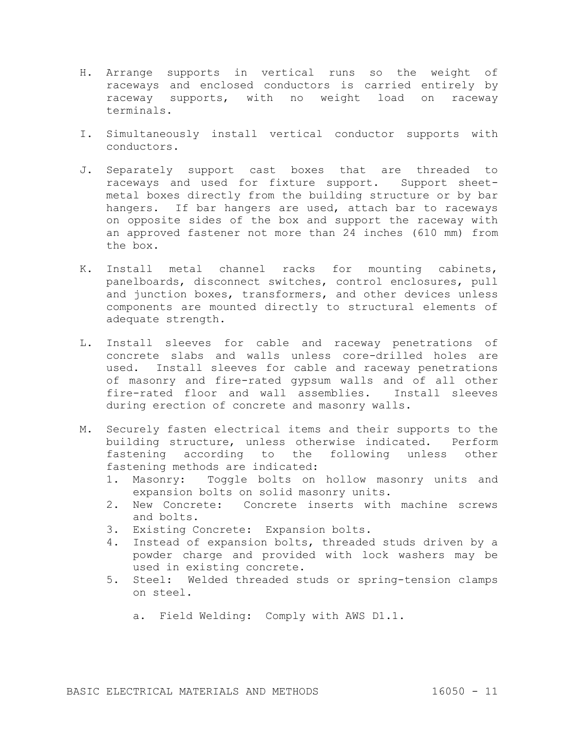- H. Arrange supports in vertical runs so the weight of raceways and enclosed conductors is carried entirely by raceway supports, with no weight load on raceway terminals.
- I. Simultaneously install vertical conductor supports with conductors.
- J. Separately support cast boxes that are threaded to raceways and used for fixture support. Support sheetmetal boxes directly from the building structure or by bar hangers. If bar hangers are used, attach bar to raceways on opposite sides of the box and support the raceway with an approved fastener not more than 24 inches (610 mm) from the box.
- K. Install metal channel racks for mounting cabinets, panelboards, disconnect switches, control enclosures, pull and junction boxes, transformers, and other devices unless components are mounted directly to structural elements of adequate strength.
- L. Install sleeves for cable and raceway penetrations of concrete slabs and walls unless core-drilled holes are used. Install sleeves for cable and raceway penetrations of masonry and fire-rated gypsum walls and of all other fire-rated floor and wall assemblies. Install sleeves during erection of concrete and masonry walls.
- M. Securely fasten electrical items and their supports to the building structure, unless otherwise indicated. Perform fastening according to the following unless other fastening methods are indicated:
	- 1. Masonry: Toggle bolts on hollow masonry units and expansion bolts on solid masonry units.
	- 2. New Concrete: Concrete inserts with machine screws and bolts.
	- 3. Existing Concrete: Expansion bolts.
	- 4. Instead of expansion bolts, threaded studs driven by a powder charge and provided with lock washers may be used in existing concrete.
	- 5. Steel: Welded threaded studs or spring-tension clamps on steel.
		- a. Field Welding: Comply with AWS D1.1.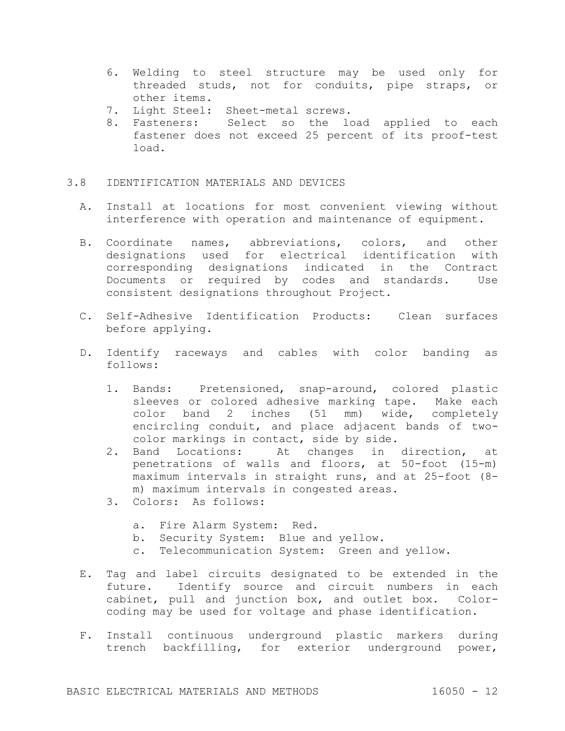- 6. Welding to steel structure may be used only for threaded studs, not for conduits, pipe straps, or other items.
- 7. Light Steel: Sheet-metal screws.
- 8. Fasteners: Select so the load applied to each fastener does not exceed 25 percent of its proof-test load.

# 3.8 IDENTIFICATION MATERIALS AND DEVICES

- A. Install at locations for most convenient viewing without interference with operation and maintenance of equipment.
- B. Coordinate names, abbreviations, colors, and other designations used for electrical identification with corresponding designations indicated in the Contract Documents or required by codes and standards. Use consistent designations throughout Project.
- C. Self-Adhesive Identification Products: Clean surfaces before applying.
- D. Identify raceways and cables with color banding as follows:
	- 1. Bands: Pretensioned, snap-around, colored plastic sleeves or colored adhesive marking tape. Make each color band 2 inches (51 mm) wide, completely encircling conduit, and place adjacent bands of twocolor markings in contact, side by side.
	- 2. Band Locations: At changes in direction, at penetrations of walls and floors, at 50-foot (15-m) maximum intervals in straight runs, and at 25-foot (8 m) maximum intervals in congested areas.
	- 3. Colors: As follows:
		- a. Fire Alarm System: Red.
		- b. Security System: Blue and yellow.
		- c. Telecommunication System: Green and yellow.
- E. Tag and label circuits designated to be extended in the future. Identify source and circuit numbers in each cabinet, pull and junction box, and outlet box. Colorcoding may be used for voltage and phase identification.
- F. Install continuous underground plastic markers during trench backfilling, for exterior underground power,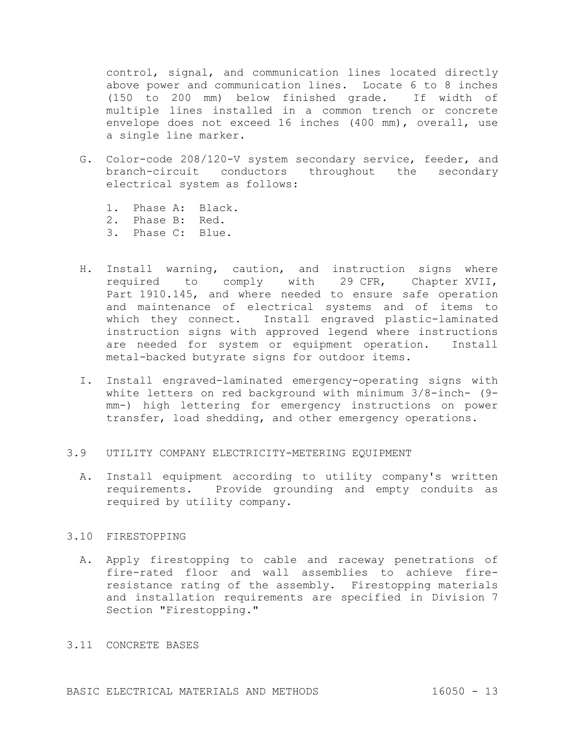control, signal, and communication lines located directly above power and communication lines. Locate 6 to 8 inches (150 to 200 mm) below finished grade. If width of multiple lines installed in a common trench or concrete envelope does not exceed 16 inches (400 mm), overall, use a single line marker.

- G. Color-code 208/120-V system secondary service, feeder, and branch-circuit conductors throughout the secondary electrical system as follows:
	- 1. Phase A: Black.
	- 2. Phase B: Red.
	- 3. Phase C: Blue.
- H. Install warning, caution, and instruction signs where required to comply with 29 CFR, Chapter XVII, Part 1910.145, and where needed to ensure safe operation and maintenance of electrical systems and of items to which they connect. Install engraved plastic-laminated instruction signs with approved legend where instructions are needed for system or equipment operation. Install metal-backed butyrate signs for outdoor items.
- I. Install engraved-laminated emergency-operating signs with white letters on red background with minimum 3/8-inch- (9 mm-) high lettering for emergency instructions on power transfer, load shedding, and other emergency operations.

## 3.9 UTILITY COMPANY ELECTRICITY-METERING EQUIPMENT

A. Install equipment according to utility company's written requirements. Provide grounding and empty conduits as required by utility company.

# 3.10 FIRESTOPPING

A. Apply firestopping to cable and raceway penetrations of fire-rated floor and wall assemblies to achieve fireresistance rating of the assembly. Firestopping materials and installation requirements are specified in Division 7 Section "Firestopping."

# 3.11 CONCRETE BASES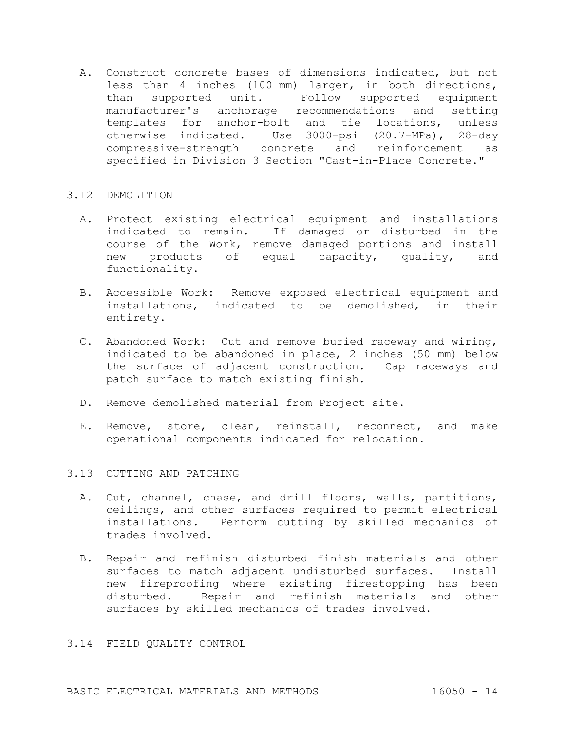A. Construct concrete bases of dimensions indicated, but not less than 4 inches (100 mm) larger, in both directions, than supported unit. Follow supported equipment manufacturer's anchorage recommendations and setting templates for anchor-bolt and tie locations, unless otherwise indicated. Use 3000-psi (20.7-MPa), 28-day compressive-strength concrete and reinforcement as specified in Division 3 Section "Cast-in-Place Concrete."

## 3.12 DEMOLITION

- A. Protect existing electrical equipment and installations indicated to remain. If damaged or disturbed in the course of the Work, remove damaged portions and install new products of equal capacity, quality, and functionality.
- B. Accessible Work: Remove exposed electrical equipment and installations, indicated to be demolished, in their entirety.
- C. Abandoned Work: Cut and remove buried raceway and wiring, indicated to be abandoned in place, 2 inches (50 mm) below the surface of adjacent construction. Cap raceways and patch surface to match existing finish.
- D. Remove demolished material from Project site.
- E. Remove, store, clean, reinstall, reconnect, and make operational components indicated for relocation.

# 3.13 CUTTING AND PATCHING

- A. Cut, channel, chase, and drill floors, walls, partitions, ceilings, and other surfaces required to permit electrical installations. Perform cutting by skilled mechanics of trades involved.
- B. Repair and refinish disturbed finish materials and other surfaces to match adjacent undisturbed surfaces. Install new fireproofing where existing firestopping has been disturbed. Repair and refinish materials and other surfaces by skilled mechanics of trades involved.

## 3.14 FIELD QUALITY CONTROL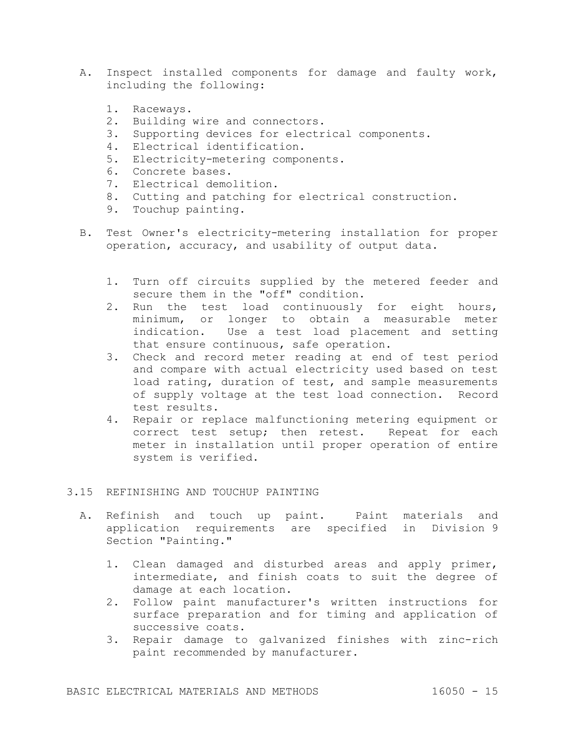- A. Inspect installed components for damage and faulty work, including the following:
	- 1. Raceways.
	- 2. Building wire and connectors.
	- 3. Supporting devices for electrical components.
	- 4. Electrical identification.
	- 5. Electricity-metering components.
	- 6. Concrete bases.
	- 7. Electrical demolition.
	- 8. Cutting and patching for electrical construction.
	- 9. Touchup painting.
- B. Test Owner's electricity-metering installation for proper operation, accuracy, and usability of output data.
	- 1. Turn off circuits supplied by the metered feeder and secure them in the "off" condition.
	- 2. Run the test load continuously for eight hours, minimum, or longer to obtain a measurable meter indication. Use a test load placement and setting that ensure continuous, safe operation.
	- 3. Check and record meter reading at end of test period and compare with actual electricity used based on test load rating, duration of test, and sample measurements of supply voltage at the test load connection. Record test results.
	- 4. Repair or replace malfunctioning metering equipment or correct test setup; then retest. Repeat for each meter in installation until proper operation of entire system is verified.
- 3.15 REFINISHING AND TOUCHUP PAINTING
	- A. Refinish and touch up paint. Paint materials and application requirements are specified in Division 9 Section "Painting."
		- 1. Clean damaged and disturbed areas and apply primer, intermediate, and finish coats to suit the degree of damage at each location.
		- 2. Follow paint manufacturer's written instructions for surface preparation and for timing and application of successive coats.
		- 3. Repair damage to galvanized finishes with zinc-rich paint recommended by manufacturer.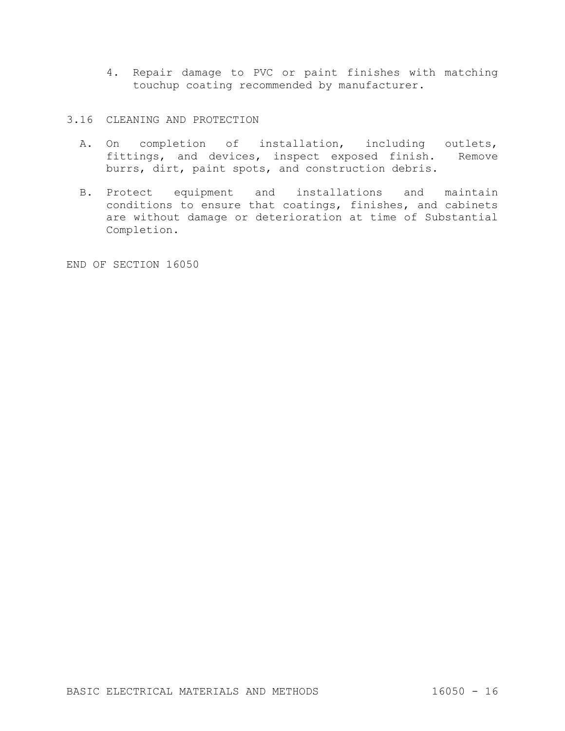- 4. Repair damage to PVC or paint finishes with matching touchup coating recommended by manufacturer.
- 3.16 CLEANING AND PROTECTION
	- A. On completion of installation, including outlets, fittings, and devices, inspect exposed finish. Remove burrs, dirt, paint spots, and construction debris.
	- B. Protect equipment and installations and maintain conditions to ensure that coatings, finishes, and cabinets are without damage or deterioration at time of Substantial Completion.

END OF SECTION 16050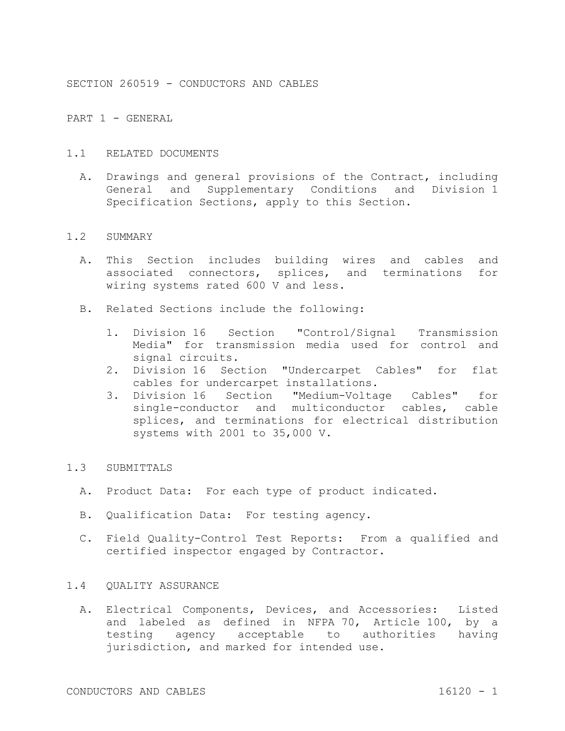SECTION 260519 - CONDUCTORS AND CABLES

PART 1 - GENERAL

## 1.1 RELATED DOCUMENTS

A. Drawings and general provisions of the Contract, including General and Supplementary Conditions and Division 1 Specification Sections, apply to this Section.

#### 1.2 SUMMARY

- A. This Section includes building wires and cables and associated connectors, splices, and terminations for wiring systems rated 600 V and less.
- B. Related Sections include the following:
	- 1. Division 16 Section "Control/Signal Transmission Media" for transmission media used for control and signal circuits.
	- 2. Division 16 Section "Undercarpet Cables" for flat cables for undercarpet installations.
	- 3. Division 16 Section "Medium-Voltage Cables" for single-conductor and multiconductor cables, cable splices, and terminations for electrical distribution systems with 2001 to 35,000 V.

# 1.3 SUBMITTALS

- A. Product Data: For each type of product indicated.
- B. Qualification Data: For testing agency.
- C. Field Quality-Control Test Reports: From a qualified and certified inspector engaged by Contractor.

# 1.4 QUALITY ASSURANCE

A. Electrical Components, Devices, and Accessories: Listed and labeled as defined in NFPA 70, Article 100, by a testing agency acceptable to authorities having jurisdiction, and marked for intended use.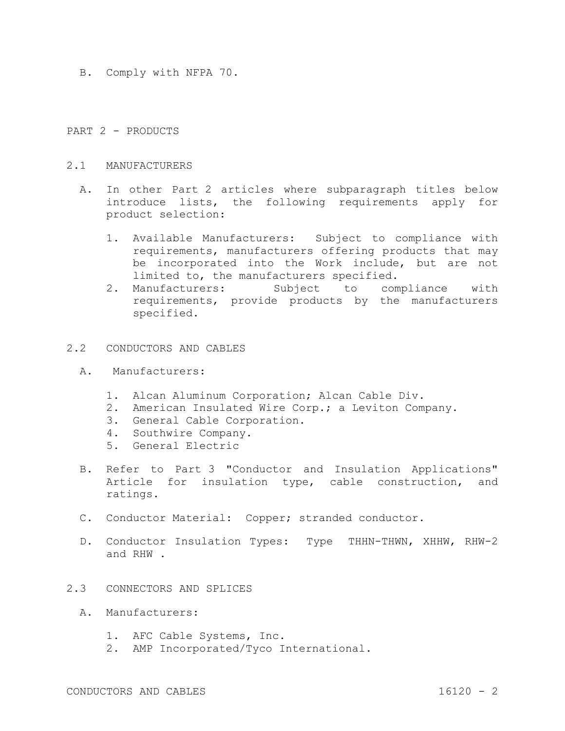B. Comply with NFPA 70.

### PART 2 - PRODUCTS

### 2.1 MANUFACTURERS

- A. In other Part 2 articles where subparagraph titles below introduce lists, the following requirements apply for product selection:
	- 1. Available Manufacturers: Subject to compliance with requirements, manufacturers offering products that may be incorporated into the Work include, but are not limited to, the manufacturers specified.
	- 2. Manufacturers: Subject to compliance with requirements, provide products by the manufacturers specified.

## 2.2 CONDUCTORS AND CABLES

- A. Manufacturers:
	- 1. Alcan Aluminum Corporation; Alcan Cable Div.
	- 2. American Insulated Wire Corp.; a Leviton Company.
	- 3. General Cable Corporation.
	- 4. Southwire Company.
	- 5. General Electric
- B. Refer to Part 3 "Conductor and Insulation Applications" Article for insulation type, cable construction, and ratings.
- C. Conductor Material: Copper; stranded conductor.
- D. Conductor Insulation Types: Type THHN-THWN, XHHW, RHW-2 and RHW .
- 2.3 CONNECTORS AND SPLICES
	- A. Manufacturers:
		- 1. AFC Cable Systems, Inc.
		- 2. AMP Incorporated/Tyco International.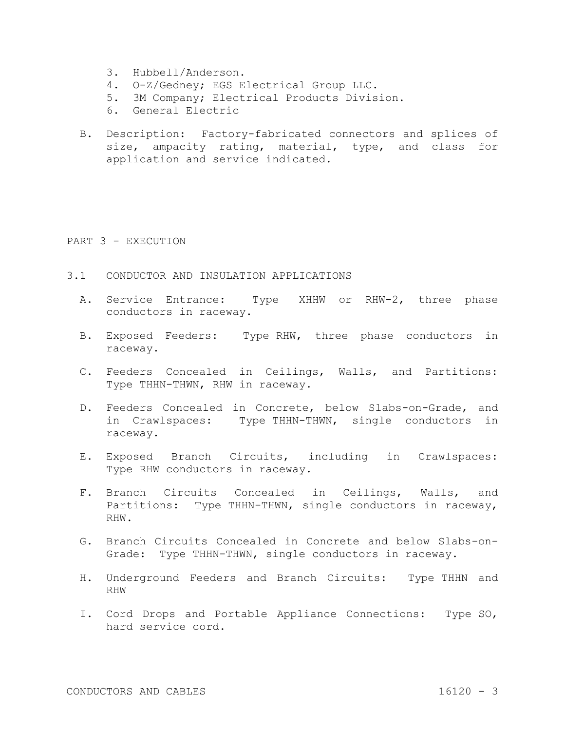- 3. Hubbell/Anderson.
- 4. O-Z/Gedney; EGS Electrical Group LLC.
- 5. 3M Company; Electrical Products Division.
- 6. General Electric
- B. Description: Factory-fabricated connectors and splices of size, ampacity rating, material, type, and class for application and service indicated.

#### PART 3 - EXECUTION

- 3.1 CONDUCTOR AND INSULATION APPLICATIONS
	- A. Service Entrance: Type XHHW or RHW-2, three phase conductors in raceway.
	- B. Exposed Feeders: Type RHW, three phase conductors in raceway.
	- C. Feeders Concealed in Ceilings, Walls, and Partitions: Type THHN-THWN, RHW in raceway.
	- D. Feeders Concealed in Concrete, below Slabs-on-Grade, and in Crawlspaces: Type THHN-THWN, single conductors in raceway.
	- E. Exposed Branch Circuits, including in Crawlspaces: Type RHW conductors in raceway.
	- F. Branch Circuits Concealed in Ceilings, Walls, and Partitions: Type THHN-THWN, single conductors in raceway, RHW.
	- G. Branch Circuits Concealed in Concrete and below Slabs-on-Grade: Type THHN-THWN, single conductors in raceway.
	- H. Underground Feeders and Branch Circuits: Type THHN and RHW
	- I. Cord Drops and Portable Appliance Connections: Type SO, hard service cord.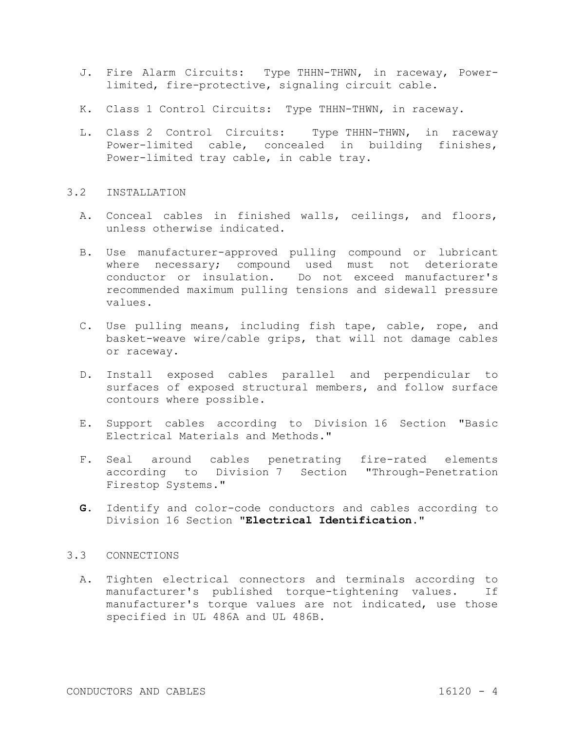- J. Fire Alarm Circuits: Type THHN-THWN, in raceway, Powerlimited, fire-protective, signaling circuit cable.
- K. Class 1 Control Circuits: Type THHN-THWN, in raceway.
- L. Class 2 Control Circuits: Type THHN-THWN, in raceway Power-limited cable, concealed in building finishes, Power-limited tray cable, in cable tray.

# 3.2 INSTALLATION

- A. Conceal cables in finished walls, ceilings, and floors, unless otherwise indicated.
- B. Use manufacturer-approved pulling compound or lubricant where necessary; compound used must not deteriorate conductor or insulation. Do not exceed manufacturer's recommended maximum pulling tensions and sidewall pressure values.
- C. Use pulling means, including fish tape, cable, rope, and basket-weave wire/cable grips, that will not damage cables or raceway.
- D. Install exposed cables parallel and perpendicular to surfaces of exposed structural members, and follow surface contours where possible.
- E. Support cables according to Division 16 Section "Basic Electrical Materials and Methods."
- F. Seal around cables penetrating fire-rated elements according to Division 7 Section "Through-Penetration Firestop Systems."
- **G.** Identify and color-code conductors and cables according to Division 16 Section **"Electrical Identification."**

## 3.3 CONNECTIONS

A. Tighten electrical connectors and terminals according to manufacturer's published torque-tightening values. If manufacturer's torque values are not indicated, use those specified in UL 486A and UL 486B.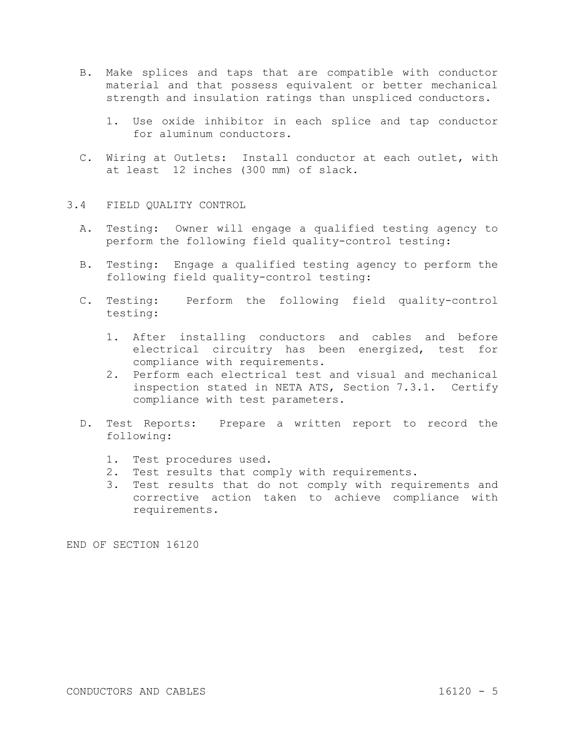- B. Make splices and taps that are compatible with conductor material and that possess equivalent or better mechanical strength and insulation ratings than unspliced conductors.
	- 1. Use oxide inhibitor in each splice and tap conductor for aluminum conductors.
- C. Wiring at Outlets: Install conductor at each outlet, with at least 12 inches (300 mm) of slack.
- 3.4 FIELD QUALITY CONTROL
	- A. Testing: Owner will engage a qualified testing agency to perform the following field quality-control testing:
	- B. Testing: Engage a qualified testing agency to perform the following field quality-control testing:
	- C. Testing: Perform the following field quality-control testing:
		- 1. After installing conductors and cables and before electrical circuitry has been energized, test for compliance with requirements.
		- 2. Perform each electrical test and visual and mechanical inspection stated in NETA ATS, Section 7.3.1. Certify compliance with test parameters.
	- D. Test Reports: Prepare a written report to record the following:
		- 1. Test procedures used.
		- 2. Test results that comply with requirements.
		- 3. Test results that do not comply with requirements and corrective action taken to achieve compliance with requirements.

END OF SECTION 16120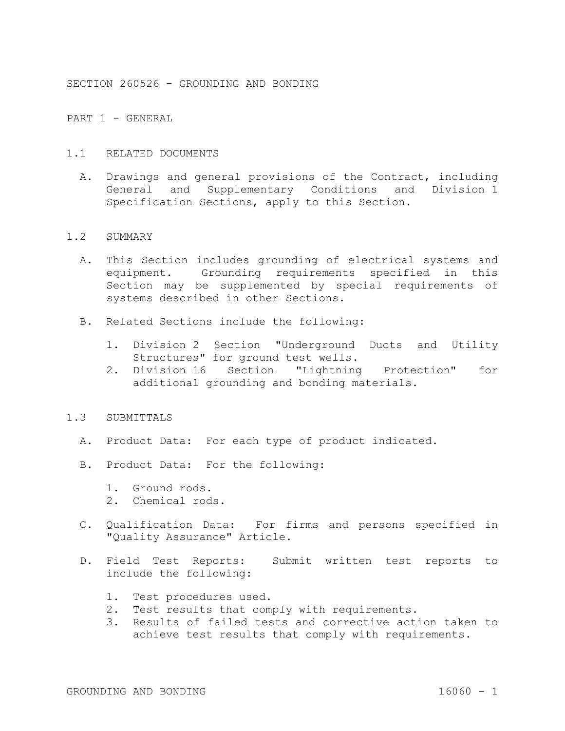SECTION 260526 - GROUNDING AND BONDING

PART 1 - GENERAL

- 1.1 RELATED DOCUMENTS
	- A. Drawings and general provisions of the Contract, including General and Supplementary Conditions and Division 1 Specification Sections, apply to this Section.

#### 1.2 SUMMARY

- A. This Section includes grounding of electrical systems and equipment. Grounding requirements specified in this Section may be supplemented by special requirements of systems described in other Sections.
- B. Related Sections include the following:
	- 1. Division 2 Section "Underground Ducts and Utility Structures" for ground test wells.
	- 2. Division 16 Section "Lightning Protection" for additional grounding and bonding materials.

#### 1.3 SUBMITTALS

- A. Product Data: For each type of product indicated.
- B. Product Data: For the following:
	- 1. Ground rods.
	- 2. Chemical rods.
- C. Qualification Data: For firms and persons specified in "Quality Assurance" Article.
- D. Field Test Reports: Submit written test reports to include the following:
	- 1. Test procedures used.
	- 2. Test results that comply with requirements.
	- 3. Results of failed tests and corrective action taken to achieve test results that comply with requirements.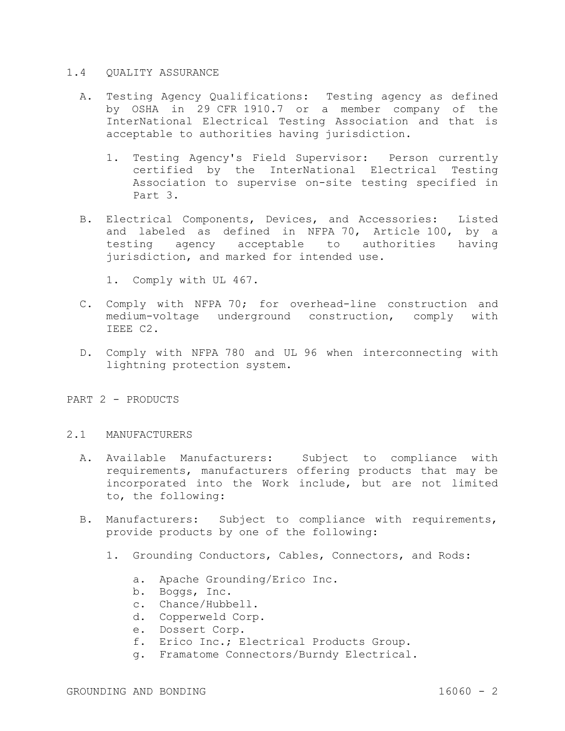### 1.4 QUALITY ASSURANCE

- A. Testing Agency Qualifications: Testing agency as defined by OSHA in 29 CFR 1910.7 or a member company of the InterNational Electrical Testing Association and that is acceptable to authorities having jurisdiction.
	- 1. Testing Agency's Field Supervisor: Person currently certified by the InterNational Electrical Testing Association to supervise on-site testing specified in Part 3.
- B. Electrical Components, Devices, and Accessories: Listed and labeled as defined in NFPA 70, Article 100, by a testing agency acceptable to authorities having jurisdiction, and marked for intended use.
	- 1. Comply with UL 467.
- C. Comply with NFPA 70; for overhead-line construction and medium-voltage underground construction, comply with IEEE C2.
- D. Comply with NFPA 780 and UL 96 when interconnecting with lightning protection system.
- PART 2 PRODUCTS

## 2.1 MANUFACTURERS

- A. Available Manufacturers: Subject to compliance with requirements, manufacturers offering products that may be incorporated into the Work include, but are not limited to, the following:
- B. Manufacturers: Subject to compliance with requirements, provide products by one of the following:
	- 1. Grounding Conductors, Cables, Connectors, and Rods:
		- a. Apache Grounding/Erico Inc.
		- b. Boggs, Inc.
		- c. Chance/Hubbell.
		- d. Copperweld Corp.
		- e. Dossert Corp.
		- f. Erico Inc.; Electrical Products Group.
		- g. Framatome Connectors/Burndy Electrical.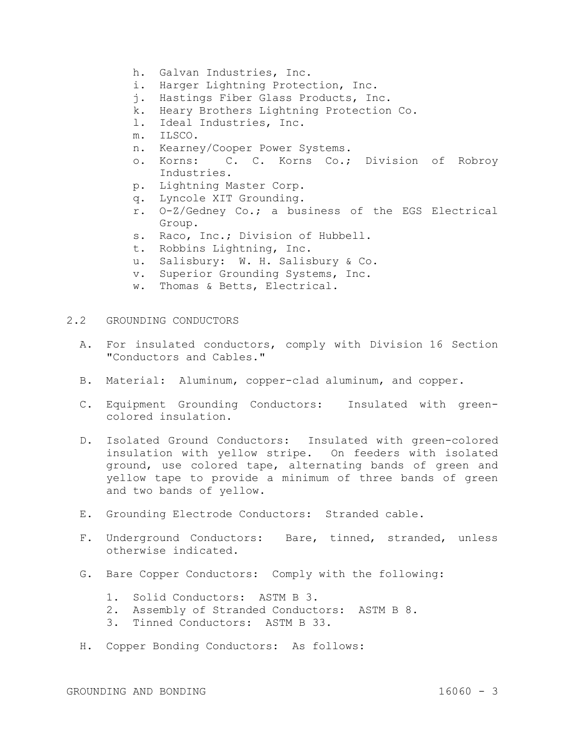- h. Galvan Industries, Inc.
- i. Harger Lightning Protection, Inc.
- j. Hastings Fiber Glass Products, Inc.
- k. Heary Brothers Lightning Protection Co.
- l. Ideal Industries, Inc.
- m. ILSCO.
- n. Kearney/Cooper Power Systems.
- o. Korns: C. C. Korns Co.; Division of Robroy Industries.
- p. Lightning Master Corp.
- q. Lyncole XIT Grounding.
- r. O-Z/Gedney Co.; a business of the EGS Electrical Group.
- s. Raco, Inc.; Division of Hubbell.
- t. Robbins Lightning, Inc.
- u. Salisbury: W. H. Salisbury & Co.
- v. Superior Grounding Systems, Inc.
- w. Thomas & Betts, Electrical.
- 2.2 GROUNDING CONDUCTORS
	- A. For insulated conductors, comply with Division 16 Section "Conductors and Cables."
	- B. Material: Aluminum, copper-clad aluminum, and copper.
	- C. Equipment Grounding Conductors: Insulated with greencolored insulation.
	- D. Isolated Ground Conductors: Insulated with green-colored insulation with yellow stripe. On feeders with isolated ground, use colored tape, alternating bands of green and yellow tape to provide a minimum of three bands of green and two bands of yellow.
	- E. Grounding Electrode Conductors: Stranded cable.
	- F. Underground Conductors: Bare, tinned, stranded, unless otherwise indicated.
	- G. Bare Copper Conductors: Comply with the following:
		- 1. Solid Conductors: ASTM B 3.
		- 2. Assembly of Stranded Conductors: ASTM B 8.
		- 3. Tinned Conductors: ASTM B 33.
	- H. Copper Bonding Conductors: As follows: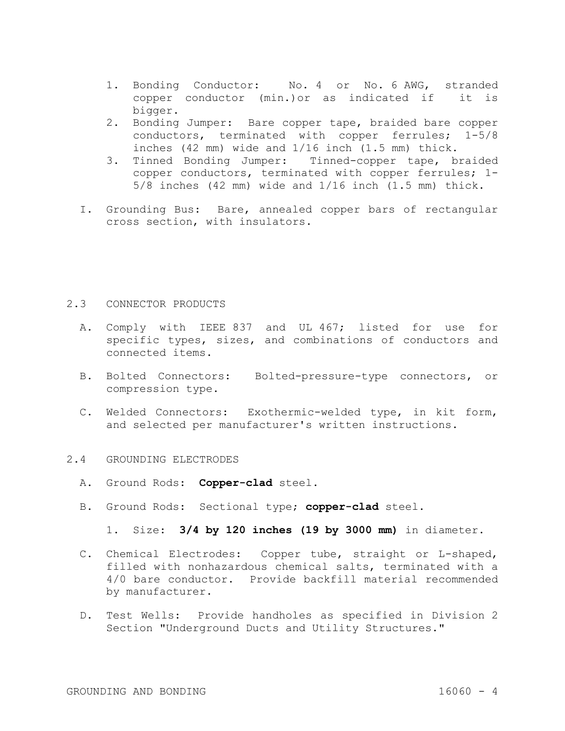- 1. Bonding Conductor: No. 4 or No. 6 AWG, stranded copper conductor (min.)or as indicated if it is bigger.
- 2. Bonding Jumper: Bare copper tape, braided bare copper conductors, terminated with copper ferrules; 1-5/8 inches (42 mm) wide and 1/16 inch (1.5 mm) thick.
- 3. Tinned Bonding Jumper: Tinned-copper tape, braided copper conductors, terminated with copper ferrules; 1- 5/8 inches (42 mm) wide and 1/16 inch (1.5 mm) thick.
- I. Grounding Bus: Bare, annealed copper bars of rectangular cross section, with insulators.

## 2.3 CONNECTOR PRODUCTS

- A. Comply with IEEE 837 and UL 467; listed for use for specific types, sizes, and combinations of conductors and connected items.
- B. Bolted Connectors: Bolted-pressure-type connectors, or compression type.
- C. Welded Connectors: Exothermic-welded type, in kit form, and selected per manufacturer's written instructions.

## 2.4 GROUNDING ELECTRODES

- A. Ground Rods: **Copper-clad** steel.
- B. Ground Rods: Sectional type; **copper-clad** steel.
	- 1. Size: **3/4 by 120 inches (19 by 3000 mm)** in diameter.
- C. Chemical Electrodes: Copper tube, straight or L-shaped, filled with nonhazardous chemical salts, terminated with a 4/0 bare conductor. Provide backfill material recommended by manufacturer.
- D. Test Wells: Provide handholes as specified in Division 2 Section "Underground Ducts and Utility Structures."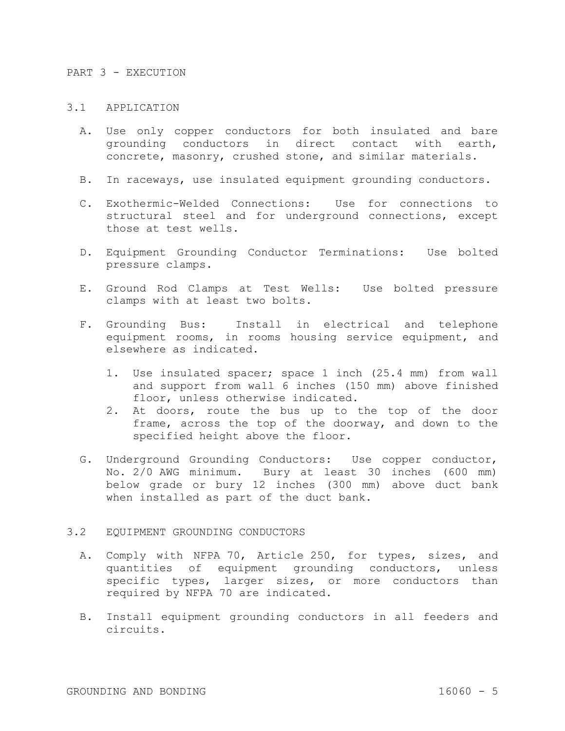#### PART 3 - EXECUTION

# 3.1 APPLICATION

- A. Use only copper conductors for both insulated and bare grounding conductors in direct contact with earth, concrete, masonry, crushed stone, and similar materials.
- B. In raceways, use insulated equipment grounding conductors.
- C. Exothermic-Welded Connections: Use for connections to structural steel and for underground connections, except those at test wells.
- D. Equipment Grounding Conductor Terminations: Use bolted pressure clamps.
- E. Ground Rod Clamps at Test Wells: Use bolted pressure clamps with at least two bolts.
- F. Grounding Bus: Install in electrical and telephone equipment rooms, in rooms housing service equipment, and elsewhere as indicated.
	- 1. Use insulated spacer; space 1 inch (25.4 mm) from wall and support from wall 6 inches (150 mm) above finished floor, unless otherwise indicated.
	- 2. At doors, route the bus up to the top of the door frame, across the top of the doorway, and down to the specified height above the floor.
- G. Underground Grounding Conductors: Use copper conductor, No. 2/0 AWG minimum. Bury at least 30 inches (600 mm) below grade or bury 12 inches (300 mm) above duct bank when installed as part of the duct bank.

## 3.2 EQUIPMENT GROUNDING CONDUCTORS

- A. Comply with NFPA 70, Article 250, for types, sizes, and quantities of equipment grounding conductors, unless specific types, larger sizes, or more conductors than required by NFPA 70 are indicated.
- B. Install equipment grounding conductors in all feeders and circuits.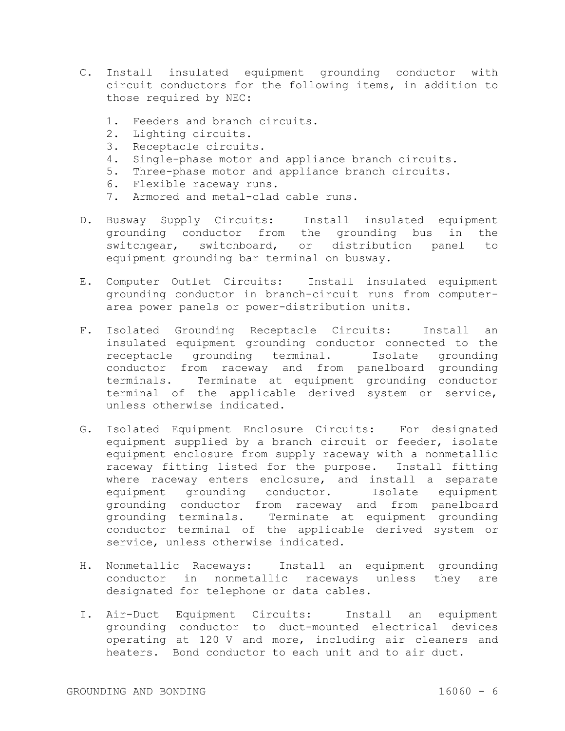- C. Install insulated equipment grounding conductor with circuit conductors for the following items, in addition to those required by NEC:
	- 1. Feeders and branch circuits.
	- 2. Lighting circuits.
	- 3. Receptacle circuits.
	- 4. Single-phase motor and appliance branch circuits.
	- 5. Three-phase motor and appliance branch circuits.
	- 6. Flexible raceway runs.
	- 7. Armored and metal-clad cable runs.
- D. Busway Supply Circuits: Install insulated equipment grounding conductor from the grounding bus in the switchgear, switchboard, or distribution panel to equipment grounding bar terminal on busway.
- E. Computer Outlet Circuits: Install insulated equipment grounding conductor in branch-circuit runs from computerarea power panels or power-distribution units.
- F. Isolated Grounding Receptacle Circuits: Install an insulated equipment grounding conductor connected to the receptacle grounding terminal. Isolate grounding conductor from raceway and from panelboard grounding terminals. Terminate at equipment grounding conductor terminal of the applicable derived system or service, unless otherwise indicated.
- G. Isolated Equipment Enclosure Circuits: For designated equipment supplied by a branch circuit or feeder, isolate equipment enclosure from supply raceway with a nonmetallic raceway fitting listed for the purpose. Install fitting where raceway enters enclosure, and install a separate equipment grounding conductor. Isolate equipment grounding conductor from raceway and from panelboard grounding terminals. Terminate at equipment grounding conductor terminal of the applicable derived system or service, unless otherwise indicated.
- H. Nonmetallic Raceways: Install an equipment grounding conductor in nonmetallic raceways unless they are designated for telephone or data cables.
- I. Air-Duct Equipment Circuits: Install an equipment grounding conductor to duct-mounted electrical devices operating at 120 V and more, including air cleaners and heaters. Bond conductor to each unit and to air duct.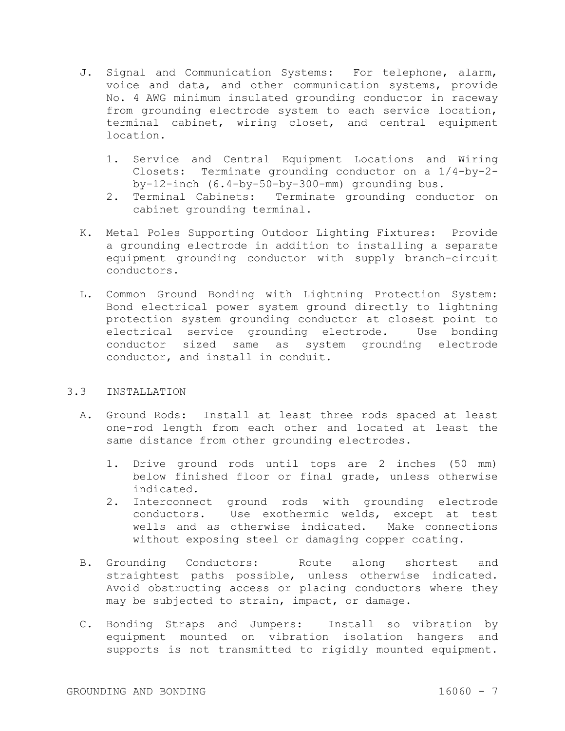- J. Signal and Communication Systems: For telephone, alarm, voice and data, and other communication systems, provide No. 4 AWG minimum insulated grounding conductor in raceway from grounding electrode system to each service location, terminal cabinet, wiring closet, and central equipment location.
	- 1. Service and Central Equipment Locations and Wiring Closets: Terminate grounding conductor on a 1/4-by-2 by-12-inch (6.4-by-50-by-300-mm) grounding bus.
	- 2. Terminal Cabinets: Terminate grounding conductor on cabinet grounding terminal.
- K. Metal Poles Supporting Outdoor Lighting Fixtures: Provide a grounding electrode in addition to installing a separate equipment grounding conductor with supply branch-circuit conductors.
- L. Common Ground Bonding with Lightning Protection System: Bond electrical power system ground directly to lightning protection system grounding conductor at closest point to electrical service grounding electrode. Use bonding conductor sized same as system grounding electrode conductor, and install in conduit.

# 3.3 INSTALLATION

- A. Ground Rods: Install at least three rods spaced at least one-rod length from each other and located at least the same distance from other grounding electrodes.
	- 1. Drive ground rods until tops are 2 inches (50 mm) below finished floor or final grade, unless otherwise indicated.
	- 2. Interconnect ground rods with grounding electrode conductors. Use exothermic welds, except at test wells and as otherwise indicated. Make connections without exposing steel or damaging copper coating.
- B. Grounding Conductors: Route along shortest and straightest paths possible, unless otherwise indicated. Avoid obstructing access or placing conductors where they may be subjected to strain, impact, or damage.
- C. Bonding Straps and Jumpers: Install so vibration by equipment mounted on vibration isolation hangers and supports is not transmitted to rigidly mounted equipment.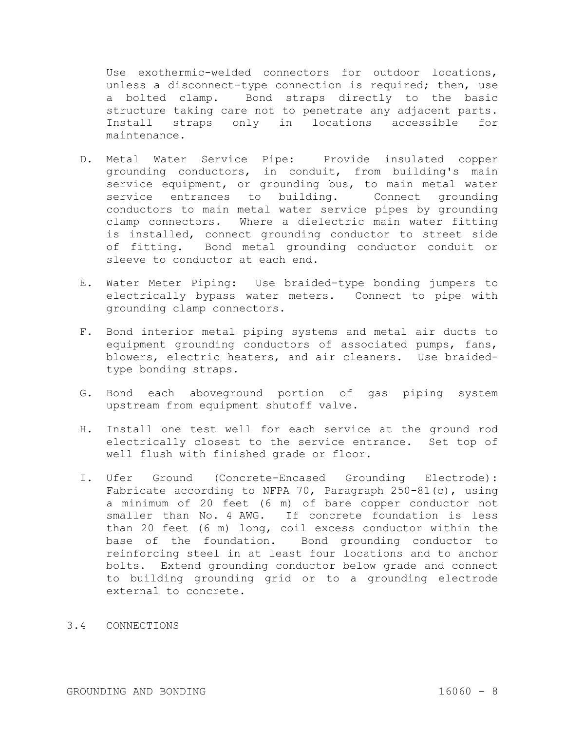Use exothermic-welded connectors for outdoor locations, unless a disconnect-type connection is required; then, use a bolted clamp. Bond straps directly to the basic structure taking care not to penetrate any adjacent parts. Install straps only in locations accessible for maintenance.

- D. Metal Water Service Pipe: Provide insulated copper grounding conductors, in conduit, from building's main service equipment, or grounding bus, to main metal water service entrances to building. Connect grounding conductors to main metal water service pipes by grounding clamp connectors. Where a dielectric main water fitting is installed, connect grounding conductor to street side of fitting. Bond metal grounding conductor conduit or sleeve to conductor at each end.
- E. Water Meter Piping: Use braided-type bonding jumpers to electrically bypass water meters. Connect to pipe with grounding clamp connectors.
- F. Bond interior metal piping systems and metal air ducts to equipment grounding conductors of associated pumps, fans, blowers, electric heaters, and air cleaners. Use braidedtype bonding straps.
- G. Bond each aboveground portion of gas piping system upstream from equipment shutoff valve.
- H. Install one test well for each service at the ground rod electrically closest to the service entrance. Set top of well flush with finished grade or floor.
- I. Ufer Ground (Concrete-Encased Grounding Electrode): Fabricate according to NFPA 70, Paragraph  $250-81(c)$ , using a minimum of 20 feet (6 m) of bare copper conductor not smaller than No. 4 AWG. If concrete foundation is less than 20 feet (6 m) long, coil excess conductor within the base of the foundation. Bond grounding conductor to reinforcing steel in at least four locations and to anchor bolts. Extend grounding conductor below grade and connect to building grounding grid or to a grounding electrode external to concrete.

# 3.4 CONNECTIONS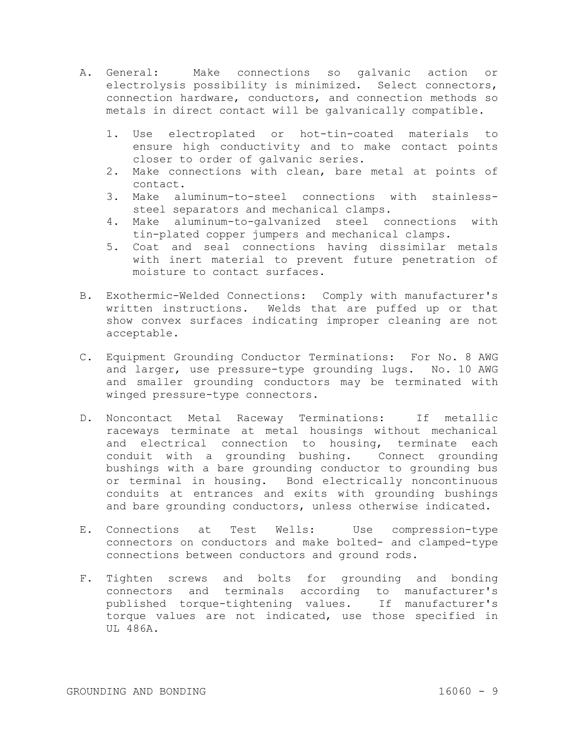- A. General: Make connections so galvanic action or electrolysis possibility is minimized. Select connectors, connection hardware, conductors, and connection methods so metals in direct contact will be galvanically compatible.
	- 1. Use electroplated or hot-tin-coated materials to ensure high conductivity and to make contact points closer to order of galvanic series.
	- 2. Make connections with clean, bare metal at points of contact.
	- 3. Make aluminum-to-steel connections with stainlesssteel separators and mechanical clamps.
	- 4. Make aluminum-to-galvanized steel connections with tin-plated copper jumpers and mechanical clamps.
	- 5. Coat and seal connections having dissimilar metals with inert material to prevent future penetration of moisture to contact surfaces.
- B. Exothermic-Welded Connections: Comply with manufacturer's written instructions. Welds that are puffed up or that show convex surfaces indicating improper cleaning are not acceptable.
- C. Equipment Grounding Conductor Terminations: For No. 8 AWG and larger, use pressure-type grounding lugs. No. 10 AWG and smaller grounding conductors may be terminated with winged pressure-type connectors.
- D. Noncontact Metal Raceway Terminations: If metallic raceways terminate at metal housings without mechanical and electrical connection to housing, terminate each conduit with a grounding bushing. Connect grounding bushings with a bare grounding conductor to grounding bus or terminal in housing. Bond electrically noncontinuous conduits at entrances and exits with grounding bushings and bare grounding conductors, unless otherwise indicated.
- E. Connections at Test Wells: Use compression-type connectors on conductors and make bolted- and clamped-type connections between conductors and ground rods.
- F. Tighten screws and bolts for grounding and bonding connectors and terminals according to manufacturer's published torque-tightening values. If manufacturer's torque values are not indicated, use those specified in UL 486A.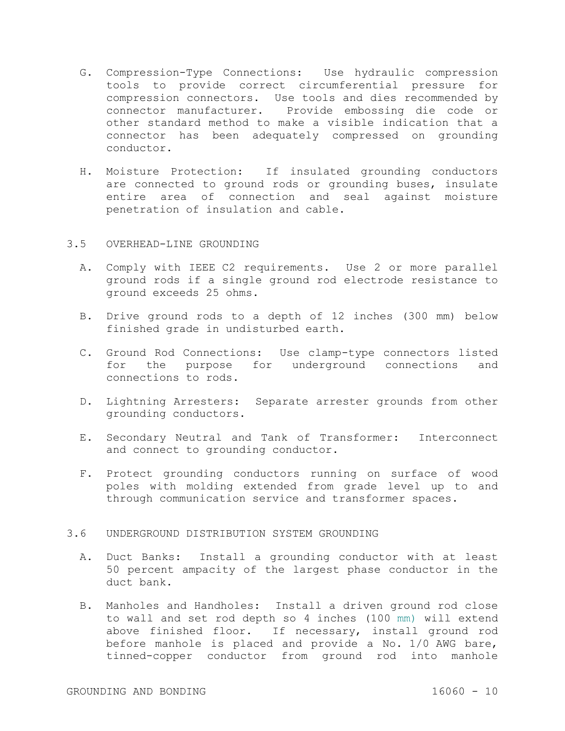- G. Compression-Type Connections: Use hydraulic compression tools to provide correct circumferential pressure for compression connectors. Use tools and dies recommended by connector manufacturer. Provide embossing die code or other standard method to make a visible indication that a connector has been adequately compressed on grounding conductor.
- H. Moisture Protection: If insulated grounding conductors are connected to ground rods or grounding buses, insulate entire area of connection and seal against moisture penetration of insulation and cable.

# 3.5 OVERHEAD-LINE GROUNDING

- A. Comply with IEEE C2 requirements. Use 2 or more parallel ground rods if a single ground rod electrode resistance to ground exceeds 25 ohms.
- B. Drive ground rods to a depth of 12 inches (300 mm) below finished grade in undisturbed earth.
- C. Ground Rod Connections: Use clamp-type connectors listed for the purpose for underground connections and connections to rods.
- D. Lightning Arresters: Separate arrester grounds from other grounding conductors.
- E. Secondary Neutral and Tank of Transformer: Interconnect and connect to grounding conductor.
- F. Protect grounding conductors running on surface of wood poles with molding extended from grade level up to and through communication service and transformer spaces.

## 3.6 UNDERGROUND DISTRIBUTION SYSTEM GROUNDING

- A. Duct Banks: Install a grounding conductor with at least 50 percent ampacity of the largest phase conductor in the duct bank.
- B. Manholes and Handholes: Install a driven ground rod close to wall and set rod depth so 4 inches (100 mm) will extend above finished floor. If necessary, install ground rod before manhole is placed and provide a No. 1/0 AWG bare, tinned-copper conductor from ground rod into manhole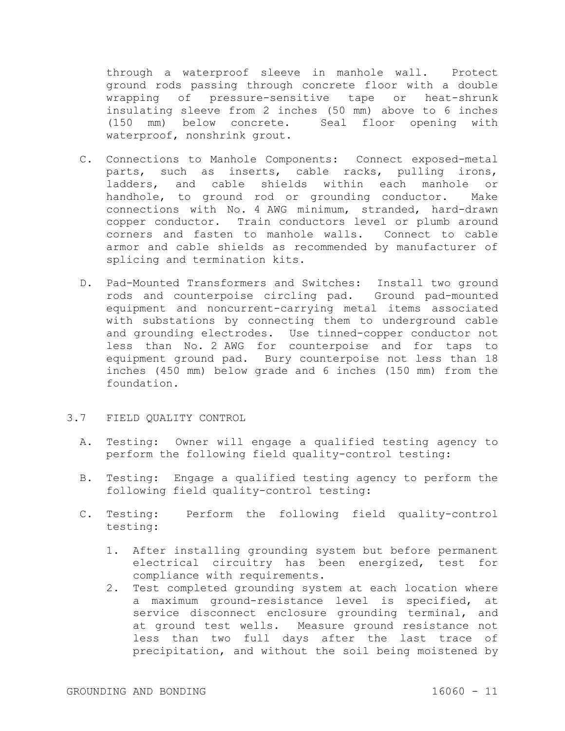through a waterproof sleeve in manhole wall. Protect ground rods passing through concrete floor with a double wrapping of pressure-sensitive tape or heat-shrunk insulating sleeve from 2 inches (50 mm) above to 6 inches (150 mm) below concrete. Seal floor opening with waterproof, nonshrink grout.

- C. Connections to Manhole Components: Connect exposed-metal parts, such as inserts, cable racks, pulling irons, ladders, and cable shields within each manhole or handhole, to ground rod or grounding conductor. Make connections with No. 4 AWG minimum, stranded, hard-drawn copper conductor. Train conductors level or plumb around corners and fasten to manhole walls. Connect to cable armor and cable shields as recommended by manufacturer of splicing and termination kits.
- D. Pad-Mounted Transformers and Switches: Install two ground rods and counterpoise circling pad. Ground pad-mounted equipment and noncurrent-carrying metal items associated with substations by connecting them to underground cable and grounding electrodes. Use tinned-copper conductor not less than No. 2 AWG for counterpoise and for taps to equipment ground pad. Bury counterpoise not less than 18 inches (450 mm) below grade and 6 inches (150 mm) from the foundation.

## 3.7 FIELD QUALITY CONTROL

- A. Testing: Owner will engage a qualified testing agency to perform the following field quality-control testing:
- B. Testing: Engage a qualified testing agency to perform the following field quality-control testing:
- C. Testing: Perform the following field quality-control testing:
	- 1. After installing grounding system but before permanent electrical circuitry has been energized, test for compliance with requirements.
	- 2. Test completed grounding system at each location where a maximum ground-resistance level is specified, at service disconnect enclosure grounding terminal, and at ground test wells. Measure ground resistance not less than two full days after the last trace of precipitation, and without the soil being moistened by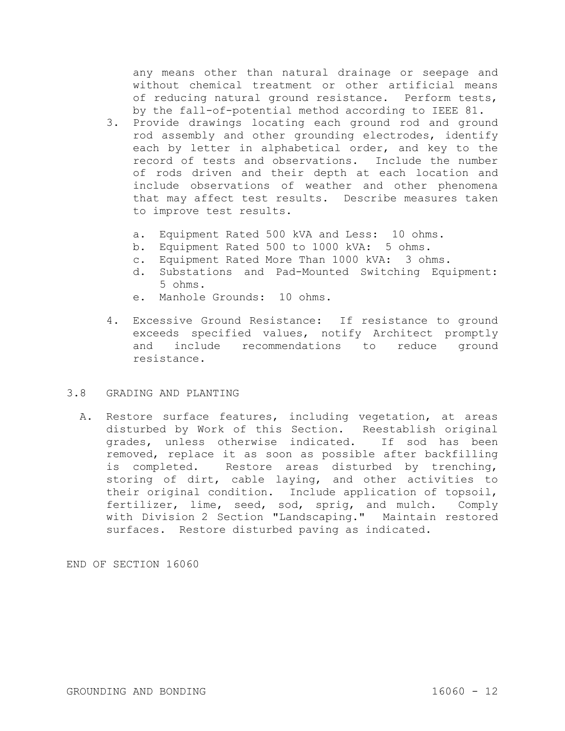any means other than natural drainage or seepage and without chemical treatment or other artificial means of reducing natural ground resistance. Perform tests, by the fall-of-potential method according to IEEE 81.

- 3. Provide drawings locating each ground rod and ground rod assembly and other grounding electrodes, identify each by letter in alphabetical order, and key to the record of tests and observations. Include the number of rods driven and their depth at each location and include observations of weather and other phenomena that may affect test results. Describe measures taken to improve test results.
	- a. Equipment Rated 500 kVA and Less: 10 ohms.
	- b. Equipment Rated 500 to 1000 kVA: 5 ohms.
	- c. Equipment Rated More Than 1000 kVA: 3 ohms.
	- d. Substations and Pad-Mounted Switching Equipment: 5 ohms.
	- e. Manhole Grounds: 10 ohms.
- 4. Excessive Ground Resistance: If resistance to ground exceeds specified values, notify Architect promptly and include recommendations to reduce ground resistance.

# 3.8 GRADING AND PLANTING

A. Restore surface features, including vegetation, at areas disturbed by Work of this Section. Reestablish original grades, unless otherwise indicated. If sod has been removed, replace it as soon as possible after backfilling is completed. Restore areas disturbed by trenching, storing of dirt, cable laying, and other activities to their original condition. Include application of topsoil, fertilizer, lime, seed, sod, sprig, and mulch. Comply with Division 2 Section "Landscaping." Maintain restored surfaces. Restore disturbed paving as indicated.

END OF SECTION 16060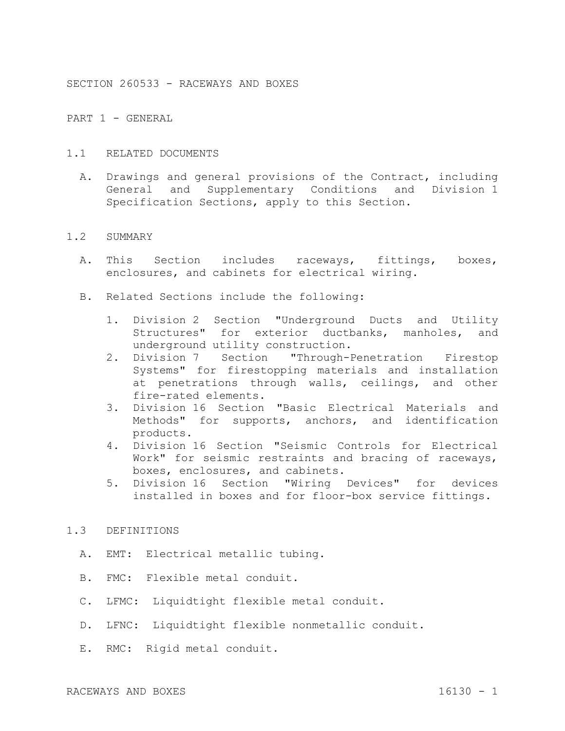SECTION 260533 - RACEWAYS AND BOXES

PART 1 - GENERAL

## 1.1 RELATED DOCUMENTS

A. Drawings and general provisions of the Contract, including General and Supplementary Conditions and Division 1 Specification Sections, apply to this Section.

#### 1.2 SUMMARY

- A. This Section includes raceways, fittings, boxes, enclosures, and cabinets for electrical wiring.
- B. Related Sections include the following:
	- 1. Division 2 Section "Underground Ducts and Utility Structures" for exterior ductbanks, manholes, and underground utility construction.
	- 2. Division 7 Section "Through-Penetration Firestop Systems" for firestopping materials and installation at penetrations through walls, ceilings, and other fire-rated elements.
	- 3. Division 16 Section "Basic Electrical Materials and Methods" for supports, anchors, and identification products.
	- 4. Division 16 Section "Seismic Controls for Electrical Work" for seismic restraints and bracing of raceways, boxes, enclosures, and cabinets.
	- 5. Division 16 Section "Wiring Devices" for devices installed in boxes and for floor-box service fittings.

## 1.3 DEFINITIONS

- A. EMT: Electrical metallic tubing.
- B. FMC: Flexible metal conduit.
- C. LFMC: Liquidtight flexible metal conduit.
- D. LFNC: Liquidtight flexible nonmetallic conduit.
- E. RMC: Rigid metal conduit.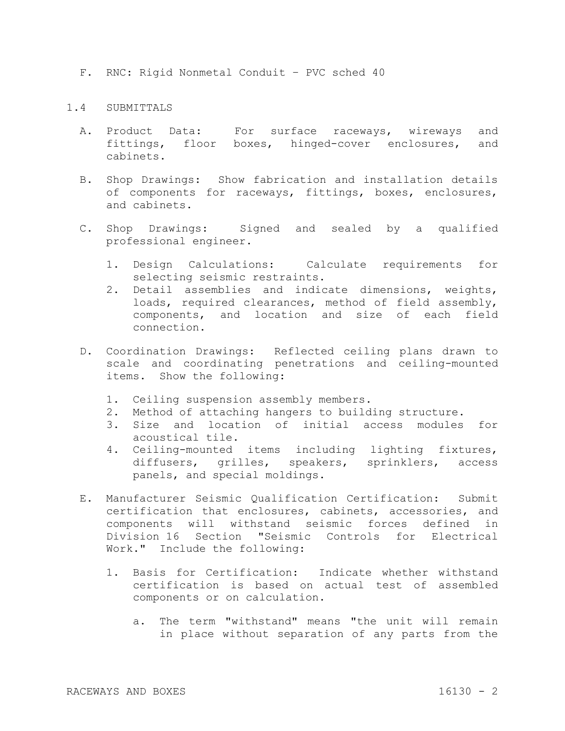F. RNC: Rigid Nonmetal Conduit – PVC sched 40

## 1.4 SUBMITTALS

- A. Product Data: For surface raceways, wireways and fittings, floor boxes, hinged-cover enclosures, and cabinets.
- B. Shop Drawings: Show fabrication and installation details of components for raceways, fittings, boxes, enclosures, and cabinets.
- C. Shop Drawings: Signed and sealed by a qualified professional engineer.
	- 1. Design Calculations: Calculate requirements for selecting seismic restraints.
	- 2. Detail assemblies and indicate dimensions, weights, loads, required clearances, method of field assembly, components, and location and size of each field connection.
- D. Coordination Drawings: Reflected ceiling plans drawn to scale and coordinating penetrations and ceiling-mounted items. Show the following:
	- 1. Ceiling suspension assembly members.
	- 2. Method of attaching hangers to building structure.
	- 3. Size and location of initial access modules for acoustical tile.
	- 4. Ceiling-mounted items including lighting fixtures, diffusers, grilles, speakers, sprinklers, access panels, and special moldings.
- E. Manufacturer Seismic Qualification Certification: Submit certification that enclosures, cabinets, accessories, and components will withstand seismic forces defined in Division 16 Section "Seismic Controls for Electrical Work." Include the following:
	- 1. Basis for Certification: Indicate whether withstand certification is based on actual test of assembled components or on calculation.
		- a. The term "withstand" means "the unit will remain in place without separation of any parts from the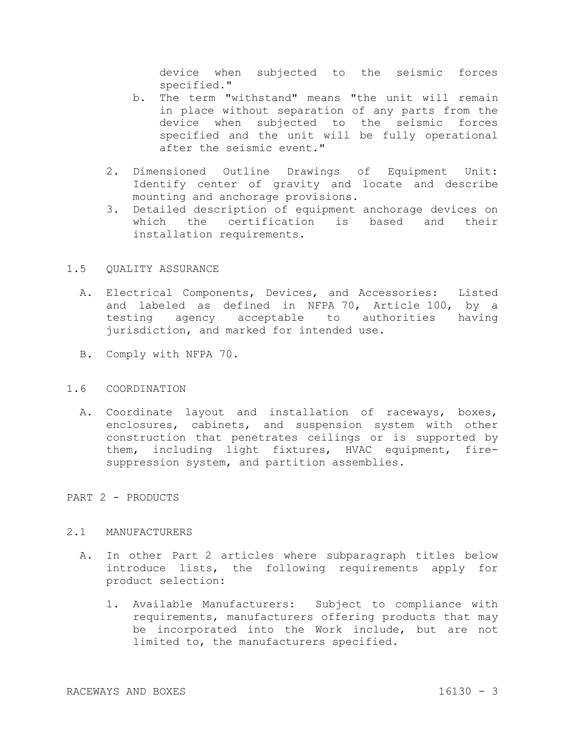device when subjected to the seismic forces specified."

- b. The term "withstand" means "the unit will remain in place without separation of any parts from the device when subjected to the seismic forces specified and the unit will be fully operational after the seismic event."
- 2. Dimensioned Outline Drawings of Equipment Unit: Identify center of gravity and locate and describe mounting and anchorage provisions.
- 3. Detailed description of equipment anchorage devices on which the certification is based and their installation requirements.

## 1.5 QUALITY ASSURANCE

- A. Electrical Components, Devices, and Accessories: Listed and labeled as defined in NFPA 70, Article 100, by a testing agency acceptable to authorities having jurisdiction, and marked for intended use.
- B. Comply with NFPA 70.

#### 1.6 COORDINATION

A. Coordinate layout and installation of raceways, boxes, enclosures, cabinets, and suspension system with other construction that penetrates ceilings or is supported by them, including light fixtures, HVAC equipment, firesuppression system, and partition assemblies.

## PART 2 - PRODUCTS

#### 2.1 MANUFACTURERS

- A. In other Part 2 articles where subparagraph titles below introduce lists, the following requirements apply for product selection:
	- 1. Available Manufacturers: Subject to compliance with requirements, manufacturers offering products that may be incorporated into the Work include, but are not limited to, the manufacturers specified.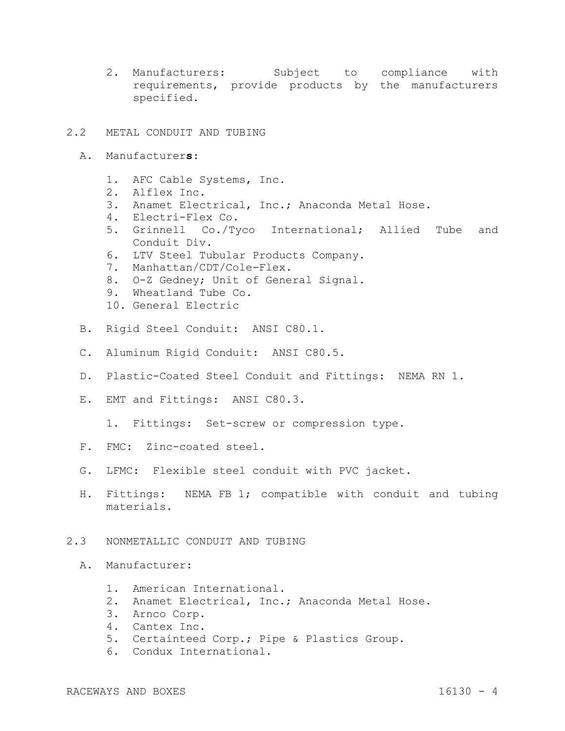2. Manufacturers: Subject to compliance with requirements, provide products by the manufacturers specified.

# 2.2 METAL CONDUIT AND TUBING

- A. Manufacturer**s**:
	- 1. AFC Cable Systems, Inc.
	- 2. Alflex Inc.
	- 3. Anamet Electrical, Inc.; Anaconda Metal Hose.
	- 4. Electri-Flex Co.
	- 5. Grinnell Co./Tyco International; Allied Tube and Conduit Div.
	- 6. LTV Steel Tubular Products Company.
	- 7. Manhattan/CDT/Cole-Flex.
	- 8. O-Z Gedney; Unit of General Signal.
	- 9. Wheatland Tube Co.
	- 10. General Electric
- B. Rigid Steel Conduit: ANSI C80.1.
- C. Aluminum Rigid Conduit: ANSI C80.5.
- D. Plastic-Coated Steel Conduit and Fittings: NEMA RN 1.
- E. EMT and Fittings: ANSI C80.3.
	- 1. Fittings: Set-screw or compression type.
- F. FMC: Zinc-coated steel.
- G. LFMC: Flexible steel conduit with PVC jacket.
- H. Fittings: NEMA FB 1; compatible with conduit and tubing materials.

## 2.3 NONMETALLIC CONDUIT AND TUBING

- A. Manufacturer:
	- 1. American International.
	- 2. Anamet Electrical, Inc.; Anaconda Metal Hose.
	- 3. Arnco Corp.
	- 4. Cantex Inc.
	- 5. Certainteed Corp.; Pipe & Plastics Group.
	- 6. Condux International.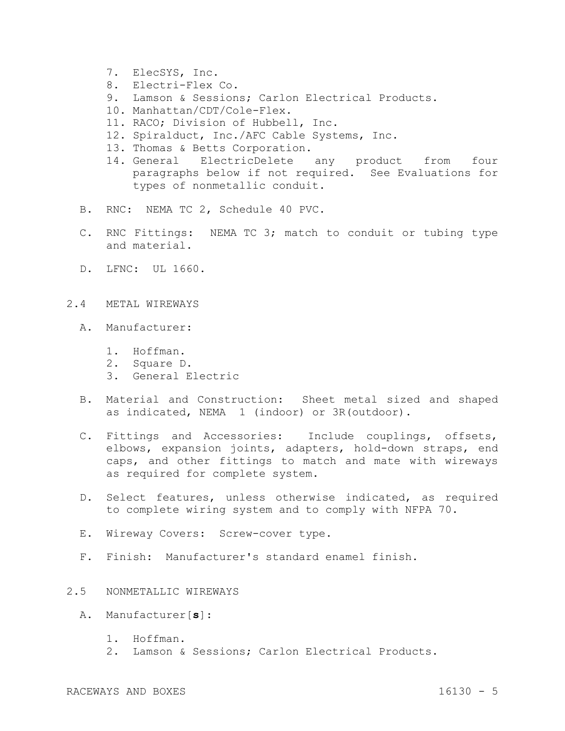- 7. ElecSYS, Inc.
- 8. Electri-Flex Co.
- 9. Lamson & Sessions; Carlon Electrical Products.
- 10. Manhattan/CDT/Cole-Flex.
- 11. RACO; Division of Hubbell, Inc.
- 12. Spiralduct, Inc./AFC Cable Systems, Inc.
- 13. Thomas & Betts Corporation.
- 14. General ElectricDelete any product from four paragraphs below if not required. See Evaluations for types of nonmetallic conduit.
- B. RNC: NEMA TC 2, Schedule 40 PVC.
- C. RNC Fittings: NEMA TC 3; match to conduit or tubing type and material.
- D. LFNC: UL 1660.
- 2.4 METAL WIREWAYS
	- A. Manufacturer:
		- 1. Hoffman.
		- 2. Square D.
		- 3. General Electric
	- B. Material and Construction: Sheet metal sized and shaped as indicated, NEMA 1 (indoor) or 3R(outdoor).
	- C. Fittings and Accessories: Include couplings, offsets, elbows, expansion joints, adapters, hold-down straps, end caps, and other fittings to match and mate with wireways as required for complete system.
	- D. Select features, unless otherwise indicated, as required to complete wiring system and to comply with NFPA 70.
	- E. Wireway Covers: Screw-cover type.
	- F. Finish: Manufacturer's standard enamel finish.

# 2.5 NONMETALLIC WIREWAYS

- A. Manufacturer[**s**]:
	- 1. Hoffman.
	- 2. Lamson & Sessions; Carlon Electrical Products.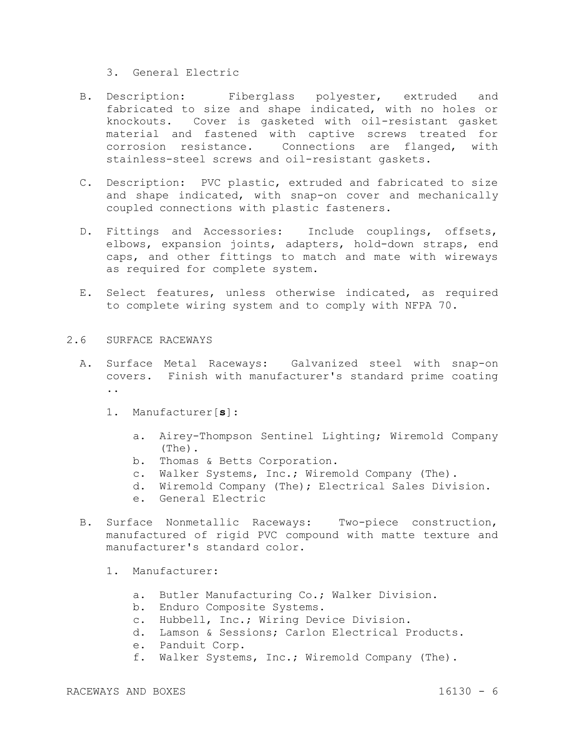3. General Electric

- B. Description: Fiberglass polyester, extruded and fabricated to size and shape indicated, with no holes or knockouts. Cover is gasketed with oil-resistant gasket material and fastened with captive screws treated for corrosion resistance. Connections are flanged, with stainless-steel screws and oil-resistant gaskets.
- C. Description: PVC plastic, extruded and fabricated to size and shape indicated, with snap-on cover and mechanically coupled connections with plastic fasteners.
- D. Fittings and Accessories: Include couplings, offsets, elbows, expansion joints, adapters, hold-down straps, end caps, and other fittings to match and mate with wireways as required for complete system.
- E. Select features, unless otherwise indicated, as required to complete wiring system and to comply with NFPA 70.

# 2.6 SURFACE RACEWAYS

- A. Surface Metal Raceways: Galvanized steel with snap-on covers. Finish with manufacturer's standard prime coating ..
	- 1. Manufacturer[**s**]:
		- a. Airey-Thompson Sentinel Lighting; Wiremold Company (The).
		- b. Thomas & Betts Corporation.
		- c. Walker Systems, Inc.; Wiremold Company (The).
		- d. Wiremold Company (The); Electrical Sales Division.
		- e. General Electric
- B. Surface Nonmetallic Raceways: Two-piece construction, manufactured of rigid PVC compound with matte texture and manufacturer's standard color.
	- 1. Manufacturer:
		- a. Butler Manufacturing Co.; Walker Division.
		- b. Enduro Composite Systems.
		- c. Hubbell, Inc.; Wiring Device Division.
		- d. Lamson & Sessions; Carlon Electrical Products.
		- e. Panduit Corp.
		- f. Walker Systems, Inc.; Wiremold Company (The).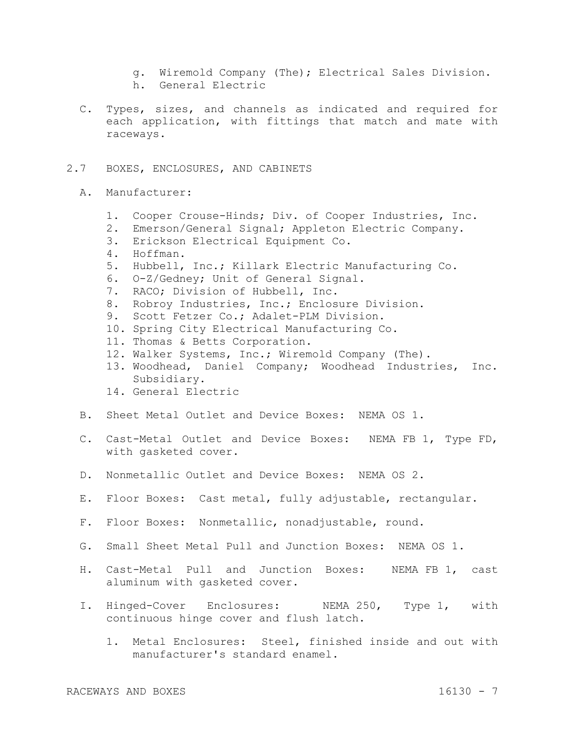- g. Wiremold Company (The); Electrical Sales Division.
- h. General Electric
- C. Types, sizes, and channels as indicated and required for each application, with fittings that match and mate with raceways.

## 2.7 BOXES, ENCLOSURES, AND CABINETS

- A. Manufacturer:
	- 1. Cooper Crouse-Hinds; Div. of Cooper Industries, Inc.
	- 2. Emerson/General Signal; Appleton Electric Company.
	- 3. Erickson Electrical Equipment Co.
	- 4. Hoffman.
	- 5. Hubbell, Inc.; Killark Electric Manufacturing Co.
	- 6. O-Z/Gedney; Unit of General Signal.
	- 7. RACO; Division of Hubbell, Inc.
	- 8. Robroy Industries, Inc.; Enclosure Division.
	- 9. Scott Fetzer Co.; Adalet-PLM Division.
	- 10. Spring City Electrical Manufacturing Co.
	- 11. Thomas & Betts Corporation.
	- 12. Walker Systems, Inc.; Wiremold Company (The).
	- 13. Woodhead, Daniel Company; Woodhead Industries, Inc. Subsidiary.
	- 14. General Electric
- B. Sheet Metal Outlet and Device Boxes: NEMA OS 1.
- C. Cast-Metal Outlet and Device Boxes: NEMA FB 1, Type FD, with gasketed cover.
- D. Nonmetallic Outlet and Device Boxes: NEMA OS 2.
- E. Floor Boxes: Cast metal, fully adjustable, rectangular.
- F. Floor Boxes: Nonmetallic, nonadjustable, round.
- G. Small Sheet Metal Pull and Junction Boxes: NEMA OS 1.
- H. Cast-Metal Pull and Junction Boxes: NEMA FB 1, cast aluminum with gasketed cover.
- I. Hinged-Cover Enclosures: NEMA 250, Type 1, with continuous hinge cover and flush latch.
	- 1. Metal Enclosures: Steel, finished inside and out with manufacturer's standard enamel.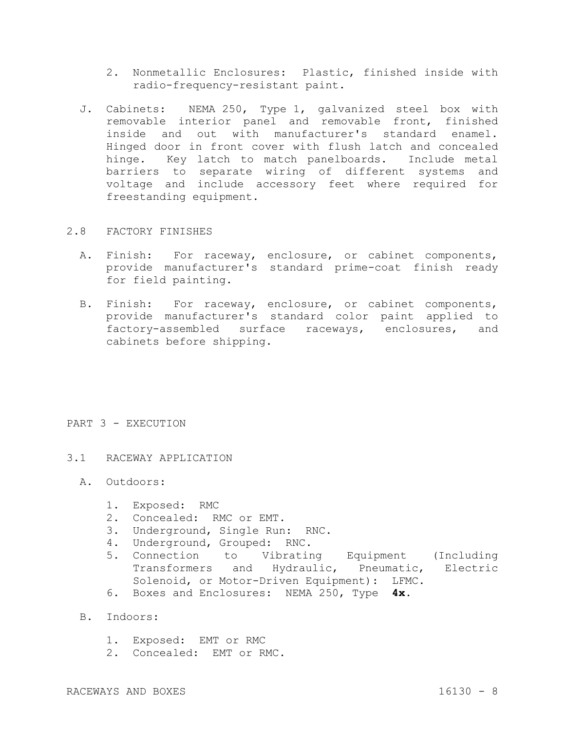- 2. Nonmetallic Enclosures: Plastic, finished inside with radio-frequency-resistant paint.
- J. Cabinets: NEMA 250, Type 1, galvanized steel box with removable interior panel and removable front, finished inside and out with manufacturer's standard enamel. Hinged door in front cover with flush latch and concealed hinge. Key latch to match panelboards. Include metal barriers to separate wiring of different systems and voltage and include accessory feet where required for freestanding equipment.

## 2.8 FACTORY FINISHES

- A. Finish: For raceway, enclosure, or cabinet components, provide manufacturer's standard prime-coat finish ready for field painting.
- B. Finish: For raceway, enclosure, or cabinet components, provide manufacturer's standard color paint applied to factory-assembled surface raceways, enclosures, and cabinets before shipping.

## PART 3 - EXECUTION

# 3.1 RACEWAY APPLICATION

- A. Outdoors:
	- 1. Exposed: RMC
	- 2. Concealed: RMC or EMT.
	- 3. Underground, Single Run: RNC.
	- 4. Underground, Grouped: RNC.
	- 5. Connection to Vibrating Equipment (Including Transformers and Hydraulic, Pneumatic, Electric Solenoid, or Motor-Driven Equipment): LFMC.
	- 6. Boxes and Enclosures: NEMA 250, Type **4x**.
- B. Indoors:
	- 1. Exposed: EMT or RMC
	- 2. Concealed: EMT or RMC.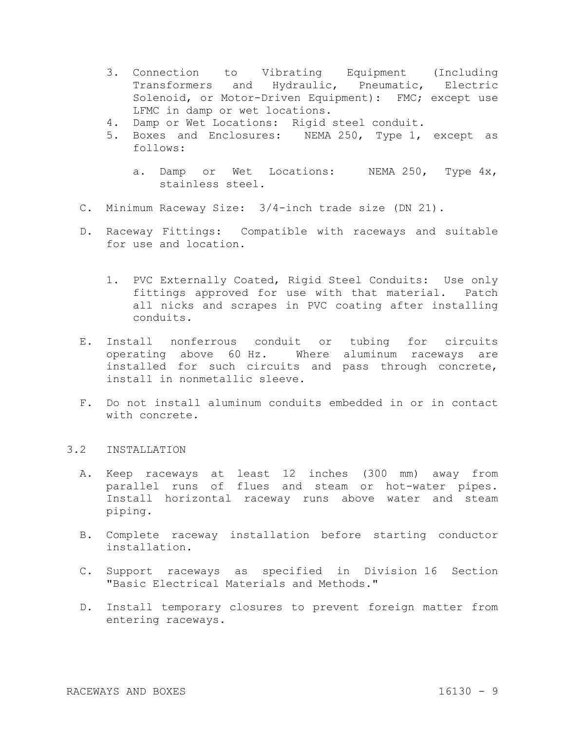- 3. Connection to Vibrating Equipment (Including Transformers and Hydraulic, Pneumatic, Electric Solenoid, or Motor-Driven Equipment): FMC; except use LFMC in damp or wet locations.
- 4. Damp or Wet Locations: Rigid steel conduit.
- 5. Boxes and Enclosures: NEMA 250, Type 1, except as follows:
	- a. Damp or Wet Locations: NEMA 250, Type 4x, stainless steel.
- C. Minimum Raceway Size: 3/4-inch trade size (DN 21).
- D. Raceway Fittings: Compatible with raceways and suitable for use and location.
	- 1. PVC Externally Coated, Rigid Steel Conduits: Use only fittings approved for use with that material. Patch all nicks and scrapes in PVC coating after installing conduits.
- E. Install nonferrous conduit or tubing for circuits operating above 60 Hz. Where aluminum raceways are installed for such circuits and pass through concrete, install in nonmetallic sleeve.
- F. Do not install aluminum conduits embedded in or in contact with concrete.

## 3.2 INSTALLATION

- A. Keep raceways at least 12 inches (300 mm) away from parallel runs of flues and steam or hot-water pipes. Install horizontal raceway runs above water and steam piping.
- B. Complete raceway installation before starting conductor installation.
- C. Support raceways as specified in Division 16 Section "Basic Electrical Materials and Methods."
- D. Install temporary closures to prevent foreign matter from entering raceways.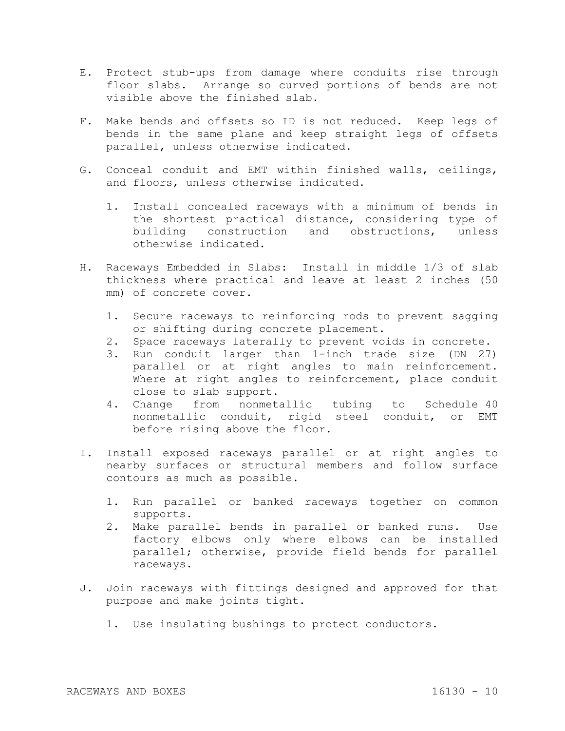- E. Protect stub-ups from damage where conduits rise through floor slabs. Arrange so curved portions of bends are not visible above the finished slab.
- F. Make bends and offsets so ID is not reduced. Keep legs of bends in the same plane and keep straight legs of offsets parallel, unless otherwise indicated.
- G. Conceal conduit and EMT within finished walls, ceilings, and floors, unless otherwise indicated.
	- 1. Install concealed raceways with a minimum of bends in the shortest practical distance, considering type of building construction and obstructions, unless otherwise indicated.
- H. Raceways Embedded in Slabs: Install in middle 1/3 of slab thickness where practical and leave at least 2 inches (50 mm) of concrete cover.
	- 1. Secure raceways to reinforcing rods to prevent sagging or shifting during concrete placement.
	- 2. Space raceways laterally to prevent voids in concrete.
	- 3. Run conduit larger than 1-inch trade size (DN 27) parallel or at right angles to main reinforcement. Where at right angles to reinforcement, place conduit close to slab support.
	- 4. Change from nonmetallic tubing to Schedule 40 nonmetallic conduit, rigid steel conduit, or EMT before rising above the floor.
- I. Install exposed raceways parallel or at right angles to nearby surfaces or structural members and follow surface contours as much as possible.
	- 1. Run parallel or banked raceways together on common supports.
	- 2. Make parallel bends in parallel or banked runs. Use factory elbows only where elbows can be installed parallel; otherwise, provide field bends for parallel raceways.
- J. Join raceways with fittings designed and approved for that purpose and make joints tight.
	- 1. Use insulating bushings to protect conductors.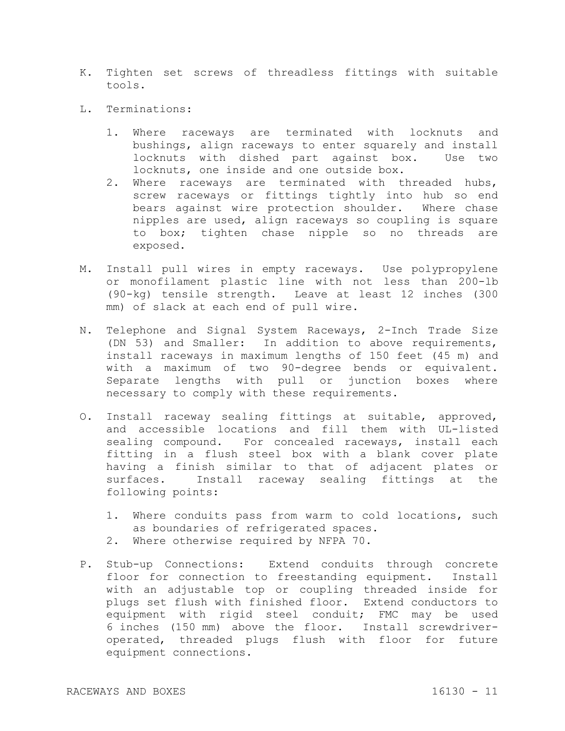- K. Tighten set screws of threadless fittings with suitable tools.
- L. Terminations:
	- 1. Where raceways are terminated with locknuts and bushings, align raceways to enter squarely and install locknuts with dished part against box. Use two locknuts, one inside and one outside box.
	- 2. Where raceways are terminated with threaded hubs, screw raceways or fittings tightly into hub so end bears against wire protection shoulder. Where chase nipples are used, align raceways so coupling is square to box; tighten chase nipple so no threads are exposed.
- M. Install pull wires in empty raceways. Use polypropylene or monofilament plastic line with not less than 200-lb (90-kg) tensile strength. Leave at least 12 inches (300 mm) of slack at each end of pull wire.
- N. Telephone and Signal System Raceways, 2-Inch Trade Size (DN 53) and Smaller: In addition to above requirements, install raceways in maximum lengths of 150 feet (45 m) and with a maximum of two 90-degree bends or equivalent. Separate lengths with pull or junction boxes where necessary to comply with these requirements.
- O. Install raceway sealing fittings at suitable, approved, and accessible locations and fill them with UL-listed sealing compound. For concealed raceways, install each fitting in a flush steel box with a blank cover plate having a finish similar to that of adjacent plates or surfaces. Install raceway sealing fittings at the following points:
	- 1. Where conduits pass from warm to cold locations, such as boundaries of refrigerated spaces.
	- 2. Where otherwise required by NFPA 70.
- P. Stub-up Connections: Extend conduits through concrete floor for connection to freestanding equipment. Install with an adjustable top or coupling threaded inside for plugs set flush with finished floor. Extend conductors to equipment with rigid steel conduit; FMC may be used 6 inches (150 mm) above the floor. Install screwdriveroperated, threaded plugs flush with floor for future equipment connections.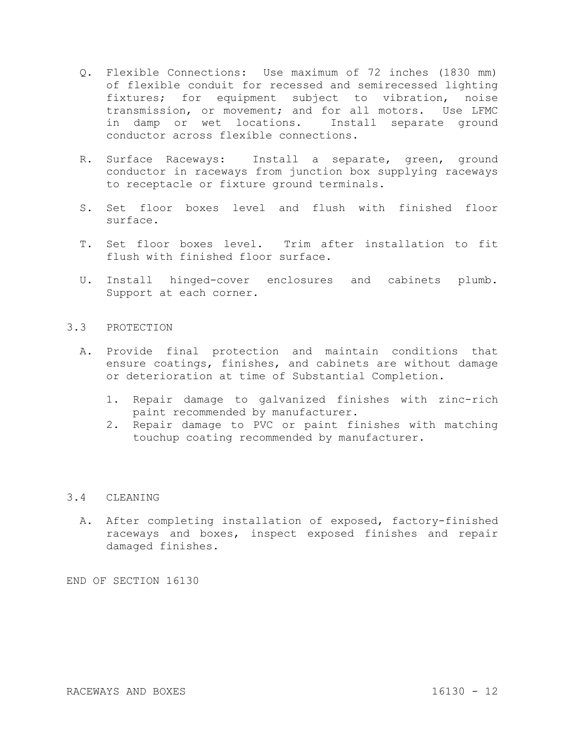- Q. Flexible Connections: Use maximum of 72 inches (1830 mm) of flexible conduit for recessed and semirecessed lighting fixtures; for equipment subject to vibration, noise transmission, or movement; and for all motors. Use LFMC in damp or wet locations. Install separate ground conductor across flexible connections.
- R. Surface Raceways: Install a separate, green, ground conductor in raceways from junction box supplying raceways to receptacle or fixture ground terminals.
- S. Set floor boxes level and flush with finished floor surface.
- T. Set floor boxes level. Trim after installation to fit flush with finished floor surface.
- U. Install hinged-cover enclosures and cabinets plumb. Support at each corner.

## 3.3 PROTECTION

- A. Provide final protection and maintain conditions that ensure coatings, finishes, and cabinets are without damage or deterioration at time of Substantial Completion.
	- 1. Repair damage to galvanized finishes with zinc-rich paint recommended by manufacturer.
	- 2. Repair damage to PVC or paint finishes with matching touchup coating recommended by manufacturer.

# 3.4 CLEANING

A. After completing installation of exposed, factory-finished raceways and boxes, inspect exposed finishes and repair damaged finishes.

END OF SECTION 16130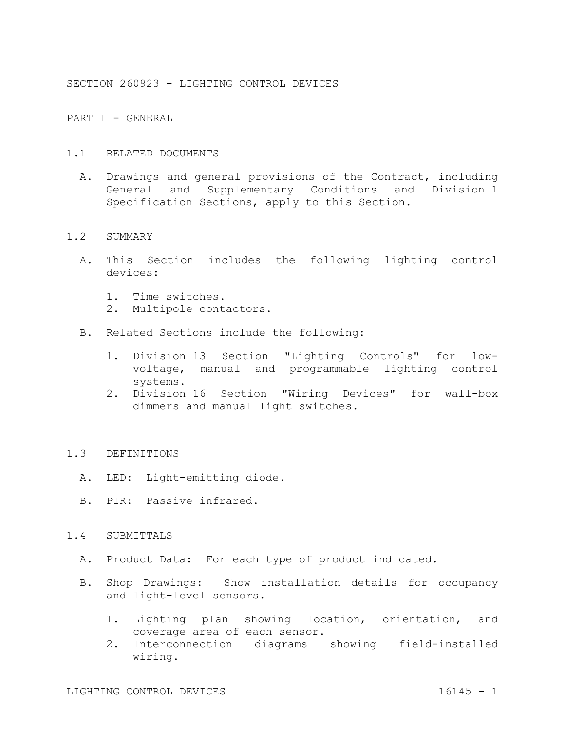SECTION 260923 - LIGHTING CONTROL DEVICES

PART 1 - GENERAL

- 1.1 RELATED DOCUMENTS
	- A. Drawings and general provisions of the Contract, including General and Supplementary Conditions and Division 1 Specification Sections, apply to this Section.

#### 1.2 SUMMARY

- A. This Section includes the following lighting control devices:
	- 1. Time switches.
	- 2. Multipole contactors.
- B. Related Sections include the following:
	- 1. Division 13 Section "Lighting Controls" for lowvoltage, manual and programmable lighting control systems.
	- 2. Division 16 Section "Wiring Devices" for wall-box dimmers and manual light switches.

# 1.3 DEFINITIONS

- A. LED: Light-emitting diode.
- B. PIR: Passive infrared.

## 1.4 SUBMITTALS

- A. Product Data: For each type of product indicated.
- B. Shop Drawings: Show installation details for occupancy and light-level sensors.
	- 1. Lighting plan showing location, orientation, and coverage area of each sensor.
	- 2. Interconnection diagrams showing field-installed wiring.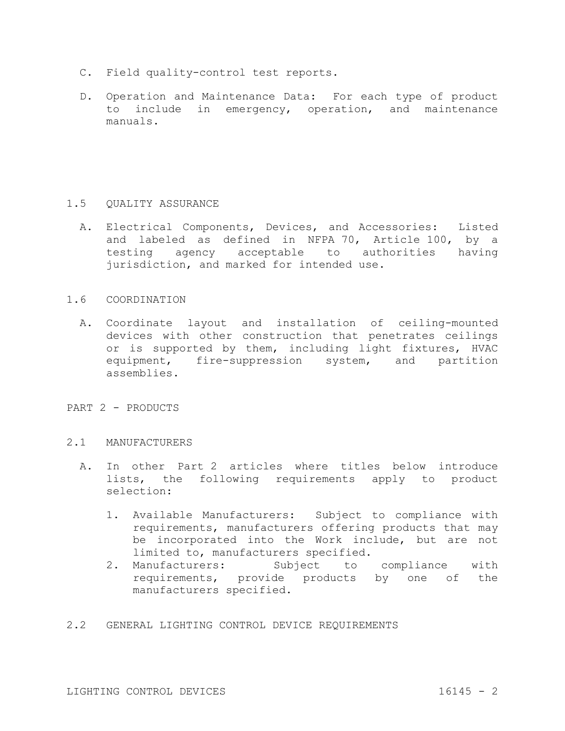- C. Field quality-control test reports.
- D. Operation and Maintenance Data: For each type of product to include in emergency, operation, and maintenance manuals.

# 1.5 QUALITY ASSURANCE

- A. Electrical Components, Devices, and Accessories: Listed and labeled as defined in NFPA 70, Article 100, by a testing agency acceptable to authorities having jurisdiction, and marked for intended use.
- 1.6 COORDINATION
	- A. Coordinate layout and installation of ceiling-mounted devices with other construction that penetrates ceilings or is supported by them, including light fixtures, HVAC equipment, fire-suppression system, and partition assemblies.
- PART 2 PRODUCTS
- 2.1 MANUFACTURERS
	- A. In other Part 2 articles where titles below introduce lists, the following requirements apply to product selection:
		- 1. Available Manufacturers: Subject to compliance with requirements, manufacturers offering products that may be incorporated into the Work include, but are not limited to, manufacturers specified.
		- 2. Manufacturers: Subject to compliance with requirements, provide products by one of the manufacturers specified.
- 2.2 GENERAL LIGHTING CONTROL DEVICE REQUIREMENTS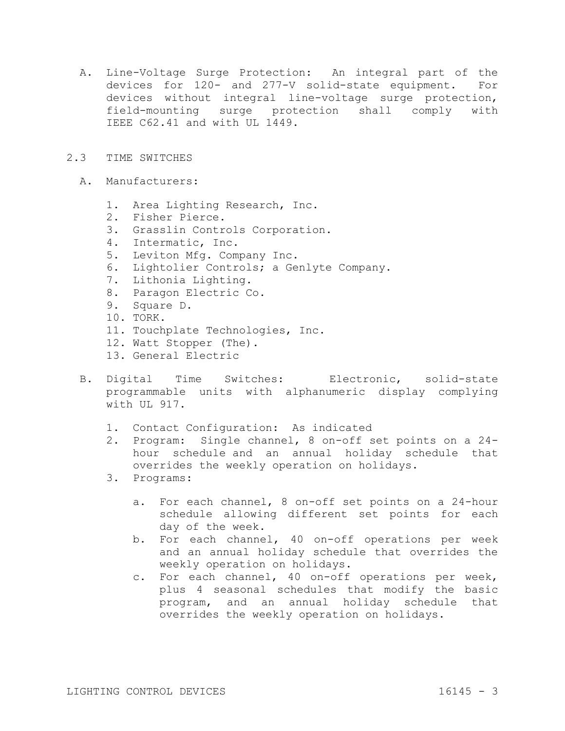- A. Line-Voltage Surge Protection: An integral part of the devices for 120- and 277-V solid-state equipment. For devices without integral line-voltage surge protection, field-mounting surge protection shall comply with IEEE C62.41 and with UL 1449.
- 2.3 TIME SWITCHES
	- A. Manufacturers:
		- 1. Area Lighting Research, Inc.
		- 2. Fisher Pierce.
		- 3. Grasslin Controls Corporation.
		- 4. Intermatic, Inc.
		- 5. Leviton Mfg. Company Inc.
		- 6. Lightolier Controls; a Genlyte Company.
		- 7. Lithonia Lighting.
		- 8. Paragon Electric Co.
		- 9. Square D.
		- 10. TORK.
		- 11. Touchplate Technologies, Inc.
		- 12. Watt Stopper (The).
		- 13. General Electric
	- B. Digital Time Switches: Electronic, solid-state programmable units with alphanumeric display complying with UL 917.
		- 1. Contact Configuration: As indicated
		- 2. Program: Single channel, 8 on-off set points on a 24 hour schedule and an annual holiday schedule that overrides the weekly operation on holidays.
		- 3. Programs:
			- a. For each channel, 8 on-off set points on a 24-hour schedule allowing different set points for each day of the week.
			- b. For each channel, 40 on-off operations per week and an annual holiday schedule that overrides the weekly operation on holidays.
			- c. For each channel, 40 on-off operations per week, plus 4 seasonal schedules that modify the basic program, and an annual holiday schedule that overrides the weekly operation on holidays.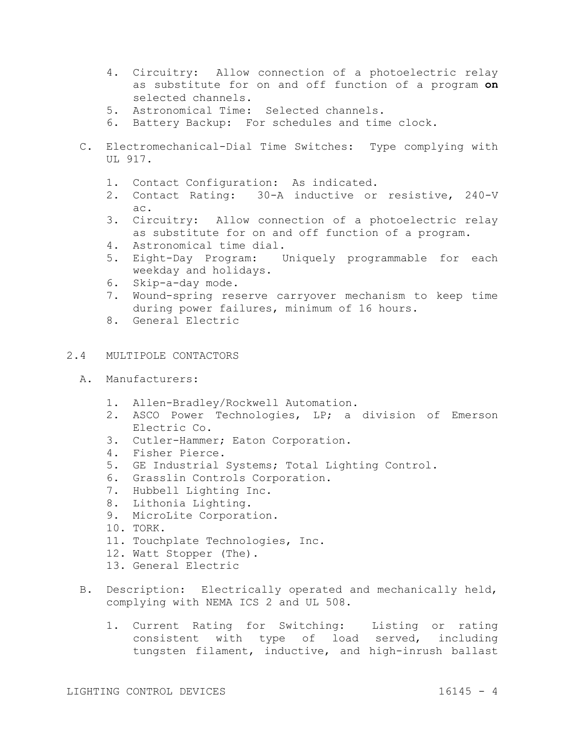- 4. Circuitry: Allow connection of a photoelectric relay as substitute for on and off function of a program **on**  selected channels.
- 5. Astronomical Time: Selected channels.
- 6. Battery Backup: For schedules and time clock.
- C. Electromechanical-Dial Time Switches: Type complying with UL 917.
	- 1. Contact Configuration: As indicated.
	- 2. Contact Rating: 30-A inductive or resistive, 240-V ac.
	- 3. Circuitry: Allow connection of a photoelectric relay as substitute for on and off function of a program.
	- 4. Astronomical time dial.
	- 5. Eight-Day Program: Uniquely programmable for each weekday and holidays.
	- 6. Skip-a-day mode.
	- 7. Wound-spring reserve carryover mechanism to keep time during power failures, minimum of 16 hours.
	- 8. General Electric

# 2.4 MULTIPOLE CONTACTORS

- A. Manufacturers:
	- 1. Allen-Bradley/Rockwell Automation.
	- 2. ASCO Power Technologies, LP; a division of Emerson Electric Co.
	- 3. Cutler-Hammer; Eaton Corporation.
	- 4. Fisher Pierce.
	- 5. GE Industrial Systems; Total Lighting Control.
	- 6. Grasslin Controls Corporation.
	- 7. Hubbell Lighting Inc.
	- 8. Lithonia Lighting.
	- 9. MicroLite Corporation.
	- 10. TORK.
	- 11. Touchplate Technologies, Inc.
	- 12. Watt Stopper (The).
	- 13. General Electric
- B. Description: Electrically operated and mechanically held, complying with NEMA ICS 2 and UL 508.
	- 1. Current Rating for Switching: Listing or rating consistent with type of load served, including tungsten filament, inductive, and high-inrush ballast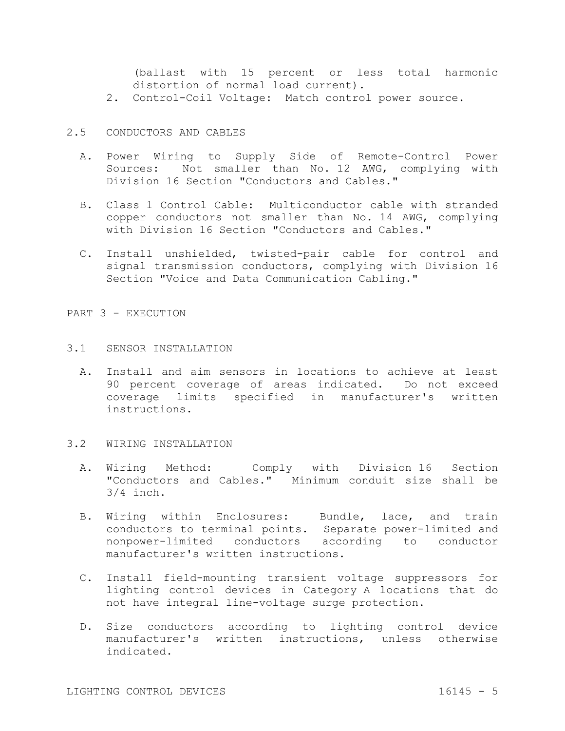(ballast with 15 percent or less total harmonic distortion of normal load current).

- 2. Control-Coil Voltage: Match control power source.
- 2.5 CONDUCTORS AND CABLES
	- A. Power Wiring to Supply Side of Remote-Control Power Sources: Not smaller than No. 12 AWG, complying with Division 16 Section "Conductors and Cables."
	- B. Class 1 Control Cable: Multiconductor cable with stranded copper conductors not smaller than No. 14 AWG, complying with Division 16 Section "Conductors and Cables."
	- C. Install unshielded, twisted-pair cable for control and signal transmission conductors, complying with Division 16 Section "Voice and Data Communication Cabling."

PART 3 - EXECUTION

#### 3.1 SENSOR INSTALLATION

A. Install and aim sensors in locations to achieve at least 90 percent coverage of areas indicated. Do not exceed coverage limits specified in manufacturer's written instructions.

#### 3.2 WIRING INSTALLATION

- A. Wiring Method: Comply with Division 16 Section "Conductors and Cables." Minimum conduit size shall be 3/4 inch.
- B. Wiring within Enclosures: Bundle, lace, and train conductors to terminal points. Separate power-limited and nonpower-limited conductors according to conductor manufacturer's written instructions.
- C. Install field-mounting transient voltage suppressors for lighting control devices in Category A locations that do not have integral line-voltage surge protection.
- D. Size conductors according to lighting control device manufacturer's written instructions, unless otherwise indicated.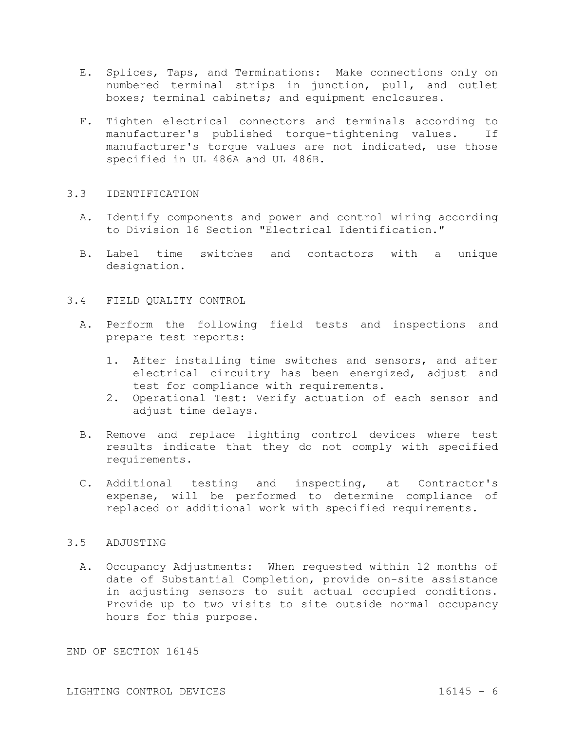- E. Splices, Taps, and Terminations: Make connections only on numbered terminal strips in junction, pull, and outlet boxes; terminal cabinets; and equipment enclosures.
- F. Tighten electrical connectors and terminals according to manufacturer's published torque-tightening values. If manufacturer's torque values are not indicated, use those specified in UL 486A and UL 486B.

## 3.3 IDENTIFICATION

- A. Identify components and power and control wiring according to Division 16 Section "Electrical Identification."
- B. Label time switches and contactors with a unique designation.
- 3.4 FIELD QUALITY CONTROL
	- A. Perform the following field tests and inspections and prepare test reports:
		- 1. After installing time switches and sensors, and after electrical circuitry has been energized, adjust and test for compliance with requirements.
		- 2. Operational Test: Verify actuation of each sensor and adjust time delays.
	- B. Remove and replace lighting control devices where test results indicate that they do not comply with specified requirements.
	- C. Additional testing and inspecting, at Contractor's expense, will be performed to determine compliance of replaced or additional work with specified requirements.

## 3.5 ADJUSTING

A. Occupancy Adjustments: When requested within 12 months of date of Substantial Completion, provide on-site assistance in adjusting sensors to suit actual occupied conditions. Provide up to two visits to site outside normal occupancy hours for this purpose.

END OF SECTION 16145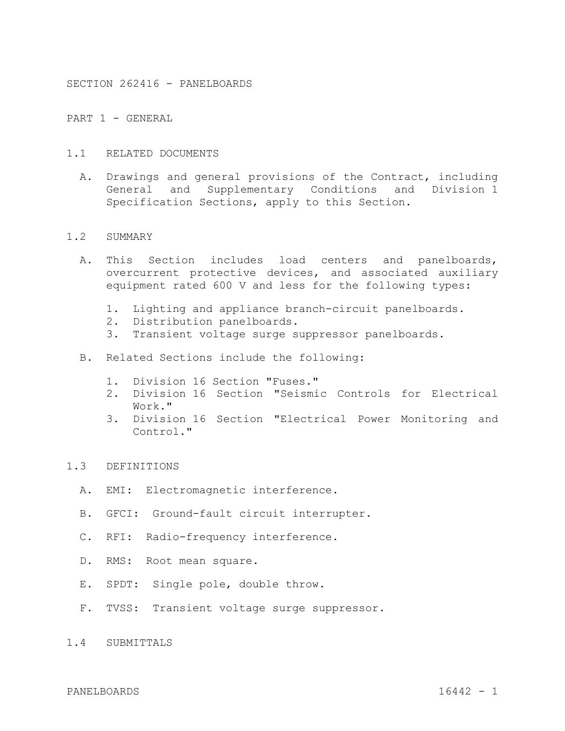SECTION 262416 - PANELBOARDS

PART 1 - GENERAL

- 1.1 RELATED DOCUMENTS
	- A. Drawings and general provisions of the Contract, including General and Supplementary Conditions and Division 1 Specification Sections, apply to this Section.

#### 1.2 SUMMARY

- A. This Section includes load centers and panelboards, overcurrent protective devices, and associated auxiliary equipment rated 600 V and less for the following types:
	- 1. Lighting and appliance branch-circuit panelboards.
	- 2. Distribution panelboards.
	- 3. Transient voltage surge suppressor panelboards.
- B. Related Sections include the following:
	- 1. Division 16 Section "Fuses."
	- 2. Division 16 Section "Seismic Controls for Electrical Work."
	- 3. Division 16 Section "Electrical Power Monitoring and Control."
- 1.3 DEFINITIONS
	- A. EMI: Electromagnetic interference.
	- B. GFCI: Ground-fault circuit interrupter.
	- C. RFI: Radio-frequency interference.
	- D. RMS: Root mean square.
	- E. SPDT: Single pole, double throw.
	- F. TVSS: Transient voltage surge suppressor.
- 1.4 SUBMITTALS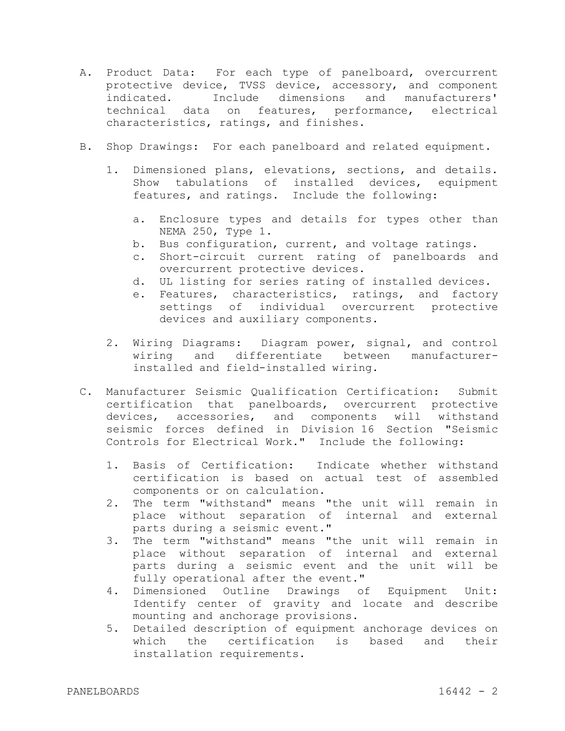- A. Product Data: For each type of panelboard, overcurrent protective device, TVSS device, accessory, and component indicated. Include dimensions and manufacturers' technical data on features, performance, electrical characteristics, ratings, and finishes.
- B. Shop Drawings: For each panelboard and related equipment.
	- 1. Dimensioned plans, elevations, sections, and details. Show tabulations of installed devices, equipment features, and ratings. Include the following:
		- a. Enclosure types and details for types other than NEMA 250, Type 1.
		- b. Bus configuration, current, and voltage ratings.
		- c. Short-circuit current rating of panelboards and overcurrent protective devices.
		- d. UL listing for series rating of installed devices.
		- e. Features, characteristics, ratings, and factory settings of individual overcurrent protective devices and auxiliary components.
	- 2. Wiring Diagrams: Diagram power, signal, and control wiring and differentiate between manufacturerinstalled and field-installed wiring.
- C. Manufacturer Seismic Qualification Certification: Submit certification that panelboards, overcurrent protective devices, accessories, and components will withstand seismic forces defined in Division 16 Section "Seismic Controls for Electrical Work." Include the following:
	- 1. Basis of Certification: Indicate whether withstand certification is based on actual test of assembled components or on calculation.
	- 2. The term "withstand" means "the unit will remain in place without separation of internal and external parts during a seismic event."
	- 3. The term "withstand" means "the unit will remain in place without separation of internal and external parts during a seismic event and the unit will be fully operational after the event."
	- 4. Dimensioned Outline Drawings of Equipment Unit: Identify center of gravity and locate and describe mounting and anchorage provisions.
	- 5. Detailed description of equipment anchorage devices on which the certification is based and their installation requirements.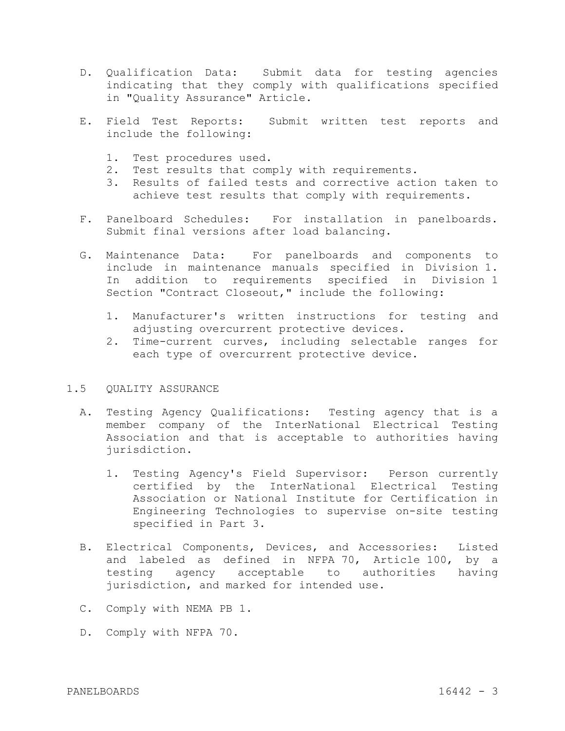- D. Qualification Data: Submit data for testing agencies indicating that they comply with qualifications specified in "Quality Assurance" Article.
- E. Field Test Reports: Submit written test reports and include the following:
	- 1. Test procedures used.
	- 2. Test results that comply with requirements.
	- 3. Results of failed tests and corrective action taken to achieve test results that comply with requirements.
- F. Panelboard Schedules: For installation in panelboards. Submit final versions after load balancing.
- G. Maintenance Data: For panelboards and components to include in maintenance manuals specified in Division 1. In addition to requirements specified in Division 1 Section "Contract Closeout," include the following:
	- 1. Manufacturer's written instructions for testing and adjusting overcurrent protective devices.
	- 2. Time-current curves, including selectable ranges for each type of overcurrent protective device.

#### 1.5 QUALITY ASSURANCE

- A. Testing Agency Qualifications: Testing agency that is a member company of the InterNational Electrical Testing Association and that is acceptable to authorities having jurisdiction.
	- 1. Testing Agency's Field Supervisor: Person currently certified by the InterNational Electrical Testing Association or National Institute for Certification in Engineering Technologies to supervise on-site testing specified in Part 3.
- B. Electrical Components, Devices, and Accessories: Listed and labeled as defined in NFPA 70, Article 100, by a testing agency acceptable to authorities having jurisdiction, and marked for intended use.
- C. Comply with NEMA PB 1.
- D. Comply with NFPA 70.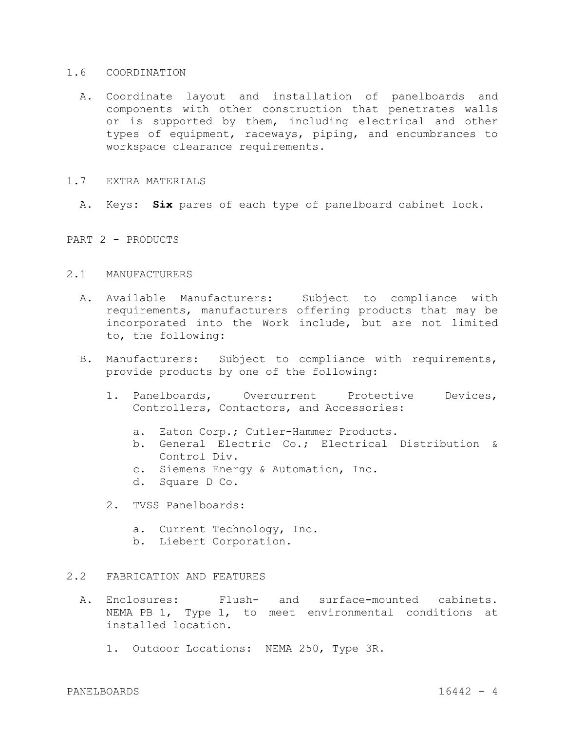#### 1.6 COORDINATION

A. Coordinate layout and installation of panelboards and components with other construction that penetrates walls or is supported by them, including electrical and other types of equipment, raceways, piping, and encumbrances to workspace clearance requirements.

#### 1.7 EXTRA MATERIALS

A. Keys: **Six** pares of each type of panelboard cabinet lock.

PART 2 - PRODUCTS

## 2.1 MANUFACTURERS

- A. Available Manufacturers: Subject to compliance with requirements, manufacturers offering products that may be incorporated into the Work include, but are not limited to, the following:
- B. Manufacturers: Subject to compliance with requirements, provide products by one of the following:
	- 1. Panelboards, Overcurrent Protective Devices, Controllers, Contactors, and Accessories:
		- a. Eaton Corp.; Cutler-Hammer Products.
		- b. General Electric Co.; Electrical Distribution & Control Div.
		- c. Siemens Energy & Automation, Inc.
		- d. Square D Co.
	- 2. TVSS Panelboards:
		- a. Current Technology, Inc.
		- b. Liebert Corporation.

# 2.2 FABRICATION AND FEATURES

- A. Enclosures: Flush- and surface**-**mounted cabinets. NEMA PB 1, Type 1, to meet environmental conditions at installed location.
	- 1. Outdoor Locations: NEMA 250, Type 3R.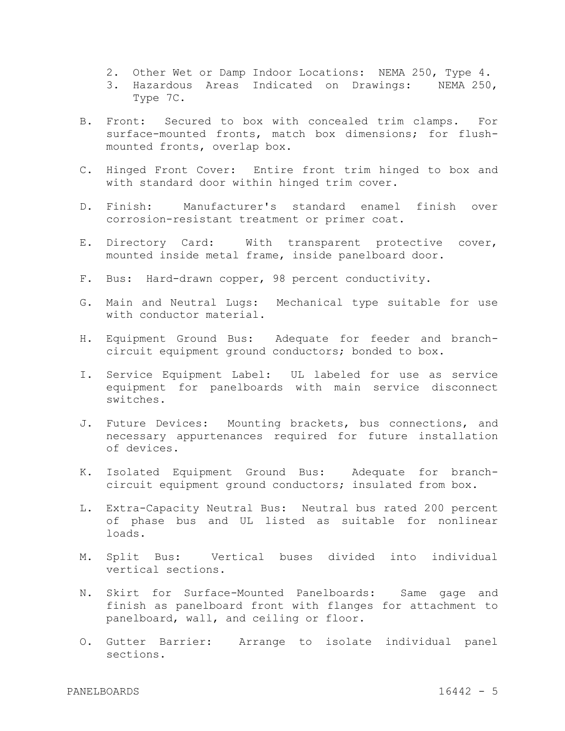- 2. Other Wet or Damp Indoor Locations: NEMA 250, Type 4.
- 3. Hazardous Areas Indicated on Drawings: NEMA 250, Type 7C.
- B. Front: Secured to box with concealed trim clamps. For surface-mounted fronts, match box dimensions; for flushmounted fronts, overlap box.
- C. Hinged Front Cover: Entire front trim hinged to box and with standard door within hinged trim cover.
- D. Finish: Manufacturer's standard enamel finish over corrosion-resistant treatment or primer coat.
- E. Directory Card: With transparent protective cover, mounted inside metal frame, inside panelboard door.
- F. Bus: Hard-drawn copper, 98 percent conductivity.
- G. Main and Neutral Lugs: Mechanical type suitable for use with conductor material.
- H. Equipment Ground Bus: Adequate for feeder and branchcircuit equipment ground conductors; bonded to box.
- I. Service Equipment Label: UL labeled for use as service equipment for panelboards with main service disconnect switches.
- J. Future Devices: Mounting brackets, bus connections, and necessary appurtenances required for future installation of devices.
- K. Isolated Equipment Ground Bus: Adequate for branchcircuit equipment ground conductors; insulated from box.
- L. Extra-Capacity Neutral Bus: Neutral bus rated 200 percent of phase bus and UL listed as suitable for nonlinear loads.
- M. Split Bus: Vertical buses divided into individual vertical sections.
- N. Skirt for Surface-Mounted Panelboards: Same gage and finish as panelboard front with flanges for attachment to panelboard, wall, and ceiling or floor.
- O. Gutter Barrier: Arrange to isolate individual panel sections.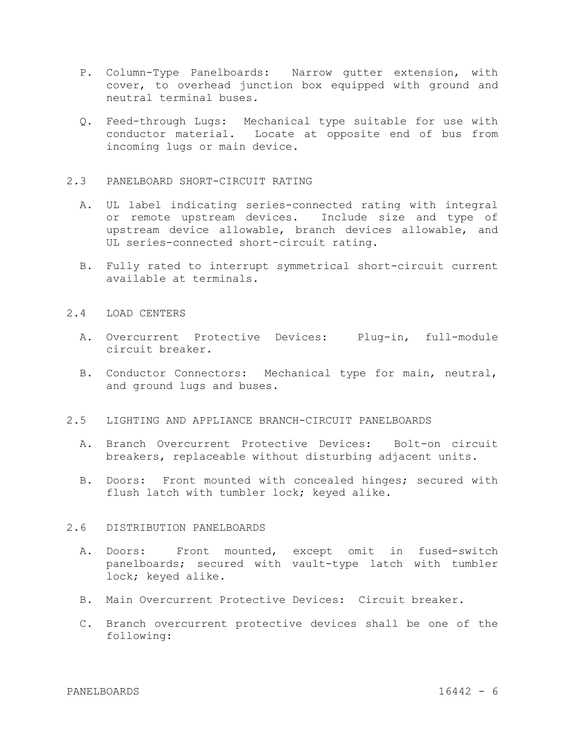- P. Column-Type Panelboards: Narrow gutter extension, with cover, to overhead junction box equipped with ground and neutral terminal buses.
- Q. Feed-through Lugs: Mechanical type suitable for use with conductor material. Locate at opposite end of bus from incoming lugs or main device.

#### 2.3 PANELBOARD SHORT-CIRCUIT RATING

- A. UL label indicating series-connected rating with integral or remote upstream devices. Include size and type of upstream device allowable, branch devices allowable, and UL series-connected short-circuit rating.
- B. Fully rated to interrupt symmetrical short-circuit current available at terminals.

#### 2.4 LOAD CENTERS

- A. Overcurrent Protective Devices: Plug-in, full-module circuit breaker.
- B. Conductor Connectors: Mechanical type for main, neutral, and ground lugs and buses.
- 2.5 LIGHTING AND APPLIANCE BRANCH-CIRCUIT PANELBOARDS
	- A. Branch Overcurrent Protective Devices: Bolt-on circuit breakers, replaceable without disturbing adjacent units.
	- B. Doors: Front mounted with concealed hinges; secured with flush latch with tumbler lock; keyed alike.

# 2.6 DISTRIBUTION PANELBOARDS

- A. Doors: Front mounted, except omit in fused-switch panelboards; secured with vault-type latch with tumbler lock; keyed alike.
- B. Main Overcurrent Protective Devices: Circuit breaker.
- C. Branch overcurrent protective devices shall be one of the following: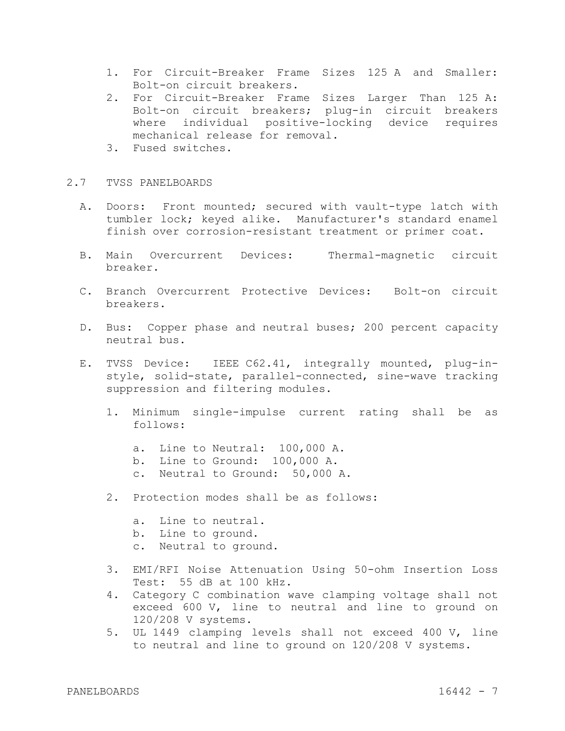- 1. For Circuit-Breaker Frame Sizes 125 A and Smaller: Bolt-on circuit breakers.
- 2. For Circuit-Breaker Frame Sizes Larger Than 125 A: Bolt-on circuit breakers; plug-in circuit breakers where individual positive-locking device requires mechanical release for removal.
- 3. Fused switches.

# 2.7 TVSS PANELBOARDS

- A. Doors: Front mounted; secured with vault-type latch with tumbler lock; keyed alike. Manufacturer's standard enamel finish over corrosion-resistant treatment or primer coat.
- B. Main Overcurrent Devices: Thermal-magnetic circuit breaker.
- C. Branch Overcurrent Protective Devices: Bolt-on circuit breakers.
- D. Bus: Copper phase and neutral buses; 200 percent capacity neutral bus.
- E. TVSS Device: IEEE C62.41, integrally mounted, plug-instyle, solid-state, parallel-connected, sine-wave tracking suppression and filtering modules.
	- 1. Minimum single-impulse current rating shall be as follows:
		- a. Line to Neutral: 100,000 A.
		- b. Line to Ground: 100,000 A.
		- c. Neutral to Ground: 50,000 A.
	- 2. Protection modes shall be as follows:
		- a. Line to neutral.
		- b. Line to ground.
		- c. Neutral to ground.
	- 3. EMI/RFI Noise Attenuation Using 50-ohm Insertion Loss Test: 55 dB at 100 kHz.
	- 4. Category C combination wave clamping voltage shall not exceed 600 V, line to neutral and line to ground on 120/208 V systems.
	- 5. UL 1449 clamping levels shall not exceed 400 V, line to neutral and line to ground on 120/208 V systems.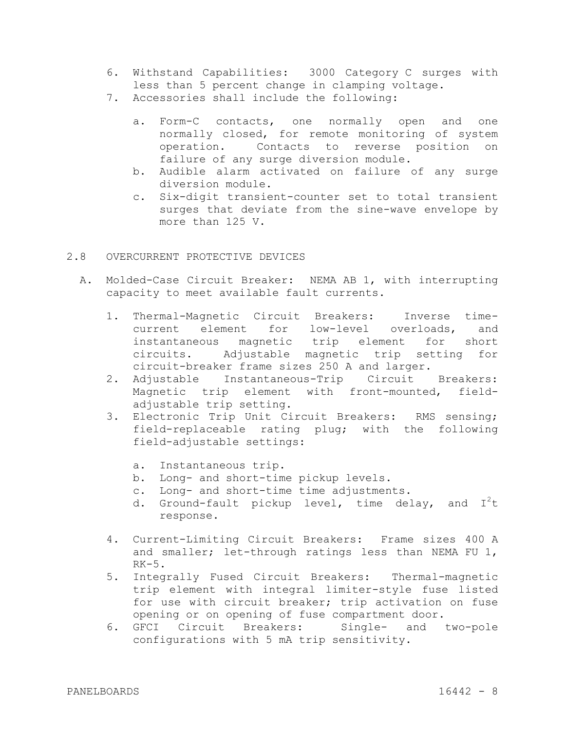- 6. Withstand Capabilities: 3000 Category C surges with less than 5 percent change in clamping voltage.
- 7. Accessories shall include the following:
	- a. Form-C contacts, one normally open and one normally closed, for remote monitoring of system operation. Contacts to reverse position on failure of any surge diversion module.
	- b. Audible alarm activated on failure of any surge diversion module.
	- c. Six-digit transient-counter set to total transient surges that deviate from the sine-wave envelope by more than 125 V.

## 2.8 OVERCURRENT PROTECTIVE DEVICES

- A. Molded-Case Circuit Breaker: NEMA AB 1, with interrupting capacity to meet available fault currents.
	- 1. Thermal-Magnetic Circuit Breakers: Inverse timecurrent element for low-level overloads, and instantaneous magnetic trip element for short circuits. Adjustable magnetic trip setting for circuit-breaker frame sizes 250 A and larger.
	- 2. Adjustable Instantaneous-Trip Circuit Breakers: Magnetic trip element with front-mounted, fieldadjustable trip setting.
	- 3. Electronic Trip Unit Circuit Breakers: RMS sensing; field-replaceable rating plug; with the following field-adjustable settings:
		- a. Instantaneous trip.
		- b. Long- and short-time pickup levels.
		- c. Long- and short-time time adjustments.
		- d. Ground-fault pickup level, time delay, and  $I^2t$ response.
	- 4. Current-Limiting Circuit Breakers: Frame sizes 400 A and smaller; let-through ratings less than NEMA FU 1, RK-5.
	- 5. Integrally Fused Circuit Breakers: Thermal-magnetic trip element with integral limiter-style fuse listed for use with circuit breaker; trip activation on fuse opening or on opening of fuse compartment door.
	- 6. GFCI Circuit Breakers: Single- and two-pole configurations with 5 mA trip sensitivity.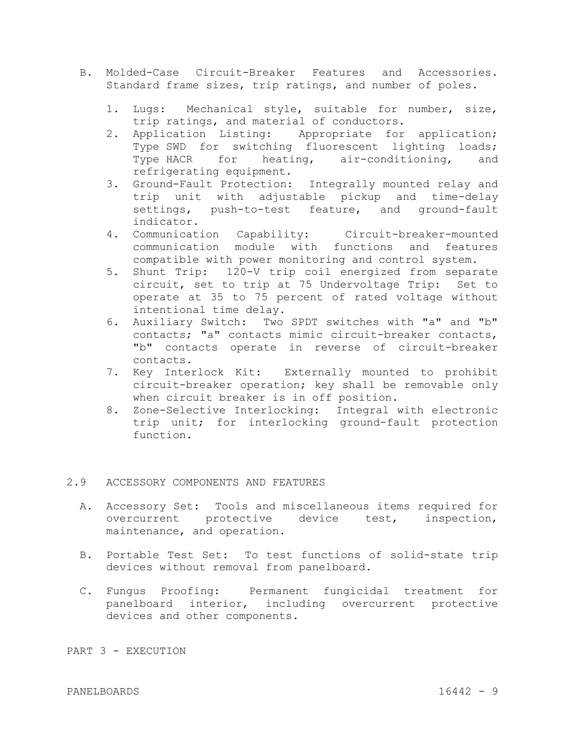- B. Molded-Case Circuit-Breaker Features and Accessories. Standard frame sizes, trip ratings, and number of poles.
	- 1. Lugs: Mechanical style, suitable for number, size, trip ratings, and material of conductors.
	- 2. Application Listing: Appropriate for application; Type SWD for switching fluorescent lighting loads; Type HACR for heating, air-conditioning, and refrigerating equipment.
	- 3. Ground-Fault Protection: Integrally mounted relay and trip unit with adjustable pickup and time-delay settings, push-to-test feature, and ground-fault indicator.
	- 4. Communication Capability: Circuit-breaker-mounted communication module with functions and features compatible with power monitoring and control system.
	- 5. Shunt Trip: 120-V trip coil energized from separate circuit, set to trip at 75 Undervoltage Trip: Set to operate at 35 to 75 percent of rated voltage without intentional time delay.
	- 6. Auxiliary Switch: Two SPDT switches with "a" and "b" contacts; "a" contacts mimic circuit-breaker contacts, "b" contacts operate in reverse of circuit-breaker contacts.
	- 7. Key Interlock Kit: Externally mounted to prohibit circuit-breaker operation; key shall be removable only when circuit breaker is in off position.
	- 8. Zone-Selective Interlocking: Integral with electronic trip unit; for interlocking ground-fault protection function.

# 2.9 ACCESSORY COMPONENTS AND FEATURES

- A. Accessory Set: Tools and miscellaneous items required for overcurrent protective device test, inspection, maintenance, and operation.
- B. Portable Test Set: To test functions of solid-state trip devices without removal from panelboard.
- C. Fungus Proofing: Permanent fungicidal treatment for panelboard interior, including overcurrent protective devices and other components.

PART 3 - EXECUTION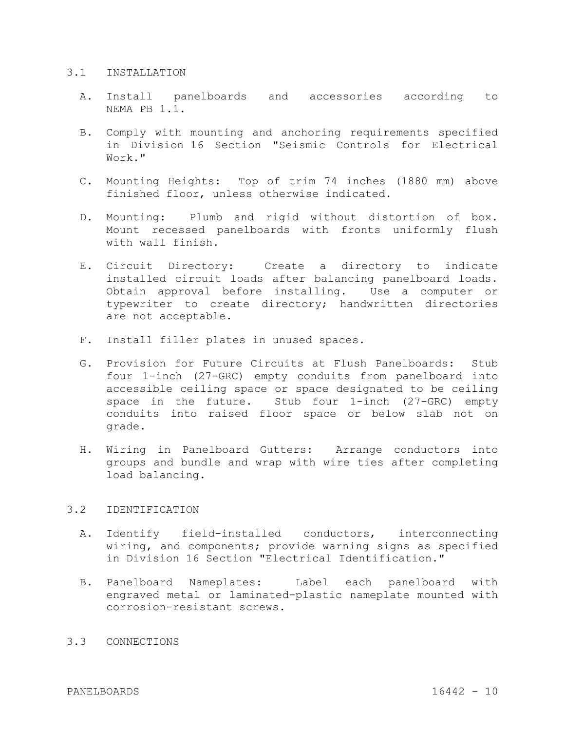#### 3.1 INSTALLATION

- A. Install panelboards and accessories according to NEMA PB 1.1.
- B. Comply with mounting and anchoring requirements specified in Division 16 Section "Seismic Controls for Electrical Work."
- C. Mounting Heights: Top of trim 74 inches (1880 mm) above finished floor, unless otherwise indicated.
- D. Mounting: Plumb and rigid without distortion of box. Mount recessed panelboards with fronts uniformly flush with wall finish.
- E. Circuit Directory: Create a directory to indicate installed circuit loads after balancing panelboard loads. Obtain approval before installing. Use a computer or typewriter to create directory; handwritten directories are not acceptable.
- F. Install filler plates in unused spaces.
- G. Provision for Future Circuits at Flush Panelboards: Stub four 1-inch (27-GRC) empty conduits from panelboard into accessible ceiling space or space designated to be ceiling space in the future. Stub four 1-inch (27-GRC) empty conduits into raised floor space or below slab not on grade.
- H. Wiring in Panelboard Gutters: Arrange conductors into groups and bundle and wrap with wire ties after completing load balancing.

## 3.2 IDENTIFICATION

- A. Identify field-installed conductors, interconnecting wiring, and components; provide warning signs as specified in Division 16 Section "Electrical Identification."
- B. Panelboard Nameplates: Label each panelboard with engraved metal or laminated-plastic nameplate mounted with corrosion-resistant screws.

# 3.3 CONNECTIONS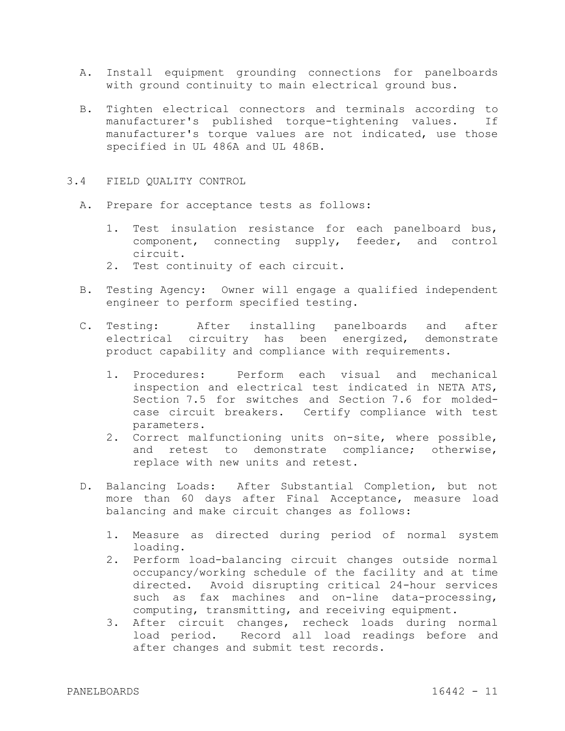- A. Install equipment grounding connections for panelboards with ground continuity to main electrical ground bus.
- B. Tighten electrical connectors and terminals according to manufacturer's published torque-tightening values. If manufacturer's torque values are not indicated, use those specified in UL 486A and UL 486B.
- 3.4 FIELD QUALITY CONTROL
	- A. Prepare for acceptance tests as follows:
		- 1. Test insulation resistance for each panelboard bus, component, connecting supply, feeder, and control circuit.
		- 2. Test continuity of each circuit.
	- B. Testing Agency: Owner will engage a qualified independent engineer to perform specified testing.
	- C. Testing: After installing panelboards and after electrical circuitry has been energized, demonstrate product capability and compliance with requirements.
		- 1. Procedures: Perform each visual and mechanical inspection and electrical test indicated in NETA ATS, Section 7.5 for switches and Section 7.6 for moldedcase circuit breakers. Certify compliance with test parameters.
		- 2. Correct malfunctioning units on-site, where possible, and retest to demonstrate compliance; otherwise, replace with new units and retest.
	- D. Balancing Loads: After Substantial Completion, but not more than 60 days after Final Acceptance, measure load balancing and make circuit changes as follows:
		- 1. Measure as directed during period of normal system loading.
		- 2. Perform load-balancing circuit changes outside normal occupancy/working schedule of the facility and at time directed. Avoid disrupting critical 24-hour services such as fax machines and on-line data-processing, computing, transmitting, and receiving equipment.
		- 3. After circuit changes, recheck loads during normal load period. Record all load readings before and after changes and submit test records.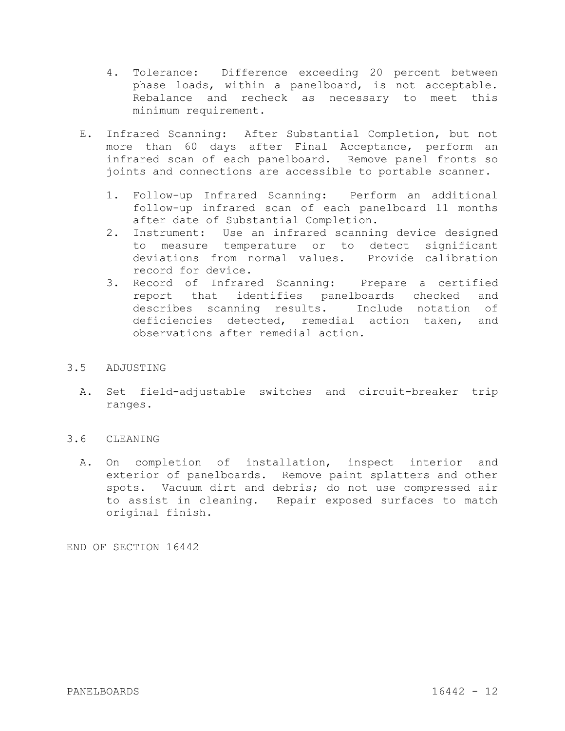- 4. Tolerance: Difference exceeding 20 percent between phase loads, within a panelboard, is not acceptable. Rebalance and recheck as necessary to meet this minimum requirement.
- E. Infrared Scanning: After Substantial Completion, but not more than 60 days after Final Acceptance, perform an infrared scan of each panelboard. Remove panel fronts so joints and connections are accessible to portable scanner.
	- 1. Follow-up Infrared Scanning: Perform an additional follow-up infrared scan of each panelboard 11 months after date of Substantial Completion.
	- 2. Instrument: Use an infrared scanning device designed to measure temperature or to detect significant deviations from normal values. Provide calibration record for device.
	- 3. Record of Infrared Scanning: Prepare a certified report that identifies panelboards checked and describes scanning results. Include notation of deficiencies detected, remedial action taken, and observations after remedial action.

# 3.5 ADJUSTING

A. Set field-adjustable switches and circuit-breaker trip ranges.

# 3.6 CLEANING

A. On completion of installation, inspect interior and exterior of panelboards. Remove paint splatters and other spots. Vacuum dirt and debris; do not use compressed air to assist in cleaning. Repair exposed surfaces to match original finish.

END OF SECTION 16442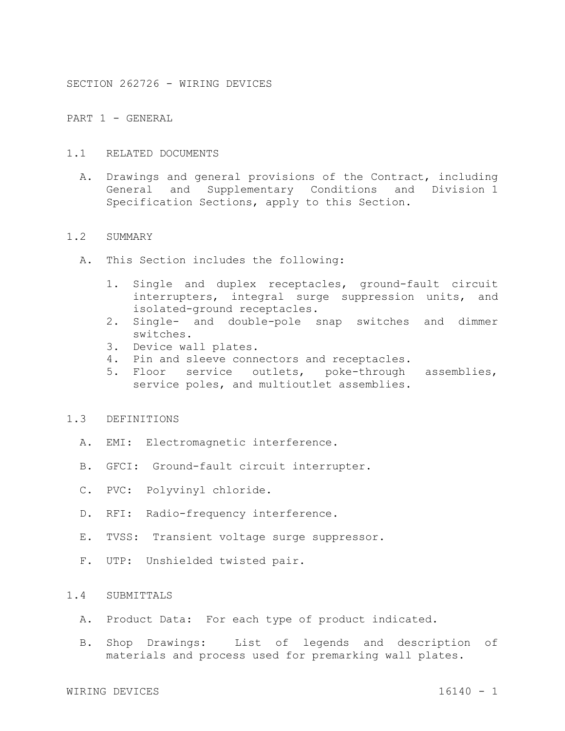SECTION 262726 - WIRING DEVICES

PART 1 - GENERAL

- 1.1 RELATED DOCUMENTS
	- A. Drawings and general provisions of the Contract, including General and Supplementary Conditions and Division 1 Specification Sections, apply to this Section.

#### 1.2 SUMMARY

- A. This Section includes the following:
	- 1. Single and duplex receptacles, ground-fault circuit interrupters, integral surge suppression units, and isolated-ground receptacles.
	- 2. Single- and double-pole snap switches and dimmer switches.
	- 3. Device wall plates.
	- 4. Pin and sleeve connectors and receptacles.
	- 5. Floor service outlets, poke-through assemblies, service poles, and multioutlet assemblies.

# 1.3 DEFINITIONS

- A. EMI: Electromagnetic interference.
- B. GFCI: Ground-fault circuit interrupter.
- C. PVC: Polyvinyl chloride.
- D. RFI: Radio-frequency interference.
- E. TVSS: Transient voltage surge suppressor.
- F. UTP: Unshielded twisted pair.

# 1.4 SUBMITTALS

- A. Product Data: For each type of product indicated.
- B. Shop Drawings: List of legends and description of materials and process used for premarking wall plates.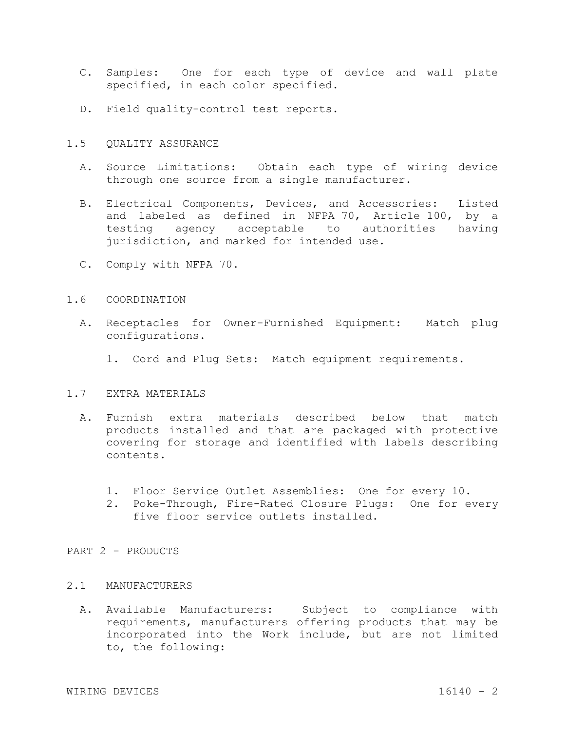- C. Samples: One for each type of device and wall plate specified, in each color specified.
- D. Field quality-control test reports.
- 1.5 QUALITY ASSURANCE
	- A. Source Limitations: Obtain each type of wiring device through one source from a single manufacturer.
	- B. Electrical Components, Devices, and Accessories: Listed and labeled as defined in NFPA 70, Article 100, by a testing agency acceptable to authorities having jurisdiction, and marked for intended use.
	- C. Comply with NFPA 70.

## 1.6 COORDINATION

- A. Receptacles for Owner-Furnished Equipment: Match plug configurations.
	- 1. Cord and Plug Sets: Match equipment requirements.

## 1.7 EXTRA MATERIALS

- A. Furnish extra materials described below that match products installed and that are packaged with protective covering for storage and identified with labels describing contents.
	- 1. Floor Service Outlet Assemblies: One for every 10.
	- 2. Poke-Through, Fire-Rated Closure Plugs: One for every five floor service outlets installed.

#### PART 2 - PRODUCTS

#### 2.1 MANUFACTURERS

A. Available Manufacturers: Subject to compliance with requirements, manufacturers offering products that may be incorporated into the Work include, but are not limited to, the following: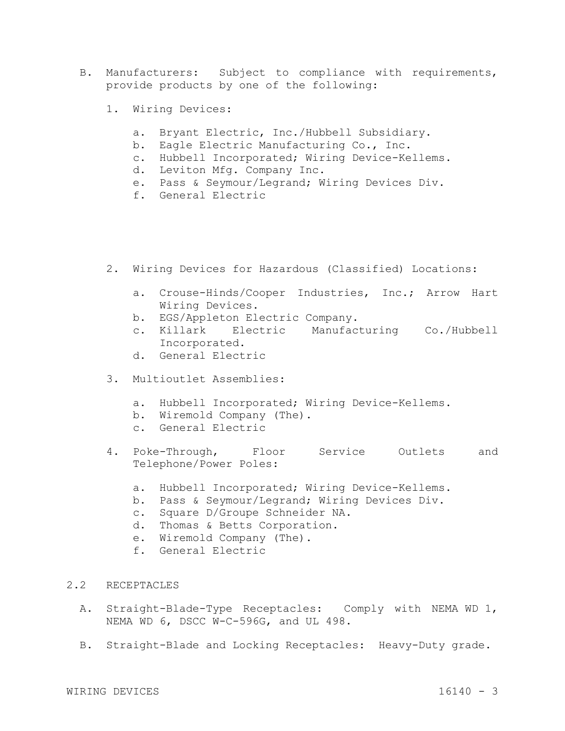- B. Manufacturers: Subject to compliance with requirements, provide products by one of the following:
	- 1. Wiring Devices:
		- a. Bryant Electric, Inc./Hubbell Subsidiary.
		- b. Eagle Electric Manufacturing Co., Inc.
		- c. Hubbell Incorporated; Wiring Device-Kellems.
		- d. Leviton Mfg. Company Inc.
		- e. Pass & Seymour/Legrand; Wiring Devices Div.
		- f. General Electric
	- 2. Wiring Devices for Hazardous (Classified) Locations:
		- a. Crouse-Hinds/Cooper Industries, Inc.; Arrow Hart Wiring Devices.
		- b. EGS/Appleton Electric Company.
		- c. Killark Electric Manufacturing Co./Hubbell Incorporated.
		- d. General Electric
	- 3. Multioutlet Assemblies:
		- a. Hubbell Incorporated; Wiring Device-Kellems.
		- b. Wiremold Company (The).
		- c. General Electric
	- 4. Poke-Through, Floor Service Outlets and Telephone/Power Poles:
		- a. Hubbell Incorporated; Wiring Device-Kellems.
		- b. Pass & Seymour/Legrand; Wiring Devices Div.
		- c. Square D/Groupe Schneider NA.
		- d. Thomas & Betts Corporation.
		- e. Wiremold Company (The).
		- f. General Electric
- 2.2 RECEPTACLES
	- A. Straight-Blade-Type Receptacles: Comply with NEMA WD 1, NEMA WD 6, DSCC W-C-596G, and UL 498.
	- B. Straight-Blade and Locking Receptacles: Heavy-Duty grade.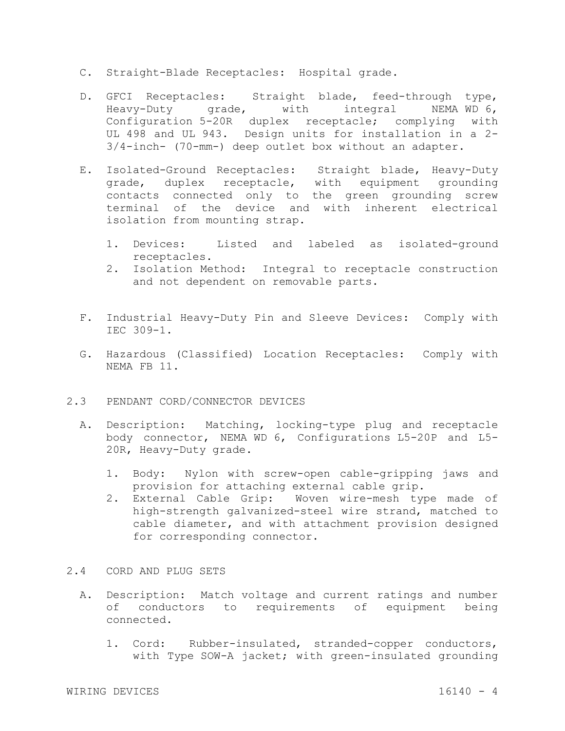- C. Straight-Blade Receptacles: Hospital grade.
- D. GFCI Receptacles: Straight blade, feed-through type, Heavy-Duty grade, with integral NEMA WD 6, Configuration 5-20R duplex receptacle; complying with UL 498 and UL 943. Design units for installation in a 2- 3/4-inch- (70-mm-) deep outlet box without an adapter.
- E. Isolated-Ground Receptacles: Straight blade, Heavy-Duty grade, duplex receptacle, with equipment grounding contacts connected only to the green grounding screw terminal of the device and with inherent electrical isolation from mounting strap.
	- 1. Devices: Listed and labeled as isolated-ground receptacles.
	- 2. Isolation Method: Integral to receptacle construction and not dependent on removable parts.
- F. Industrial Heavy-Duty Pin and Sleeve Devices: Comply with IEC 309-1.
- G. Hazardous (Classified) Location Receptacles: Comply with NEMA FB 11.
- 2.3 PENDANT CORD/CONNECTOR DEVICES
	- A. Description: Matching, locking-type plug and receptacle body connector, NEMA WD 6, Configurations L5-20P and L5- 20R, Heavy-Duty grade.
		- 1. Body: Nylon with screw-open cable-gripping jaws and provision for attaching external cable grip.
		- 2. External Cable Grip: Woven wire-mesh type made of high-strength galvanized-steel wire strand, matched to cable diameter, and with attachment provision designed for corresponding connector.
- 2.4 CORD AND PLUG SETS
	- A. Description: Match voltage and current ratings and number of conductors to requirements of equipment being connected.
		- 1. Cord: Rubber-insulated, stranded-copper conductors, with Type SOW-A jacket; with green-insulated grounding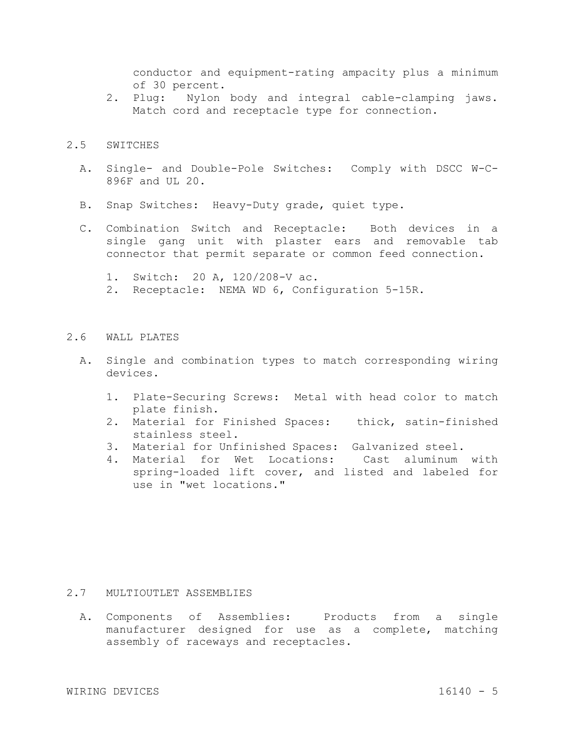conductor and equipment-rating ampacity plus a minimum of 30 percent.

2. Plug: Nylon body and integral cable-clamping jaws. Match cord and receptacle type for connection.

#### 2.5 SWITCHES

- A. Single- and Double-Pole Switches: Comply with DSCC W-C-896F and UL 20.
- B. Snap Switches: Heavy-Duty grade, quiet type.
- C. Combination Switch and Receptacle: Both devices in a single gang unit with plaster ears and removable tab connector that permit separate or common feed connection.
	- 1. Switch: 20 A, 120/208-V ac.
	- 2. Receptacle: NEMA WD 6, Configuration 5-15R.

## 2.6 WALL PLATES

- A. Single and combination types to match corresponding wiring devices.
	- 1. Plate-Securing Screws: Metal with head color to match plate finish.
	- 2. Material for Finished Spaces: thick, satin-finished stainless steel.
	- 3. Material for Unfinished Spaces: Galvanized steel.
	- 4. Material for Wet Locations: Cast aluminum with spring-loaded lift cover, and listed and labeled for use in "wet locations."

#### 2.7 MULTIOUTLET ASSEMBLIES

A. Components of Assemblies: Products from a single manufacturer designed for use as a complete, matching assembly of raceways and receptacles.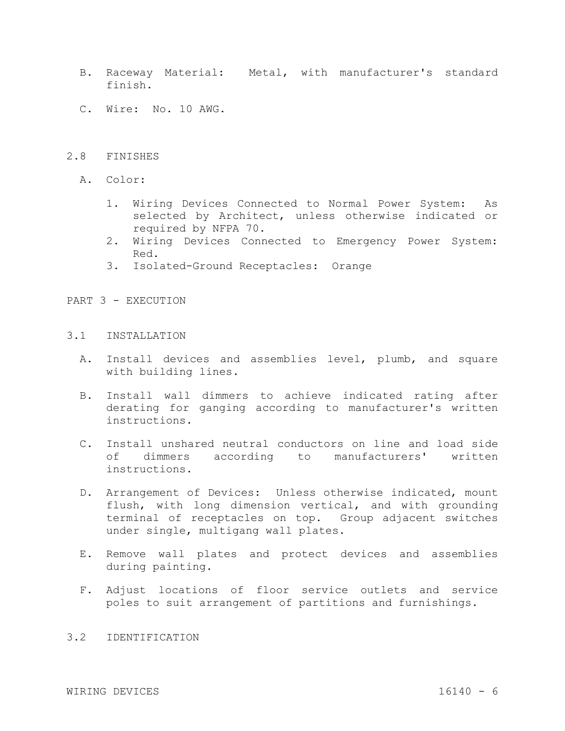- B. Raceway Material: Metal, with manufacturer's standard finish.
- C. Wire: No. 10 AWG.

# 2.8 FINISHES

- A. Color:
	- 1. Wiring Devices Connected to Normal Power System: As selected by Architect, unless otherwise indicated or required by NFPA 70.
	- 2. Wiring Devices Connected to Emergency Power System: Red.
	- 3. Isolated-Ground Receptacles: Orange

PART 3 - EXECUTION

# 3.1 INSTALLATION

- A. Install devices and assemblies level, plumb, and square with building lines.
- B. Install wall dimmers to achieve indicated rating after derating for ganging according to manufacturer's written instructions.
- C. Install unshared neutral conductors on line and load side of dimmers according to manufacturers' written instructions.
- D. Arrangement of Devices: Unless otherwise indicated, mount flush, with long dimension vertical, and with grounding terminal of receptacles on top. Group adjacent switches under single, multigang wall plates.
- E. Remove wall plates and protect devices and assemblies during painting.
- F. Adjust locations of floor service outlets and service poles to suit arrangement of partitions and furnishings.

# 3.2 IDENTIFICATION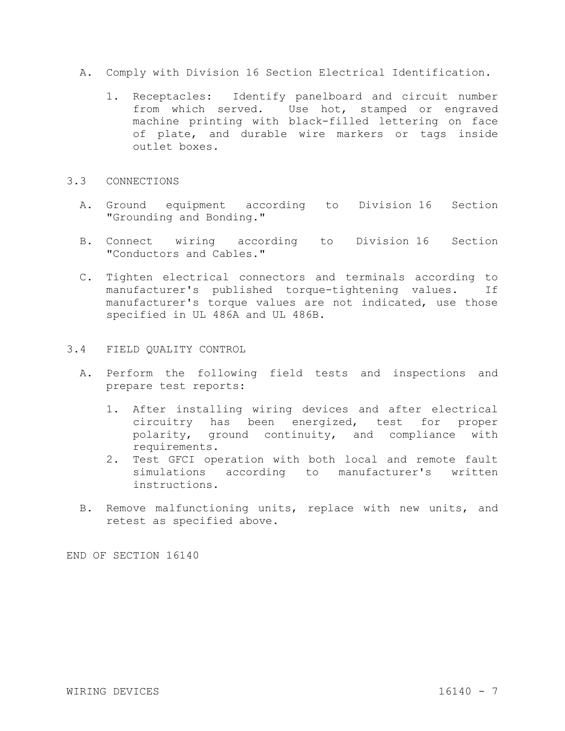- A. Comply with Division 16 Section Electrical Identification.
	- 1. Receptacles: Identify panelboard and circuit number from which served. Use hot, stamped or engraved machine printing with black-filled lettering on face of plate, and durable wire markers or tags inside outlet boxes.

## 3.3 CONNECTIONS

- A. Ground equipment according to Division 16 Section "Grounding and Bonding."
- B. Connect wiring according to Division 16 Section "Conductors and Cables."
- C. Tighten electrical connectors and terminals according to manufacturer's published torque-tightening values. If manufacturer's torque values are not indicated, use those specified in UL 486A and UL 486B.

# 3.4 FIELD QUALITY CONTROL

- A. Perform the following field tests and inspections and prepare test reports:
	- 1. After installing wiring devices and after electrical circuitry has been energized, test for proper polarity, ground continuity, and compliance with requirements.
	- 2. Test GFCI operation with both local and remote fault simulations according to manufacturer's written instructions.
- B. Remove malfunctioning units, replace with new units, and retest as specified above.

END OF SECTION 16140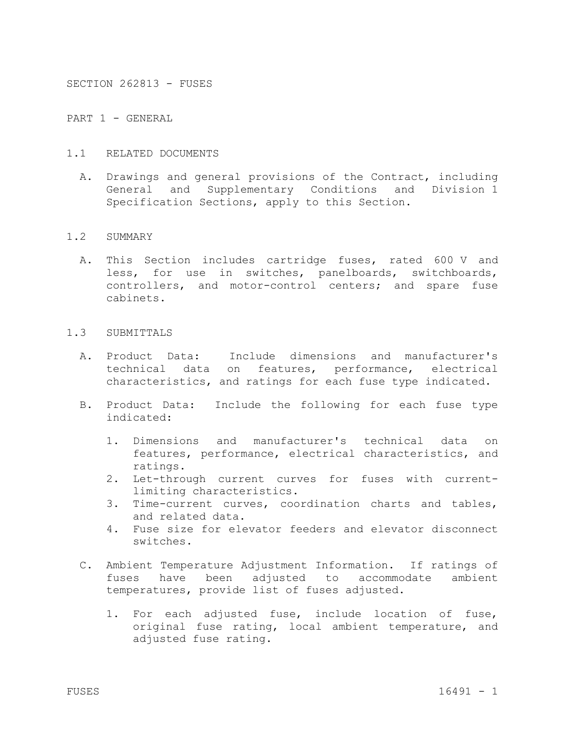SECTION 262813 - FUSES

PART 1 - GENERAL

- 1.1 RELATED DOCUMENTS
	- A. Drawings and general provisions of the Contract, including General and Supplementary Conditions and Division 1 Specification Sections, apply to this Section.

#### 1.2 SUMMARY

A. This Section includes cartridge fuses, rated 600 V and less, for use in switches, panelboards, switchboards, controllers, and motor-control centers; and spare fuse cabinets.

### 1.3 SUBMITTALS

- A. Product Data: Include dimensions and manufacturer's technical data on features, performance, electrical characteristics, and ratings for each fuse type indicated.
- B. Product Data: Include the following for each fuse type indicated:
	- 1. Dimensions and manufacturer's technical data on features, performance, electrical characteristics, and ratings.
	- 2. Let-through current curves for fuses with currentlimiting characteristics.
	- 3. Time-current curves, coordination charts and tables, and related data.
	- 4. Fuse size for elevator feeders and elevator disconnect switches.
- C. Ambient Temperature Adjustment Information. If ratings of fuses have been adjusted to accommodate ambient temperatures, provide list of fuses adjusted.
	- 1. For each adjusted fuse, include location of fuse, original fuse rating, local ambient temperature, and adjusted fuse rating.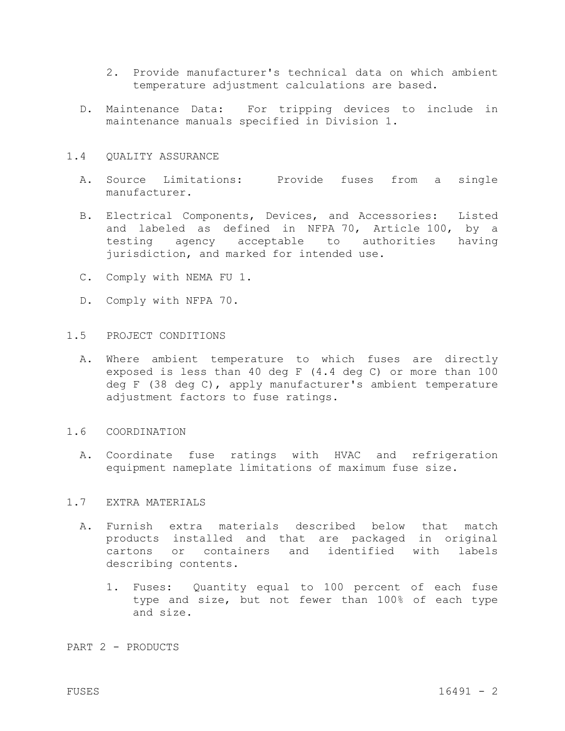- 2. Provide manufacturer's technical data on which ambient temperature adjustment calculations are based.
- D. Maintenance Data: For tripping devices to include in maintenance manuals specified in Division 1.

### 1.4 QUALITY ASSURANCE

- A. Source Limitations: Provide fuses from a single manufacturer.
- B. Electrical Components, Devices, and Accessories: Listed and labeled as defined in NFPA 70, Article 100, by a testing agency acceptable to authorities having jurisdiction, and marked for intended use.
- C. Comply with NEMA FU 1.
- D. Comply with NFPA 70.

# 1.5 PROJECT CONDITIONS

A. Where ambient temperature to which fuses are directly exposed is less than 40 deg F (4.4 deg C) or more than 100 deg F (38 deg C), apply manufacturer's ambient temperature adjustment factors to fuse ratings.

# 1.6 COORDINATION

A. Coordinate fuse ratings with HVAC and refrigeration equipment nameplate limitations of maximum fuse size.

#### 1.7 EXTRA MATERIALS

- A. Furnish extra materials described below that match products installed and that are packaged in original cartons or containers and identified with labels describing contents.
	- 1. Fuses: Quantity equal to 100 percent of each fuse type and size, but not fewer than 100% of each type and size.

### PART 2 - PRODUCTS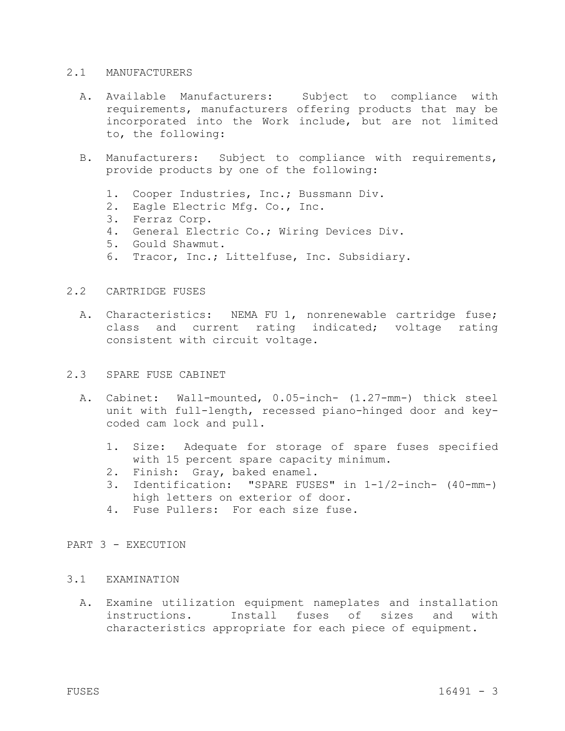#### 2.1 MANUFACTURERS

- A. Available Manufacturers: Subject to compliance with requirements, manufacturers offering products that may be incorporated into the Work include, but are not limited to, the following:
- B. Manufacturers: Subject to compliance with requirements, provide products by one of the following:
	- 1. Cooper Industries, Inc.; Bussmann Div.
	- 2. Eagle Electric Mfg. Co., Inc.
	- 3. Ferraz Corp.
	- 4. General Electric Co.; Wiring Devices Div.
	- 5. Gould Shawmut.
	- 6. Tracor, Inc.; Littelfuse, Inc. Subsidiary.

# 2.2 CARTRIDGE FUSES

A. Characteristics: NEMA FU 1, nonrenewable cartridge fuse; class and current rating indicated; voltage rating consistent with circuit voltage.

## 2.3 SPARE FUSE CABINET

- A. Cabinet: Wall-mounted, 0.05-inch- (1.27-mm-) thick steel unit with full-length, recessed piano-hinged door and keycoded cam lock and pull.
	- 1. Size: Adequate for storage of spare fuses specified with 15 percent spare capacity minimum.
	- 2. Finish: Gray, baked enamel.
	- 3. Identification: "SPARE FUSES" in 1-1/2-inch- (40-mm-) high letters on exterior of door.
	- 4. Fuse Pullers: For each size fuse.

# PART 3 - EXECUTION

# 3.1 EXAMINATION

A. Examine utilization equipment nameplates and installation instructions. Install fuses of sizes and with characteristics appropriate for each piece of equipment.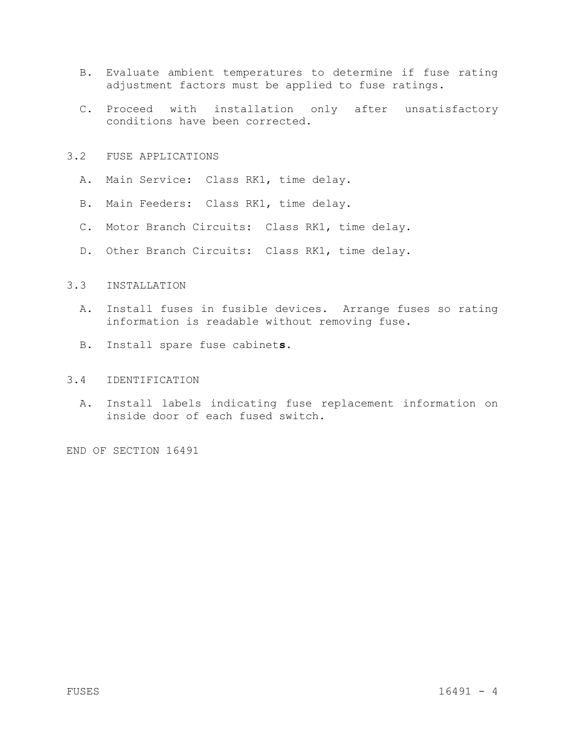- B. Evaluate ambient temperatures to determine if fuse rating adjustment factors must be applied to fuse ratings.
- C. Proceed with installation only after unsatisfactory conditions have been corrected.
- 3.2 FUSE APPLICATIONS
	- A. Main Service: Class RK1, time delay.
	- B. Main Feeders: Class RK1, time delay.
	- C. Motor Branch Circuits: Class RK1, time delay.
	- D. Other Branch Circuits: Class RK1, time delay.

### 3.3 INSTALLATION

- A. Install fuses in fusible devices. Arrange fuses so rating information is readable without removing fuse.
- B. Install spare fuse cabinet**s**.

#### 3.4 IDENTIFICATION

A. Install labels indicating fuse replacement information on inside door of each fused switch.

END OF SECTION 16491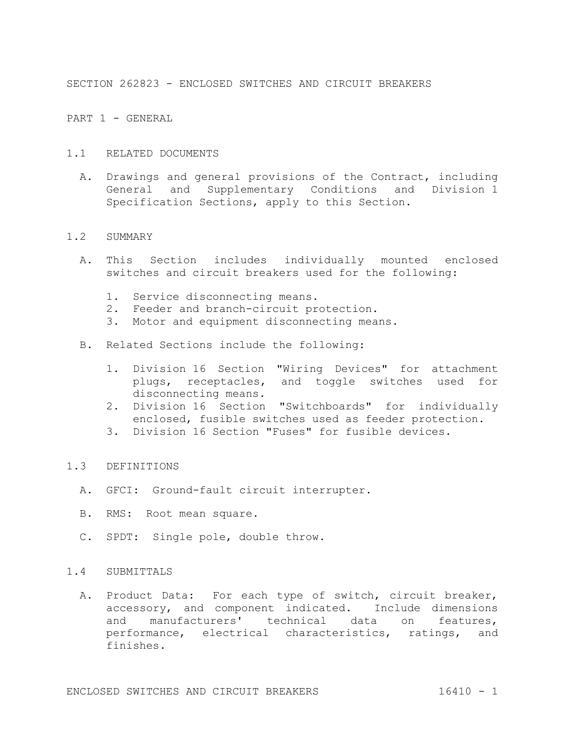SECTION 262823 - ENCLOSED SWITCHES AND CIRCUIT BREAKERS

PART 1 - GENERAL

- 1.1 RELATED DOCUMENTS
	- A. Drawings and general provisions of the Contract, including General and Supplementary Conditions and Division 1 Specification Sections, apply to this Section.

#### 1.2 SUMMARY

- A. This Section includes individually mounted enclosed switches and circuit breakers used for the following:
	- 1. Service disconnecting means.
	- 2. Feeder and branch-circuit protection.
	- 3. Motor and equipment disconnecting means.
- B. Related Sections include the following:
	- 1. Division 16 Section "Wiring Devices" for attachment plugs, receptacles, and toggle switches used for disconnecting means.
	- 2. Division 16 Section "Switchboards" for individually enclosed, fusible switches used as feeder protection.
	- 3. Division 16 Section "Fuses" for fusible devices.

#### 1.3 DEFINITIONS

- A. GFCI: Ground-fault circuit interrupter.
- B. RMS: Root mean square.
- C. SPDT: Single pole, double throw.

# 1.4 SUBMITTALS

A. Product Data: For each type of switch, circuit breaker, accessory, and component indicated. Include dimensions and manufacturers' technical data on features, performance, electrical characteristics, ratings, and finishes.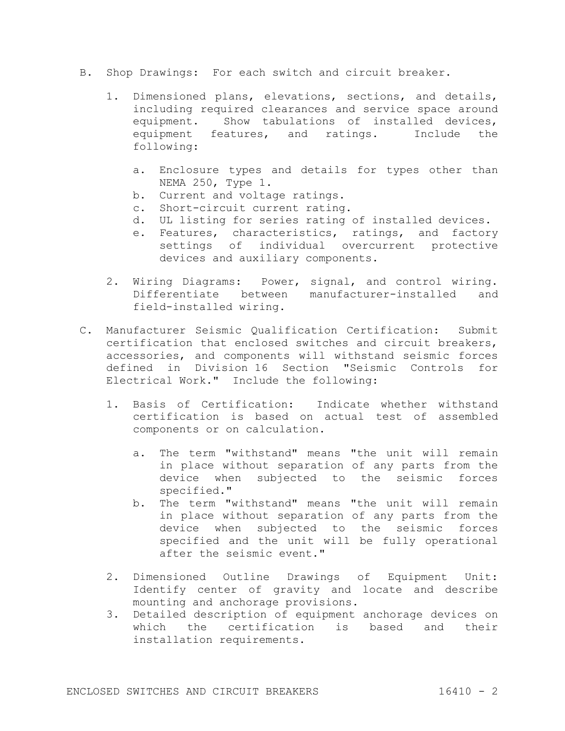- B. Shop Drawings: For each switch and circuit breaker.
	- 1. Dimensioned plans, elevations, sections, and details, including required clearances and service space around equipment. Show tabulations of installed devices, equipment features, and ratings. Include the following:
		- a. Enclosure types and details for types other than NEMA 250, Type 1.
		- b. Current and voltage ratings.
		- c. Short-circuit current rating.
		- d. UL listing for series rating of installed devices.
		- e. Features, characteristics, ratings, and factory settings of individual overcurrent protective devices and auxiliary components.
	- 2. Wiring Diagrams: Power, signal, and control wiring. Differentiate between manufacturer-installed and field-installed wiring.
- C. Manufacturer Seismic Qualification Certification: Submit certification that enclosed switches and circuit breakers, accessories, and components will withstand seismic forces defined in Division 16 Section "Seismic Controls for Electrical Work." Include the following:
	- 1. Basis of Certification: Indicate whether withstand certification is based on actual test of assembled components or on calculation.
		- a. The term "withstand" means "the unit will remain in place without separation of any parts from the device when subjected to the seismic forces specified."
		- b. The term "withstand" means "the unit will remain in place without separation of any parts from the device when subjected to the seismic forces specified and the unit will be fully operational after the seismic event."
	- 2. Dimensioned Outline Drawings of Equipment Unit: Identify center of gravity and locate and describe mounting and anchorage provisions.
	- 3. Detailed description of equipment anchorage devices on which the certification is based and their installation requirements.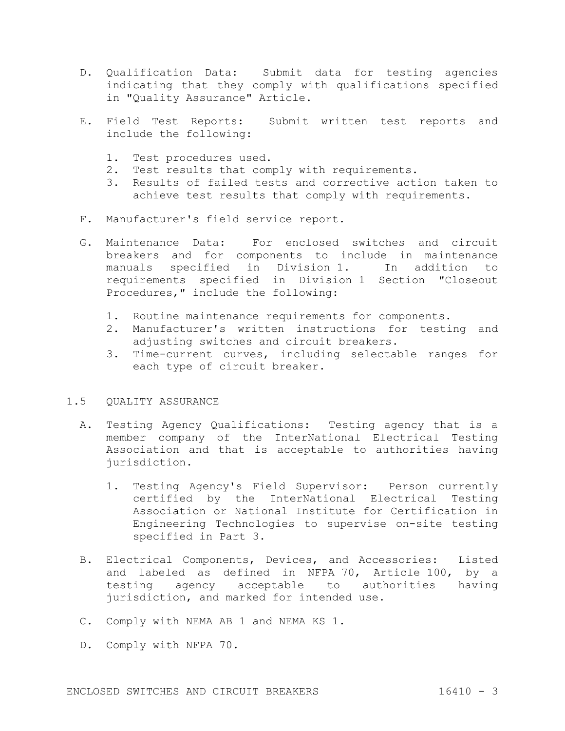- D. Qualification Data: Submit data for testing agencies indicating that they comply with qualifications specified in "Quality Assurance" Article.
- E. Field Test Reports: Submit written test reports and include the following:
	- 1. Test procedures used.
	- 2. Test results that comply with requirements.
	- 3. Results of failed tests and corrective action taken to achieve test results that comply with requirements.
- F. Manufacturer's field service report.
- G. Maintenance Data: For enclosed switches and circuit breakers and for components to include in maintenance manuals specified in Division 1. In addition to requirements specified in Division 1 Section "Closeout Procedures," include the following:
	- 1. Routine maintenance requirements for components.
	- 2. Manufacturer's written instructions for testing and adjusting switches and circuit breakers.
	- 3. Time-current curves, including selectable ranges for each type of circuit breaker.

# 1.5 QUALITY ASSURANCE

- A. Testing Agency Qualifications: Testing agency that is a member company of the InterNational Electrical Testing Association and that is acceptable to authorities having jurisdiction.
	- 1. Testing Agency's Field Supervisor: Person currently certified by the InterNational Electrical Testing Association or National Institute for Certification in Engineering Technologies to supervise on-site testing specified in Part 3.
- B. Electrical Components, Devices, and Accessories: Listed and labeled as defined in NFPA 70, Article 100, by a testing agency acceptable to authorities having jurisdiction, and marked for intended use.
- C. Comply with NEMA AB 1 and NEMA KS 1.
- D. Comply with NFPA 70.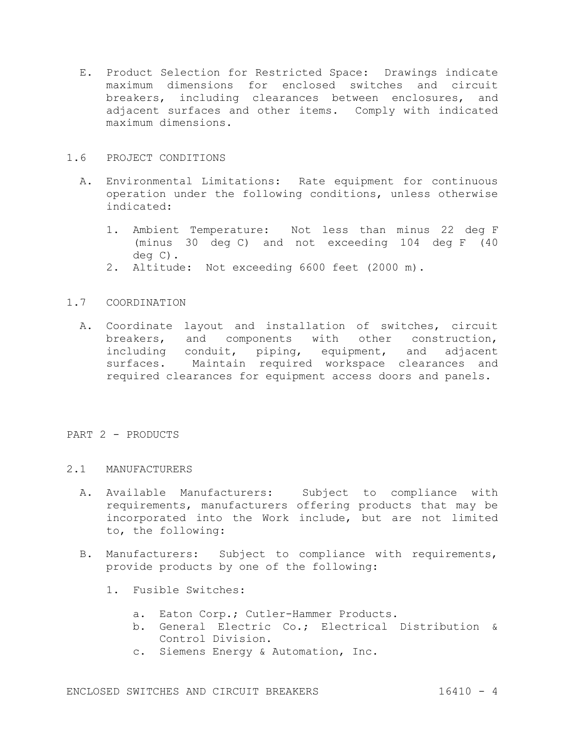E. Product Selection for Restricted Space: Drawings indicate maximum dimensions for enclosed switches and circuit breakers, including clearances between enclosures, and adjacent surfaces and other items. Comply with indicated maximum dimensions.

# 1.6 PROJECT CONDITIONS

- A. Environmental Limitations: Rate equipment for continuous operation under the following conditions, unless otherwise indicated:
	- 1. Ambient Temperature: Not less than minus 22 deg F (minus 30 deg C) and not exceeding 104 deg F (40 deg C).
	- 2. Altitude: Not exceeding 6600 feet (2000 m).

# 1.7 COORDINATION

A. Coordinate layout and installation of switches, circuit breakers, and components with other construction, including conduit, piping, equipment, and adjacent surfaces. Maintain required workspace clearances and required clearances for equipment access doors and panels.

# PART 2 - PRODUCTS

# 2.1 MANUFACTURERS

- A. Available Manufacturers: Subject to compliance with requirements, manufacturers offering products that may be incorporated into the Work include, but are not limited to, the following:
- B. Manufacturers: Subject to compliance with requirements, provide products by one of the following:
	- 1. Fusible Switches:
		- a. Eaton Corp.; Cutler-Hammer Products.
		- b. General Electric Co.; Electrical Distribution & Control Division.
		- c. Siemens Energy & Automation, Inc.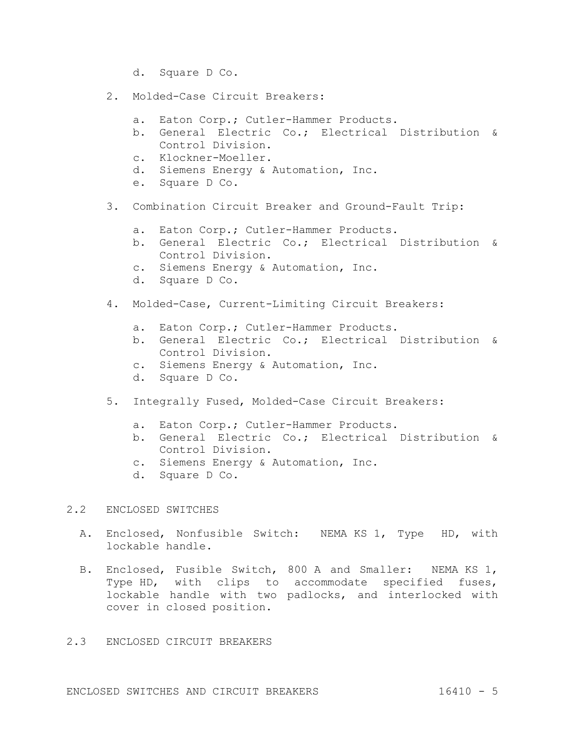- d. Square D Co.
- 2. Molded-Case Circuit Breakers:
	- a. Eaton Corp.; Cutler-Hammer Products.
	- b. General Electric Co.; Electrical Distribution & Control Division.
	- c. Klockner-Moeller.
	- d. Siemens Energy & Automation, Inc.
	- e. Square D Co.
- 3. Combination Circuit Breaker and Ground-Fault Trip:
	- a. Eaton Corp.; Cutler-Hammer Products.
	- b. General Electric Co.; Electrical Distribution & Control Division.
	- c. Siemens Energy & Automation, Inc.
	- d. Square D Co.
- 4. Molded-Case, Current-Limiting Circuit Breakers:
	- a. Eaton Corp.; Cutler-Hammer Products.
	- b. General Electric Co.; Electrical Distribution & Control Division.
	- c. Siemens Energy & Automation, Inc.
	- d. Square D Co.
- 5. Integrally Fused, Molded-Case Circuit Breakers:
	- a. Eaton Corp.; Cutler-Hammer Products.
	- b. General Electric Co.; Electrical Distribution & Control Division.
	- c. Siemens Energy & Automation, Inc.
	- d. Square D Co.

### 2.2 ENCLOSED SWITCHES

- A. Enclosed, Nonfusible Switch: NEMA KS 1, Type HD, with lockable handle.
- B. Enclosed, Fusible Switch, 800 A and Smaller: NEMA KS 1, Type HD, with clips to accommodate specified fuses, lockable handle with two padlocks, and interlocked with cover in closed position.

# 2.3 ENCLOSED CIRCUIT BREAKERS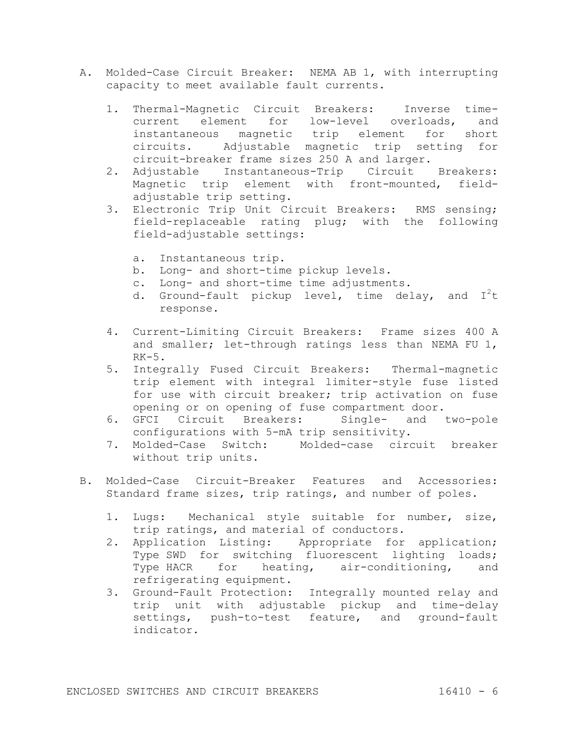- A. Molded-Case Circuit Breaker: NEMA AB 1, with interrupting capacity to meet available fault currents.
	- 1. Thermal-Magnetic Circuit Breakers: Inverse timecurrent element for low-level overloads, and instantaneous magnetic trip element for short circuits. Adjustable magnetic trip setting for circuit-breaker frame sizes 250 A and larger.
	- 2. Adjustable Instantaneous-Trip Circuit Breakers: Magnetic trip element with front-mounted, fieldadjustable trip setting.
	- 3. Electronic Trip Unit Circuit Breakers: RMS sensing; field-replaceable rating plug; with the following field-adjustable settings:
		- a. Instantaneous trip.
		- b. Long- and short-time pickup levels.
		- c. Long- and short-time time adjustments.
		- d. Ground-fault pickup level, time delay, and  $I^{2}t$ response.
	- 4. Current-Limiting Circuit Breakers: Frame sizes 400 A and smaller; let-through ratings less than NEMA FU 1,  $RK-5$ .
	- 5. Integrally Fused Circuit Breakers: Thermal-magnetic trip element with integral limiter-style fuse listed for use with circuit breaker; trip activation on fuse opening or on opening of fuse compartment door.
	- 6. GFCI Circuit Breakers: Single- and two-pole configurations with 5-mA trip sensitivity.
	- 7. Molded-Case Switch: Molded-case circuit breaker without trip units.
- B. Molded-Case Circuit-Breaker Features and Accessories: Standard frame sizes, trip ratings, and number of poles.
	- 1. Lugs: Mechanical style suitable for number, size, trip ratings, and material of conductors.
	- 2. Application Listing: Appropriate for application; Type SWD for switching fluorescent lighting loads; Type HACR for heating, air-conditioning, and refrigerating equipment.
	- 3. Ground-Fault Protection: Integrally mounted relay and trip unit with adjustable pickup and time-delay settings, push-to-test feature, and ground-fault indicator.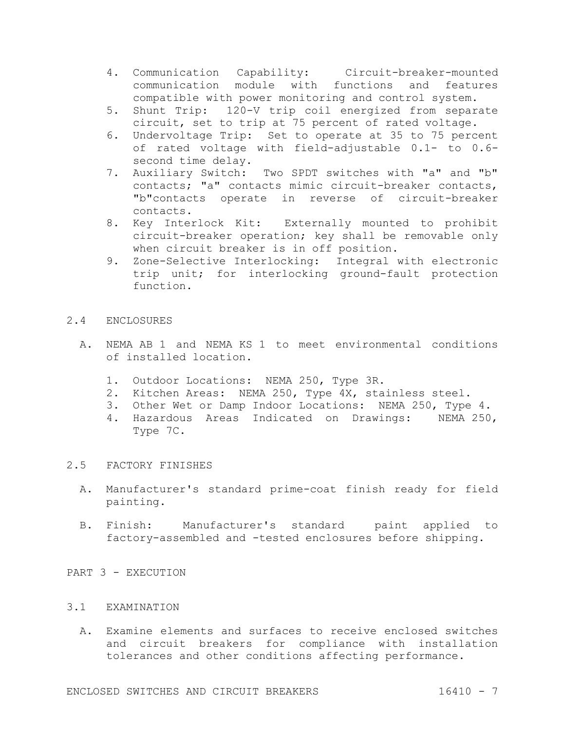- 4. Communication Capability: Circuit-breaker-mounted communication module with functions and features compatible with power monitoring and control system.
- 5. Shunt Trip: 120-V trip coil energized from separate circuit, set to trip at 75 percent of rated voltage.
- 6. Undervoltage Trip: Set to operate at 35 to 75 percent of rated voltage with field-adjustable 0.1- to 0.6 second time delay.
- 7. Auxiliary Switch: Two SPDT switches with "a" and "b" contacts; "a" contacts mimic circuit-breaker contacts, "b"contacts operate in reverse of circuit-breaker contacts.
- 8. Key Interlock Kit: Externally mounted to prohibit circuit-breaker operation; key shall be removable only when circuit breaker is in off position.
- 9. Zone-Selective Interlocking: Integral with electronic trip unit; for interlocking ground-fault protection function.

# 2.4 ENCLOSURES

- A. NEMA AB 1 and NEMA KS 1 to meet environmental conditions of installed location.
	- 1. Outdoor Locations: NEMA 250, Type 3R.
	- 2. Kitchen Areas: NEMA 250, Type 4X, stainless steel.
	- 3. Other Wet or Damp Indoor Locations: NEMA 250, Type 4.
	- 4. Hazardous Areas Indicated on Drawings: NEMA 250, Type 7C.

### 2.5 FACTORY FINISHES

- A. Manufacturer's standard prime-coat finish ready for field painting.
- B. Finish: Manufacturer's standard paint applied to factory-assembled and -tested enclosures before shipping.

PART 3 - EXECUTION

### 3.1 EXAMINATION

A. Examine elements and surfaces to receive enclosed switches and circuit breakers for compliance with installation tolerances and other conditions affecting performance.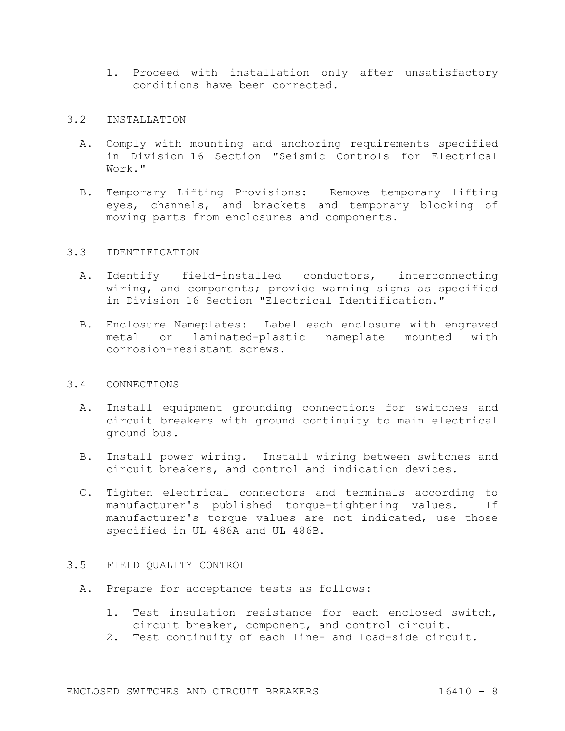1. Proceed with installation only after unsatisfactory conditions have been corrected.

#### 3.2 INSTALLATION

- A. Comply with mounting and anchoring requirements specified in Division 16 Section "Seismic Controls for Electrical Work."
- B. Temporary Lifting Provisions: Remove temporary lifting eyes, channels, and brackets and temporary blocking of moving parts from enclosures and components.

# 3.3 IDENTIFICATION

- A. Identify field-installed conductors, interconnecting wiring, and components; provide warning signs as specified in Division 16 Section "Electrical Identification."
- B. Enclosure Nameplates: Label each enclosure with engraved metal or laminated-plastic nameplate mounted with corrosion-resistant screws.

### 3.4 CONNECTIONS

- A. Install equipment grounding connections for switches and circuit breakers with ground continuity to main electrical ground bus.
- B. Install power wiring. Install wiring between switches and circuit breakers, and control and indication devices.
- C. Tighten electrical connectors and terminals according to manufacturer's published torque-tightening values. If manufacturer's torque values are not indicated, use those specified in UL 486A and UL 486B.

### 3.5 FIELD QUALITY CONTROL

- A. Prepare for acceptance tests as follows:
	- 1. Test insulation resistance for each enclosed switch, circuit breaker, component, and control circuit.
	- 2. Test continuity of each line- and load-side circuit.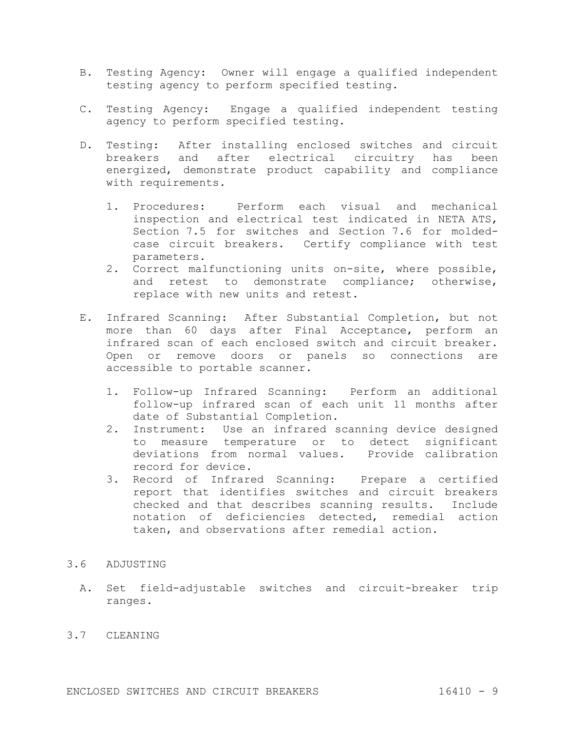- B. Testing Agency: Owner will engage a qualified independent testing agency to perform specified testing.
- C. Testing Agency: Engage a qualified independent testing agency to perform specified testing.
- D. Testing: After installing enclosed switches and circuit breakers and after electrical circuitry has been energized, demonstrate product capability and compliance with requirements.
	- 1. Procedures: Perform each visual and mechanical inspection and electrical test indicated in NETA ATS, Section 7.5 for switches and Section 7.6 for moldedcase circuit breakers. Certify compliance with test parameters.
	- 2. Correct malfunctioning units on-site, where possible, and retest to demonstrate compliance; otherwise, replace with new units and retest.
- E. Infrared Scanning: After Substantial Completion, but not more than 60 days after Final Acceptance, perform an infrared scan of each enclosed switch and circuit breaker. Open or remove doors or panels so connections are accessible to portable scanner.
	- 1. Follow-up Infrared Scanning: Perform an additional follow-up infrared scan of each unit 11 months after date of Substantial Completion.
	- 2. Instrument: Use an infrared scanning device designed to measure temperature or to detect significant deviations from normal values. Provide calibration record for device.
	- 3. Record of Infrared Scanning: Prepare a certified report that identifies switches and circuit breakers checked and that describes scanning results. Include notation of deficiencies detected, remedial action taken, and observations after remedial action.

# 3.6 ADJUSTING

A. Set field-adjustable switches and circuit-breaker trip ranges.

# 3.7 CLEANING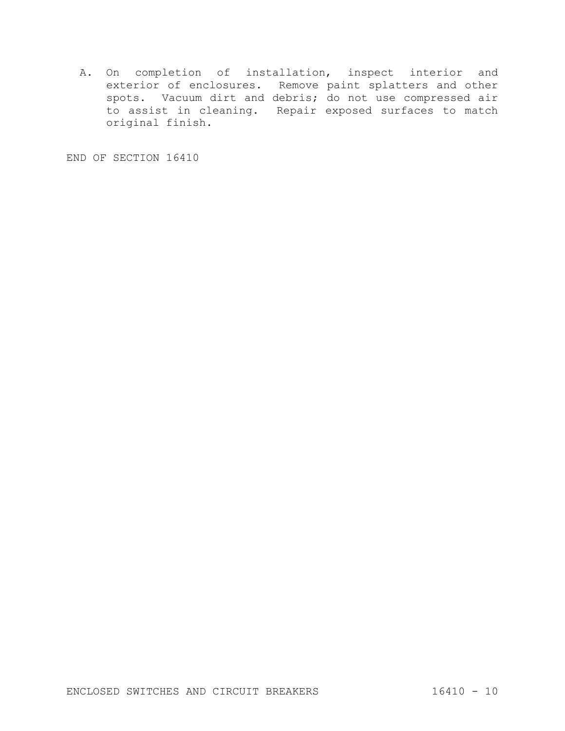A. On completion of installation, inspect interior and exterior of enclosures. Remove paint splatters and other spots. Vacuum dirt and debris; do not use compressed air to assist in cleaning. Repair exposed surfaces to match original finish.

END OF SECTION 16410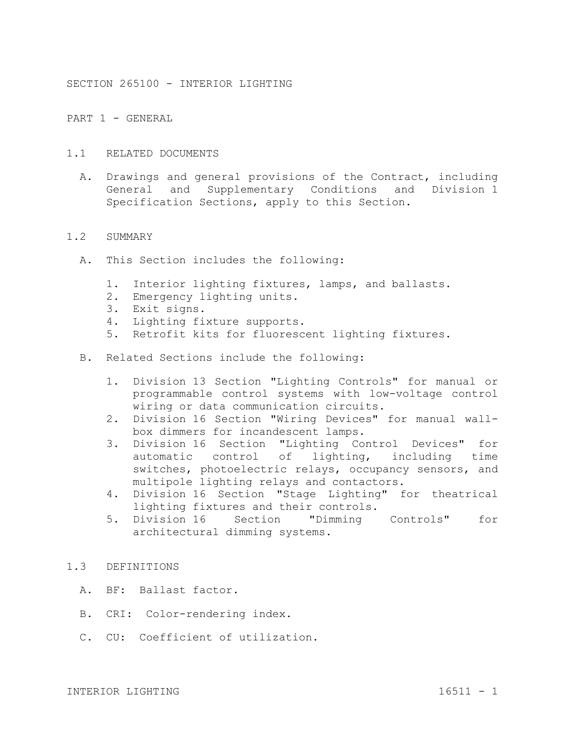SECTION 265100 - INTERIOR LIGHTING

PART 1 - GENERAL

- 1.1 RELATED DOCUMENTS
	- A. Drawings and general provisions of the Contract, including General and Supplementary Conditions and Division 1 Specification Sections, apply to this Section.

#### 1.2 SUMMARY

- A. This Section includes the following:
	- 1. Interior lighting fixtures, lamps, and ballasts.
	- 2. Emergency lighting units.
	- 3. Exit signs.
	- 4. Lighting fixture supports.
	- 5. Retrofit kits for fluorescent lighting fixtures.
- B. Related Sections include the following:
	- 1. Division 13 Section "Lighting Controls" for manual or programmable control systems with low-voltage control wiring or data communication circuits.
	- 2. Division 16 Section "Wiring Devices" for manual wallbox dimmers for incandescent lamps.
	- 3. Division 16 Section "Lighting Control Devices" for automatic control of lighting, including time switches, photoelectric relays, occupancy sensors, and multipole lighting relays and contactors.
	- 4. Division 16 Section "Stage Lighting" for theatrical lighting fixtures and their controls.
	- 5. Division 16 Section "Dimming Controls" for architectural dimming systems.

# 1.3 DEFINITIONS

- A. BF: Ballast factor.
- B. CRI: Color-rendering index.
- C. CU: Coefficient of utilization.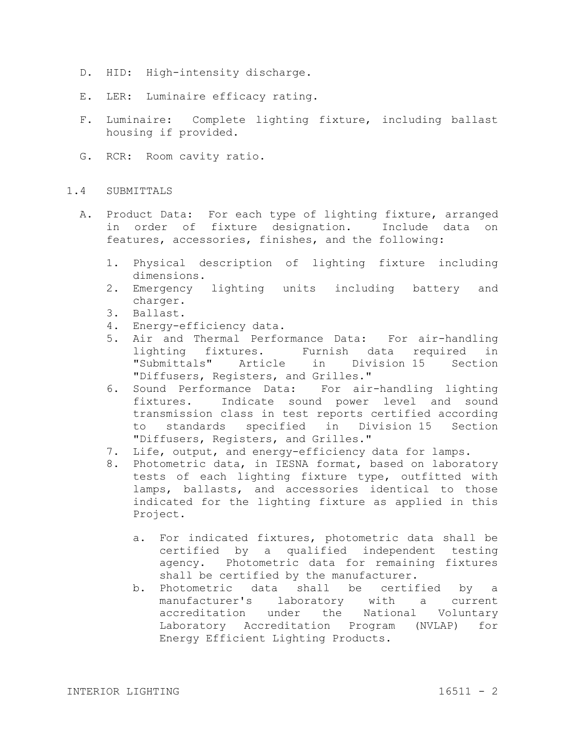- D. HID: High-intensity discharge.
- E. LER: Luminaire efficacy rating.
- F. Luminaire: Complete lighting fixture, including ballast housing if provided.
- G. RCR: Room cavity ratio.

#### 1.4 SUBMITTALS

- A. Product Data: For each type of lighting fixture, arranged in order of fixture designation. Include data on features, accessories, finishes, and the following:
	- 1. Physical description of lighting fixture including dimensions.
	- 2. Emergency lighting units including battery and charger.
	- 3. Ballast.
	- 4. Energy-efficiency data.
	- 5. Air and Thermal Performance Data: For air-handling lighting fixtures. Furnish data required in "Submittals" Article in Division 15 Section "Diffusers, Registers, and Grilles."
	- 6. Sound Performance Data: For air-handling lighting fixtures. Indicate sound power level and sound transmission class in test reports certified according to standards specified in Division 15 Section "Diffusers, Registers, and Grilles."
	- 7. Life, output, and energy-efficiency data for lamps.
	- 8. Photometric data, in IESNA format, based on laboratory tests of each lighting fixture type, outfitted with lamps, ballasts, and accessories identical to those indicated for the lighting fixture as applied in this Project.
		- a. For indicated fixtures, photometric data shall be certified by a qualified independent testing agency. Photometric data for remaining fixtures shall be certified by the manufacturer.
		- b. Photometric data shall be certified by a manufacturer's laboratory with a current accreditation under the National Voluntary Laboratory Accreditation Program (NVLAP) for Energy Efficient Lighting Products.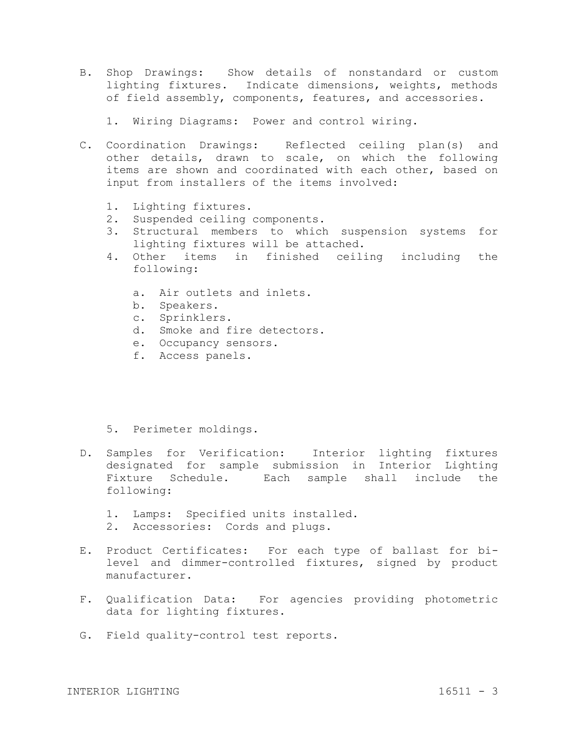- B. Shop Drawings: Show details of nonstandard or custom lighting fixtures. Indicate dimensions, weights, methods of field assembly, components, features, and accessories.
	- 1. Wiring Diagrams: Power and control wiring.
- C. Coordination Drawings: Reflected ceiling plan(s) and other details, drawn to scale, on which the following items are shown and coordinated with each other, based on input from installers of the items involved:
	- 1. Lighting fixtures.
	- 2. Suspended ceiling components.
	- 3. Structural members to which suspension systems for lighting fixtures will be attached.
	- 4. Other items in finished ceiling including the following:
		- a. Air outlets and inlets.
		- b. Speakers.
		- c. Sprinklers.
		- d. Smoke and fire detectors.
		- e. Occupancy sensors.
		- f. Access panels.
	- 5. Perimeter moldings.
- D. Samples for Verification: Interior lighting fixtures designated for sample submission in Interior Lighting Fixture Schedule. Each sample shall include the following:
	- 1. Lamps: Specified units installed.
	- 2. Accessories: Cords and plugs.
- E. Product Certificates: For each type of ballast for bilevel and dimmer-controlled fixtures, signed by product manufacturer.
- F. Qualification Data: For agencies providing photometric data for lighting fixtures.
- G. Field quality-control test reports.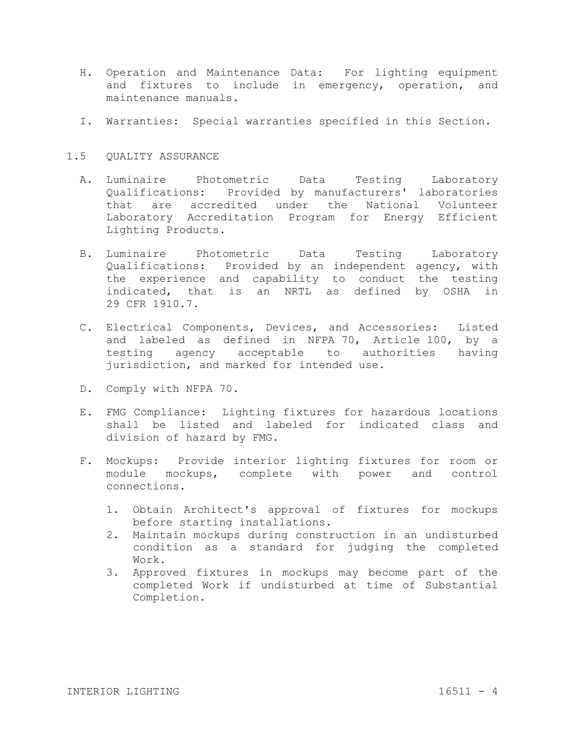- H. Operation and Maintenance Data: For lighting equipment and fixtures to include in emergency, operation, and maintenance manuals.
- I. Warranties: Special warranties specified in this Section.

# 1.5 QUALITY ASSURANCE

- A. Luminaire Photometric Data Testing Laboratory Qualifications: Provided by manufacturers' laboratories that are accredited under the National Volunteer Laboratory Accreditation Program for Energy Efficient Lighting Products.
- B. Luminaire Photometric Data Testing Laboratory Qualifications: Provided by an independent agency, with the experience and capability to conduct the testing indicated, that is an NRTL as defined by OSHA in 29 CFR 1910.7.
- C. Electrical Components, Devices, and Accessories: Listed and labeled as defined in NFPA 70, Article 100, by a testing agency acceptable to authorities having jurisdiction, and marked for intended use.
- D. Comply with NFPA 70.
- E. FMG Compliance: Lighting fixtures for hazardous locations shall be listed and labeled for indicated class and division of hazard by FMG.
- F. Mockups: Provide interior lighting fixtures for room or module mockups, complete with power and control connections.
	- 1. Obtain Architect's approval of fixtures for mockups before starting installations.
	- 2. Maintain mockups during construction in an undisturbed condition as a standard for judging the completed Work.
	- 3. Approved fixtures in mockups may become part of the completed Work if undisturbed at time of Substantial Completion.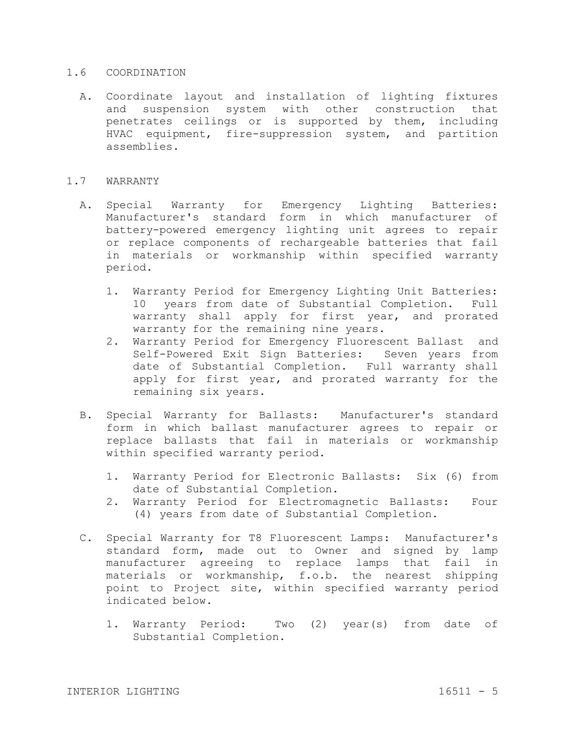#### 1.6 COORDINATION

A. Coordinate layout and installation of lighting fixtures and suspension system with other construction that penetrates ceilings or is supported by them, including HVAC equipment, fire-suppression system, and partition assemblies.

### 1.7 WARRANTY

- A. Special Warranty for Emergency Lighting Batteries: Manufacturer's standard form in which manufacturer of battery-powered emergency lighting unit agrees to repair or replace components of rechargeable batteries that fail in materials or workmanship within specified warranty period.
	- 1. Warranty Period for Emergency Lighting Unit Batteries: 10 years from date of Substantial Completion. Full warranty shall apply for first year, and prorated warranty for the remaining nine years.
	- 2. Warranty Period for Emergency Fluorescent Ballast and Self-Powered Exit Sign Batteries: Seven years from date of Substantial Completion. Full warranty shall apply for first year, and prorated warranty for the remaining six years.
- B. Special Warranty for Ballasts: Manufacturer's standard form in which ballast manufacturer agrees to repair or replace ballasts that fail in materials or workmanship within specified warranty period.
	- 1. Warranty Period for Electronic Ballasts: Six (6) from date of Substantial Completion.
	- 2. Warranty Period for Electromagnetic Ballasts: Four (4) years from date of Substantial Completion.
- C. Special Warranty for T8 Fluorescent Lamps: Manufacturer's standard form, made out to Owner and signed by lamp manufacturer agreeing to replace lamps that fail in materials or workmanship, f.o.b. the nearest shipping point to Project site, within specified warranty period indicated below.
	- 1. Warranty Period: Two (2) year(s) from date of Substantial Completion.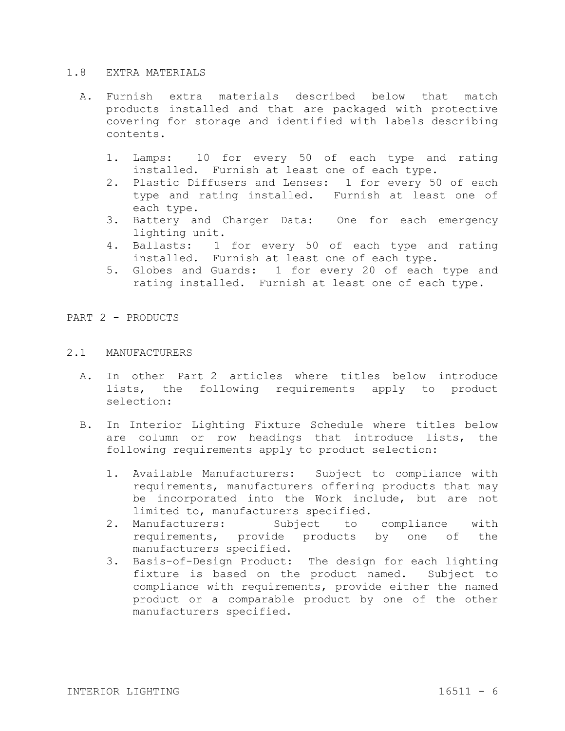#### 1.8 EXTRA MATERIALS

- A. Furnish extra materials described below that match products installed and that are packaged with protective covering for storage and identified with labels describing contents.
	- 1. Lamps: 10 for every 50 of each type and rating installed. Furnish at least one of each type.
	- 2. Plastic Diffusers and Lenses: 1 for every 50 of each type and rating installed. Furnish at least one of each type.
	- 3. Battery and Charger Data: One for each emergency lighting unit.
	- 4. Ballasts: 1 for every 50 of each type and rating installed. Furnish at least one of each type.
	- 5. Globes and Guards: 1 for every 20 of each type and rating installed. Furnish at least one of each type.

PART 2 - PRODUCTS

# 2.1 MANUFACTURERS

- A. In other Part 2 articles where titles below introduce lists, the following requirements apply to product selection:
- B. In Interior Lighting Fixture Schedule where titles below are column or row headings that introduce lists, the following requirements apply to product selection:
	- 1. Available Manufacturers: Subject to compliance with requirements, manufacturers offering products that may be incorporated into the Work include, but are not limited to, manufacturers specified.
	- 2. Manufacturers: Subject to compliance with requirements, provide products by one of the manufacturers specified.
	- 3. Basis-of-Design Product: The design for each lighting fixture is based on the product named. Subject to compliance with requirements, provide either the named product or a comparable product by one of the other manufacturers specified.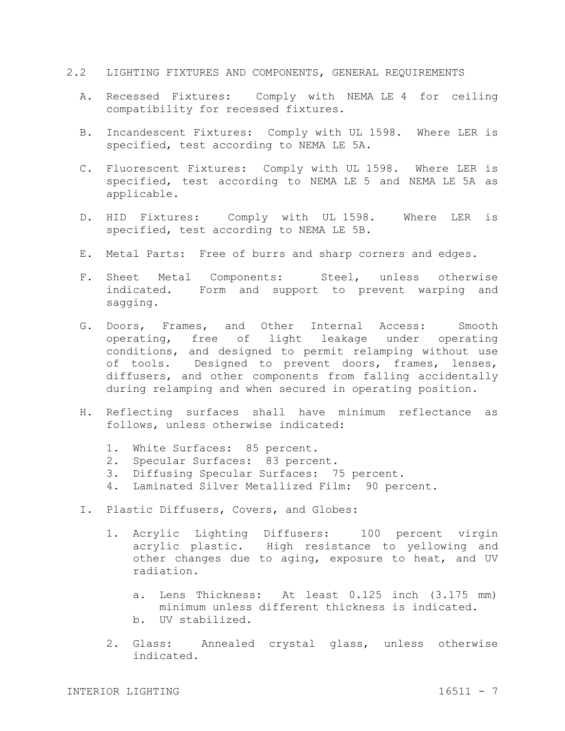- 2.2 LIGHTING FIXTURES AND COMPONENTS, GENERAL REQUIREMENTS
	- A. Recessed Fixtures: Comply with NEMA LE 4 for ceiling compatibility for recessed fixtures.
	- B. Incandescent Fixtures: Comply with UL 1598. Where LER is specified, test according to NEMA LE 5A.
	- C. Fluorescent Fixtures: Comply with UL 1598. Where LER is specified, test according to NEMA LE 5 and NEMA LE 5A as applicable.
	- D. HID Fixtures: Comply with UL 1598. Where LER is specified, test according to NEMA LE 5B.
	- E. Metal Parts: Free of burrs and sharp corners and edges.
	- F. Sheet Metal Components: Steel, unless otherwise indicated. Form and support to prevent warping and sagging.
	- G. Doors, Frames, and Other Internal Access: Smooth operating, free of light leakage under operating conditions, and designed to permit relamping without use of tools. Designed to prevent doors, frames, lenses, diffusers, and other components from falling accidentally during relamping and when secured in operating position.
	- H. Reflecting surfaces shall have minimum reflectance as follows, unless otherwise indicated:
		- 1. White Surfaces: 85 percent.
		- 2. Specular Surfaces: 83 percent.
		- 3. Diffusing Specular Surfaces: 75 percent.
		- 4. Laminated Silver Metallized Film: 90 percent.
	- I. Plastic Diffusers, Covers, and Globes:
		- 1. Acrylic Lighting Diffusers: 100 percent virgin acrylic plastic. High resistance to yellowing and other changes due to aging, exposure to heat, and UV radiation.
			- a. Lens Thickness: At least 0.125 inch (3.175 mm) minimum unless different thickness is indicated.
			- b. UV stabilized.
		- 2. Glass: Annealed crystal glass, unless otherwise indicated.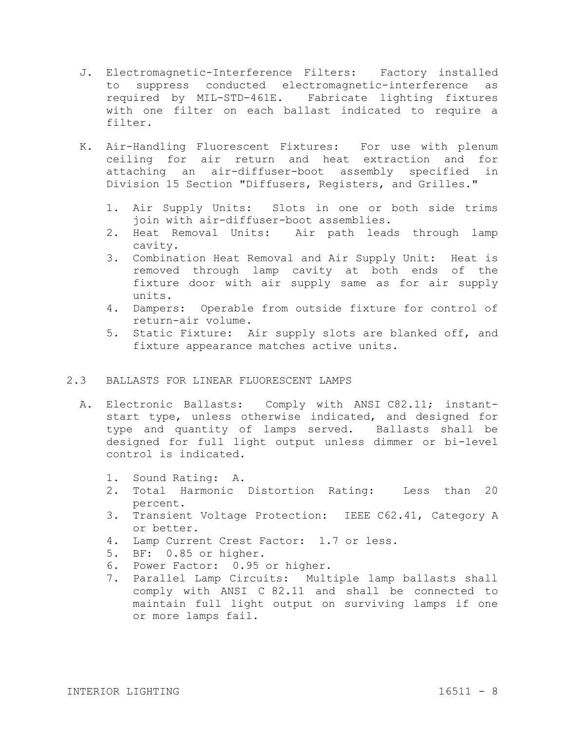- J. Electromagnetic-Interference Filters: Factory installed to suppress conducted electromagnetic-interference as required by MIL-STD-461E. Fabricate lighting fixtures with one filter on each ballast indicated to require a filter.
- K. Air-Handling Fluorescent Fixtures: For use with plenum ceiling for air return and heat extraction and for attaching an air-diffuser-boot assembly specified in Division 15 Section "Diffusers, Registers, and Grilles."
	- 1. Air Supply Units: Slots in one or both side trims join with air-diffuser-boot assemblies.
	- 2. Heat Removal Units: Air path leads through lamp cavity.
	- 3. Combination Heat Removal and Air Supply Unit: Heat is removed through lamp cavity at both ends of the fixture door with air supply same as for air supply units.
	- 4. Dampers: Operable from outside fixture for control of return-air volume.
	- 5. Static Fixture: Air supply slots are blanked off, and fixture appearance matches active units.

# 2.3 BALLASTS FOR LINEAR FLUORESCENT LAMPS

- A. Electronic Ballasts: Comply with ANSI C82.11; instantstart type, unless otherwise indicated, and designed for type and quantity of lamps served. Ballasts shall be designed for full light output unless dimmer or bi-level control is indicated.
	- 1. Sound Rating: A.
	- 2. Total Harmonic Distortion Rating: Less than 20 percent.
	- 3. Transient Voltage Protection: IEEE C62.41, Category A or better.
	- 4. Lamp Current Crest Factor: 1.7 or less.
	- 5. BF: 0.85 or higher.
	- 6. Power Factor: 0.95 or higher.
	- 7. Parallel Lamp Circuits: Multiple lamp ballasts shall comply with ANSI C 82.11 and shall be connected to maintain full light output on surviving lamps if one or more lamps fail.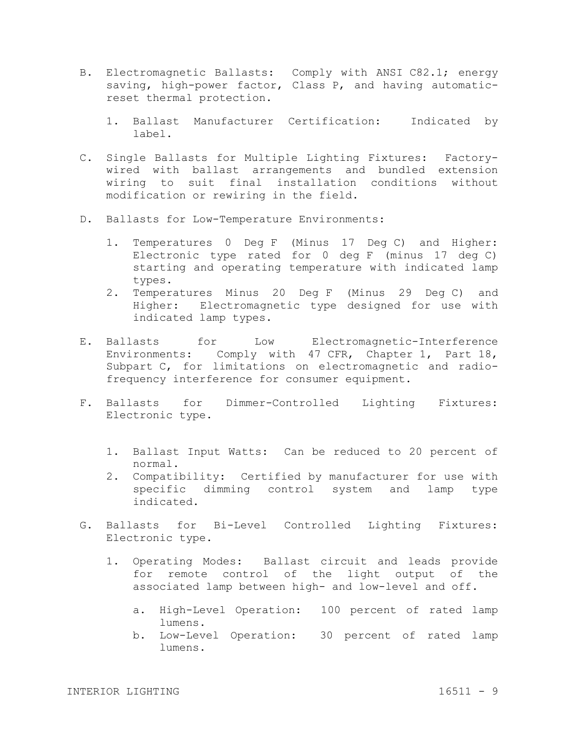- B. Electromagnetic Ballasts: Comply with ANSI C82.1; energy saving, high-power factor, Class P, and having automaticreset thermal protection.
	- 1. Ballast Manufacturer Certification: Indicated by label.
- C. Single Ballasts for Multiple Lighting Fixtures: Factorywired with ballast arrangements and bundled extension wiring to suit final installation conditions without modification or rewiring in the field.
- D. Ballasts for Low-Temperature Environments:
	- 1. Temperatures 0 Deg F (Minus 17 Deg C) and Higher: Electronic type rated for 0 deg F (minus 17 deg C) starting and operating temperature with indicated lamp types.
	- 2. Temperatures Minus 20 Deg F (Minus 29 Deg C) and Higher: Electromagnetic type designed for use with indicated lamp types.
- E. Ballasts for Low Electromagnetic-Interference Environments: Comply with 47 CFR, Chapter 1, Part 18, Subpart C, for limitations on electromagnetic and radiofrequency interference for consumer equipment.
- F. Ballasts for Dimmer-Controlled Lighting Fixtures: Electronic type.
	- 1. Ballast Input Watts: Can be reduced to 20 percent of normal.
	- 2. Compatibility: Certified by manufacturer for use with specific dimming control system and lamp type indicated.
- G. Ballasts for Bi-Level Controlled Lighting Fixtures: Electronic type.
	- 1. Operating Modes: Ballast circuit and leads provide for remote control of the light output of the associated lamp between high- and low-level and off.
		- a. High-Level Operation: 100 percent of rated lamp lumens.
		- b. Low-Level Operation: 30 percent of rated lamp lumens.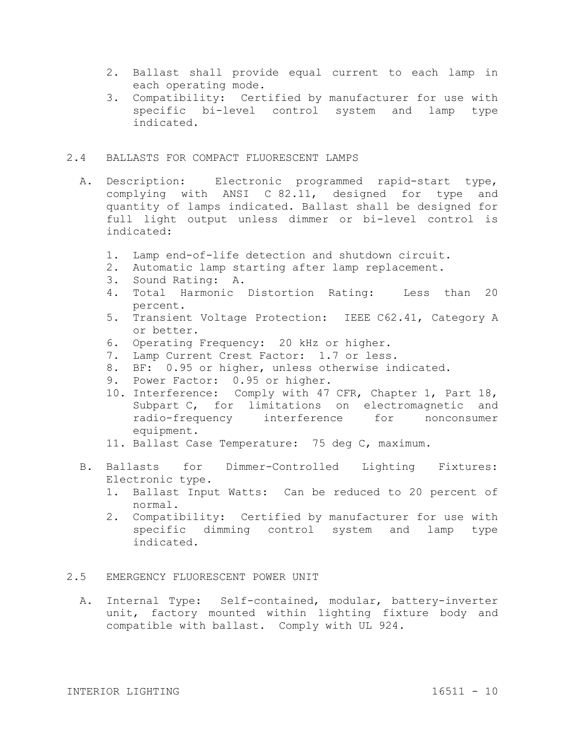- 2. Ballast shall provide equal current to each lamp in each operating mode.
- 3. Compatibility: Certified by manufacturer for use with specific bi-level control system and lamp type indicated.

# 2.4 BALLASTS FOR COMPACT FLUORESCENT LAMPS

- A. Description: Electronic programmed rapid-start type, complying with ANSI C 82.11, designed for type and quantity of lamps indicated. Ballast shall be designed for full light output unless dimmer or bi-level control is indicated:
	- 1. Lamp end-of-life detection and shutdown circuit.
	- 2. Automatic lamp starting after lamp replacement.
	- 3. Sound Rating: A.
	- 4. Total Harmonic Distortion Rating: Less than 20 percent.
	- 5. Transient Voltage Protection: IEEE C62.41, Category A or better.
	- 6. Operating Frequency: 20 kHz or higher.
	- 7. Lamp Current Crest Factor: 1.7 or less.
	- 8. BF: 0.95 or higher, unless otherwise indicated.
	- 9. Power Factor: 0.95 or higher.
	- 10. Interference: Comply with 47 CFR, Chapter 1, Part 18, Subpart C, for limitations on electromagnetic and radio-frequency interference for nonconsumer equipment.
	- 11. Ballast Case Temperature: 75 deg C, maximum.
- B. Ballasts for Dimmer-Controlled Lighting Fixtures: Electronic type.
	- 1. Ballast Input Watts: Can be reduced to 20 percent of normal.
	- 2. Compatibility: Certified by manufacturer for use with specific dimming control system and lamp type indicated.

### 2.5 EMERGENCY FLUORESCENT POWER UNIT

A. Internal Type: Self-contained, modular, battery-inverter unit, factory mounted within lighting fixture body and compatible with ballast. Comply with UL 924.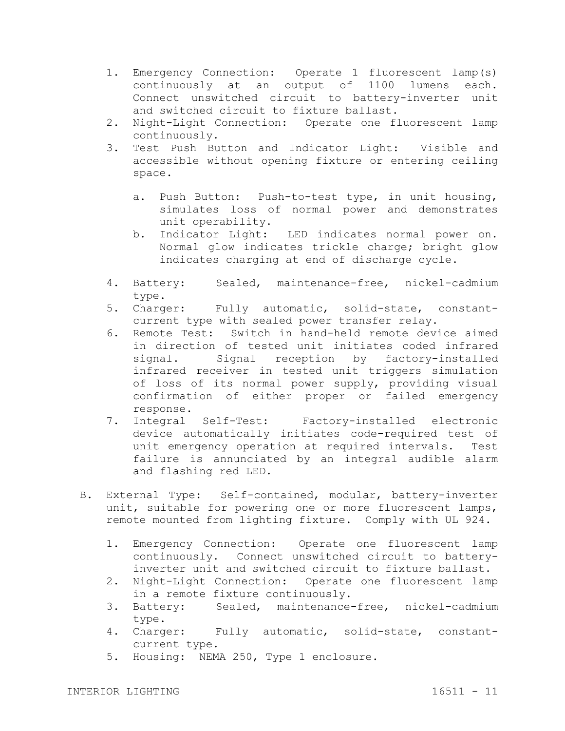- 1. Emergency Connection: Operate 1 fluorescent lamp(s) continuously at an output of 1100 lumens each. Connect unswitched circuit to battery-inverter unit and switched circuit to fixture ballast.
- 2. Night-Light Connection: Operate one fluorescent lamp continuously.
- 3. Test Push Button and Indicator Light: Visible and accessible without opening fixture or entering ceiling space.
	- a. Push Button: Push-to-test type, in unit housing, simulates loss of normal power and demonstrates unit operability.
	- b. Indicator Light: LED indicates normal power on. Normal glow indicates trickle charge; bright glow indicates charging at end of discharge cycle.
- 4. Battery: Sealed, maintenance-free, nickel-cadmium type.
- 5. Charger: Fully automatic, solid-state, constantcurrent type with sealed power transfer relay.
- 6. Remote Test: Switch in hand-held remote device aimed in direction of tested unit initiates coded infrared signal. Signal reception by factory-installed infrared receiver in tested unit triggers simulation of loss of its normal power supply, providing visual confirmation of either proper or failed emergency response.
- 7. Integral Self-Test: Factory-installed electronic device automatically initiates code-required test of unit emergency operation at required intervals. Test failure is annunciated by an integral audible alarm and flashing red LED.
- B. External Type: Self-contained, modular, battery-inverter unit, suitable for powering one or more fluorescent lamps, remote mounted from lighting fixture. Comply with UL 924.
	- 1. Emergency Connection: Operate one fluorescent lamp continuously. Connect unswitched circuit to batteryinverter unit and switched circuit to fixture ballast.
	- 2. Night-Light Connection: Operate one fluorescent lamp in a remote fixture continuously.
	- 3. Battery: Sealed, maintenance-free, nickel-cadmium type.
	- 4. Charger: Fully automatic, solid-state, constantcurrent type.
	- 5. Housing: NEMA 250, Type 1 enclosure.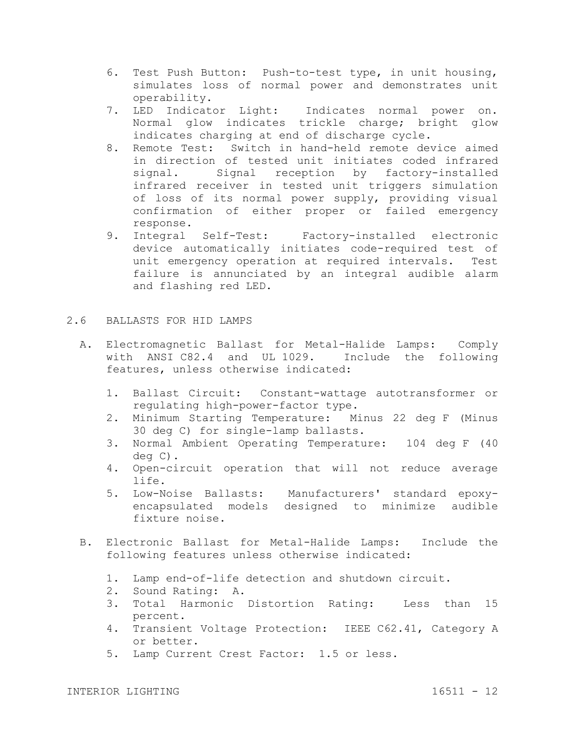- 6. Test Push Button: Push-to-test type, in unit housing, simulates loss of normal power and demonstrates unit operability.
- 7. LED Indicator Light: Indicates normal power on. Normal glow indicates trickle charge; bright glow indicates charging at end of discharge cycle.
- 8. Remote Test: Switch in hand-held remote device aimed in direction of tested unit initiates coded infrared signal. Signal reception by factory-installed infrared receiver in tested unit triggers simulation of loss of its normal power supply, providing visual confirmation of either proper or failed emergency response.
- 9. Integral Self-Test: Factory-installed electronic device automatically initiates code-required test of unit emergency operation at required intervals. Test failure is annunciated by an integral audible alarm and flashing red LED.

# 2.6 BALLASTS FOR HID LAMPS

- A. Electromagnetic Ballast for Metal-Halide Lamps: Comply with ANSI C82.4 and UL 1029. Include the following features, unless otherwise indicated:
	- 1. Ballast Circuit: Constant-wattage autotransformer or regulating high-power-factor type.
	- 2. Minimum Starting Temperature: Minus 22 deg F (Minus 30 deg C) for single-lamp ballasts.
	- 3. Normal Ambient Operating Temperature: 104 deg F (40 deg C).
	- 4. Open-circuit operation that will not reduce average life.
	- 5. Low-Noise Ballasts: Manufacturers' standard epoxyencapsulated models designed to minimize audible fixture noise.
- B. Electronic Ballast for Metal-Halide Lamps: Include the following features unless otherwise indicated:
	- 1. Lamp end-of-life detection and shutdown circuit.
	- 2. Sound Rating: A.
	- 3. Total Harmonic Distortion Rating: Less than 15 percent.
	- 4. Transient Voltage Protection: IEEE C62.41, Category A or better.
	- 5. Lamp Current Crest Factor: 1.5 or less.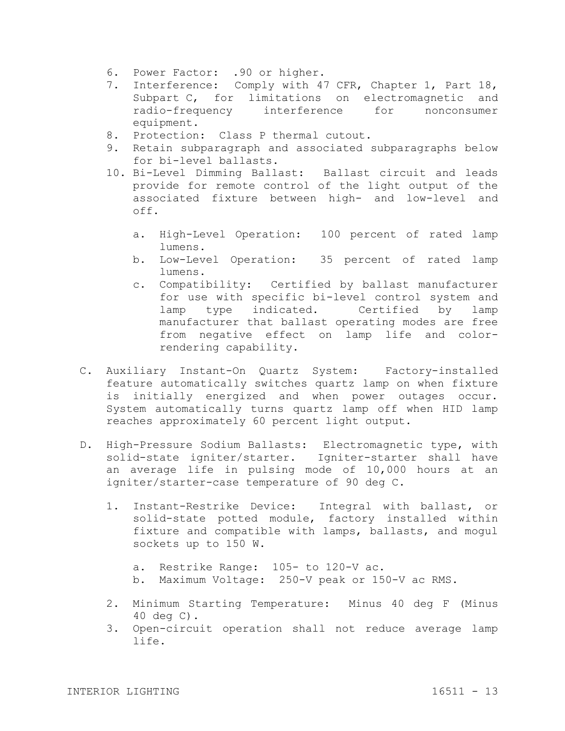- 6. Power Factor: .90 or higher.
- 7. Interference: Comply with 47 CFR, Chapter 1, Part 18, Subpart C, for limitations on electromagnetic and radio-frequency interference for nonconsumer equipment.
- 8. Protection: Class P thermal cutout.
- 9. Retain subparagraph and associated subparagraphs below for bi-level ballasts.
- 10. Bi-Level Dimming Ballast: Ballast circuit and leads provide for remote control of the light output of the associated fixture between high- and low-level and off.
	- a. High-Level Operation: 100 percent of rated lamp lumens.
	- b. Low-Level Operation: 35 percent of rated lamp lumens.
	- c. Compatibility: Certified by ballast manufacturer for use with specific bi-level control system and lamp type indicated. Certified by lamp manufacturer that ballast operating modes are free from negative effect on lamp life and colorrendering capability.
- C. Auxiliary Instant-On Quartz System: Factory-installed feature automatically switches quartz lamp on when fixture is initially energized and when power outages occur. System automatically turns quartz lamp off when HID lamp reaches approximately 60 percent light output.
- D. High-Pressure Sodium Ballasts: Electromagnetic type, with solid-state igniter/starter. Igniter-starter shall have an average life in pulsing mode of 10,000 hours at an igniter/starter-case temperature of 90 deg C.
	- 1. Instant-Restrike Device: Integral with ballast, or solid-state potted module, factory installed within fixture and compatible with lamps, ballasts, and mogul sockets up to 150 W.
		- a. Restrike Range: 105- to 120-V ac.
		- b. Maximum Voltage: 250-V peak or 150-V ac RMS.
	- 2. Minimum Starting Temperature: Minus 40 deg F (Minus 40 deg C).
	- 3. Open-circuit operation shall not reduce average lamp life.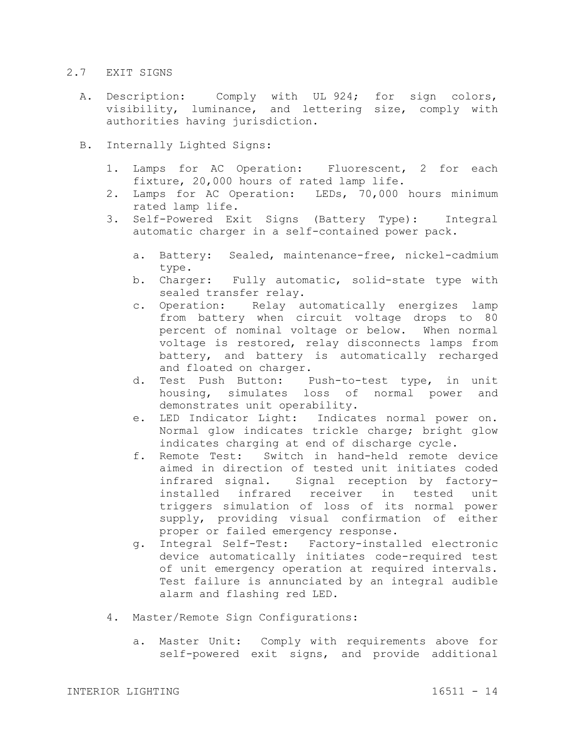## 2.7 EXIT SIGNS

- A. Description: Comply with UL 924; for sign colors, visibility, luminance, and lettering size, comply with authorities having jurisdiction.
- B. Internally Lighted Signs:
	- 1. Lamps for AC Operation: Fluorescent, 2 for each fixture, 20,000 hours of rated lamp life.
	- 2. Lamps for AC Operation: LEDs, 70,000 hours minimum rated lamp life.
	- 3. Self-Powered Exit Signs (Battery Type): Integral automatic charger in a self-contained power pack.
		- a. Battery: Sealed, maintenance-free, nickel-cadmium type.
		- b. Charger: Fully automatic, solid-state type with sealed transfer relay.
		- c. Operation: Relay automatically energizes lamp from battery when circuit voltage drops to 80 percent of nominal voltage or below. When normal voltage is restored, relay disconnects lamps from battery, and battery is automatically recharged and floated on charger.
		- d. Test Push Button: Push-to-test type, in unit housing, simulates loss of normal power and demonstrates unit operability.
		- e. LED Indicator Light: Indicates normal power on. Normal glow indicates trickle charge; bright glow indicates charging at end of discharge cycle.
		- f. Remote Test: Switch in hand-held remote device aimed in direction of tested unit initiates coded infrared signal. Signal reception by factoryinstalled infrared receiver in tested unit triggers simulation of loss of its normal power supply, providing visual confirmation of either proper or failed emergency response.
		- g. Integral Self-Test: Factory-installed electronic device automatically initiates code-required test of unit emergency operation at required intervals. Test failure is annunciated by an integral audible alarm and flashing red LED.
	- 4. Master/Remote Sign Configurations:
		- a. Master Unit: Comply with requirements above for self-powered exit signs, and provide additional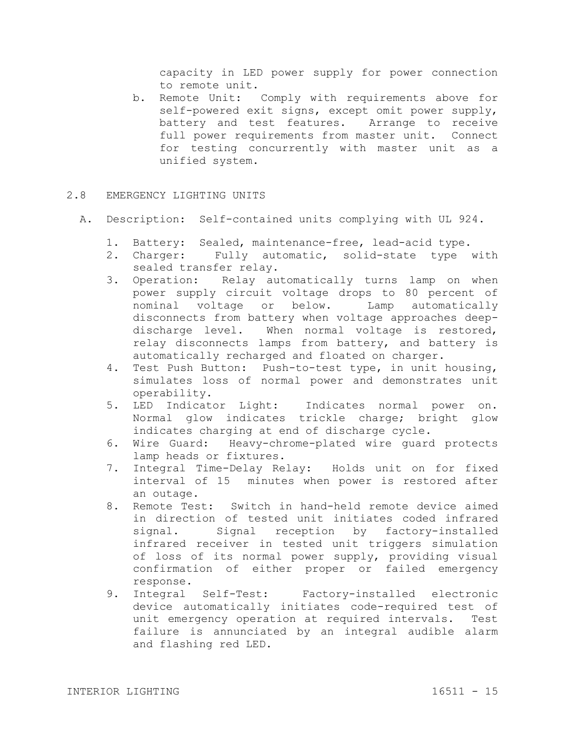capacity in LED power supply for power connection to remote unit.

- b. Remote Unit: Comply with requirements above for self-powered exit signs, except omit power supply, battery and test features. Arrange to receive full power requirements from master unit. Connect for testing concurrently with master unit as a unified system.
- 2.8 EMERGENCY LIGHTING UNITS
	- A. Description: Self-contained units complying with UL 924.
		- 1. Battery: Sealed, maintenance-free, lead-acid type.
		- 2. Charger: Fully automatic, solid-state type with sealed transfer relay.
		- 3. Operation: Relay automatically turns lamp on when power supply circuit voltage drops to 80 percent of nominal voltage or below. Lamp automatically disconnects from battery when voltage approaches deepdischarge level. When normal voltage is restored, relay disconnects lamps from battery, and battery is automatically recharged and floated on charger.
		- 4. Test Push Button: Push-to-test type, in unit housing, simulates loss of normal power and demonstrates unit operability.
		- 5. LED Indicator Light: Indicates normal power on. Normal glow indicates trickle charge; bright glow indicates charging at end of discharge cycle.
		- 6. Wire Guard: Heavy-chrome-plated wire guard protects lamp heads or fixtures.
		- 7. Integral Time-Delay Relay: Holds unit on for fixed interval of 15 minutes when power is restored after an outage.
		- 8. Remote Test: Switch in hand-held remote device aimed in direction of tested unit initiates coded infrared signal. Signal reception by factory-installed infrared receiver in tested unit triggers simulation of loss of its normal power supply, providing visual confirmation of either proper or failed emergency response.
		- 9. Integral Self-Test: Factory-installed electronic device automatically initiates code-required test of unit emergency operation at required intervals. Test failure is annunciated by an integral audible alarm and flashing red LED.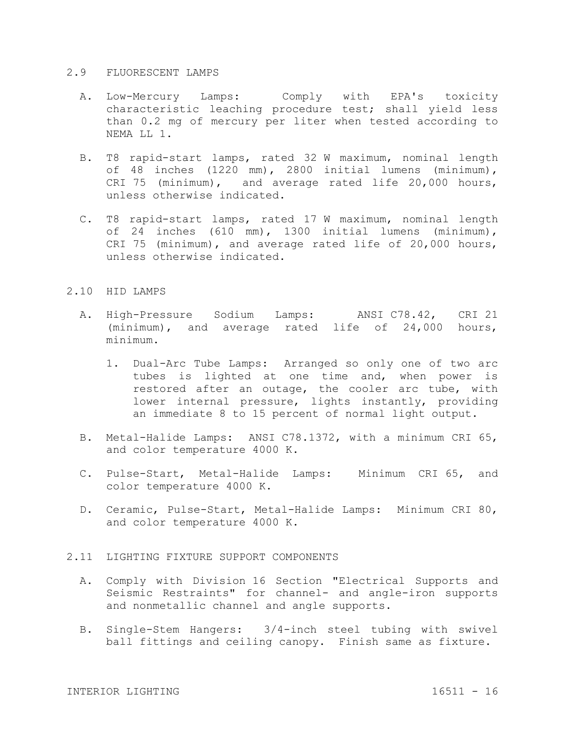#### 2.9 FLUORESCENT LAMPS

- A. Low-Mercury Lamps: Comply with EPA's toxicity characteristic leaching procedure test; shall yield less than 0.2 mg of mercury per liter when tested according to NEMA LL 1.
- B. T8 rapid-start lamps, rated 32 W maximum, nominal length of 48 inches (1220 mm), 2800 initial lumens (minimum), CRI 75 (minimum), and average rated life 20,000 hours, unless otherwise indicated.
- C. T8 rapid-start lamps, rated 17 W maximum, nominal length of 24 inches (610 mm), 1300 initial lumens (minimum), CRI 75 (minimum), and average rated life of 20,000 hours, unless otherwise indicated.

#### 2.10 HID LAMPS

- A. High-Pressure Sodium Lamps: ANSI C78.42, CRI 21 (minimum), and average rated life of 24,000 hours, minimum.
	- 1. Dual-Arc Tube Lamps: Arranged so only one of two arc tubes is lighted at one time and, when power is restored after an outage, the cooler arc tube, with lower internal pressure, lights instantly, providing an immediate 8 to 15 percent of normal light output.
- B. Metal-Halide Lamps: ANSI C78.1372, with a minimum CRI 65, and color temperature 4000 K.
- C. Pulse-Start, Metal-Halide Lamps: Minimum CRI 65, and color temperature 4000 K.
- D. Ceramic, Pulse-Start, Metal-Halide Lamps: Minimum CRI 80, and color temperature 4000 K.

#### 2.11 LIGHTING FIXTURE SUPPORT COMPONENTS

- A. Comply with Division 16 Section "Electrical Supports and Seismic Restraints" for channel- and angle-iron supports and nonmetallic channel and angle supports.
- B. Single-Stem Hangers: 3/4-inch steel tubing with swivel ball fittings and ceiling canopy. Finish same as fixture.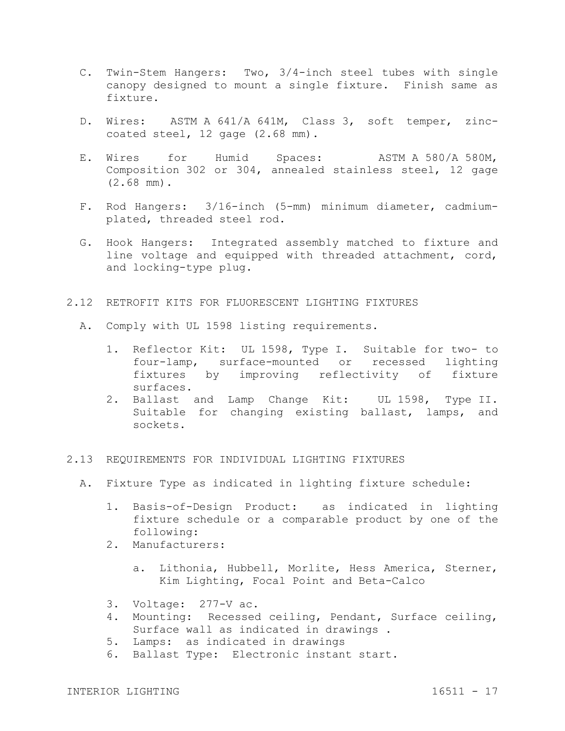- C. Twin-Stem Hangers: Two, 3/4-inch steel tubes with single canopy designed to mount a single fixture. Finish same as fixture.
- D. Wires: ASTM A 641/A 641M, Class 3, soft temper, zinccoated steel, 12 gage (2.68 mm).
- E. Wires for Humid Spaces: ASTM A 580/A 580M, Composition 302 or 304, annealed stainless steel, 12 gage (2.68 mm).
- F. Rod Hangers: 3/16-inch (5-mm) minimum diameter, cadmiumplated, threaded steel rod.
- G. Hook Hangers: Integrated assembly matched to fixture and line voltage and equipped with threaded attachment, cord, and locking-type plug.
- 2.12 RETROFIT KITS FOR FLUORESCENT LIGHTING FIXTURES
	- A. Comply with UL 1598 listing requirements.
		- 1. Reflector Kit: UL 1598, Type I. Suitable for two- to four-lamp, surface-mounted or recessed lighting fixtures by improving reflectivity of fixture surfaces.
		- 2. Ballast and Lamp Change Kit: UL 1598, Type II. Suitable for changing existing ballast, lamps, and sockets.
- 2.13 REQUIREMENTS FOR INDIVIDUAL LIGHTING FIXTURES
	- A. Fixture Type as indicated in lighting fixture schedule:
		- 1. Basis-of-Design Product: as indicated in lighting fixture schedule or a comparable product by one of the following:
		- 2. Manufacturers:
			- a. Lithonia, Hubbell, Morlite, Hess America, Sterner, Kim Lighting, Focal Point and Beta-Calco
		- 3. Voltage: 277-V ac.
		- 4. Mounting: Recessed ceiling, Pendant, Surface ceiling, Surface wall as indicated in drawings .
		- 5. Lamps: as indicated in drawings
		- 6. Ballast Type: Electronic instant start.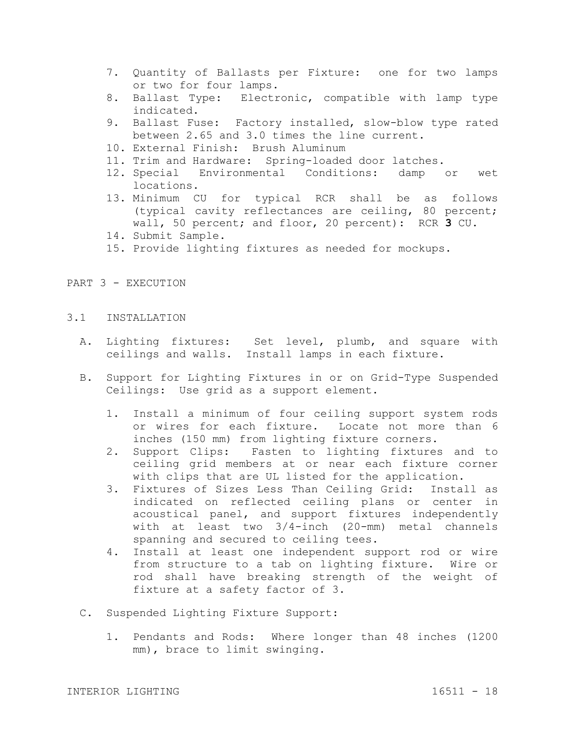- 7. Quantity of Ballasts per Fixture: one for two lamps or two for four lamps.
- 8. Ballast Type: Electronic, compatible with lamp type indicated.
- 9. Ballast Fuse: Factory installed, slow-blow type rated between 2.65 and 3.0 times the line current.
- 10. External Finish: Brush Aluminum
- 11. Trim and Hardware: Spring-loaded door latches.
- 12. Special Environmental Conditions: damp or wet locations.
- 13. Minimum CU for typical RCR shall be as follows (typical cavity reflectances are ceiling, 80 percent; wall, 50 percent; and floor, 20 percent): RCR **3** CU.
- 14. Submit Sample.
- 15. Provide lighting fixtures as needed for mockups.

#### PART 3 - EXECUTION

- 3.1 INSTALLATION
	- A. Lighting fixtures: Set level, plumb, and square with ceilings and walls. Install lamps in each fixture.
	- B. Support for Lighting Fixtures in or on Grid-Type Suspended Ceilings: Use grid as a support element.
		- 1. Install a minimum of four ceiling support system rods or wires for each fixture. Locate not more than 6 inches (150 mm) from lighting fixture corners.
		- 2. Support Clips: Fasten to lighting fixtures and to ceiling grid members at or near each fixture corner with clips that are UL listed for the application.
		- 3. Fixtures of Sizes Less Than Ceiling Grid: Install as indicated on reflected ceiling plans or center in acoustical panel, and support fixtures independently with at least two 3/4-inch (20-mm) metal channels spanning and secured to ceiling tees.
		- 4. Install at least one independent support rod or wire from structure to a tab on lighting fixture. Wire or rod shall have breaking strength of the weight of fixture at a safety factor of 3.
	- C. Suspended Lighting Fixture Support:
		- 1. Pendants and Rods: Where longer than 48 inches (1200 mm), brace to limit swinging.